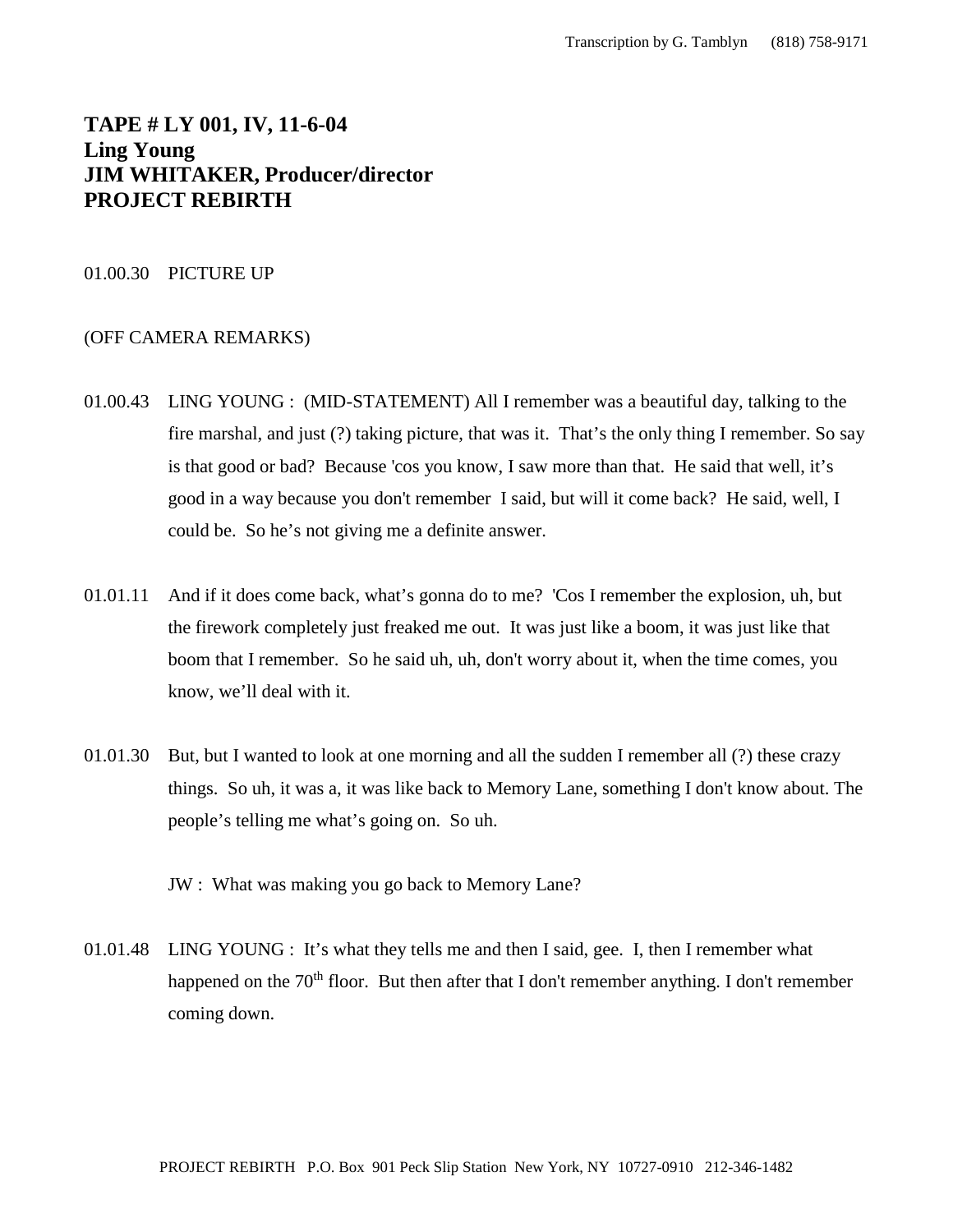# **TAPE # LY 001, IV, 11-6-04 Ling Young JIM WHITAKER, Producer/director PROJECT REBIRTH**

### 01.00.30 PICTURE UP

## (OFF CAMERA REMARKS)

- 01.00.43 LING YOUNG : (MID-STATEMENT) All I remember was a beautiful day, talking to the fire marshal, and just (?) taking picture, that was it. That's the only thing I remember. So say is that good or bad? Because 'cos you know, I saw more than that. He said that well, it's good in a way because you don't remember I said, but will it come back? He said, well, I could be. So he's not giving me a definite answer.
- 01.01.11 And if it does come back, what's gonna do to me? 'Cos I remember the explosion, uh, but the firework completely just freaked me out. It was just like a boom, it was just like that boom that I remember. So he said uh, uh, don't worry about it, when the time comes, you know, we'll deal with it.
- 01.01.30 But, but I wanted to look at one morning and all the sudden I remember all (?) these crazy things. So uh, it was a, it was like back to Memory Lane, something I don't know about. The people's telling me what's going on. So uh.

JW : What was making you go back to Memory Lane?

01.01.48 LING YOUNG : It's what they tells me and then I said, gee. I, then I remember what happened on the 70<sup>th</sup> floor. But then after that I don't remember anything. I don't remember coming down.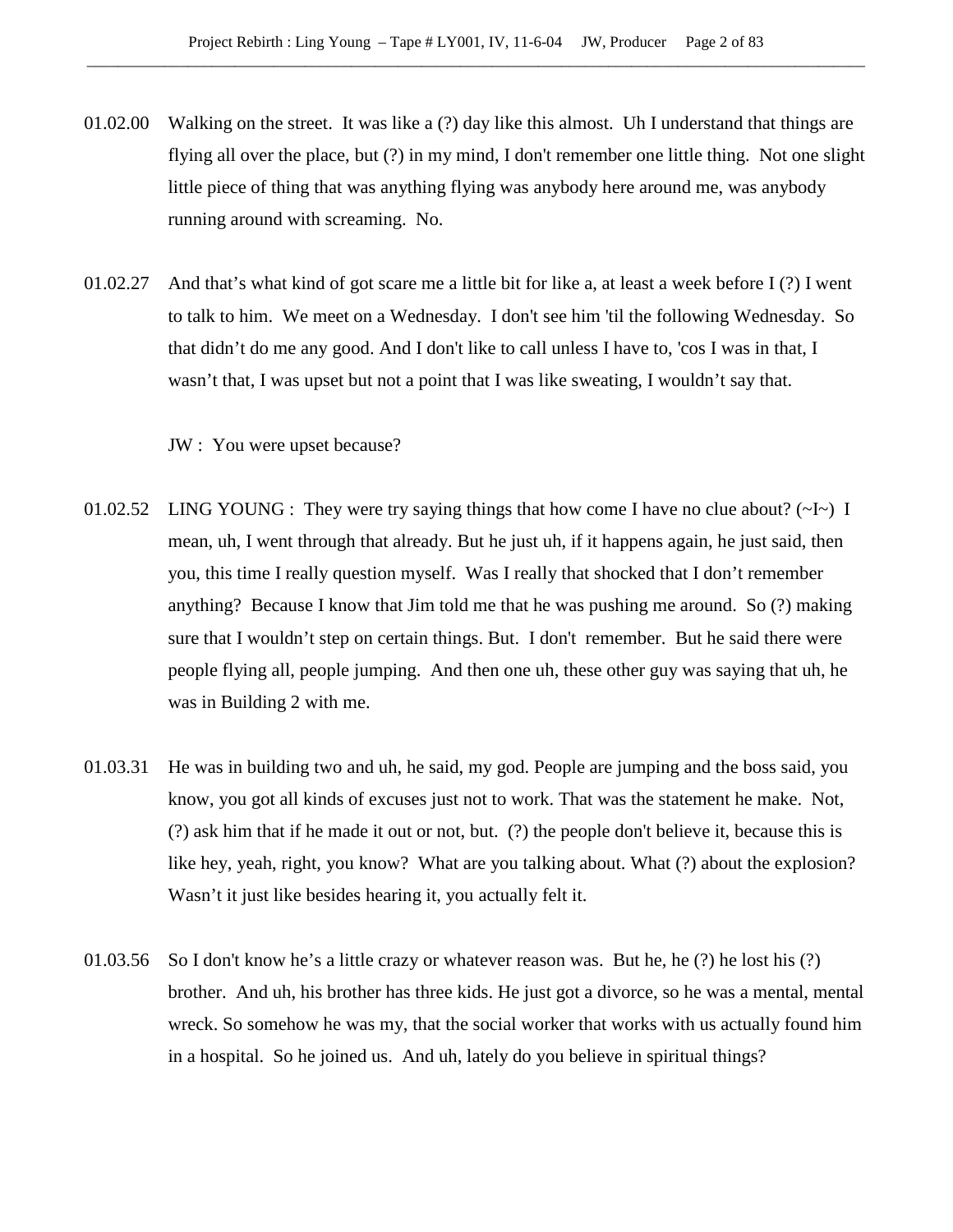- 01.02.00 Walking on the street. It was like a (?) day like this almost. Uh I understand that things are flying all over the place, but (?) in my mind, I don't remember one little thing. Not one slight little piece of thing that was anything flying was anybody here around me, was anybody running around with screaming. No.
- 01.02.27 And that's what kind of got scare me a little bit for like a, at least a week before I (?) I went to talk to him. We meet on a Wednesday. I don't see him 'til the following Wednesday. So that didn't do me any good. And I don't like to call unless I have to, 'cos I was in that, I wasn't that, I was upset but not a point that I was like sweating, I wouldn't say that.

JW : You were upset because?

- 01.02.52 LING YOUNG : They were try saying things that how come I have no clue about?  $(\sim I \sim)$  I mean, uh, I went through that already. But he just uh, if it happens again, he just said, then you, this time I really question myself. Was I really that shocked that I don't remember anything? Because I know that Jim told me that he was pushing me around. So (?) making sure that I wouldn't step on certain things. But. I don't remember. But he said there were people flying all, people jumping. And then one uh, these other guy was saying that uh, he was in Building 2 with me.
- 01.03.31 He was in building two and uh, he said, my god. People are jumping and the boss said, you know, you got all kinds of excuses just not to work. That was the statement he make. Not, (?) ask him that if he made it out or not, but. (?) the people don't believe it, because this is like hey, yeah, right, you know? What are you talking about. What (?) about the explosion? Wasn't it just like besides hearing it, you actually felt it.
- 01.03.56 So I don't know he's a little crazy or whatever reason was. But he, he (?) he lost his (?) brother. And uh, his brother has three kids. He just got a divorce, so he was a mental, mental wreck. So somehow he was my, that the social worker that works with us actually found him in a hospital. So he joined us. And uh, lately do you believe in spiritual things?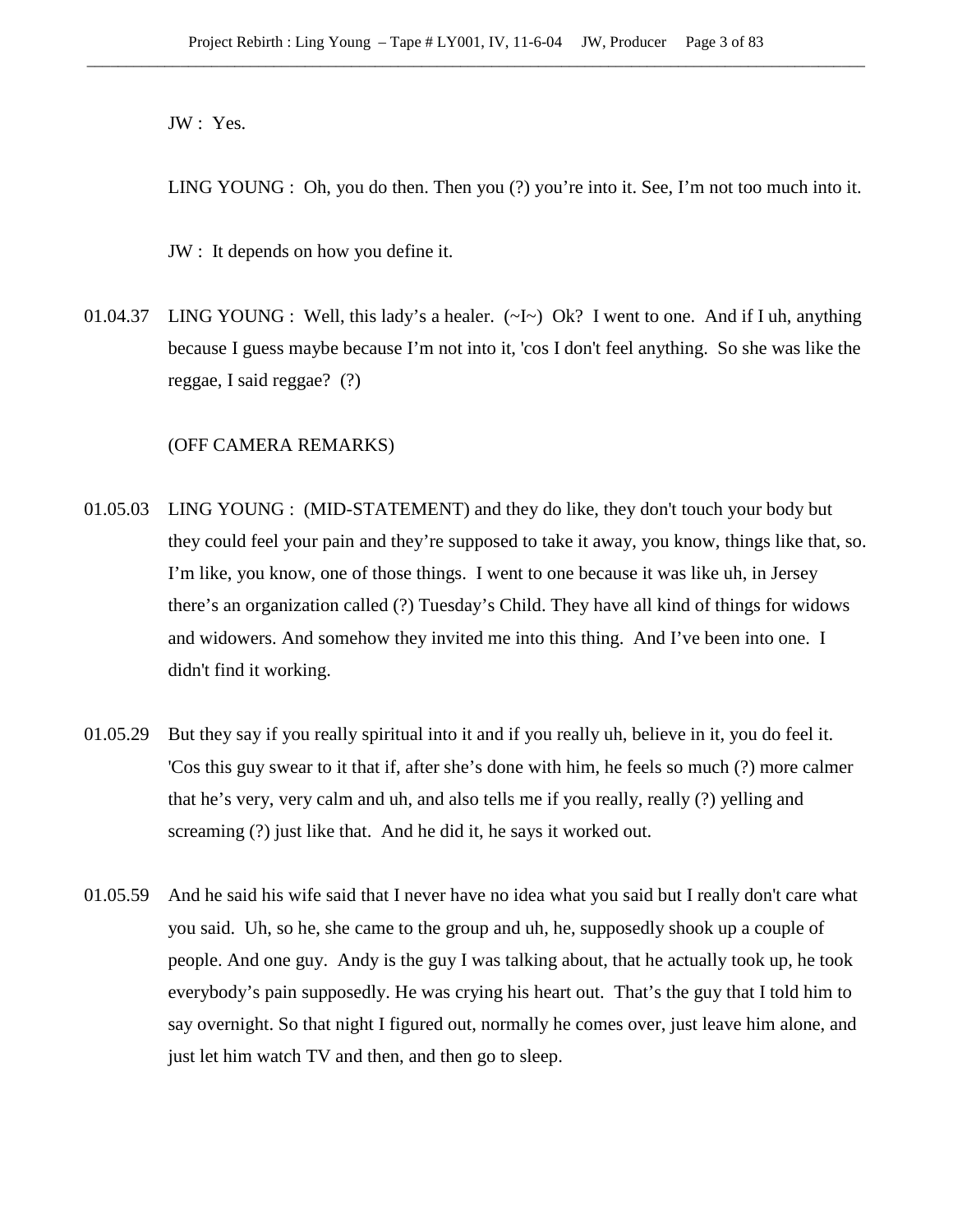JW : Yes.

LING YOUNG : Oh, you do then. Then you (?) you're into it. See, I'm not too much into it.

JW : It depends on how you define it.

01.04.37 LING YOUNG : Well, this lady's a healer. (~I~) Ok? I went to one. And if I uh, anything because I guess maybe because I'm not into it, 'cos I don't feel anything. So she was like the reggae, I said reggae? (?)

## (OFF CAMERA REMARKS)

- 01.05.03 LING YOUNG : (MID-STATEMENT) and they do like, they don't touch your body but they could feel your pain and they're supposed to take it away, you know, things like that, so. I'm like, you know, one of those things. I went to one because it was like uh, in Jersey there's an organization called (?) Tuesday's Child. They have all kind of things for widows and widowers. And somehow they invited me into this thing. And I've been into one. I didn't find it working.
- 01.05.29 But they say if you really spiritual into it and if you really uh, believe in it, you do feel it. 'Cos this guy swear to it that if, after she's done with him, he feels so much (?) more calmer that he's very, very calm and uh, and also tells me if you really, really (?) yelling and screaming (?) just like that. And he did it, he says it worked out.
- 01.05.59 And he said his wife said that I never have no idea what you said but I really don't care what you said. Uh, so he, she came to the group and uh, he, supposedly shook up a couple of people. And one guy. Andy is the guy I was talking about, that he actually took up, he took everybody's pain supposedly. He was crying his heart out. That's the guy that I told him to say overnight. So that night I figured out, normally he comes over, just leave him alone, and just let him watch TV and then, and then go to sleep.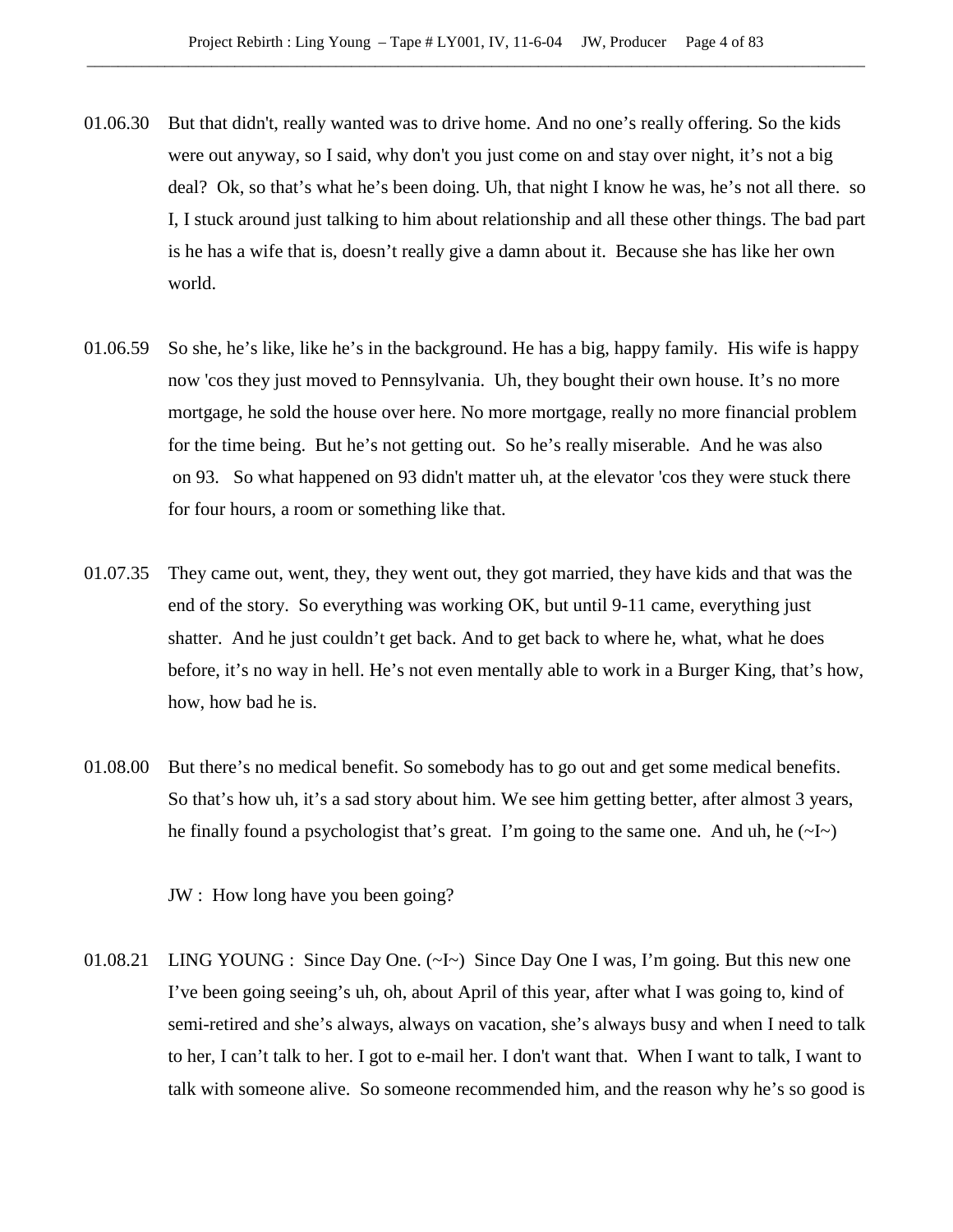- 01.06.30 But that didn't, really wanted was to drive home. And no one's really offering. So the kids were out anyway, so I said, why don't you just come on and stay over night, it's not a big deal? Ok, so that's what he's been doing. Uh, that night I know he was, he's not all there. so I, I stuck around just talking to him about relationship and all these other things. The bad part is he has a wife that is, doesn't really give a damn about it. Because she has like her own world.
- 01.06.59 So she, he's like, like he's in the background. He has a big, happy family. His wife is happy now 'cos they just moved to Pennsylvania. Uh, they bought their own house. It's no more mortgage, he sold the house over here. No more mortgage, really no more financial problem for the time being. But he's not getting out. So he's really miserable. And he was also on 93. So what happened on 93 didn't matter uh, at the elevator 'cos they were stuck there for four hours, a room or something like that.
- 01.07.35 They came out, went, they, they went out, they got married, they have kids and that was the end of the story. So everything was working OK, but until 9-11 came, everything just shatter. And he just couldn't get back. And to get back to where he, what, what he does before, it's no way in hell. He's not even mentally able to work in a Burger King, that's how, how, how bad he is.
- 01.08.00 But there's no medical benefit. So somebody has to go out and get some medical benefits. So that's how uh, it's a sad story about him. We see him getting better, after almost 3 years, he finally found a psychologist that's great. I'm going to the same one. And uh, he  $(\sim] \sim$

JW : How long have you been going?

01.08.21 LING YOUNG : Since Day One.  $(\sim I \sim)$  Since Day One I was, I'm going. But this new one I've been going seeing's uh, oh, about April of this year, after what I was going to, kind of semi-retired and she's always, always on vacation, she's always busy and when I need to talk to her, I can't talk to her. I got to e-mail her. I don't want that. When I want to talk, I want to talk with someone alive. So someone recommended him, and the reason why he's so good is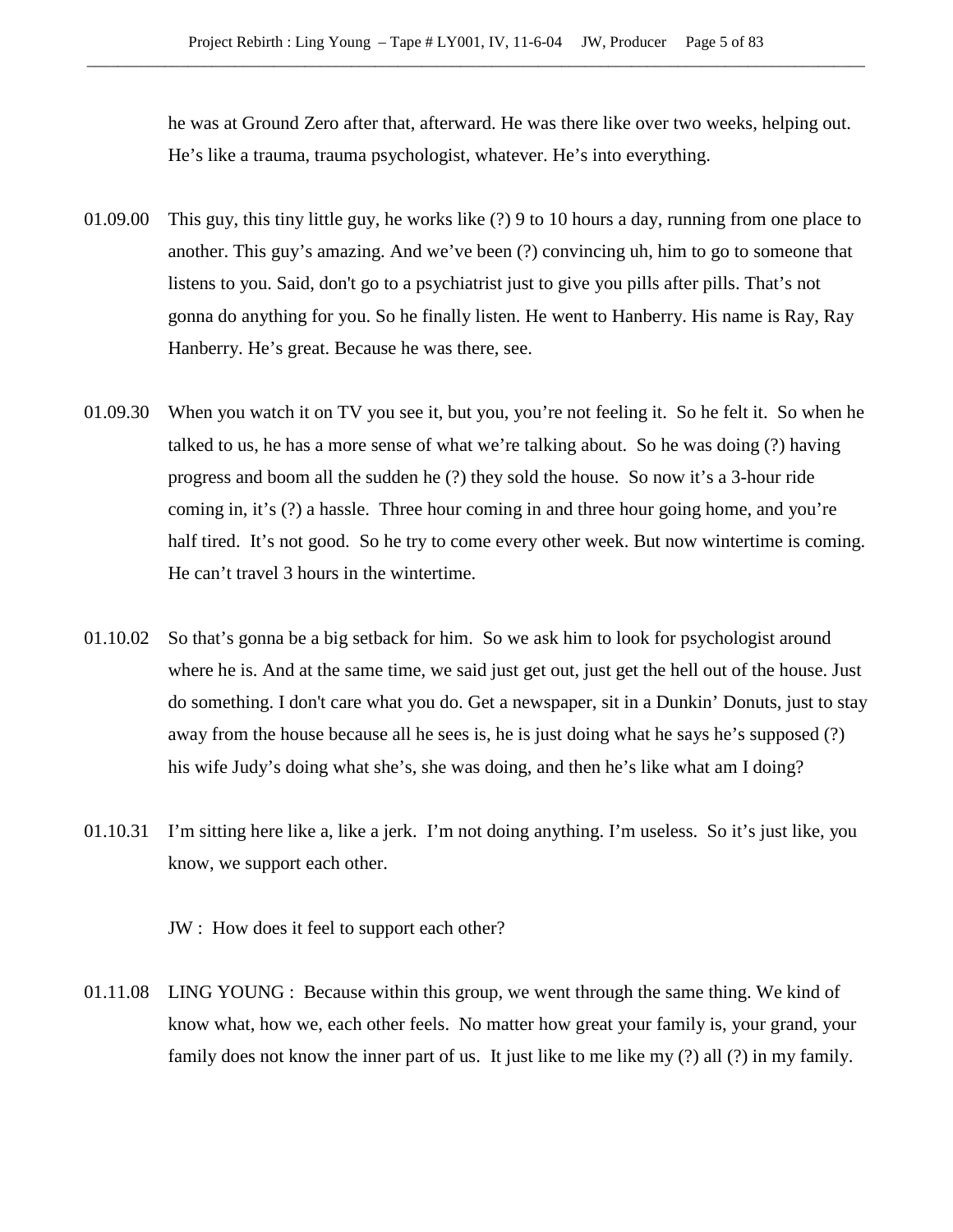he was at Ground Zero after that, afterward. He was there like over two weeks, helping out. He's like a trauma, trauma psychologist, whatever. He's into everything.

- 01.09.00 This guy, this tiny little guy, he works like (?) 9 to 10 hours a day, running from one place to another. This guy's amazing. And we've been (?) convincing uh, him to go to someone that listens to you. Said, don't go to a psychiatrist just to give you pills after pills. That's not gonna do anything for you. So he finally listen. He went to Hanberry. His name is Ray, Ray Hanberry. He's great. Because he was there, see.
- 01.09.30 When you watch it on TV you see it, but you, you're not feeling it. So he felt it. So when he talked to us, he has a more sense of what we're talking about. So he was doing (?) having progress and boom all the sudden he (?) they sold the house. So now it's a 3-hour ride coming in, it's (?) a hassle. Three hour coming in and three hour going home, and you're half tired. It's not good. So he try to come every other week. But now wintertime is coming. He can't travel 3 hours in the wintertime.
- 01.10.02 So that's gonna be a big setback for him. So we ask him to look for psychologist around where he is. And at the same time, we said just get out, just get the hell out of the house. Just do something. I don't care what you do. Get a newspaper, sit in a Dunkin' Donuts, just to stay away from the house because all he sees is, he is just doing what he says he's supposed (?) his wife Judy's doing what she's, she was doing, and then he's like what am I doing?
- 01.10.31 I'm sitting here like a, like a jerk. I'm not doing anything. I'm useless. So it's just like, you know, we support each other.

JW : How does it feel to support each other?

01.11.08 LING YOUNG : Because within this group, we went through the same thing. We kind of know what, how we, each other feels. No matter how great your family is, your grand, your family does not know the inner part of us. It just like to me like my (?) all (?) in my family.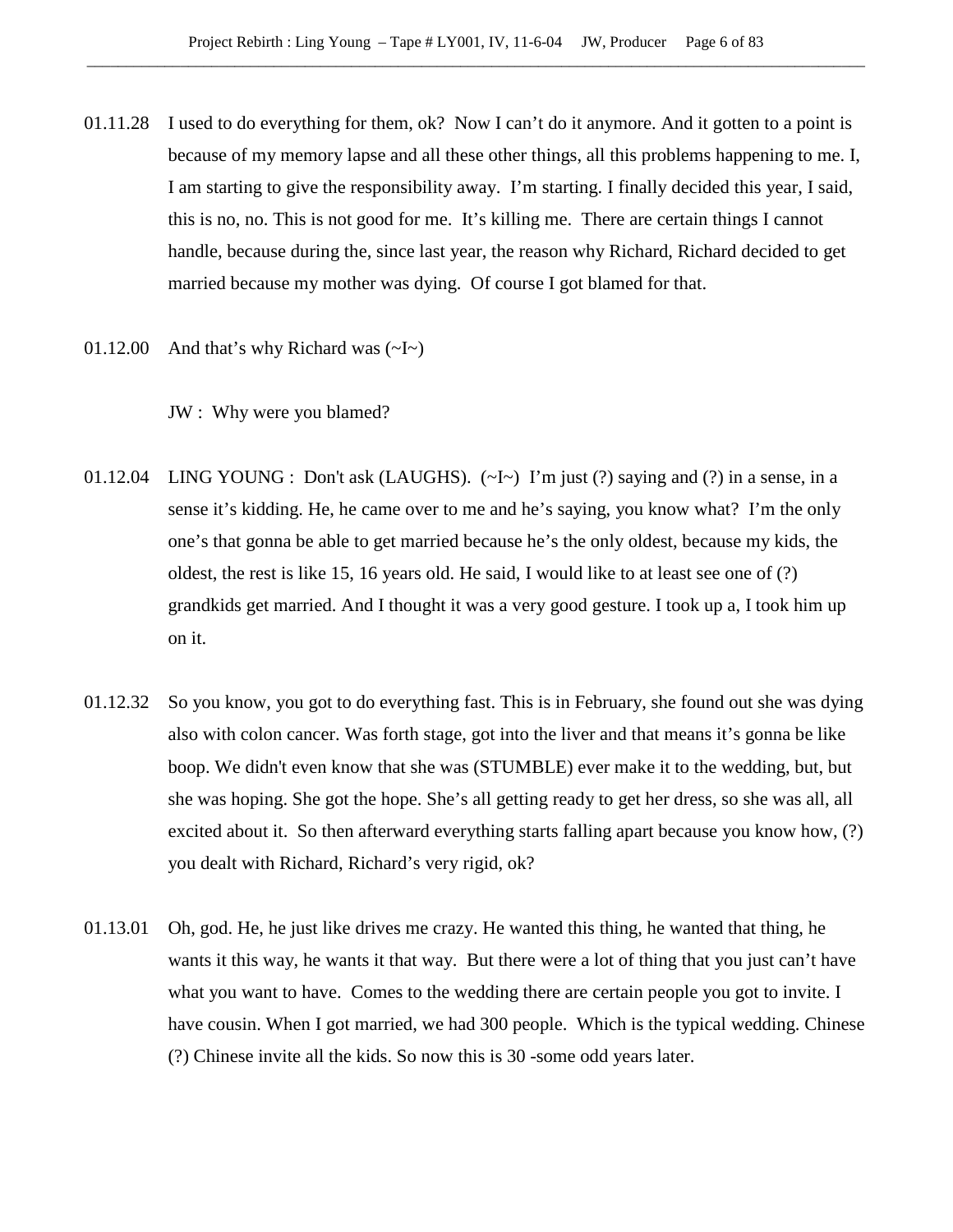- 01.11.28 I used to do everything for them, ok? Now I can't do it anymore. And it gotten to a point is because of my memory lapse and all these other things, all this problems happening to me. I, I am starting to give the responsibility away. I'm starting. I finally decided this year, I said, this is no, no. This is not good for me. It's killing me. There are certain things I cannot handle, because during the, since last year, the reason why Richard, Richard decided to get married because my mother was dying. Of course I got blamed for that.
- 01.12.00 And that's why Richard was  $(\sim I \sim)$

JW : Why were you blamed?

- 01.12.04 LING YOUNG : Don't ask (LAUGHS).  $(\sim I \sim)$  I'm just (?) saying and (?) in a sense, in a sense it's kidding. He, he came over to me and he's saying, you know what? I'm the only one's that gonna be able to get married because he's the only oldest, because my kids, the oldest, the rest is like 15, 16 years old. He said, I would like to at least see one of (?) grandkids get married. And I thought it was a very good gesture. I took up a, I took him up on it.
- 01.12.32 So you know, you got to do everything fast. This is in February, she found out she was dying also with colon cancer. Was forth stage, got into the liver and that means it's gonna be like boop. We didn't even know that she was (STUMBLE) ever make it to the wedding, but, but she was hoping. She got the hope. She's all getting ready to get her dress, so she was all, all excited about it. So then afterward everything starts falling apart because you know how, (?) you dealt with Richard, Richard's very rigid, ok?
- 01.13.01 Oh, god. He, he just like drives me crazy. He wanted this thing, he wanted that thing, he wants it this way, he wants it that way. But there were a lot of thing that you just can't have what you want to have. Comes to the wedding there are certain people you got to invite. I have cousin. When I got married, we had 300 people. Which is the typical wedding. Chinese (?) Chinese invite all the kids. So now this is 30 -some odd years later.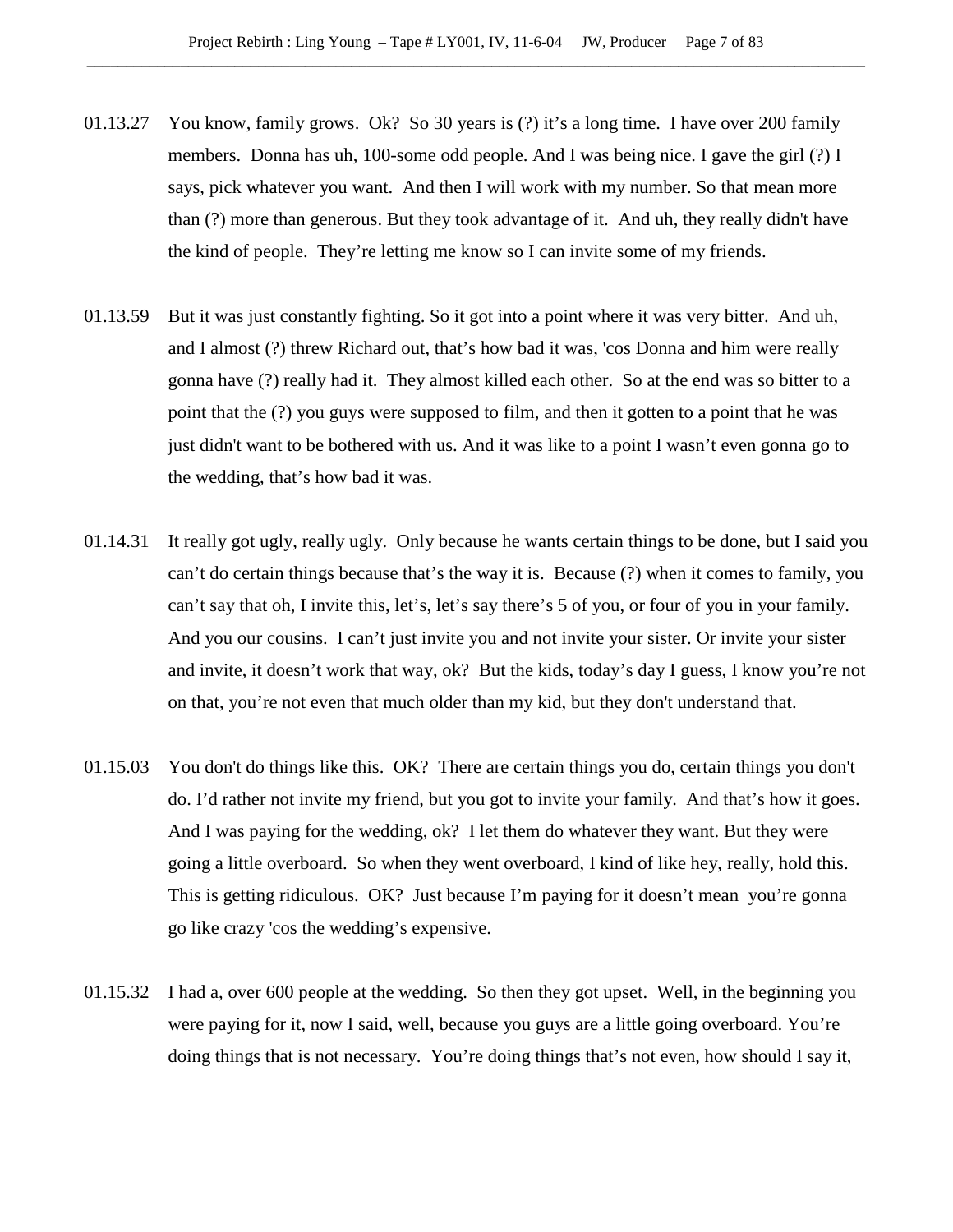- 01.13.27 You know, family grows. Ok? So 30 years is (?) it's a long time. I have over 200 family members. Donna has uh, 100-some odd people. And I was being nice. I gave the girl (?) I says, pick whatever you want. And then I will work with my number. So that mean more than (?) more than generous. But they took advantage of it. And uh, they really didn't have the kind of people. They're letting me know so I can invite some of my friends.
- 01.13.59 But it was just constantly fighting. So it got into a point where it was very bitter. And uh, and I almost (?) threw Richard out, that's how bad it was, 'cos Donna and him were really gonna have (?) really had it. They almost killed each other. So at the end was so bitter to a point that the (?) you guys were supposed to film, and then it gotten to a point that he was just didn't want to be bothered with us. And it was like to a point I wasn't even gonna go to the wedding, that's how bad it was.
- 01.14.31 It really got ugly, really ugly. Only because he wants certain things to be done, but I said you can't do certain things because that's the way it is. Because (?) when it comes to family, you can't say that oh, I invite this, let's, let's say there's 5 of you, or four of you in your family. And you our cousins. I can't just invite you and not invite your sister. Or invite your sister and invite, it doesn't work that way, ok? But the kids, today's day I guess, I know you're not on that, you're not even that much older than my kid, but they don't understand that.
- 01.15.03 You don't do things like this. OK? There are certain things you do, certain things you don't do. I'd rather not invite my friend, but you got to invite your family. And that's how it goes. And I was paying for the wedding, ok? I let them do whatever they want. But they were going a little overboard. So when they went overboard, I kind of like hey, really, hold this. This is getting ridiculous. OK? Just because I'm paying for it doesn't mean you're gonna go like crazy 'cos the wedding's expensive.
- 01.15.32 I had a, over 600 people at the wedding. So then they got upset. Well, in the beginning you were paying for it, now I said, well, because you guys are a little going overboard. You're doing things that is not necessary. You're doing things that's not even, how should I say it,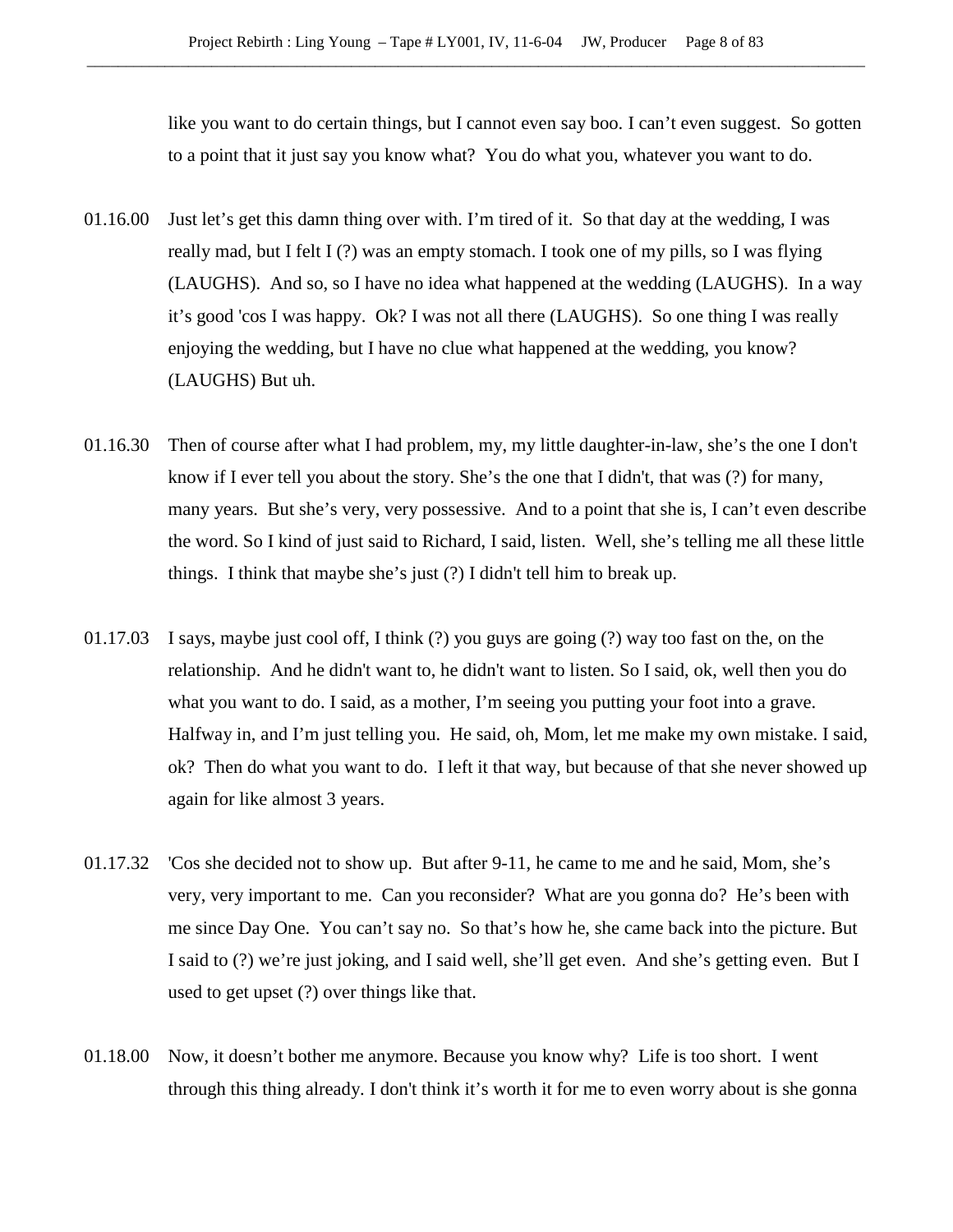like you want to do certain things, but I cannot even say boo. I can't even suggest. So gotten to a point that it just say you know what? You do what you, whatever you want to do.

- 01.16.00 Just let's get this damn thing over with. I'm tired of it. So that day at the wedding, I was really mad, but I felt I (?) was an empty stomach. I took one of my pills, so I was flying (LAUGHS). And so, so I have no idea what happened at the wedding (LAUGHS). In a way it's good 'cos I was happy. Ok? I was not all there (LAUGHS). So one thing I was really enjoying the wedding, but I have no clue what happened at the wedding, you know? (LAUGHS) But uh.
- 01.16.30 Then of course after what I had problem, my, my little daughter-in-law, she's the one I don't know if I ever tell you about the story. She's the one that I didn't, that was (?) for many, many years. But she's very, very possessive. And to a point that she is, I can't even describe the word. So I kind of just said to Richard, I said, listen. Well, she's telling me all these little things. I think that maybe she's just (?) I didn't tell him to break up.
- 01.17.03 I says, maybe just cool off, I think (?) you guys are going (?) way too fast on the, on the relationship. And he didn't want to, he didn't want to listen. So I said, ok, well then you do what you want to do. I said, as a mother, I'm seeing you putting your foot into a grave. Halfway in, and I'm just telling you. He said, oh, Mom, let me make my own mistake. I said, ok? Then do what you want to do. I left it that way, but because of that she never showed up again for like almost 3 years.
- 01.17.32 'Cos she decided not to show up. But after 9-11, he came to me and he said, Mom, she's very, very important to me. Can you reconsider? What are you gonna do? He's been with me since Day One. You can't say no. So that's how he, she came back into the picture. But I said to (?) we're just joking, and I said well, she'll get even. And she's getting even. But I used to get upset (?) over things like that.
- 01.18.00 Now, it doesn't bother me anymore. Because you know why? Life is too short. I went through this thing already. I don't think it's worth it for me to even worry about is she gonna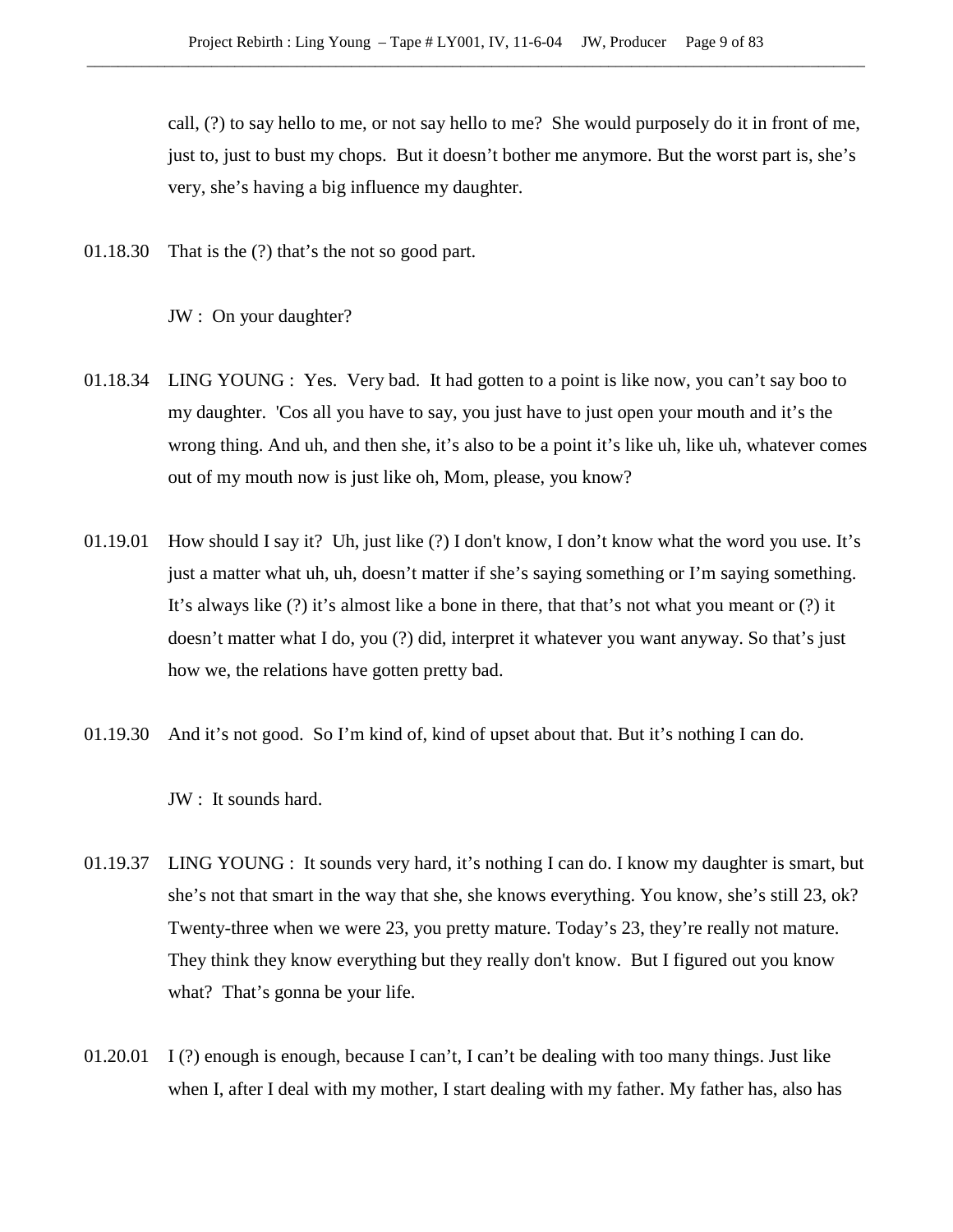call, (?) to say hello to me, or not say hello to me? She would purposely do it in front of me, just to, just to bust my chops. But it doesn't bother me anymore. But the worst part is, she's very, she's having a big influence my daughter.

01.18.30 That is the (?) that's the not so good part.

JW : On your daughter?

- 01.18.34 LING YOUNG : Yes. Very bad. It had gotten to a point is like now, you can't say boo to my daughter. 'Cos all you have to say, you just have to just open your mouth and it's the wrong thing. And uh, and then she, it's also to be a point it's like uh, like uh, whatever comes out of my mouth now is just like oh, Mom, please, you know?
- 01.19.01 How should I say it? Uh, just like (?) I don't know, I don't know what the word you use. It's just a matter what uh, uh, doesn't matter if she's saying something or I'm saying something. It's always like (?) it's almost like a bone in there, that that's not what you meant or (?) it doesn't matter what I do, you (?) did, interpret it whatever you want anyway. So that's just how we, the relations have gotten pretty bad.
- 01.19.30 And it's not good. So I'm kind of, kind of upset about that. But it's nothing I can do.

JW : It sounds hard.

- 01.19.37 LING YOUNG : It sounds very hard, it's nothing I can do. I know my daughter is smart, but she's not that smart in the way that she, she knows everything. You know, she's still 23, ok? Twenty-three when we were 23, you pretty mature. Today's 23, they're really not mature. They think they know everything but they really don't know. But I figured out you know what? That's gonna be your life.
- 01.20.01 I (?) enough is enough, because I can't, I can't be dealing with too many things. Just like when I, after I deal with my mother, I start dealing with my father. My father has, also has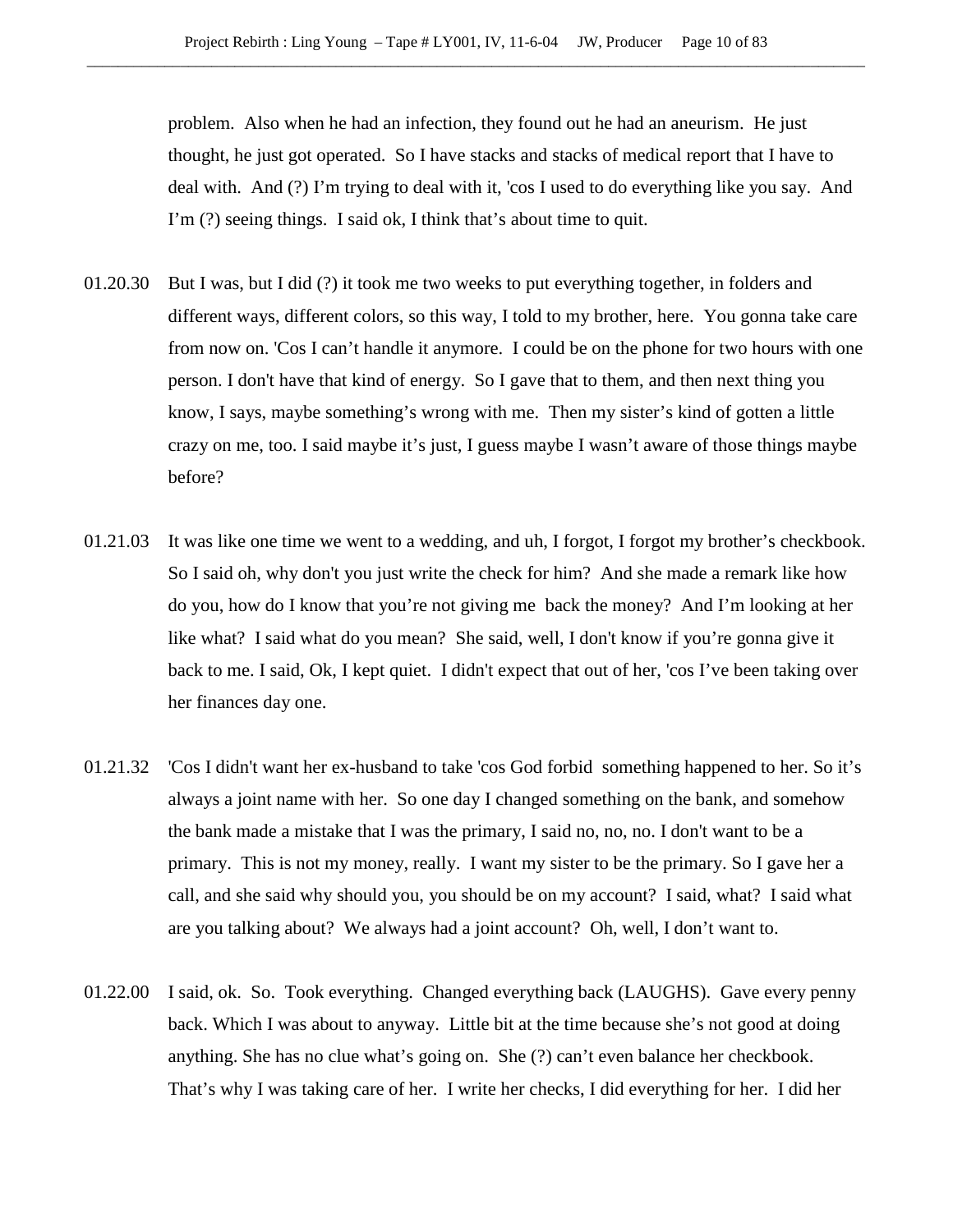problem. Also when he had an infection, they found out he had an aneurism. He just thought, he just got operated. So I have stacks and stacks of medical report that I have to deal with. And (?) I'm trying to deal with it, 'cos I used to do everything like you say. And I'm (?) seeing things. I said ok, I think that's about time to quit.

- 01.20.30 But I was, but I did (?) it took me two weeks to put everything together, in folders and different ways, different colors, so this way, I told to my brother, here. You gonna take care from now on. 'Cos I can't handle it anymore. I could be on the phone for two hours with one person. I don't have that kind of energy. So I gave that to them, and then next thing you know, I says, maybe something's wrong with me. Then my sister's kind of gotten a little crazy on me, too. I said maybe it's just, I guess maybe I wasn't aware of those things maybe before?
- 01.21.03 It was like one time we went to a wedding, and uh, I forgot, I forgot my brother's checkbook. So I said oh, why don't you just write the check for him? And she made a remark like how do you, how do I know that you're not giving me back the money? And I'm looking at her like what? I said what do you mean? She said, well, I don't know if you're gonna give it back to me. I said, Ok, I kept quiet. I didn't expect that out of her, 'cos I've been taking over her finances day one.
- 01.21.32 'Cos I didn't want her ex-husband to take 'cos God forbid something happened to her. So it's always a joint name with her. So one day I changed something on the bank, and somehow the bank made a mistake that I was the primary, I said no, no, no. I don't want to be a primary. This is not my money, really. I want my sister to be the primary. So I gave her a call, and she said why should you, you should be on my account? I said, what? I said what are you talking about? We always had a joint account? Oh, well, I don't want to.
- 01.22.00 I said, ok. So. Took everything. Changed everything back (LAUGHS). Gave every penny back. Which I was about to anyway. Little bit at the time because she's not good at doing anything. She has no clue what's going on. She (?) can't even balance her checkbook. That's why I was taking care of her. I write her checks, I did everything for her. I did her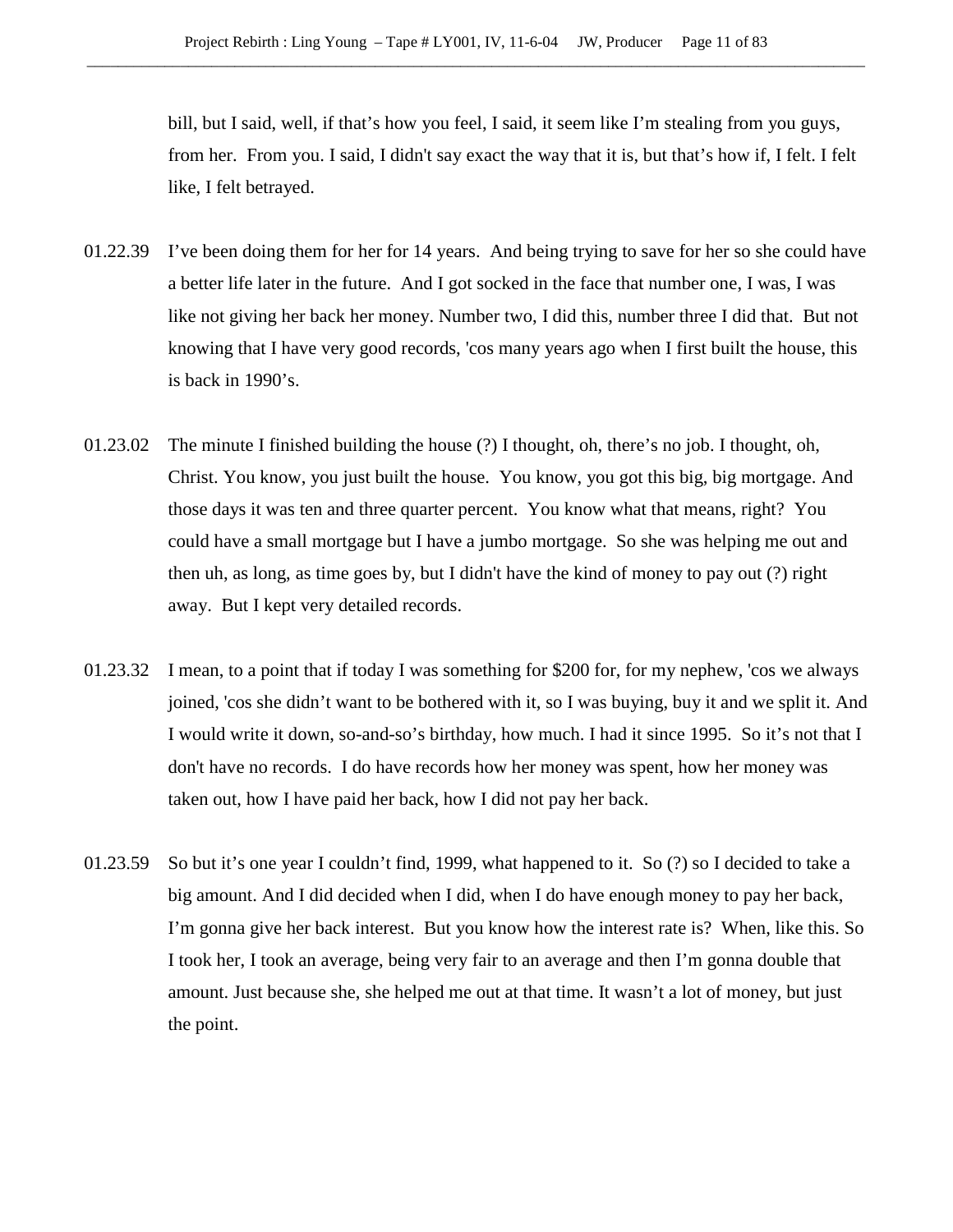bill, but I said, well, if that's how you feel, I said, it seem like I'm stealing from you guys, from her. From you. I said, I didn't say exact the way that it is, but that's how if, I felt. I felt like, I felt betrayed.

- 01.22.39 I've been doing them for her for 14 years. And being trying to save for her so she could have a better life later in the future. And I got socked in the face that number one, I was, I was like not giving her back her money. Number two, I did this, number three I did that. But not knowing that I have very good records, 'cos many years ago when I first built the house, this is back in 1990's.
- 01.23.02 The minute I finished building the house (?) I thought, oh, there's no job. I thought, oh, Christ. You know, you just built the house. You know, you got this big, big mortgage. And those days it was ten and three quarter percent. You know what that means, right? You could have a small mortgage but I have a jumbo mortgage. So she was helping me out and then uh, as long, as time goes by, but I didn't have the kind of money to pay out (?) right away. But I kept very detailed records.
- 01.23.32 I mean, to a point that if today I was something for \$200 for, for my nephew, 'cos we always joined, 'cos she didn't want to be bothered with it, so I was buying, buy it and we split it. And I would write it down, so-and-so's birthday, how much. I had it since 1995. So it's not that I don't have no records. I do have records how her money was spent, how her money was taken out, how I have paid her back, how I did not pay her back.
- 01.23.59 So but it's one year I couldn't find, 1999, what happened to it. So (?) so I decided to take a big amount. And I did decided when I did, when I do have enough money to pay her back, I'm gonna give her back interest. But you know how the interest rate is? When, like this. So I took her, I took an average, being very fair to an average and then I'm gonna double that amount. Just because she, she helped me out at that time. It wasn't a lot of money, but just the point.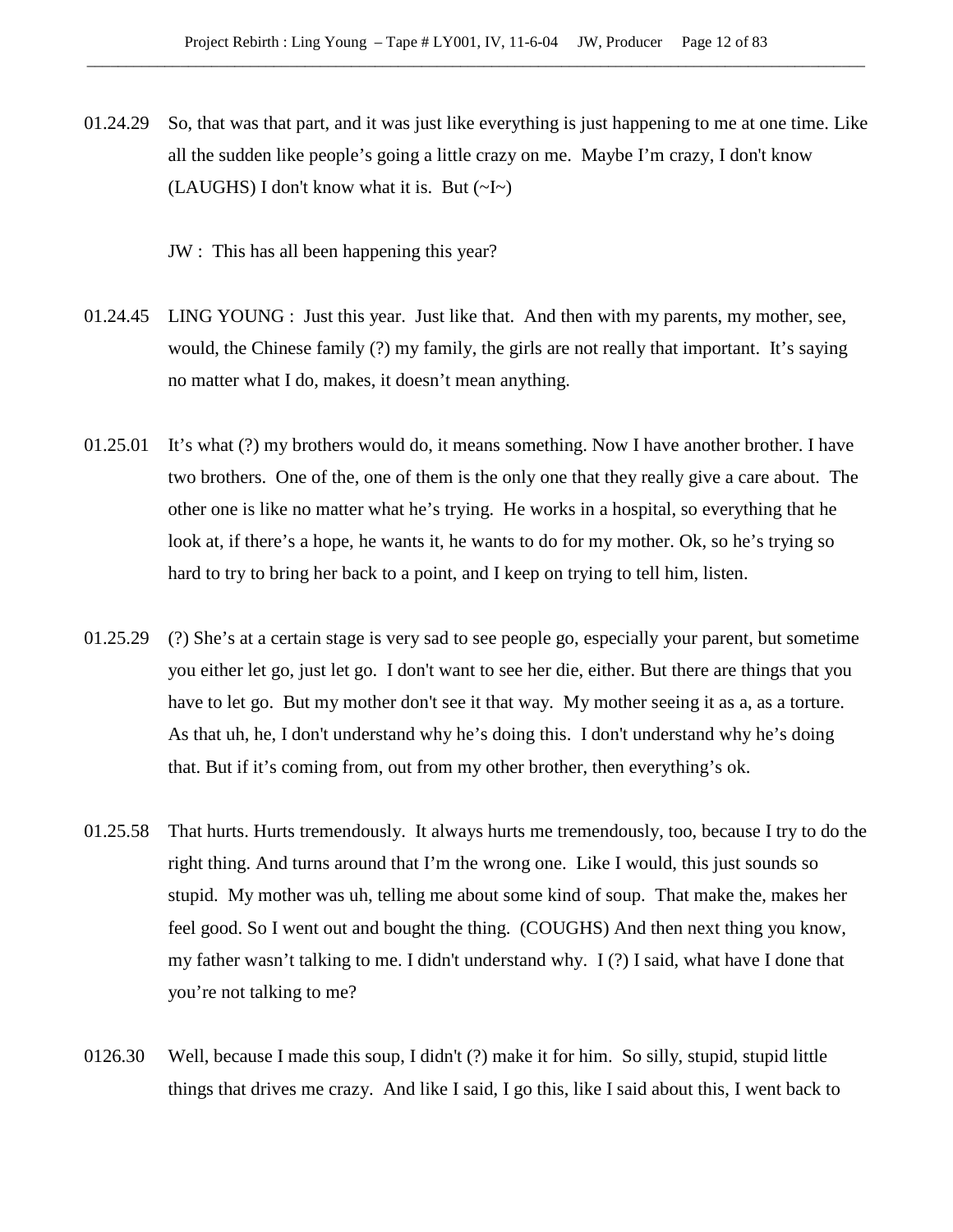- 01.24.29 So, that was that part, and it was just like everything is just happening to me at one time. Like all the sudden like people's going a little crazy on me. Maybe I'm crazy, I don't know (LAUGHS) I don't know what it is. But  $(\sim I \sim)$ 
	- JW : This has all been happening this year?
- 01.24.45 LING YOUNG : Just this year. Just like that. And then with my parents, my mother, see, would, the Chinese family (?) my family, the girls are not really that important. It's saying no matter what I do, makes, it doesn't mean anything.
- 01.25.01 It's what (?) my brothers would do, it means something. Now I have another brother. I have two brothers. One of the, one of them is the only one that they really give a care about. The other one is like no matter what he's trying. He works in a hospital, so everything that he look at, if there's a hope, he wants it, he wants to do for my mother. Ok, so he's trying so hard to try to bring her back to a point, and I keep on trying to tell him, listen.
- 01.25.29 (?) She's at a certain stage is very sad to see people go, especially your parent, but sometime you either let go, just let go. I don't want to see her die, either. But there are things that you have to let go. But my mother don't see it that way. My mother seeing it as a, as a torture. As that uh, he, I don't understand why he's doing this. I don't understand why he's doing that. But if it's coming from, out from my other brother, then everything's ok.
- 01.25.58 That hurts. Hurts tremendously. It always hurts me tremendously, too, because I try to do the right thing. And turns around that I'm the wrong one. Like I would, this just sounds so stupid. My mother was uh, telling me about some kind of soup. That make the, makes her feel good. So I went out and bought the thing. (COUGHS) And then next thing you know, my father wasn't talking to me. I didn't understand why. I (?) I said, what have I done that you're not talking to me?
- 0126.30 Well, because I made this soup, I didn't (?) make it for him. So silly, stupid, stupid little things that drives me crazy. And like I said, I go this, like I said about this, I went back to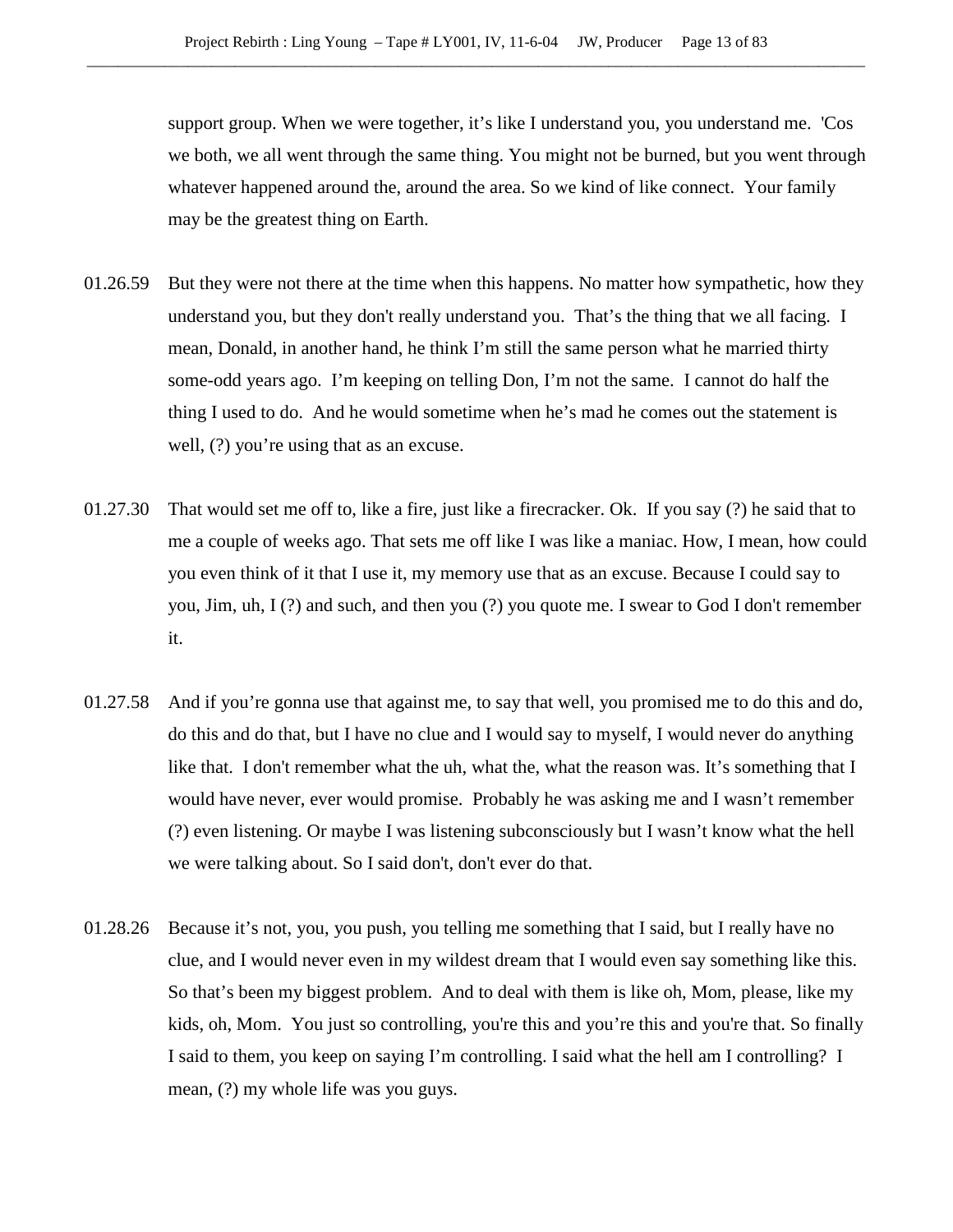support group. When we were together, it's like I understand you, you understand me. 'Cos we both, we all went through the same thing. You might not be burned, but you went through whatever happened around the, around the area. So we kind of like connect. Your family may be the greatest thing on Earth.

- 01.26.59 But they were not there at the time when this happens. No matter how sympathetic, how they understand you, but they don't really understand you. That's the thing that we all facing. I mean, Donald, in another hand, he think I'm still the same person what he married thirty some-odd years ago. I'm keeping on telling Don, I'm not the same. I cannot do half the thing I used to do. And he would sometime when he's mad he comes out the statement is well, (?) you're using that as an excuse.
- 01.27.30 That would set me off to, like a fire, just like a firecracker. Ok. If you say (?) he said that to me a couple of weeks ago. That sets me off like I was like a maniac. How, I mean, how could you even think of it that I use it, my memory use that as an excuse. Because I could say to you, Jim, uh, I (?) and such, and then you (?) you quote me. I swear to God I don't remember it.
- 01.27.58 And if you're gonna use that against me, to say that well, you promised me to do this and do, do this and do that, but I have no clue and I would say to myself, I would never do anything like that. I don't remember what the uh, what the, what the reason was. It's something that I would have never, ever would promise. Probably he was asking me and I wasn't remember (?) even listening. Or maybe I was listening subconsciously but I wasn't know what the hell we were talking about. So I said don't, don't ever do that.
- 01.28.26 Because it's not, you, you push, you telling me something that I said, but I really have no clue, and I would never even in my wildest dream that I would even say something like this. So that's been my biggest problem. And to deal with them is like oh, Mom, please, like my kids, oh, Mom. You just so controlling, you're this and you're this and you're that. So finally I said to them, you keep on saying I'm controlling. I said what the hell am I controlling? I mean, (?) my whole life was you guys.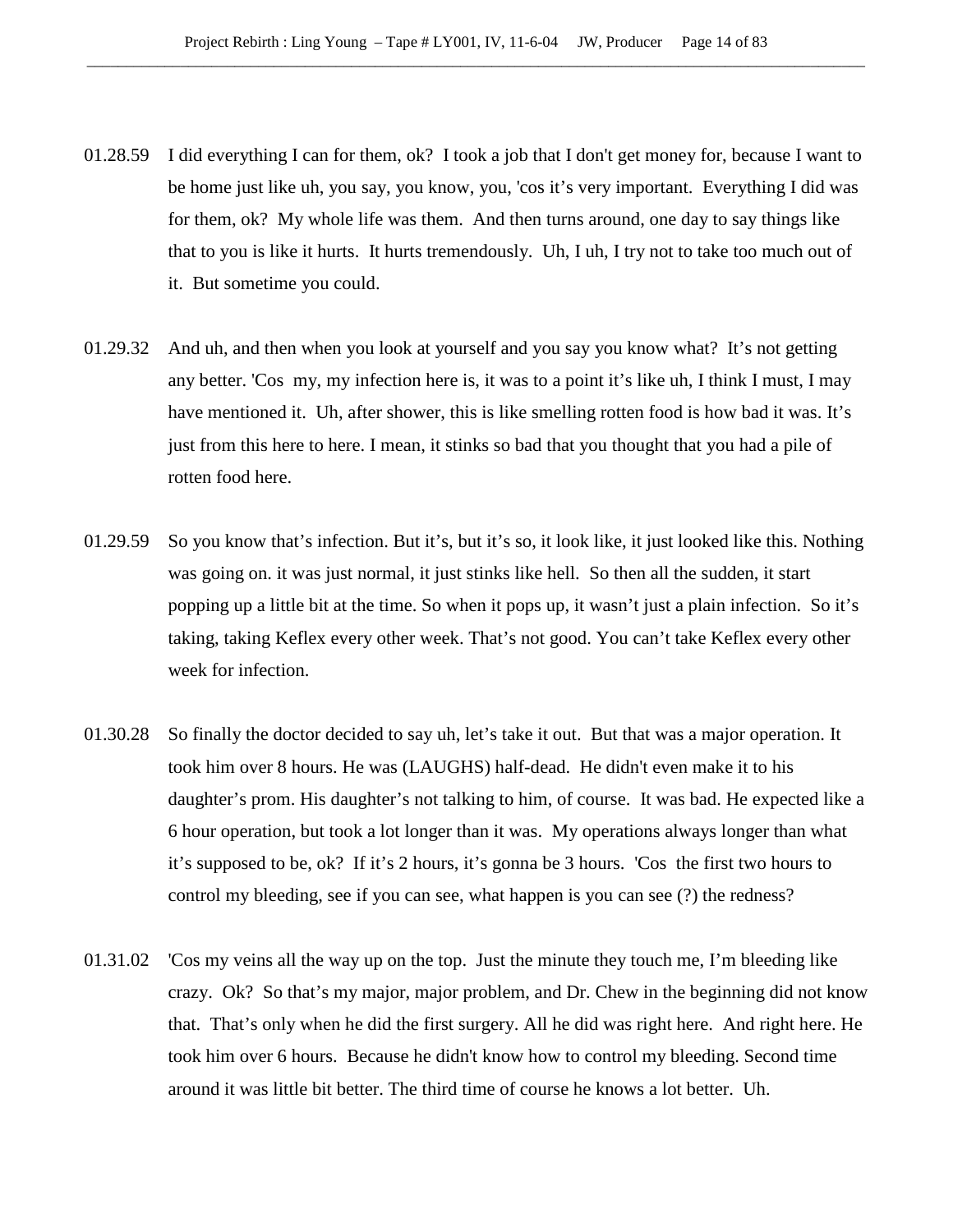- 01.28.59 I did everything I can for them, ok? I took a job that I don't get money for, because I want to be home just like uh, you say, you know, you, 'cos it's very important. Everything I did was for them, ok? My whole life was them. And then turns around, one day to say things like that to you is like it hurts. It hurts tremendously. Uh, I uh, I try not to take too much out of it. But sometime you could.
- 01.29.32 And uh, and then when you look at yourself and you say you know what? It's not getting any better. 'Cos my, my infection here is, it was to a point it's like uh, I think I must, I may have mentioned it. Uh, after shower, this is like smelling rotten food is how bad it was. It's just from this here to here. I mean, it stinks so bad that you thought that you had a pile of rotten food here.
- 01.29.59 So you know that's infection. But it's, but it's so, it look like, it just looked like this. Nothing was going on. it was just normal, it just stinks like hell. So then all the sudden, it start popping up a little bit at the time. So when it pops up, it wasn't just a plain infection. So it's taking, taking Keflex every other week. That's not good. You can't take Keflex every other week for infection.
- 01.30.28 So finally the doctor decided to say uh, let's take it out. But that was a major operation. It took him over 8 hours. He was (LAUGHS) half-dead. He didn't even make it to his daughter's prom. His daughter's not talking to him, of course. It was bad. He expected like a 6 hour operation, but took a lot longer than it was. My operations always longer than what it's supposed to be, ok? If it's 2 hours, it's gonna be 3 hours. 'Cos the first two hours to control my bleeding, see if you can see, what happen is you can see (?) the redness?
- 01.31.02 'Cos my veins all the way up on the top. Just the minute they touch me, I'm bleeding like crazy. Ok? So that's my major, major problem, and Dr. Chew in the beginning did not know that. That's only when he did the first surgery. All he did was right here. And right here. He took him over 6 hours. Because he didn't know how to control my bleeding. Second time around it was little bit better. The third time of course he knows a lot better. Uh.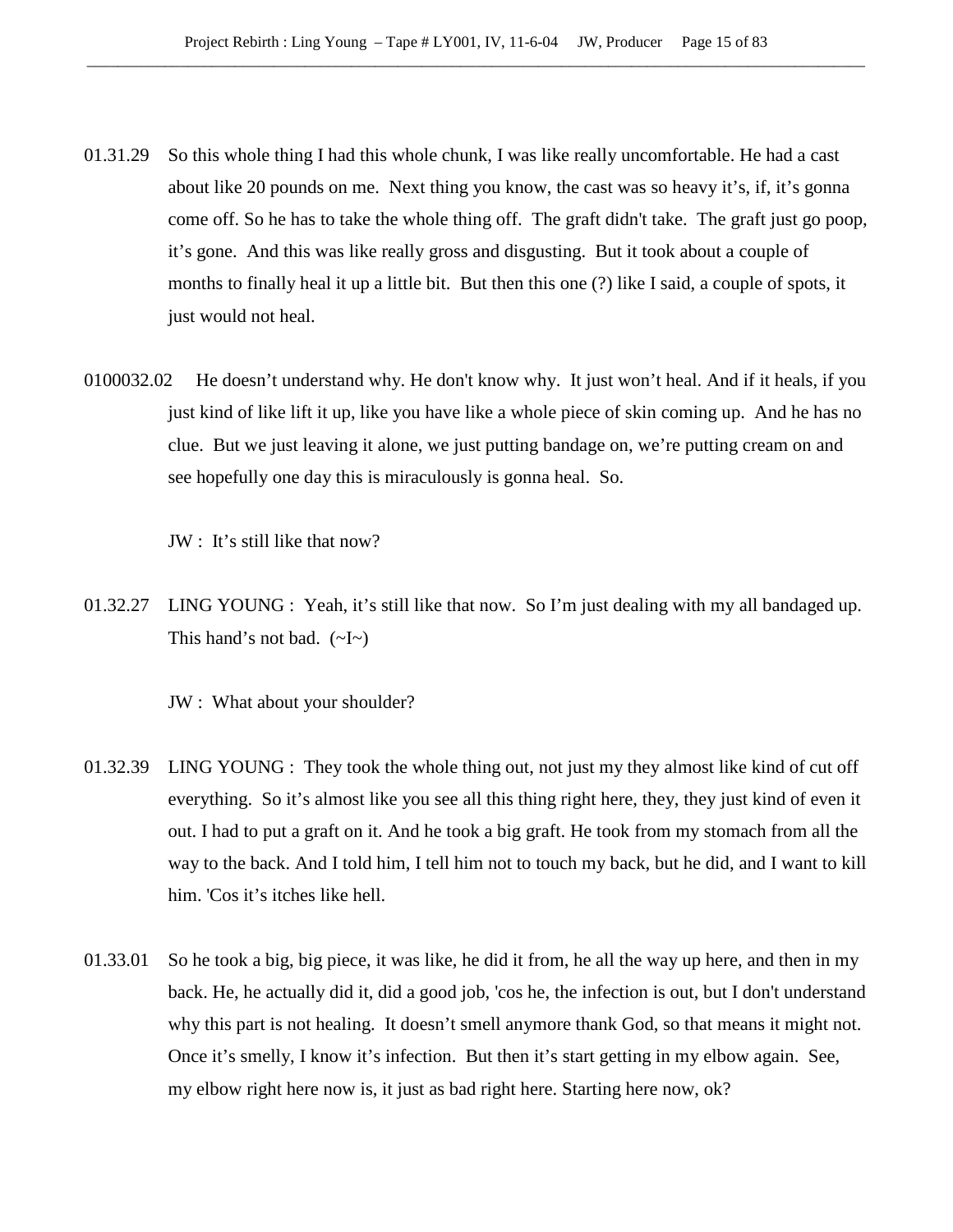- 01.31.29 So this whole thing I had this whole chunk, I was like really uncomfortable. He had a cast about like 20 pounds on me. Next thing you know, the cast was so heavy it's, if, it's gonna come off. So he has to take the whole thing off. The graft didn't take. The graft just go poop, it's gone. And this was like really gross and disgusting. But it took about a couple of months to finally heal it up a little bit. But then this one (?) like I said, a couple of spots, it just would not heal.
- 0100032.02 He doesn't understand why. He don't know why. It just won't heal. And if it heals, if you just kind of like lift it up, like you have like a whole piece of skin coming up. And he has no clue. But we just leaving it alone, we just putting bandage on, we're putting cream on and see hopefully one day this is miraculously is gonna heal. So.

JW : It's still like that now?

01.32.27 LING YOUNG : Yeah, it's still like that now. So I'm just dealing with my all bandaged up. This hand's not bad.  $(\sim I \sim)$ 

JW : What about your shoulder?

- 01.32.39 LING YOUNG : They took the whole thing out, not just my they almost like kind of cut off everything. So it's almost like you see all this thing right here, they, they just kind of even it out. I had to put a graft on it. And he took a big graft. He took from my stomach from all the way to the back. And I told him, I tell him not to touch my back, but he did, and I want to kill him. 'Cos it's itches like hell.
- 01.33.01 So he took a big, big piece, it was like, he did it from, he all the way up here, and then in my back. He, he actually did it, did a good job, 'cos he, the infection is out, but I don't understand why this part is not healing. It doesn't smell anymore thank God, so that means it might not. Once it's smelly, I know it's infection. But then it's start getting in my elbow again. See, my elbow right here now is, it just as bad right here. Starting here now, ok?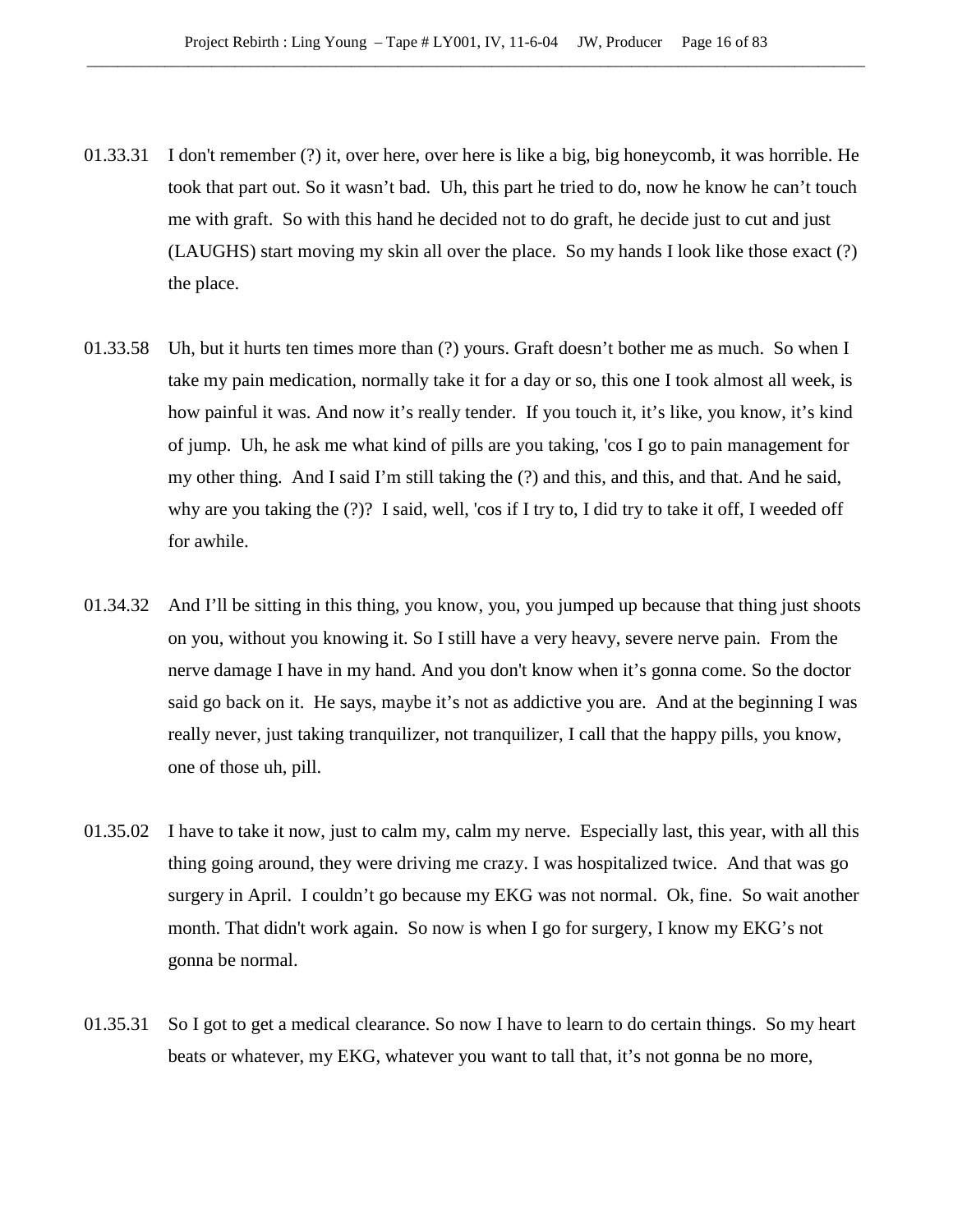- 01.33.31 I don't remember (?) it, over here, over here is like a big, big honeycomb, it was horrible. He took that part out. So it wasn't bad. Uh, this part he tried to do, now he know he can't touch me with graft. So with this hand he decided not to do graft, he decide just to cut and just (LAUGHS) start moving my skin all over the place. So my hands I look like those exact (?) the place.
- 01.33.58 Uh, but it hurts ten times more than (?) yours. Graft doesn't bother me as much. So when I take my pain medication, normally take it for a day or so, this one I took almost all week, is how painful it was. And now it's really tender. If you touch it, it's like, you know, it's kind of jump. Uh, he ask me what kind of pills are you taking, 'cos I go to pain management for my other thing. And I said I'm still taking the (?) and this, and this, and that. And he said, why are you taking the (?)? I said, well, 'cos if I try to, I did try to take it off, I weeded off for awhile.
- 01.34.32 And I'll be sitting in this thing, you know, you, you jumped up because that thing just shoots on you, without you knowing it. So I still have a very heavy, severe nerve pain. From the nerve damage I have in my hand. And you don't know when it's gonna come. So the doctor said go back on it. He says, maybe it's not as addictive you are. And at the beginning I was really never, just taking tranquilizer, not tranquilizer, I call that the happy pills, you know, one of those uh, pill.
- 01.35.02 I have to take it now, just to calm my, calm my nerve. Especially last, this year, with all this thing going around, they were driving me crazy. I was hospitalized twice. And that was go surgery in April. I couldn't go because my EKG was not normal. Ok, fine. So wait another month. That didn't work again. So now is when I go for surgery, I know my EKG's not gonna be normal.
- 01.35.31 So I got to get a medical clearance. So now I have to learn to do certain things. So my heart beats or whatever, my EKG, whatever you want to tall that, it's not gonna be no more,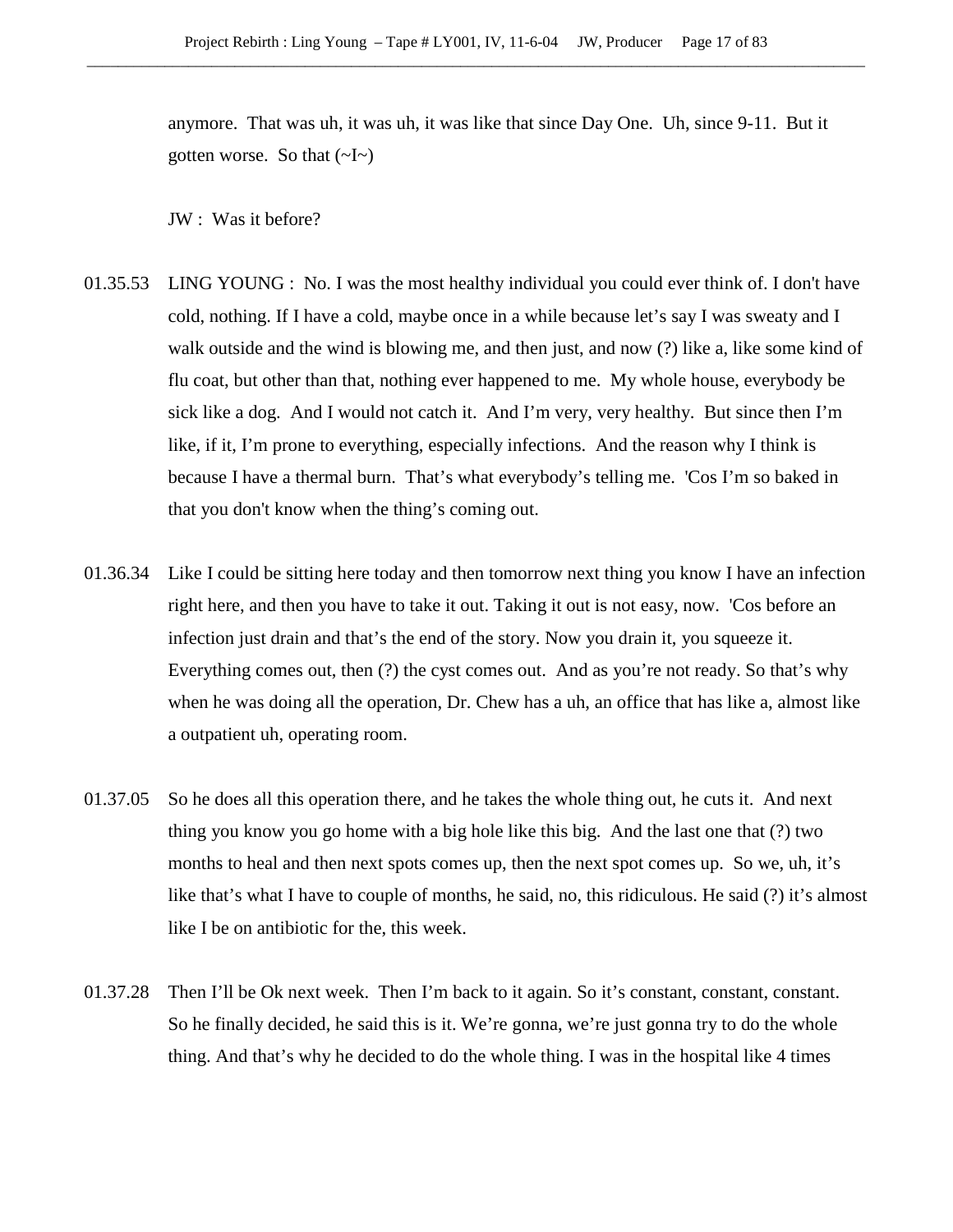anymore. That was uh, it was uh, it was like that since Day One. Uh, since 9-11. But it gotten worse. So that  $(\sim I \sim)$ 

JW : Was it before?

- 01.35.53 LING YOUNG : No. I was the most healthy individual you could ever think of. I don't have cold, nothing. If I have a cold, maybe once in a while because let's say I was sweaty and I walk outside and the wind is blowing me, and then just, and now (?) like a, like some kind of flu coat, but other than that, nothing ever happened to me. My whole house, everybody be sick like a dog. And I would not catch it. And I'm very, very healthy. But since then I'm like, if it, I'm prone to everything, especially infections. And the reason why I think is because I have a thermal burn. That's what everybody's telling me. 'Cos I'm so baked in that you don't know when the thing's coming out.
- 01.36.34 Like I could be sitting here today and then tomorrow next thing you know I have an infection right here, and then you have to take it out. Taking it out is not easy, now. 'Cos before an infection just drain and that's the end of the story. Now you drain it, you squeeze it. Everything comes out, then (?) the cyst comes out. And as you're not ready. So that's why when he was doing all the operation, Dr. Chew has a uh, an office that has like a, almost like a outpatient uh, operating room.
- 01.37.05 So he does all this operation there, and he takes the whole thing out, he cuts it. And next thing you know you go home with a big hole like this big. And the last one that (?) two months to heal and then next spots comes up, then the next spot comes up. So we, uh, it's like that's what I have to couple of months, he said, no, this ridiculous. He said (?) it's almost like I be on antibiotic for the, this week.
- 01.37.28 Then I'll be Ok next week. Then I'm back to it again. So it's constant, constant, constant. So he finally decided, he said this is it. We're gonna, we're just gonna try to do the whole thing. And that's why he decided to do the whole thing. I was in the hospital like 4 times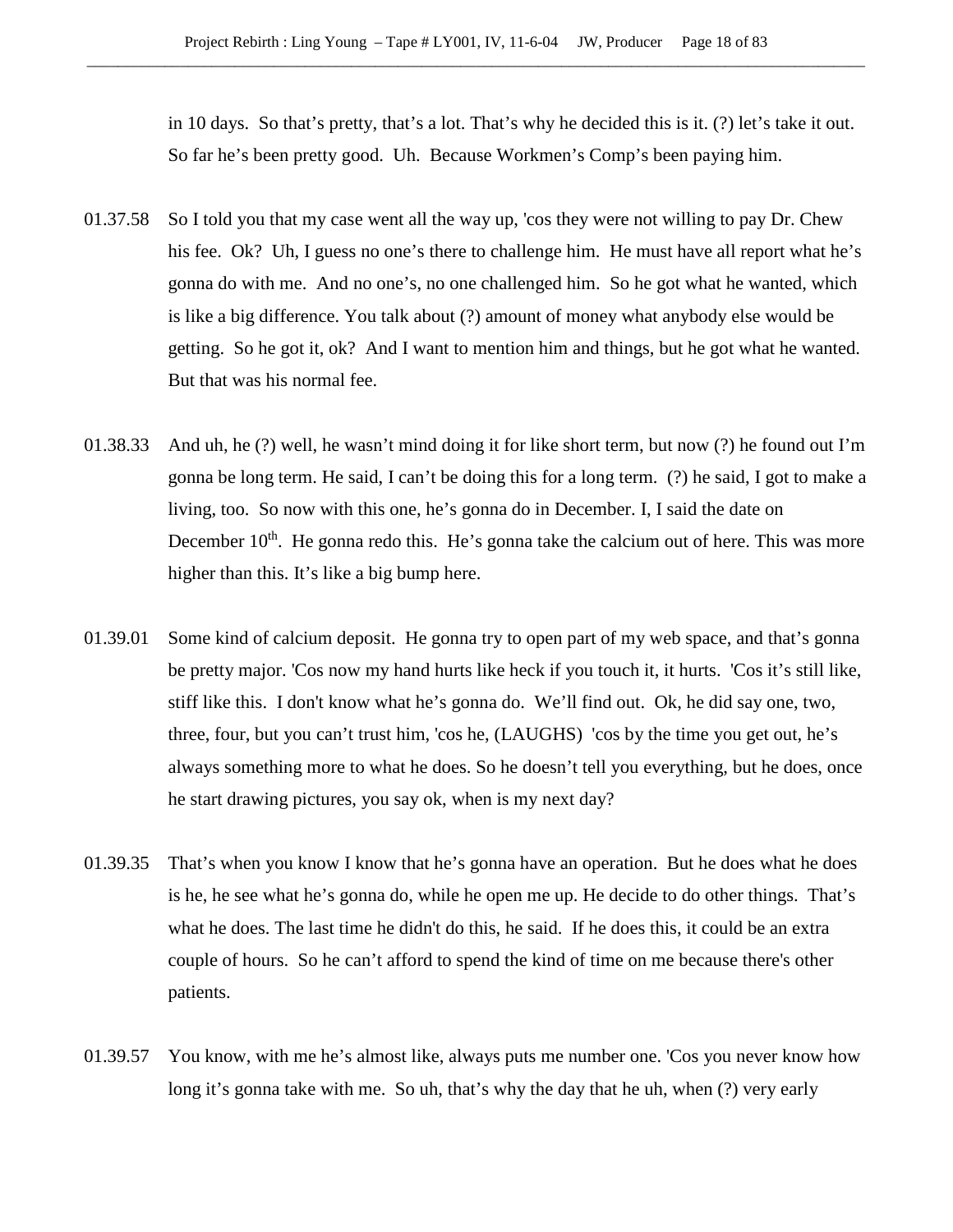in 10 days. So that's pretty, that's a lot. That's why he decided this is it. (?) let's take it out. So far he's been pretty good. Uh. Because Workmen's Comp's been paying him.

- 01.37.58 So I told you that my case went all the way up, 'cos they were not willing to pay Dr. Chew his fee. Ok? Uh, I guess no one's there to challenge him. He must have all report what he's gonna do with me. And no one's, no one challenged him. So he got what he wanted, which is like a big difference. You talk about (?) amount of money what anybody else would be getting. So he got it, ok? And I want to mention him and things, but he got what he wanted. But that was his normal fee.
- 01.38.33 And uh, he (?) well, he wasn't mind doing it for like short term, but now (?) he found out I'm gonna be long term. He said, I can't be doing this for a long term. (?) he said, I got to make a living, too. So now with this one, he's gonna do in December. I, I said the date on December  $10<sup>th</sup>$ . He gonna redo this. He's gonna take the calcium out of here. This was more higher than this. It's like a big bump here.
- 01.39.01 Some kind of calcium deposit. He gonna try to open part of my web space, and that's gonna be pretty major. 'Cos now my hand hurts like heck if you touch it, it hurts. 'Cos it's still like, stiff like this. I don't know what he's gonna do. We'll find out. Ok, he did say one, two, three, four, but you can't trust him, 'cos he, (LAUGHS) 'cos by the time you get out, he's always something more to what he does. So he doesn't tell you everything, but he does, once he start drawing pictures, you say ok, when is my next day?
- 01.39.35 That's when you know I know that he's gonna have an operation. But he does what he does is he, he see what he's gonna do, while he open me up. He decide to do other things. That's what he does. The last time he didn't do this, he said. If he does this, it could be an extra couple of hours. So he can't afford to spend the kind of time on me because there's other patients.
- 01.39.57 You know, with me he's almost like, always puts me number one. 'Cos you never know how long it's gonna take with me. So uh, that's why the day that he uh, when (?) very early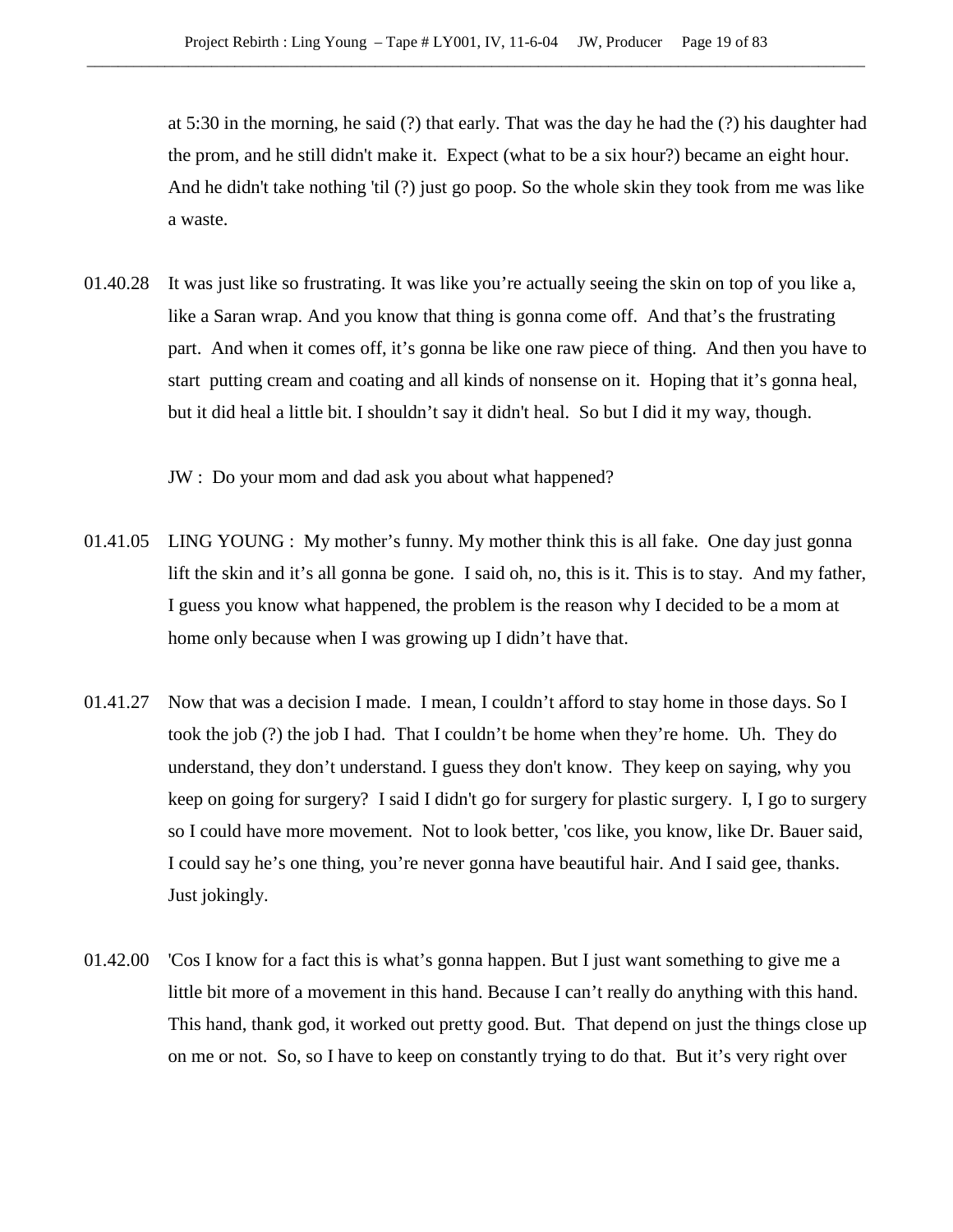at 5:30 in the morning, he said (?) that early. That was the day he had the (?) his daughter had the prom, and he still didn't make it. Expect (what to be a six hour?) became an eight hour. And he didn't take nothing 'til (?) just go poop. So the whole skin they took from me was like a waste.

01.40.28 It was just like so frustrating. It was like you're actually seeing the skin on top of you like a, like a Saran wrap. And you know that thing is gonna come off. And that's the frustrating part. And when it comes off, it's gonna be like one raw piece of thing. And then you have to start putting cream and coating and all kinds of nonsense on it. Hoping that it's gonna heal, but it did heal a little bit. I shouldn't say it didn't heal. So but I did it my way, though.

JW : Do your mom and dad ask you about what happened?

- 01.41.05 LING YOUNG : My mother's funny. My mother think this is all fake. One day just gonna lift the skin and it's all gonna be gone. I said oh, no, this is it. This is to stay. And my father, I guess you know what happened, the problem is the reason why I decided to be a mom at home only because when I was growing up I didn't have that.
- 01.41.27 Now that was a decision I made. I mean, I couldn't afford to stay home in those days. So I took the job (?) the job I had. That I couldn't be home when they're home. Uh. They do understand, they don't understand. I guess they don't know. They keep on saying, why you keep on going for surgery? I said I didn't go for surgery for plastic surgery. I, I go to surgery so I could have more movement. Not to look better, 'cos like, you know, like Dr. Bauer said, I could say he's one thing, you're never gonna have beautiful hair. And I said gee, thanks. Just jokingly.
- 01.42.00 'Cos I know for a fact this is what's gonna happen. But I just want something to give me a little bit more of a movement in this hand. Because I can't really do anything with this hand. This hand, thank god, it worked out pretty good. But. That depend on just the things close up on me or not. So, so I have to keep on constantly trying to do that. But it's very right over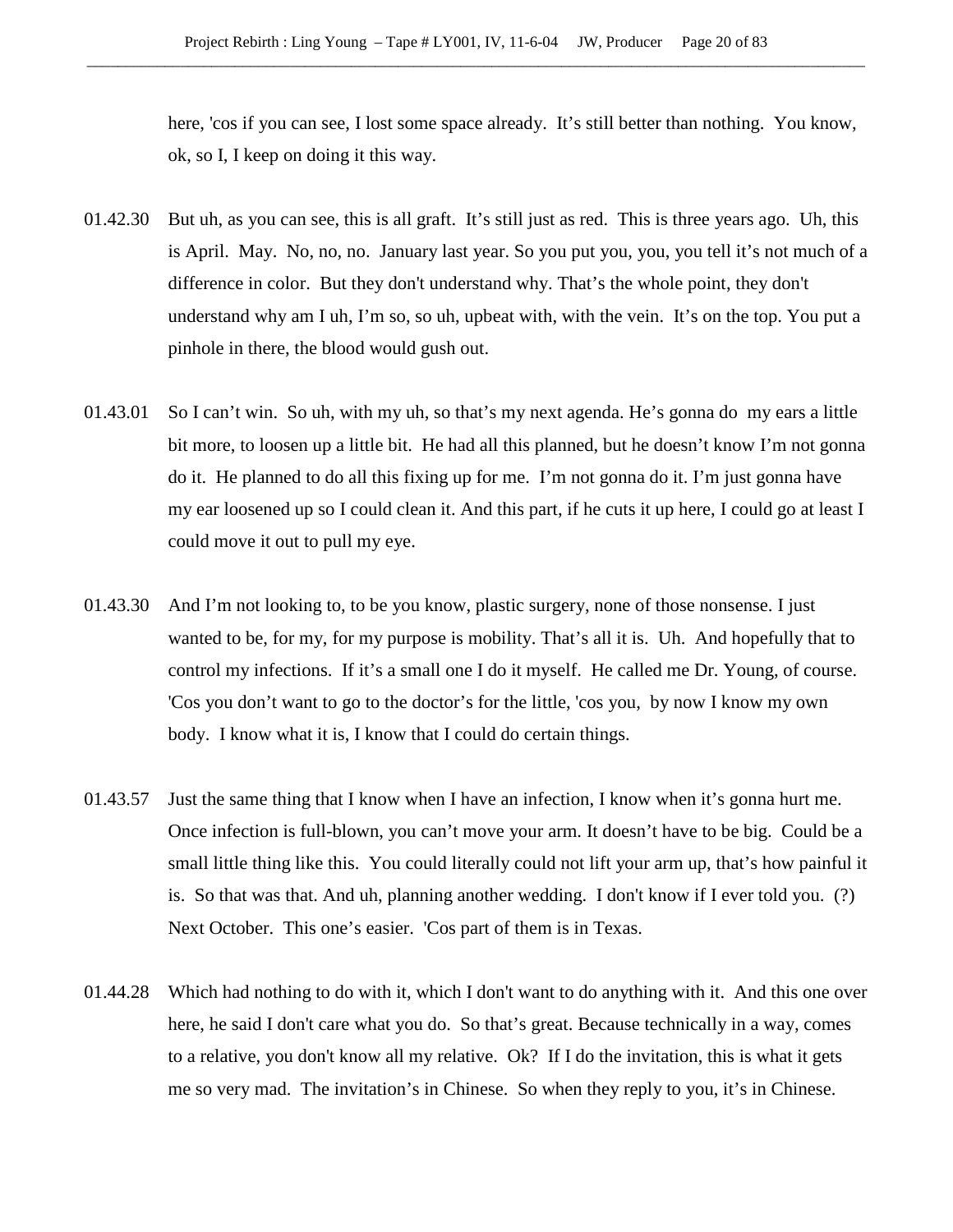here, 'cos if you can see, I lost some space already. It's still better than nothing. You know, ok, so I, I keep on doing it this way.

- 01.42.30 But uh, as you can see, this is all graft. It's still just as red. This is three years ago. Uh, this is April. May. No, no, no. January last year. So you put you, you, you tell it's not much of a difference in color. But they don't understand why. That's the whole point, they don't understand why am I uh, I'm so, so uh, upbeat with, with the vein. It's on the top. You put a pinhole in there, the blood would gush out.
- 01.43.01 So I can't win. So uh, with my uh, so that's my next agenda. He's gonna do my ears a little bit more, to loosen up a little bit. He had all this planned, but he doesn't know I'm not gonna do it. He planned to do all this fixing up for me. I'm not gonna do it. I'm just gonna have my ear loosened up so I could clean it. And this part, if he cuts it up here, I could go at least I could move it out to pull my eye.
- 01.43.30 And I'm not looking to, to be you know, plastic surgery, none of those nonsense. I just wanted to be, for my, for my purpose is mobility. That's all it is. Uh. And hopefully that to control my infections. If it's a small one I do it myself. He called me Dr. Young, of course. 'Cos you don't want to go to the doctor's for the little, 'cos you, by now I know my own body. I know what it is, I know that I could do certain things.
- 01.43.57 Just the same thing that I know when I have an infection, I know when it's gonna hurt me. Once infection is full-blown, you can't move your arm. It doesn't have to be big. Could be a small little thing like this. You could literally could not lift your arm up, that's how painful it is. So that was that. And uh, planning another wedding. I don't know if I ever told you. (?) Next October. This one's easier. 'Cos part of them is in Texas.
- 01.44.28 Which had nothing to do with it, which I don't want to do anything with it. And this one over here, he said I don't care what you do. So that's great. Because technically in a way, comes to a relative, you don't know all my relative. Ok? If I do the invitation, this is what it gets me so very mad. The invitation's in Chinese. So when they reply to you, it's in Chinese.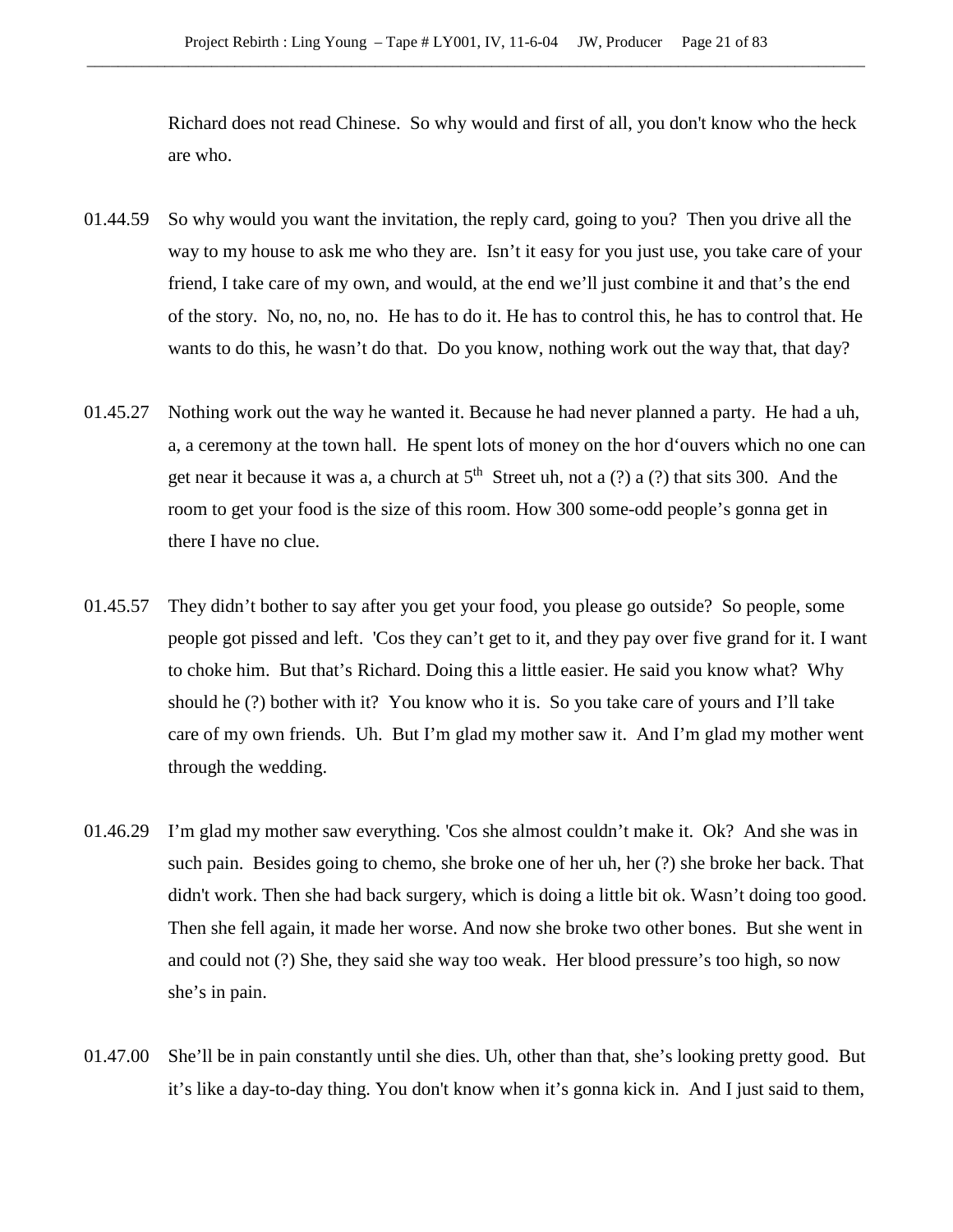Richard does not read Chinese. So why would and first of all, you don't know who the heck are who.

- 01.44.59 So why would you want the invitation, the reply card, going to you? Then you drive all the way to my house to ask me who they are. Isn't it easy for you just use, you take care of your friend, I take care of my own, and would, at the end we'll just combine it and that's the end of the story. No, no, no, no. He has to do it. He has to control this, he has to control that. He wants to do this, he wasn't do that. Do you know, nothing work out the way that, that day?
- 01.45.27 Nothing work out the way he wanted it. Because he had never planned a party. He had a uh, a, a ceremony at the town hall. He spent lots of money on the hor d'ouvers which no one can get near it because it was a, a church at  $5<sup>th</sup>$  Street uh, not a (?) a (?) that sits 300. And the room to get your food is the size of this room. How 300 some-odd people's gonna get in there I have no clue.
- 01.45.57 They didn't bother to say after you get your food, you please go outside? So people, some people got pissed and left. 'Cos they can't get to it, and they pay over five grand for it. I want to choke him. But that's Richard. Doing this a little easier. He said you know what? Why should he (?) bother with it? You know who it is. So you take care of yours and I'll take care of my own friends. Uh. But I'm glad my mother saw it. And I'm glad my mother went through the wedding.
- 01.46.29 I'm glad my mother saw everything. 'Cos she almost couldn't make it. Ok? And she was in such pain. Besides going to chemo, she broke one of her uh, her (?) she broke her back. That didn't work. Then she had back surgery, which is doing a little bit ok. Wasn't doing too good. Then she fell again, it made her worse. And now she broke two other bones. But she went in and could not (?) She, they said she way too weak. Her blood pressure's too high, so now she's in pain.
- 01.47.00 She'll be in pain constantly until she dies. Uh, other than that, she's looking pretty good. But it's like a day-to-day thing. You don't know when it's gonna kick in. And I just said to them,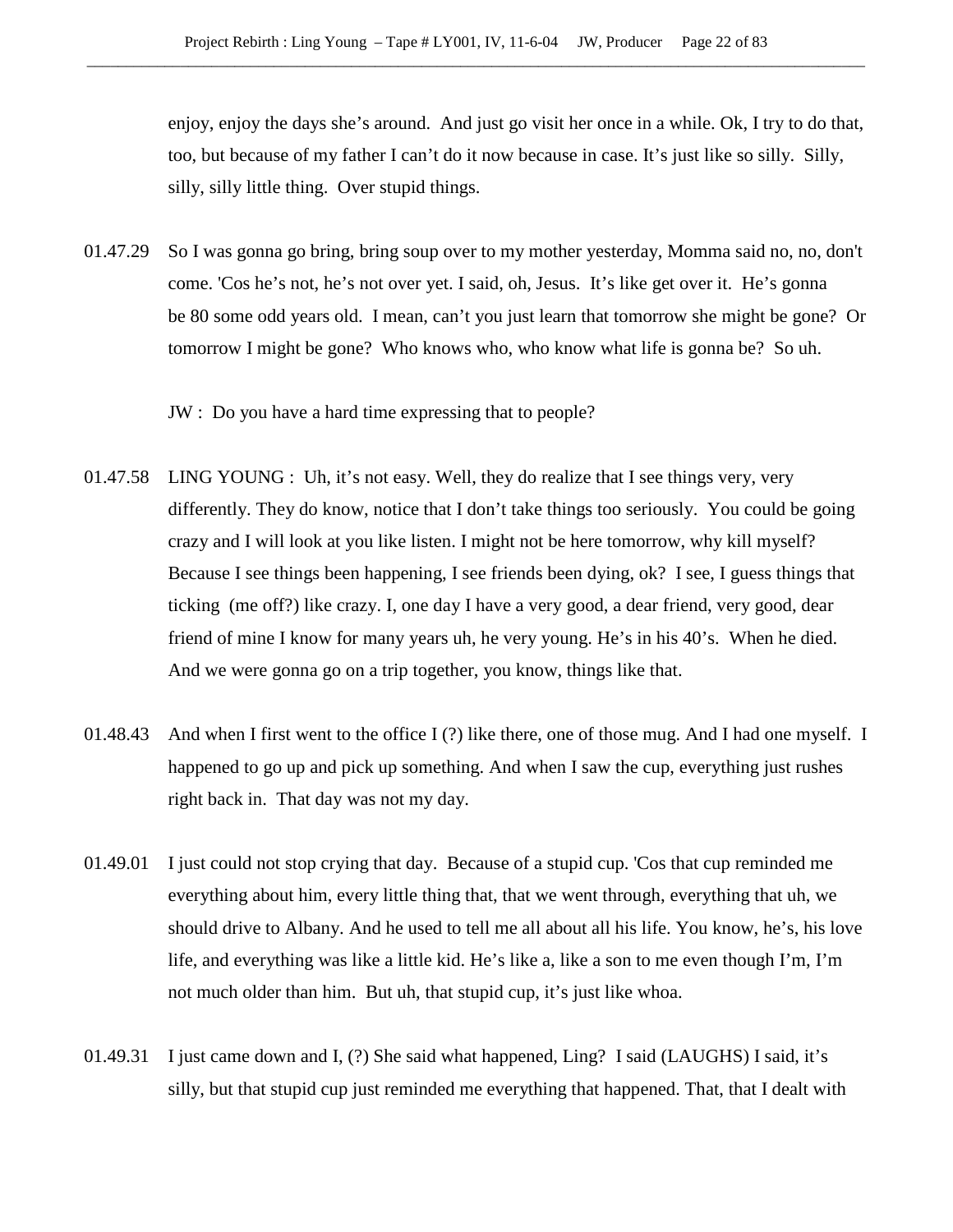enjoy, enjoy the days she's around. And just go visit her once in a while. Ok, I try to do that, too, but because of my father I can't do it now because in case. It's just like so silly. Silly, silly, silly little thing. Over stupid things.

01.47.29 So I was gonna go bring, bring soup over to my mother yesterday, Momma said no, no, don't come. 'Cos he's not, he's not over yet. I said, oh, Jesus. It's like get over it. He's gonna be 80 some odd years old. I mean, can't you just learn that tomorrow she might be gone? Or tomorrow I might be gone? Who knows who, who know what life is gonna be? So uh.

JW : Do you have a hard time expressing that to people?

- 01.47.58 LING YOUNG : Uh, it's not easy. Well, they do realize that I see things very, very differently. They do know, notice that I don't take things too seriously. You could be going crazy and I will look at you like listen. I might not be here tomorrow, why kill myself? Because I see things been happening, I see friends been dying, ok? I see, I guess things that ticking (me off?) like crazy. I, one day I have a very good, a dear friend, very good, dear friend of mine I know for many years uh, he very young. He's in his 40's. When he died. And we were gonna go on a trip together, you know, things like that.
- 01.48.43 And when I first went to the office I (?) like there, one of those mug. And I had one myself. I happened to go up and pick up something. And when I saw the cup, everything just rushes right back in. That day was not my day.
- 01.49.01 I just could not stop crying that day. Because of a stupid cup. 'Cos that cup reminded me everything about him, every little thing that, that we went through, everything that uh, we should drive to Albany. And he used to tell me all about all his life. You know, he's, his love life, and everything was like a little kid. He's like a, like a son to me even though I'm, I'm not much older than him. But uh, that stupid cup, it's just like whoa.
- 01.49.31 I just came down and I, (?) She said what happened, Ling? I said (LAUGHS) I said, it's silly, but that stupid cup just reminded me everything that happened. That, that I dealt with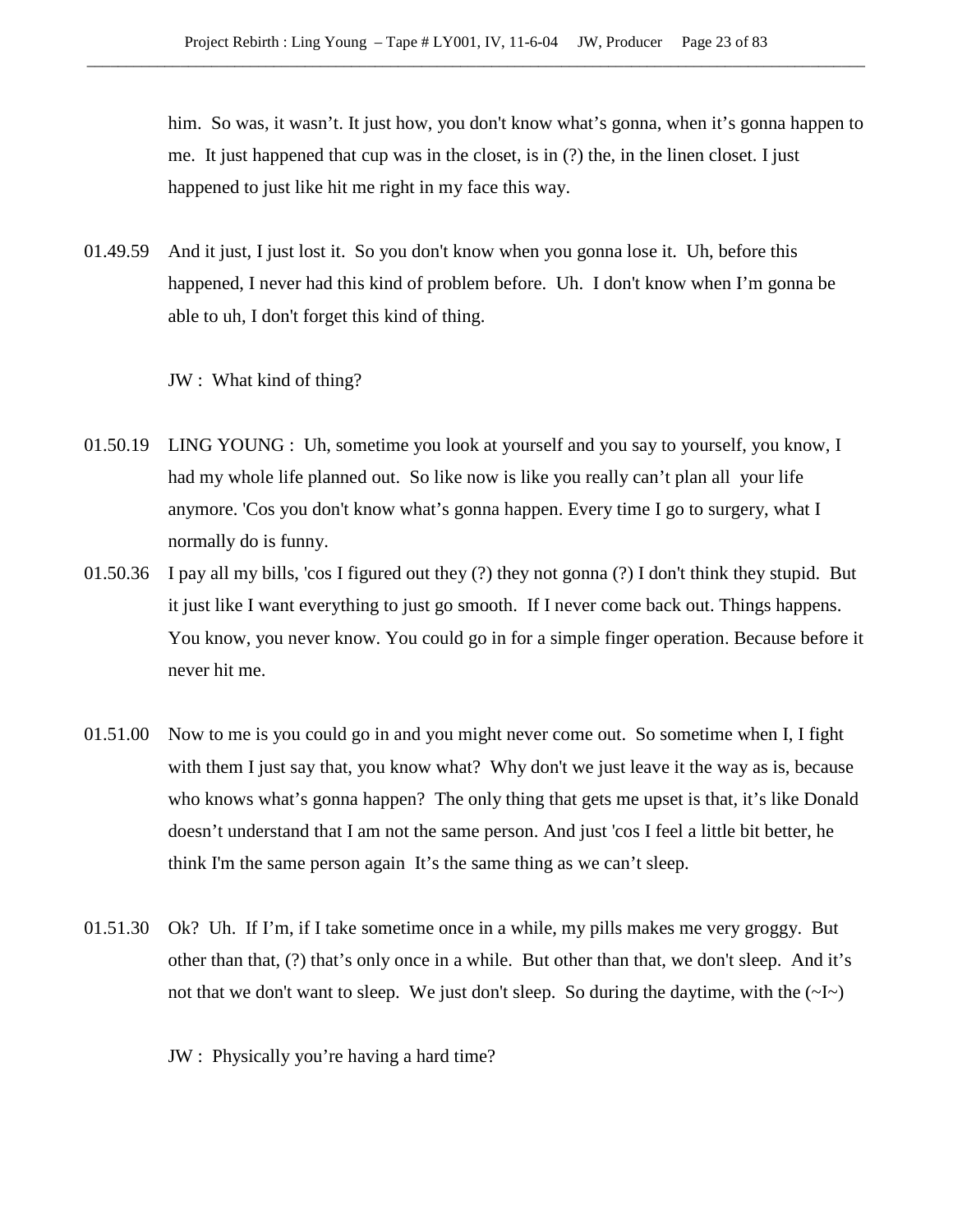him. So was, it wasn't. It just how, you don't know what's gonna, when it's gonna happen to me. It just happened that cup was in the closet, is in (?) the, in the linen closet. I just happened to just like hit me right in my face this way.

01.49.59 And it just, I just lost it. So you don't know when you gonna lose it. Uh, before this happened, I never had this kind of problem before. Uh. I don't know when I'm gonna be able to uh, I don't forget this kind of thing.

JW : What kind of thing?

- 01.50.19 LING YOUNG : Uh, sometime you look at yourself and you say to yourself, you know, I had my whole life planned out. So like now is like you really can't plan all your life anymore. 'Cos you don't know what's gonna happen. Every time I go to surgery, what I normally do is funny.
- 01.50.36 I pay all my bills, 'cos I figured out they (?) they not gonna (?) I don't think they stupid. But it just like I want everything to just go smooth. If I never come back out. Things happens. You know, you never know. You could go in for a simple finger operation. Because before it never hit me.
- 01.51.00 Now to me is you could go in and you might never come out. So sometime when I, I fight with them I just say that, you know what? Why don't we just leave it the way as is, because who knows what's gonna happen? The only thing that gets me upset is that, it's like Donald doesn't understand that I am not the same person. And just 'cos I feel a little bit better, he think I'm the same person again It's the same thing as we can't sleep.
- 01.51.30 Ok? Uh. If I'm, if I take sometime once in a while, my pills makes me very groggy. But other than that, (?) that's only once in a while. But other than that, we don't sleep. And it's not that we don't want to sleep. We just don't sleep. So during the daytime, with the  $(-I)$ 
	- JW : Physically you're having a hard time?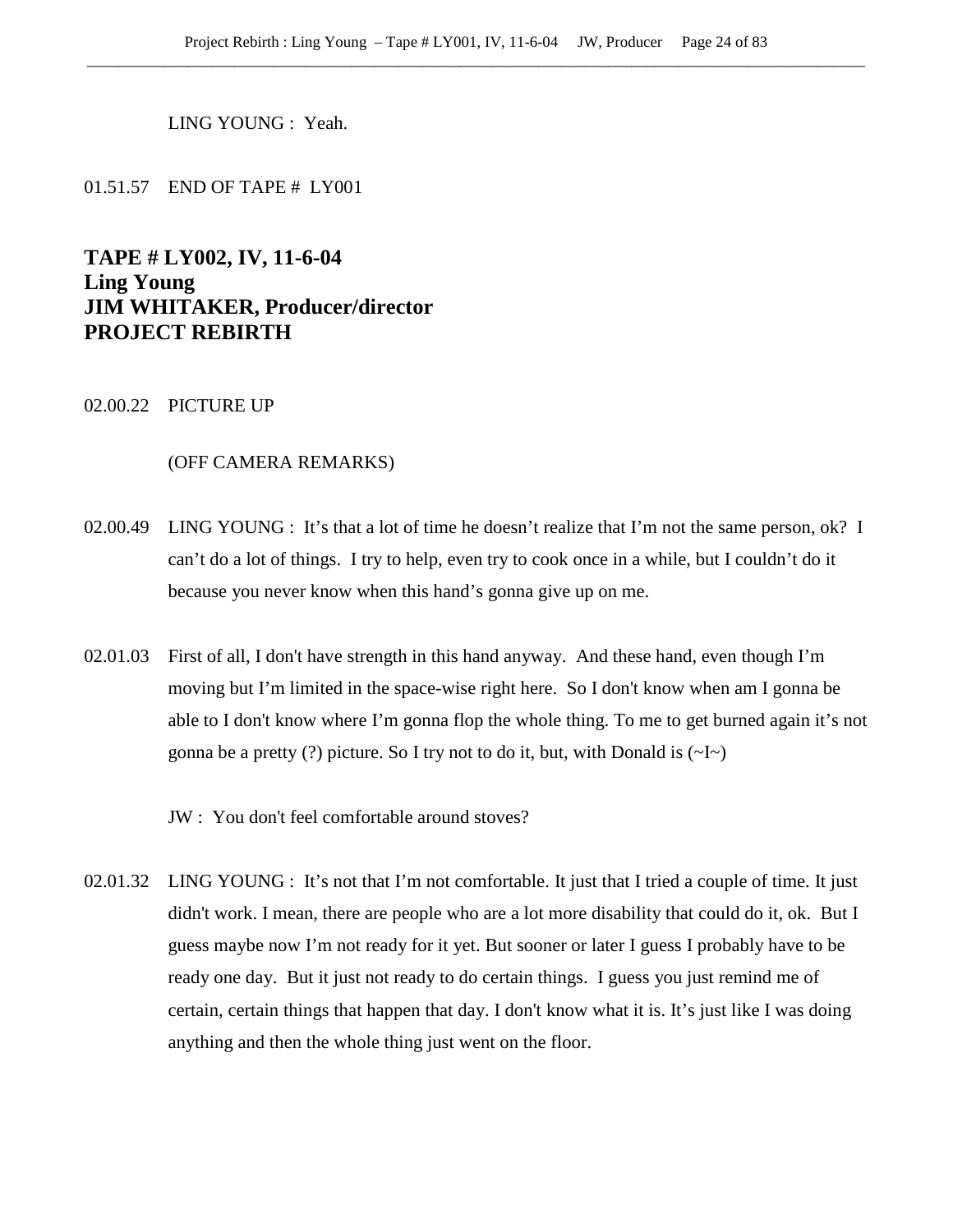LING YOUNG : Yeah.

## 01.51.57 END OF TAPE # LY001

**TAPE # LY002, IV, 11-6-04 Ling Young JIM WHITAKER, Producer/director PROJECT REBIRTH**

02.00.22 PICTURE UP

### (OFF CAMERA REMARKS)

- 02.00.49 LING YOUNG : It's that a lot of time he doesn't realize that I'm not the same person, ok? I can't do a lot of things. I try to help, even try to cook once in a while, but I couldn't do it because you never know when this hand's gonna give up on me.
- 02.01.03 First of all, I don't have strength in this hand anyway. And these hand, even though I'm moving but I'm limited in the space-wise right here. So I don't know when am I gonna be able to I don't know where I'm gonna flop the whole thing. To me to get burned again it's not gonna be a pretty (?) picture. So I try not to do it, but, with Donald is  $(\sim I \sim)$

JW : You don't feel comfortable around stoves?

02.01.32 LING YOUNG : It's not that I'm not comfortable. It just that I tried a couple of time. It just didn't work. I mean, there are people who are a lot more disability that could do it, ok. But I guess maybe now I'm not ready for it yet. But sooner or later I guess I probably have to be ready one day. But it just not ready to do certain things. I guess you just remind me of certain, certain things that happen that day. I don't know what it is. It's just like I was doing anything and then the whole thing just went on the floor.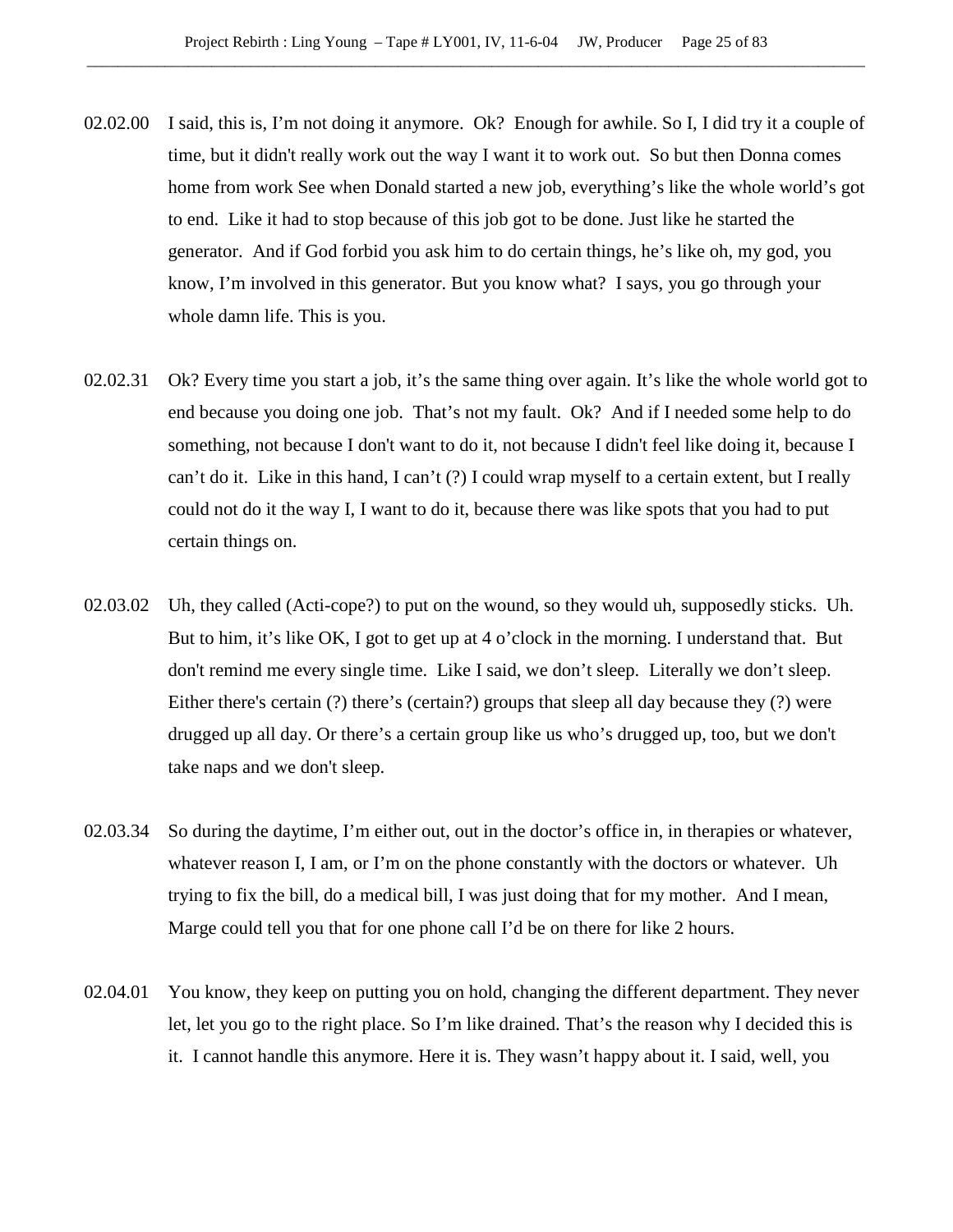- 02.02.00 I said, this is, I'm not doing it anymore. Ok? Enough for awhile. So I, I did try it a couple of time, but it didn't really work out the way I want it to work out. So but then Donna comes home from work See when Donald started a new job, everything's like the whole world's got to end. Like it had to stop because of this job got to be done. Just like he started the generator. And if God forbid you ask him to do certain things, he's like oh, my god, you know, I'm involved in this generator. But you know what? I says, you go through your whole damn life. This is you.
- 02.02.31 Ok? Every time you start a job, it's the same thing over again. It's like the whole world got to end because you doing one job. That's not my fault. Ok? And if I needed some help to do something, not because I don't want to do it, not because I didn't feel like doing it, because I can't do it. Like in this hand, I can't (?) I could wrap myself to a certain extent, but I really could not do it the way I, I want to do it, because there was like spots that you had to put certain things on.
- 02.03.02 Uh, they called (Acti-cope?) to put on the wound, so they would uh, supposedly sticks. Uh. But to him, it's like OK, I got to get up at 4 o'clock in the morning. I understand that. But don't remind me every single time. Like I said, we don't sleep. Literally we don't sleep. Either there's certain (?) there's (certain?) groups that sleep all day because they (?) were drugged up all day. Or there's a certain group like us who's drugged up, too, but we don't take naps and we don't sleep.
- 02.03.34 So during the daytime, I'm either out, out in the doctor's office in, in therapies or whatever, whatever reason I, I am, or I'm on the phone constantly with the doctors or whatever. Uh trying to fix the bill, do a medical bill, I was just doing that for my mother. And I mean, Marge could tell you that for one phone call I'd be on there for like 2 hours.
- 02.04.01 You know, they keep on putting you on hold, changing the different department. They never let, let you go to the right place. So I'm like drained. That's the reason why I decided this is it. I cannot handle this anymore. Here it is. They wasn't happy about it. I said, well, you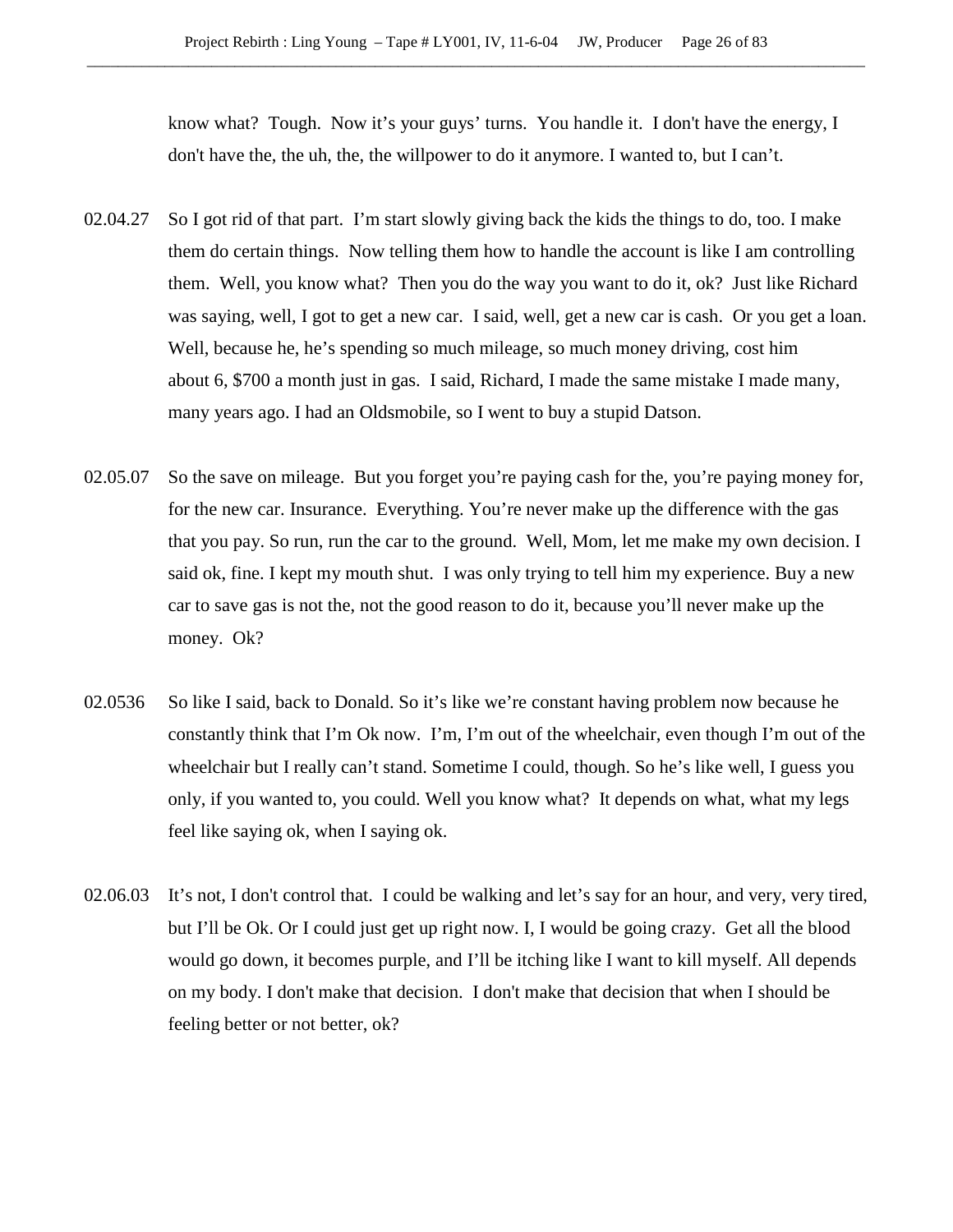know what? Tough. Now it's your guys' turns. You handle it. I don't have the energy, I don't have the, the uh, the, the willpower to do it anymore. I wanted to, but I can't.

- 02.04.27 So I got rid of that part. I'm start slowly giving back the kids the things to do, too. I make them do certain things. Now telling them how to handle the account is like I am controlling them. Well, you know what? Then you do the way you want to do it, ok? Just like Richard was saying, well, I got to get a new car. I said, well, get a new car is cash. Or you get a loan. Well, because he, he's spending so much mileage, so much money driving, cost him about 6, \$700 a month just in gas. I said, Richard, I made the same mistake I made many, many years ago. I had an Oldsmobile, so I went to buy a stupid Datson.
- 02.05.07 So the save on mileage. But you forget you're paying cash for the, you're paying money for, for the new car. Insurance. Everything. You're never make up the difference with the gas that you pay. So run, run the car to the ground. Well, Mom, let me make my own decision. I said ok, fine. I kept my mouth shut. I was only trying to tell him my experience. Buy a new car to save gas is not the, not the good reason to do it, because you'll never make up the money. Ok?
- 02.0536 So like I said, back to Donald. So it's like we're constant having problem now because he constantly think that I'm Ok now. I'm, I'm out of the wheelchair, even though I'm out of the wheelchair but I really can't stand. Sometime I could, though. So he's like well, I guess you only, if you wanted to, you could. Well you know what? It depends on what, what my legs feel like saying ok, when I saying ok.
- 02.06.03 It's not, I don't control that. I could be walking and let's say for an hour, and very, very tired, but I'll be Ok. Or I could just get up right now. I, I would be going crazy. Get all the blood would go down, it becomes purple, and I'll be itching like I want to kill myself. All depends on my body. I don't make that decision. I don't make that decision that when I should be feeling better or not better, ok?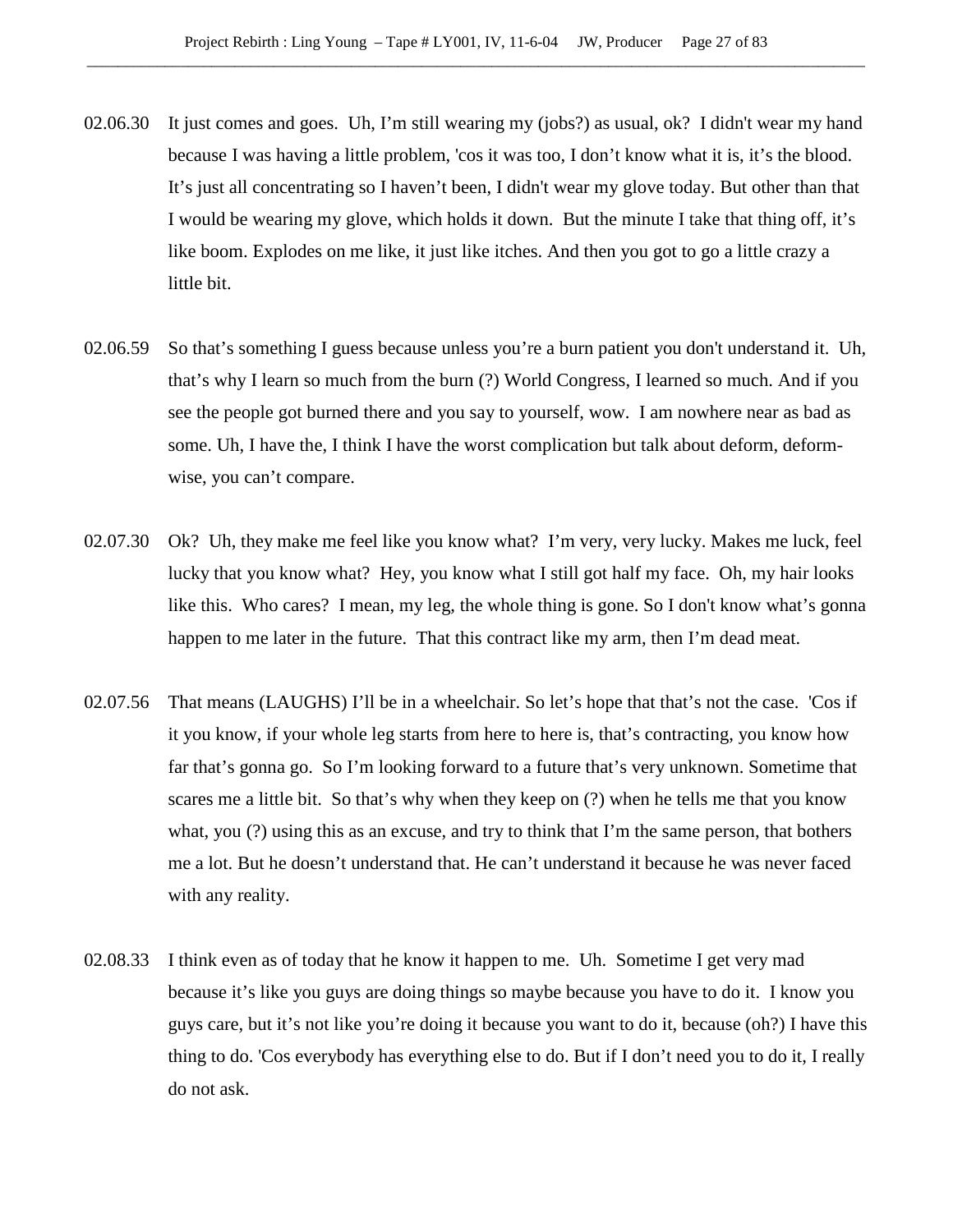- 02.06.30 It just comes and goes. Uh, I'm still wearing my (jobs?) as usual, ok? I didn't wear my hand because I was having a little problem, 'cos it was too, I don't know what it is, it's the blood. It's just all concentrating so I haven't been, I didn't wear my glove today. But other than that I would be wearing my glove, which holds it down. But the minute I take that thing off, it's like boom. Explodes on me like, it just like itches. And then you got to go a little crazy a little bit.
- 02.06.59 So that's something I guess because unless you're a burn patient you don't understand it. Uh, that's why I learn so much from the burn (?) World Congress, I learned so much. And if you see the people got burned there and you say to yourself, wow. I am nowhere near as bad as some. Uh, I have the, I think I have the worst complication but talk about deform, deformwise, you can't compare.
- 02.07.30 Ok? Uh, they make me feel like you know what? I'm very, very lucky. Makes me luck, feel lucky that you know what? Hey, you know what I still got half my face. Oh, my hair looks like this. Who cares? I mean, my leg, the whole thing is gone. So I don't know what's gonna happen to me later in the future. That this contract like my arm, then I'm dead meat.
- 02.07.56 That means (LAUGHS) I'll be in a wheelchair. So let's hope that that's not the case. 'Cos if it you know, if your whole leg starts from here to here is, that's contracting, you know how far that's gonna go. So I'm looking forward to a future that's very unknown. Sometime that scares me a little bit. So that's why when they keep on (?) when he tells me that you know what, you (?) using this as an excuse, and try to think that I'm the same person, that bothers me a lot. But he doesn't understand that. He can't understand it because he was never faced with any reality.
- 02.08.33 I think even as of today that he know it happen to me. Uh. Sometime I get very mad because it's like you guys are doing things so maybe because you have to do it. I know you guys care, but it's not like you're doing it because you want to do it, because (oh?) I have this thing to do. 'Cos everybody has everything else to do. But if I don't need you to do it, I really do not ask.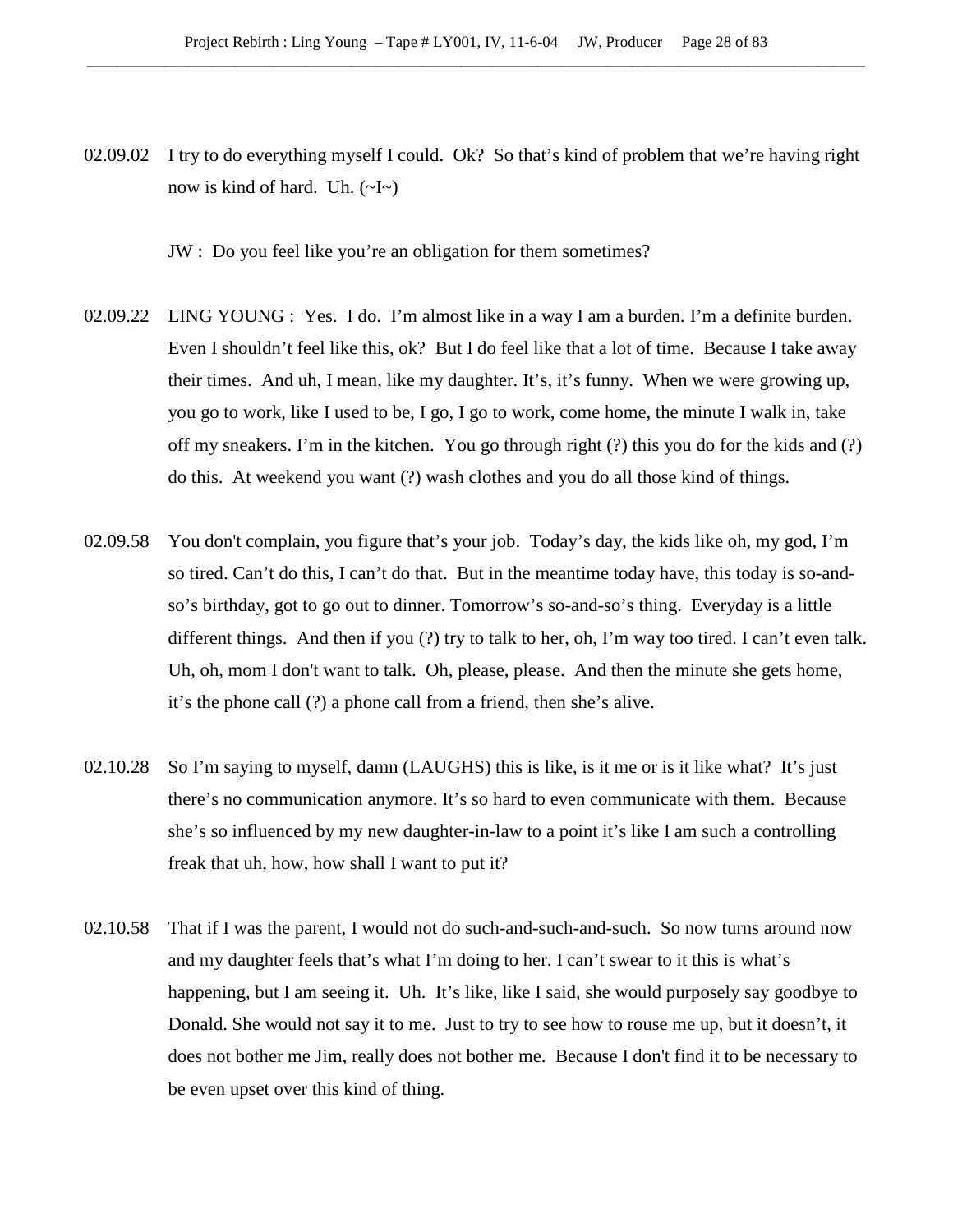02.09.02 I try to do everything myself I could. Ok? So that's kind of problem that we're having right now is kind of hard. Uh.  $(\sim I \sim)$ 

JW : Do you feel like you're an obligation for them sometimes?

- 02.09.22 LING YOUNG : Yes. I do. I'm almost like in a way I am a burden. I'm a definite burden. Even I shouldn't feel like this, ok? But I do feel like that a lot of time. Because I take away their times. And uh, I mean, like my daughter. It's, it's funny. When we were growing up, you go to work, like I used to be, I go, I go to work, come home, the minute I walk in, take off my sneakers. I'm in the kitchen. You go through right (?) this you do for the kids and (?) do this. At weekend you want (?) wash clothes and you do all those kind of things.
- 02.09.58 You don't complain, you figure that's your job. Today's day, the kids like oh, my god, I'm so tired. Can't do this, I can't do that. But in the meantime today have, this today is so-andso's birthday, got to go out to dinner. Tomorrow's so-and-so's thing. Everyday is a little different things. And then if you (?) try to talk to her, oh, I'm way too tired. I can't even talk. Uh, oh, mom I don't want to talk. Oh, please, please. And then the minute she gets home, it's the phone call (?) a phone call from a friend, then she's alive.
- 02.10.28 So I'm saying to myself, damn (LAUGHS) this is like, is it me or is it like what? It's just there's no communication anymore. It's so hard to even communicate with them. Because she's so influenced by my new daughter-in-law to a point it's like I am such a controlling freak that uh, how, how shall I want to put it?
- 02.10.58 That if I was the parent, I would not do such-and-such-and-such. So now turns around now and my daughter feels that's what I'm doing to her. I can't swear to it this is what's happening, but I am seeing it. Uh. It's like, like I said, she would purposely say goodbye to Donald. She would not say it to me. Just to try to see how to rouse me up, but it doesn't, it does not bother me Jim, really does not bother me. Because I don't find it to be necessary to be even upset over this kind of thing.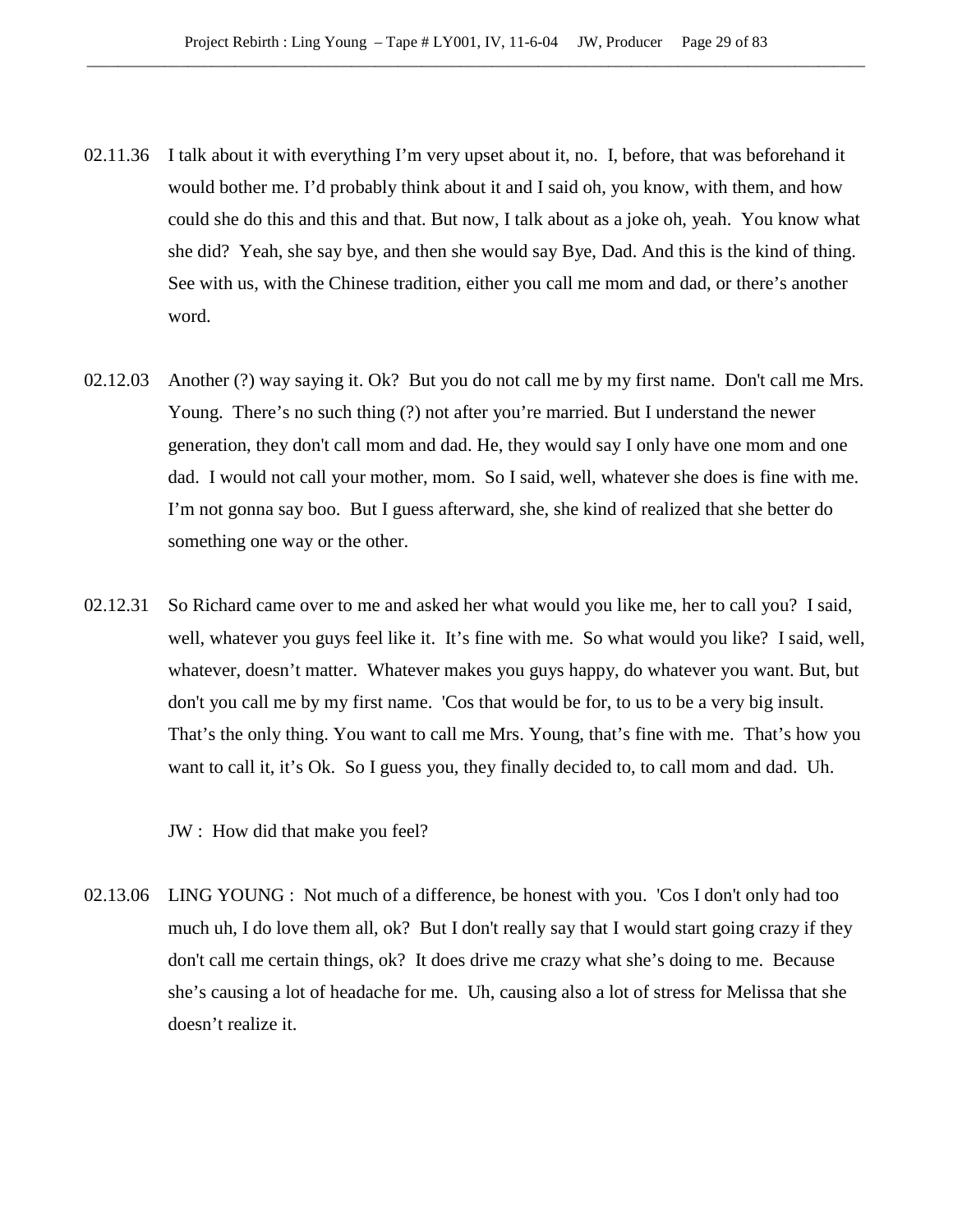- 02.11.36 I talk about it with everything I'm very upset about it, no. I, before, that was beforehand it would bother me. I'd probably think about it and I said oh, you know, with them, and how could she do this and this and that. But now, I talk about as a joke oh, yeah. You know what she did? Yeah, she say bye, and then she would say Bye, Dad. And this is the kind of thing. See with us, with the Chinese tradition, either you call me mom and dad, or there's another word.
- 02.12.03 Another (?) way saying it. Ok? But you do not call me by my first name. Don't call me Mrs. Young. There's no such thing (?) not after you're married. But I understand the newer generation, they don't call mom and dad. He, they would say I only have one mom and one dad. I would not call your mother, mom. So I said, well, whatever she does is fine with me. I'm not gonna say boo. But I guess afterward, she, she kind of realized that she better do something one way or the other.
- 02.12.31 So Richard came over to me and asked her what would you like me, her to call you? I said, well, whatever you guys feel like it. It's fine with me. So what would you like? I said, well, whatever, doesn't matter. Whatever makes you guys happy, do whatever you want. But, but don't you call me by my first name. 'Cos that would be for, to us to be a very big insult. That's the only thing. You want to call me Mrs. Young, that's fine with me. That's how you want to call it, it's Ok. So I guess you, they finally decided to, to call mom and dad. Uh.

JW : How did that make you feel?

02.13.06 LING YOUNG : Not much of a difference, be honest with you. 'Cos I don't only had too much uh, I do love them all, ok? But I don't really say that I would start going crazy if they don't call me certain things, ok? It does drive me crazy what she's doing to me. Because she's causing a lot of headache for me. Uh, causing also a lot of stress for Melissa that she doesn't realize it.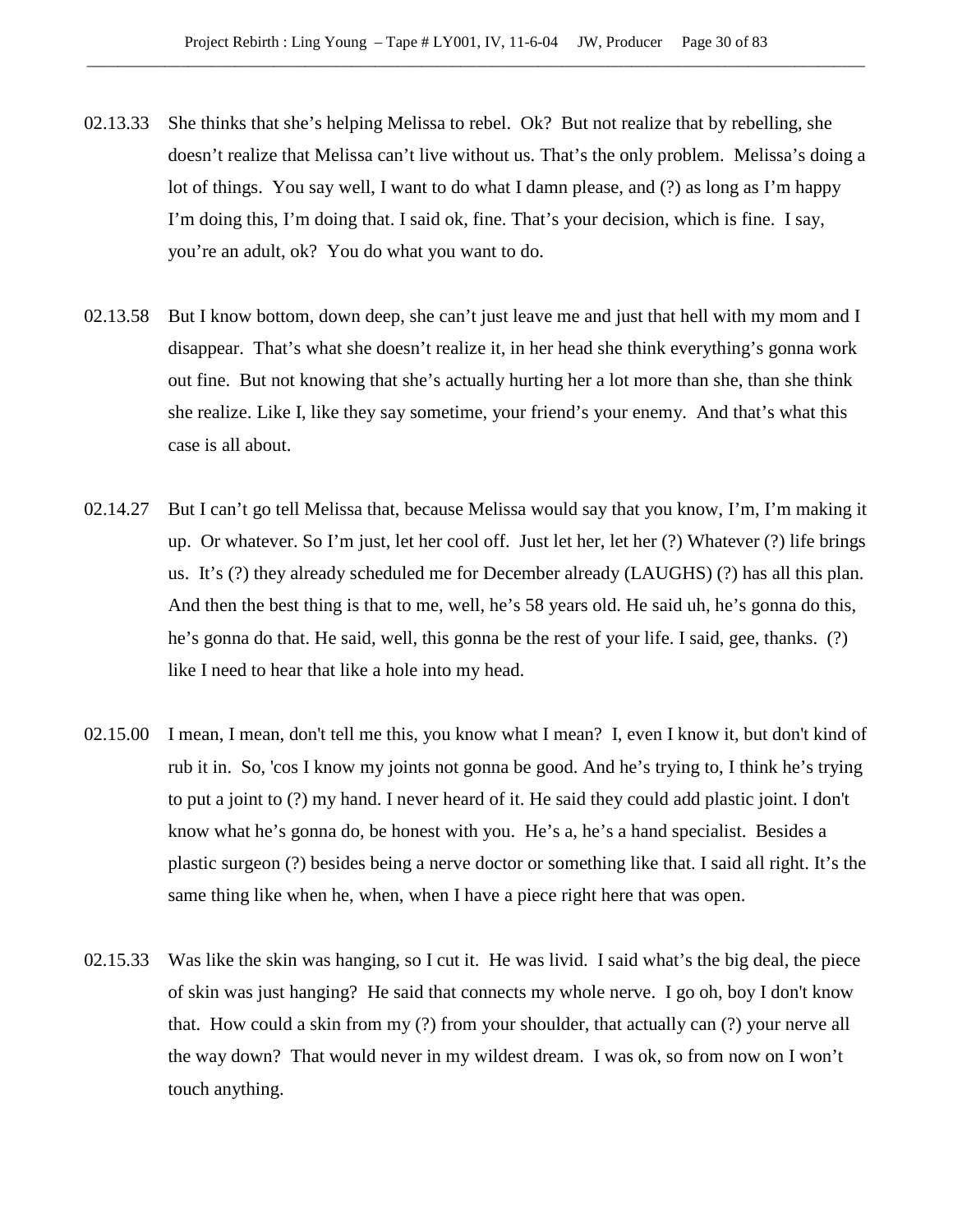- 02.13.33 She thinks that she's helping Melissa to rebel. Ok? But not realize that by rebelling, she doesn't realize that Melissa can't live without us. That's the only problem. Melissa's doing a lot of things. You say well, I want to do what I damn please, and (?) as long as I'm happy I'm doing this, I'm doing that. I said ok, fine. That's your decision, which is fine. I say, you're an adult, ok? You do what you want to do.
- 02.13.58 But I know bottom, down deep, she can't just leave me and just that hell with my mom and I disappear. That's what she doesn't realize it, in her head she think everything's gonna work out fine. But not knowing that she's actually hurting her a lot more than she, than she think she realize. Like I, like they say sometime, your friend's your enemy. And that's what this case is all about.
- 02.14.27 But I can't go tell Melissa that, because Melissa would say that you know, I'm, I'm making it up. Or whatever. So I'm just, let her cool off. Just let her, let her (?) Whatever (?) life brings us. It's (?) they already scheduled me for December already (LAUGHS) (?) has all this plan. And then the best thing is that to me, well, he's 58 years old. He said uh, he's gonna do this, he's gonna do that. He said, well, this gonna be the rest of your life. I said, gee, thanks. (?) like I need to hear that like a hole into my head.
- 02.15.00 I mean, I mean, don't tell me this, you know what I mean? I, even I know it, but don't kind of rub it in. So, 'cos I know my joints not gonna be good. And he's trying to, I think he's trying to put a joint to (?) my hand. I never heard of it. He said they could add plastic joint. I don't know what he's gonna do, be honest with you. He's a, he's a hand specialist. Besides a plastic surgeon (?) besides being a nerve doctor or something like that. I said all right. It's the same thing like when he, when, when I have a piece right here that was open.
- 02.15.33 Was like the skin was hanging, so I cut it. He was livid. I said what's the big deal, the piece of skin was just hanging? He said that connects my whole nerve. I go oh, boy I don't know that. How could a skin from my (?) from your shoulder, that actually can (?) your nerve all the way down? That would never in my wildest dream. I was ok, so from now on I won't touch anything.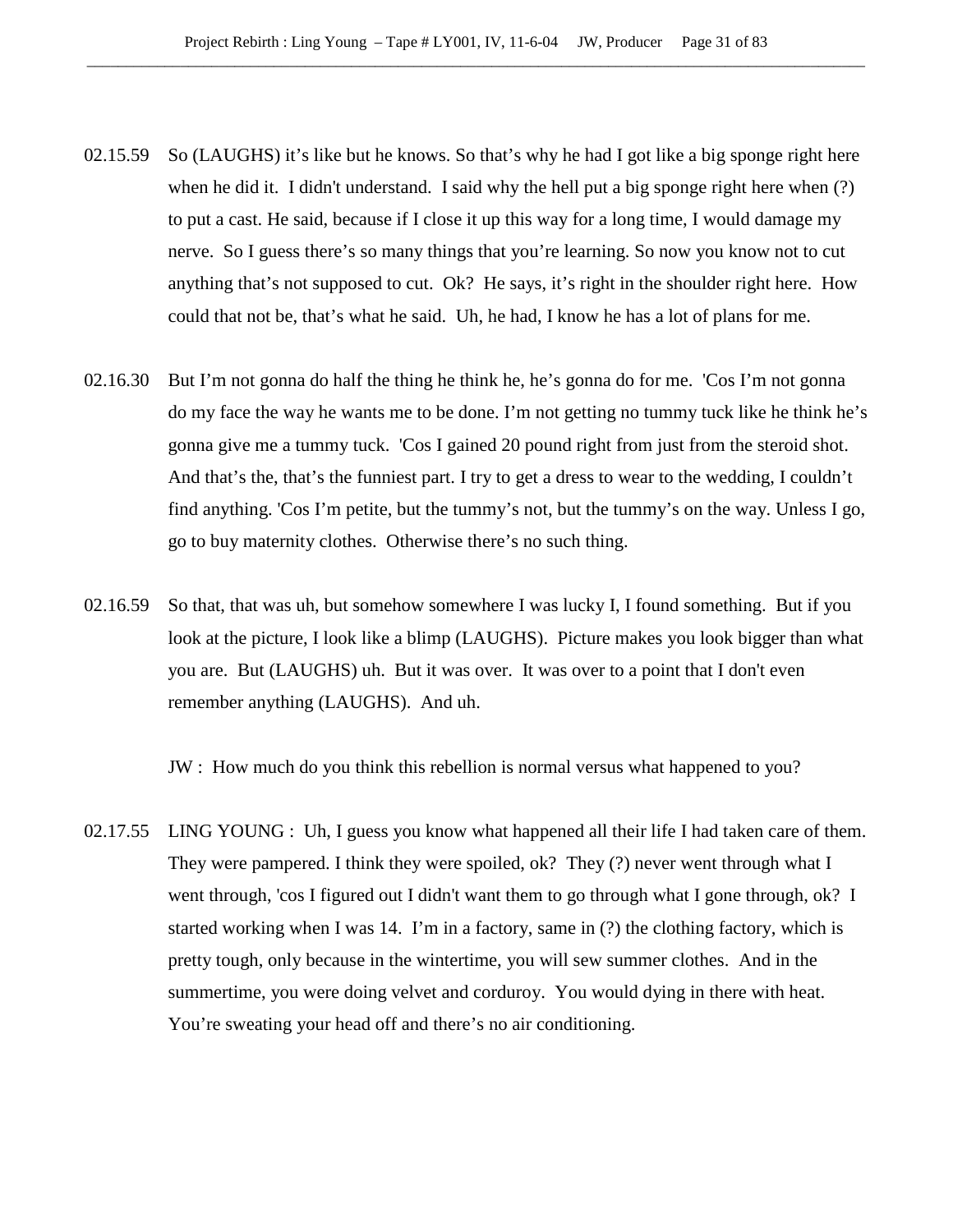- 02.15.59 So (LAUGHS) it's like but he knows. So that's why he had I got like a big sponge right here when he did it. I didn't understand. I said why the hell put a big sponge right here when (?) to put a cast. He said, because if I close it up this way for a long time, I would damage my nerve. So I guess there's so many things that you're learning. So now you know not to cut anything that's not supposed to cut. Ok? He says, it's right in the shoulder right here. How could that not be, that's what he said. Uh, he had, I know he has a lot of plans for me.
- 02.16.30 But I'm not gonna do half the thing he think he, he's gonna do for me. 'Cos I'm not gonna do my face the way he wants me to be done. I'm not getting no tummy tuck like he think he's gonna give me a tummy tuck. 'Cos I gained 20 pound right from just from the steroid shot. And that's the, that's the funniest part. I try to get a dress to wear to the wedding, I couldn't find anything. 'Cos I'm petite, but the tummy's not, but the tummy's on the way. Unless I go, go to buy maternity clothes. Otherwise there's no such thing.
- 02.16.59 So that, that was uh, but somehow somewhere I was lucky I, I found something. But if you look at the picture, I look like a blimp (LAUGHS). Picture makes you look bigger than what you are. But (LAUGHS) uh. But it was over. It was over to a point that I don't even remember anything (LAUGHS). And uh.

JW : How much do you think this rebellion is normal versus what happened to you?

02.17.55 LING YOUNG : Uh, I guess you know what happened all their life I had taken care of them. They were pampered. I think they were spoiled, ok? They (?) never went through what I went through, 'cos I figured out I didn't want them to go through what I gone through, ok? I started working when I was 14. I'm in a factory, same in (?) the clothing factory, which is pretty tough, only because in the wintertime, you will sew summer clothes. And in the summertime, you were doing velvet and corduroy. You would dying in there with heat. You're sweating your head off and there's no air conditioning.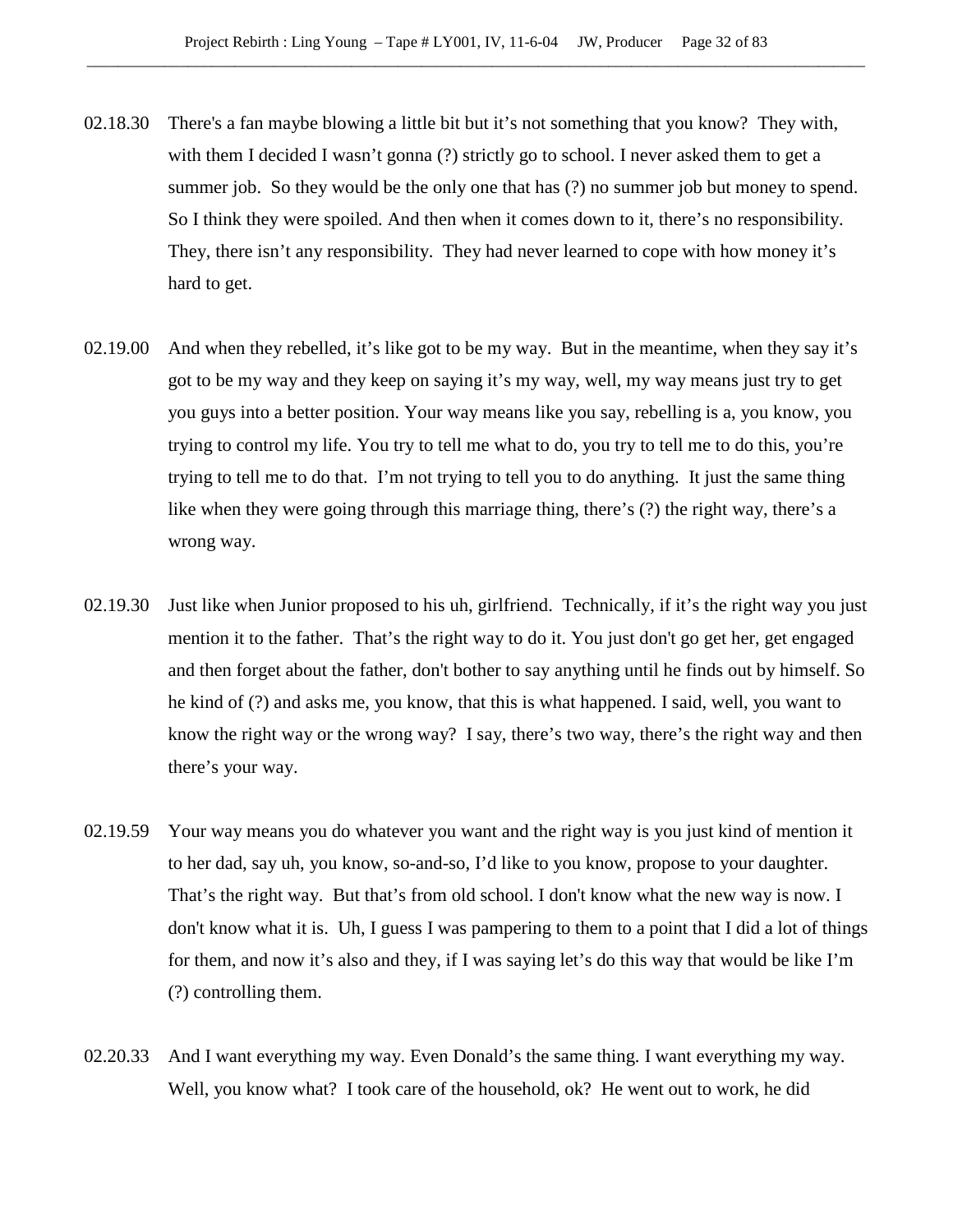- 02.18.30 There's a fan maybe blowing a little bit but it's not something that you know? They with, with them I decided I wasn't gonna (?) strictly go to school. I never asked them to get a summer job. So they would be the only one that has  $(?)$  no summer job but money to spend. So I think they were spoiled. And then when it comes down to it, there's no responsibility. They, there isn't any responsibility. They had never learned to cope with how money it's hard to get.
- 02.19.00 And when they rebelled, it's like got to be my way. But in the meantime, when they say it's got to be my way and they keep on saying it's my way, well, my way means just try to get you guys into a better position. Your way means like you say, rebelling is a, you know, you trying to control my life. You try to tell me what to do, you try to tell me to do this, you're trying to tell me to do that. I'm not trying to tell you to do anything. It just the same thing like when they were going through this marriage thing, there's (?) the right way, there's a wrong way.
- 02.19.30 Just like when Junior proposed to his uh, girlfriend. Technically, if it's the right way you just mention it to the father. That's the right way to do it. You just don't go get her, get engaged and then forget about the father, don't bother to say anything until he finds out by himself. So he kind of (?) and asks me, you know, that this is what happened. I said, well, you want to know the right way or the wrong way? I say, there's two way, there's the right way and then there's your way.
- 02.19.59 Your way means you do whatever you want and the right way is you just kind of mention it to her dad, say uh, you know, so-and-so, I'd like to you know, propose to your daughter. That's the right way. But that's from old school. I don't know what the new way is now. I don't know what it is. Uh, I guess I was pampering to them to a point that I did a lot of things for them, and now it's also and they, if I was saying let's do this way that would be like I'm (?) controlling them.
- 02.20.33 And I want everything my way. Even Donald's the same thing. I want everything my way. Well, you know what? I took care of the household, ok? He went out to work, he did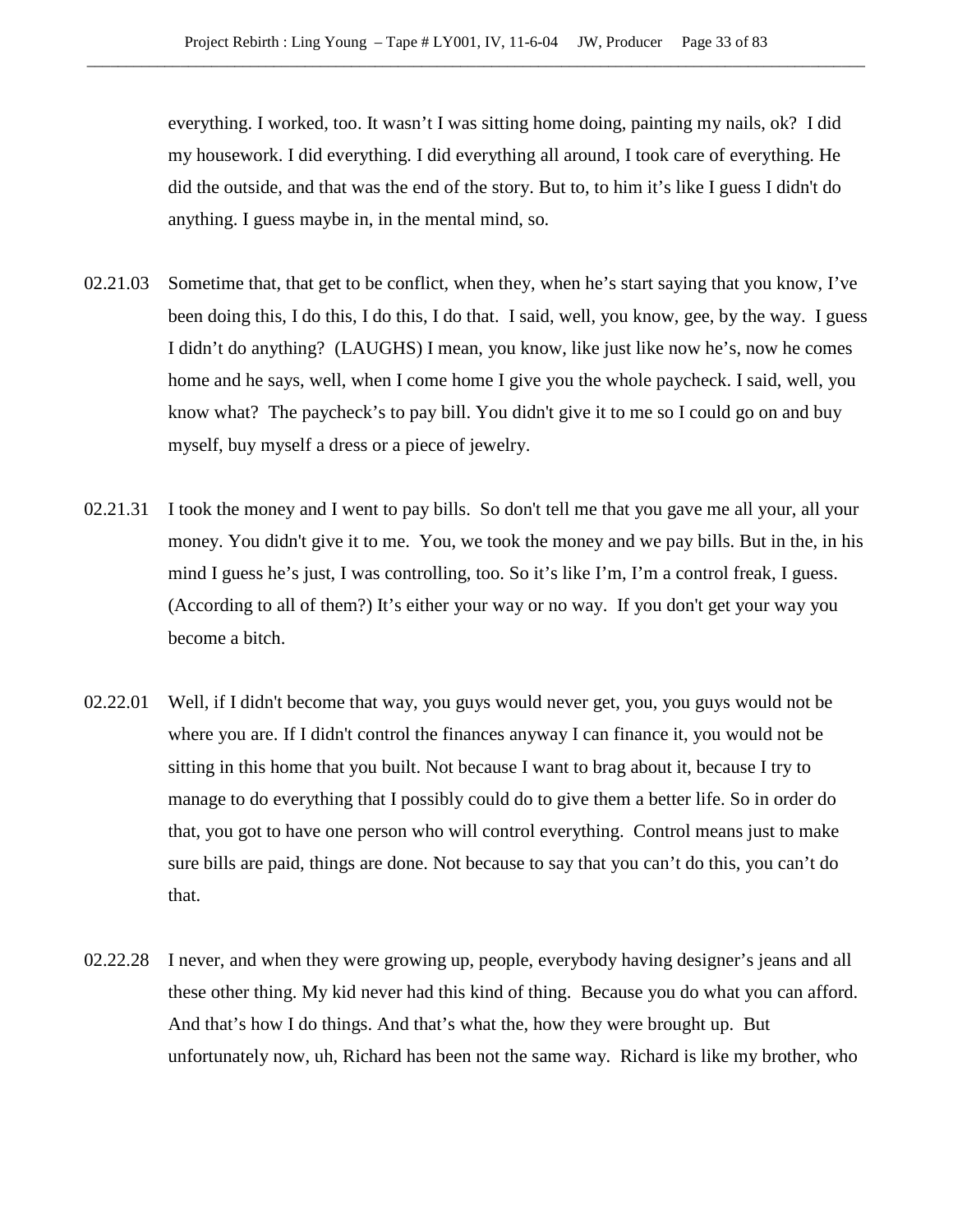everything. I worked, too. It wasn't I was sitting home doing, painting my nails, ok? I did my housework. I did everything. I did everything all around, I took care of everything. He did the outside, and that was the end of the story. But to, to him it's like I guess I didn't do anything. I guess maybe in, in the mental mind, so.

- 02.21.03 Sometime that, that get to be conflict, when they, when he's start saying that you know, I've been doing this, I do this, I do this, I do that. I said, well, you know, gee, by the way. I guess I didn't do anything? (LAUGHS) I mean, you know, like just like now he's, now he comes home and he says, well, when I come home I give you the whole paycheck. I said, well, you know what? The paycheck's to pay bill. You didn't give it to me so I could go on and buy myself, buy myself a dress or a piece of jewelry.
- 02.21.31 I took the money and I went to pay bills. So don't tell me that you gave me all your, all your money. You didn't give it to me. You, we took the money and we pay bills. But in the, in his mind I guess he's just, I was controlling, too. So it's like I'm, I'm a control freak, I guess. (According to all of them?) It's either your way or no way. If you don't get your way you become a bitch.
- 02.22.01 Well, if I didn't become that way, you guys would never get, you, you guys would not be where you are. If I didn't control the finances anyway I can finance it, you would not be sitting in this home that you built. Not because I want to brag about it, because I try to manage to do everything that I possibly could do to give them a better life. So in order do that, you got to have one person who will control everything. Control means just to make sure bills are paid, things are done. Not because to say that you can't do this, you can't do that.
- 02.22.28 I never, and when they were growing up, people, everybody having designer's jeans and all these other thing. My kid never had this kind of thing. Because you do what you can afford. And that's how I do things. And that's what the, how they were brought up. But unfortunately now, uh, Richard has been not the same way. Richard is like my brother, who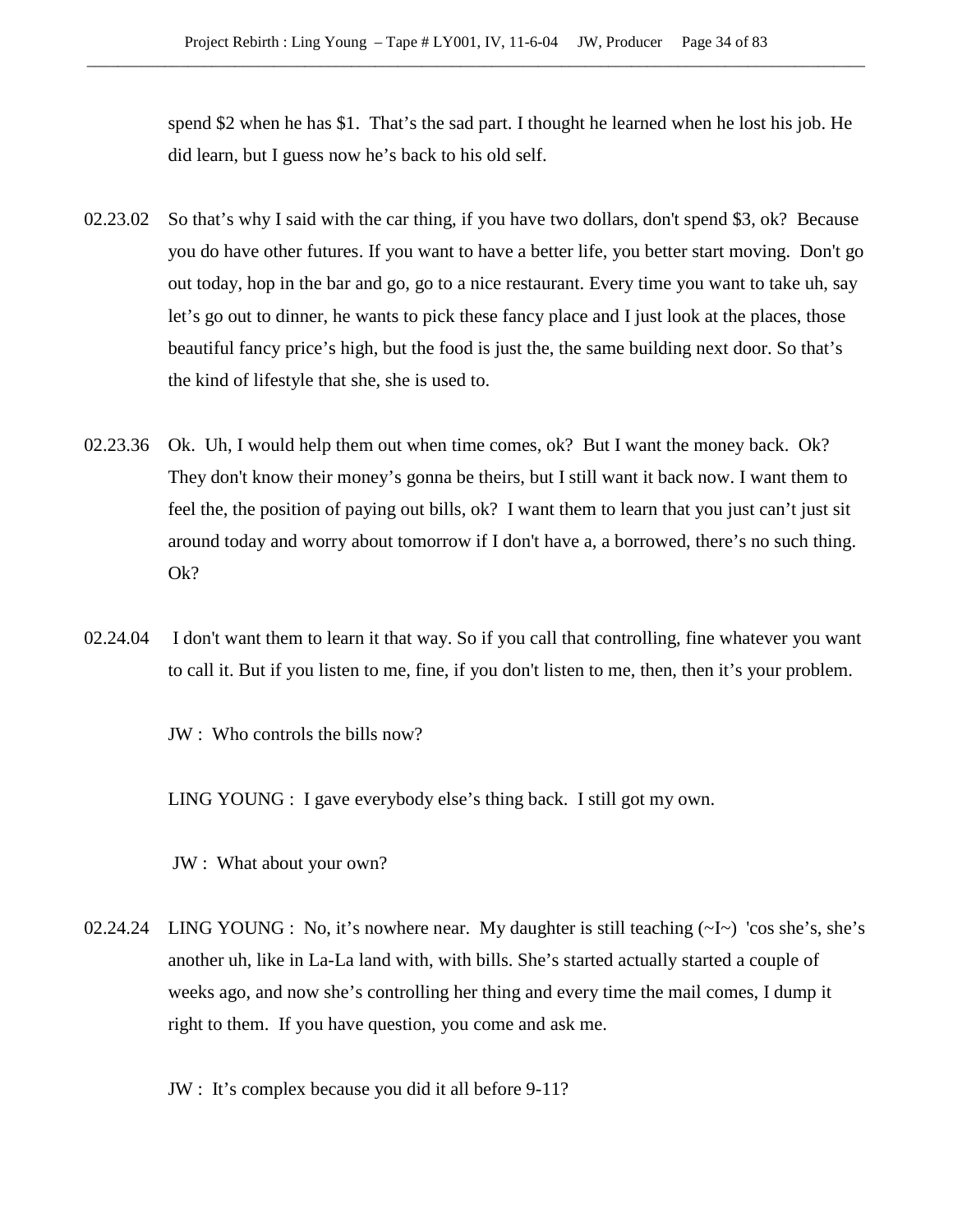spend \$2 when he has \$1. That's the sad part. I thought he learned when he lost his job. He did learn, but I guess now he's back to his old self.

- 02.23.02 So that's why I said with the car thing, if you have two dollars, don't spend \$3, ok? Because you do have other futures. If you want to have a better life, you better start moving. Don't go out today, hop in the bar and go, go to a nice restaurant. Every time you want to take uh, say let's go out to dinner, he wants to pick these fancy place and I just look at the places, those beautiful fancy price's high, but the food is just the, the same building next door. So that's the kind of lifestyle that she, she is used to.
- 02.23.36 Ok. Uh, I would help them out when time comes, ok? But I want the money back. Ok? They don't know their money's gonna be theirs, but I still want it back now. I want them to feel the, the position of paying out bills, ok? I want them to learn that you just can't just sit around today and worry about tomorrow if I don't have a, a borrowed, there's no such thing. Ok?
- 02.24.04 I don't want them to learn it that way. So if you call that controlling, fine whatever you want to call it. But if you listen to me, fine, if you don't listen to me, then, then it's your problem.

JW : Who controls the bills now?

LING YOUNG : I gave everybody else's thing back. I still got my own.

JW : What about your own?

02.24.24 LING YOUNG : No, it's nowhere near. My daughter is still teaching  $(\sim I \sim)$  'cos she's, she's another uh, like in La-La land with, with bills. She's started actually started a couple of weeks ago, and now she's controlling her thing and every time the mail comes, I dump it right to them. If you have question, you come and ask me.

JW : It's complex because you did it all before 9-11?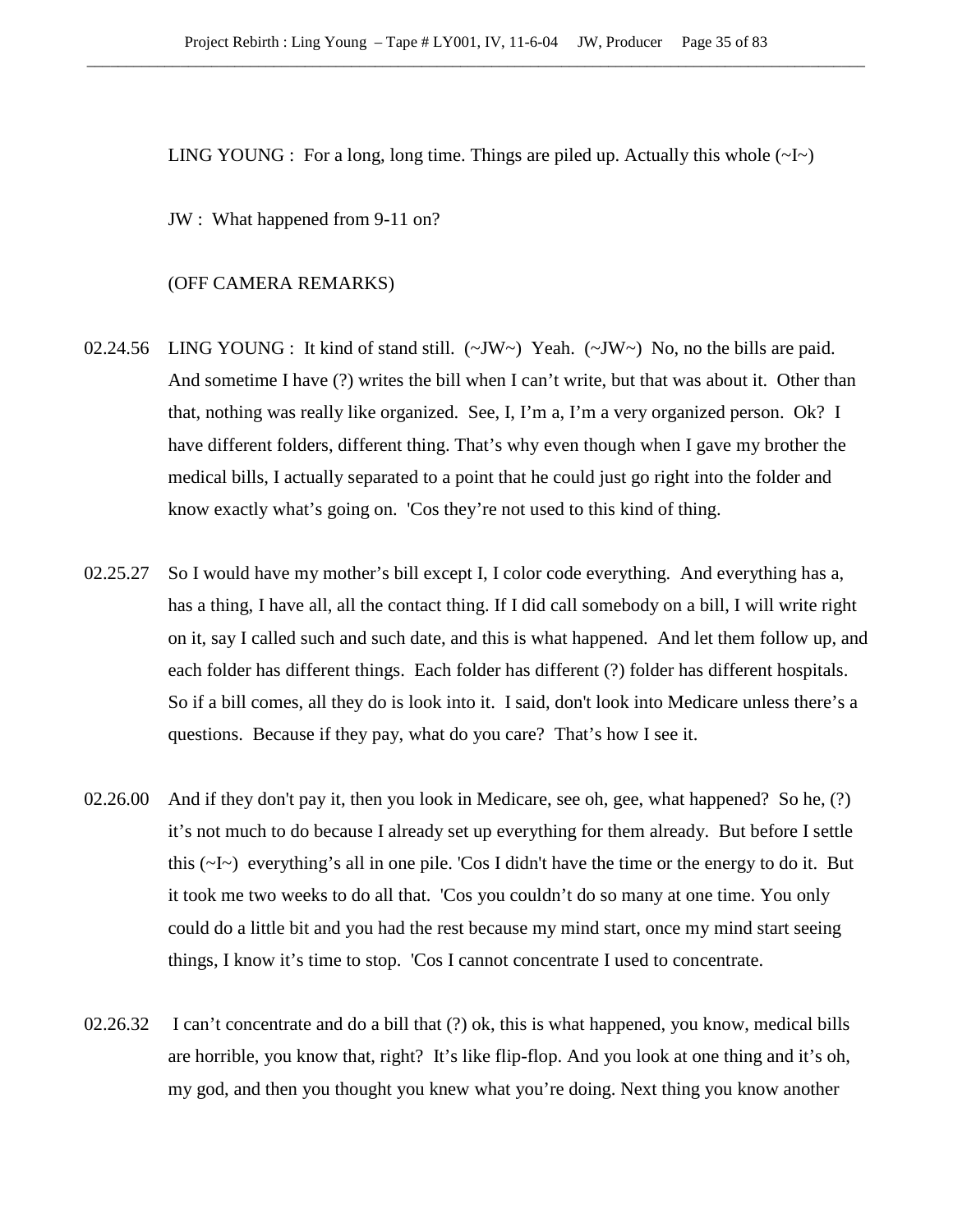LING YOUNG : For a long, long time. Things are piled up. Actually this whole  $(\sim I \sim)$ 

JW : What happened from 9-11 on?

#### (OFF CAMERA REMARKS)

- 02.24.56 LING YOUNG : It kind of stand still.  $(\sim JW \sim)$  Yeah.  $(\sim JW \sim)$  No, no the bills are paid. And sometime I have (?) writes the bill when I can't write, but that was about it. Other than that, nothing was really like organized. See, I, I'm a, I'm a very organized person. Ok? I have different folders, different thing. That's why even though when I gave my brother the medical bills, I actually separated to a point that he could just go right into the folder and know exactly what's going on. 'Cos they're not used to this kind of thing.
- 02.25.27 So I would have my mother's bill except I, I color code everything. And everything has a, has a thing, I have all, all the contact thing. If I did call somebody on a bill, I will write right on it, say I called such and such date, and this is what happened. And let them follow up, and each folder has different things. Each folder has different (?) folder has different hospitals. So if a bill comes, all they do is look into it. I said, don't look into Medicare unless there's a questions. Because if they pay, what do you care? That's how I see it.
- 02.26.00 And if they don't pay it, then you look in Medicare, see oh, gee, what happened? So he, (?) it's not much to do because I already set up everything for them already. But before I settle this (~I~) everything's all in one pile. 'Cos I didn't have the time or the energy to do it. But it took me two weeks to do all that. 'Cos you couldn't do so many at one time. You only could do a little bit and you had the rest because my mind start, once my mind start seeing things, I know it's time to stop. 'Cos I cannot concentrate I used to concentrate.
- 02.26.32 I can't concentrate and do a bill that (?) ok, this is what happened, you know, medical bills are horrible, you know that, right? It's like flip-flop. And you look at one thing and it's oh, my god, and then you thought you knew what you're doing. Next thing you know another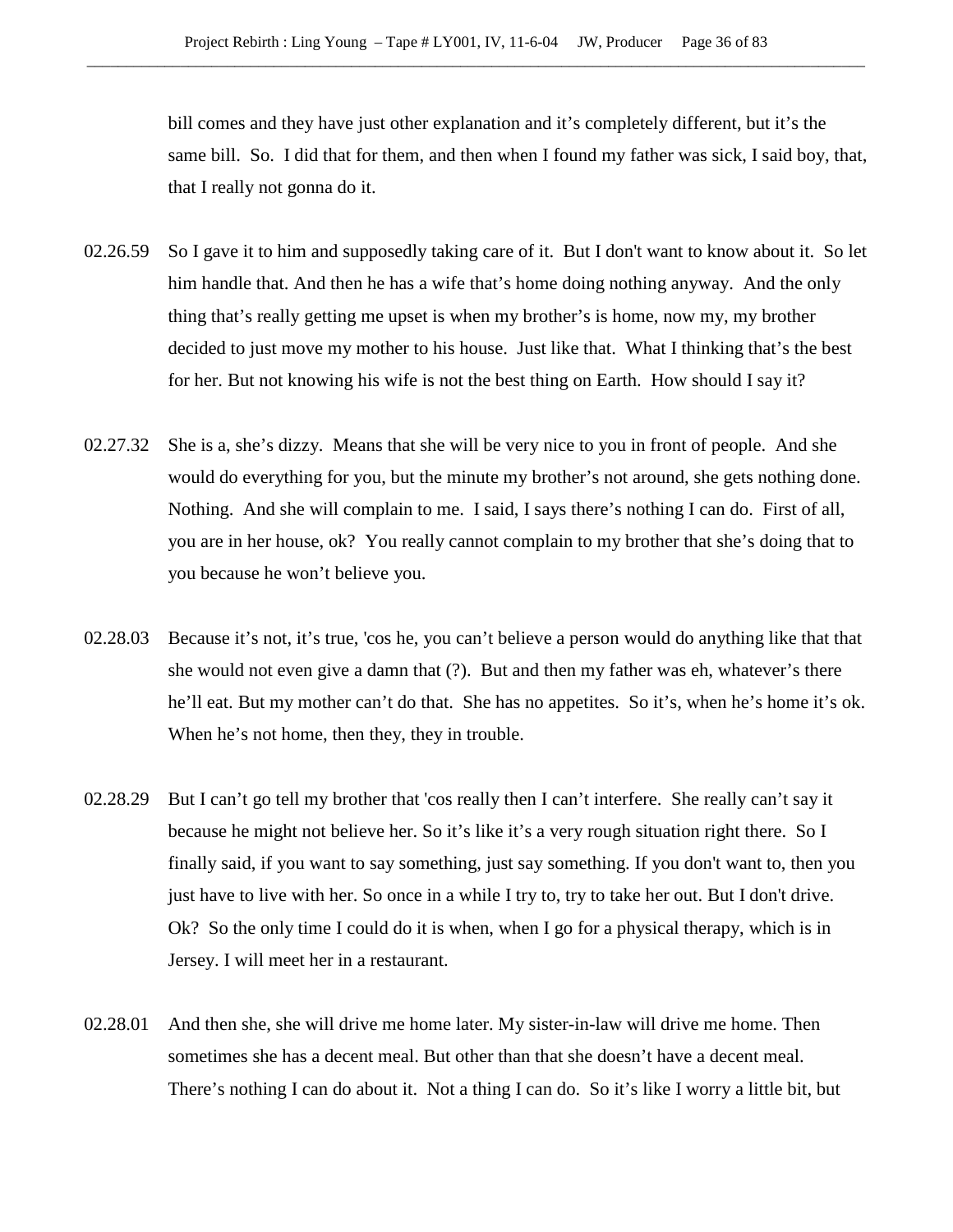bill comes and they have just other explanation and it's completely different, but it's the same bill. So. I did that for them, and then when I found my father was sick, I said boy, that, that I really not gonna do it.

- 02.26.59 So I gave it to him and supposedly taking care of it. But I don't want to know about it. So let him handle that. And then he has a wife that's home doing nothing anyway. And the only thing that's really getting me upset is when my brother's is home, now my, my brother decided to just move my mother to his house. Just like that. What I thinking that's the best for her. But not knowing his wife is not the best thing on Earth. How should I say it?
- 02.27.32 She is a, she's dizzy. Means that she will be very nice to you in front of people. And she would do everything for you, but the minute my brother's not around, she gets nothing done. Nothing. And she will complain to me. I said, I says there's nothing I can do. First of all, you are in her house, ok? You really cannot complain to my brother that she's doing that to you because he won't believe you.
- 02.28.03 Because it's not, it's true, 'cos he, you can't believe a person would do anything like that that she would not even give a damn that (?). But and then my father was eh, whatever's there he'll eat. But my mother can't do that. She has no appetites. So it's, when he's home it's ok. When he's not home, then they, they in trouble.
- 02.28.29 But I can't go tell my brother that 'cos really then I can't interfere. She really can't say it because he might not believe her. So it's like it's a very rough situation right there. So I finally said, if you want to say something, just say something. If you don't want to, then you just have to live with her. So once in a while I try to, try to take her out. But I don't drive. Ok? So the only time I could do it is when, when I go for a physical therapy, which is in Jersey. I will meet her in a restaurant.
- 02.28.01 And then she, she will drive me home later. My sister-in-law will drive me home. Then sometimes she has a decent meal. But other than that she doesn't have a decent meal. There's nothing I can do about it. Not a thing I can do. So it's like I worry a little bit, but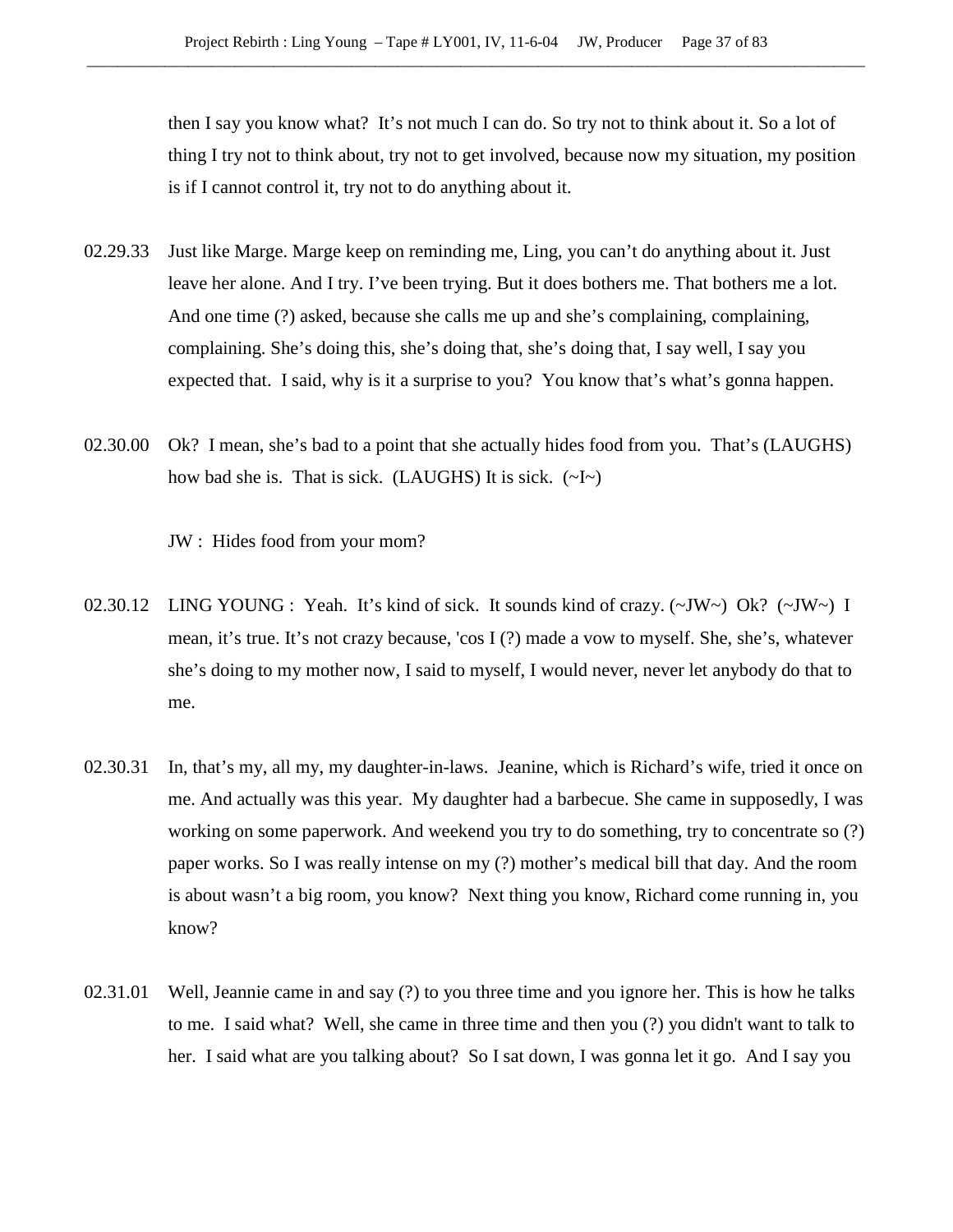then I say you know what? It's not much I can do. So try not to think about it. So a lot of thing I try not to think about, try not to get involved, because now my situation, my position is if I cannot control it, try not to do anything about it.

- 02.29.33 Just like Marge. Marge keep on reminding me, Ling, you can't do anything about it. Just leave her alone. And I try. I've been trying. But it does bothers me. That bothers me a lot. And one time (?) asked, because she calls me up and she's complaining, complaining, complaining. She's doing this, she's doing that, she's doing that, I say well, I say you expected that. I said, why is it a surprise to you? You know that's what's gonna happen.
- 02.30.00 Ok? I mean, she's bad to a point that she actually hides food from you. That's (LAUGHS) how bad she is. That is sick. (LAUGHS) It is sick.  $(\sim I \sim)$

JW : Hides food from your mom?

- 02.30.12 LING YOUNG : Yeah. It's kind of sick. It sounds kind of crazy.  $(\sim JW \sim)$  Ok?  $(\sim JW \sim)$  I mean, it's true. It's not crazy because, 'cos I (?) made a vow to myself. She, she's, whatever she's doing to my mother now, I said to myself, I would never, never let anybody do that to me.
- 02.30.31 In, that's my, all my, my daughter-in-laws. Jeanine, which is Richard's wife, tried it once on me. And actually was this year. My daughter had a barbecue. She came in supposedly, I was working on some paperwork. And weekend you try to do something, try to concentrate so (?) paper works. So I was really intense on my (?) mother's medical bill that day. And the room is about wasn't a big room, you know? Next thing you know, Richard come running in, you know?
- 02.31.01 Well, Jeannie came in and say (?) to you three time and you ignore her. This is how he talks to me. I said what? Well, she came in three time and then you (?) you didn't want to talk to her. I said what are you talking about? So I sat down, I was gonna let it go. And I say you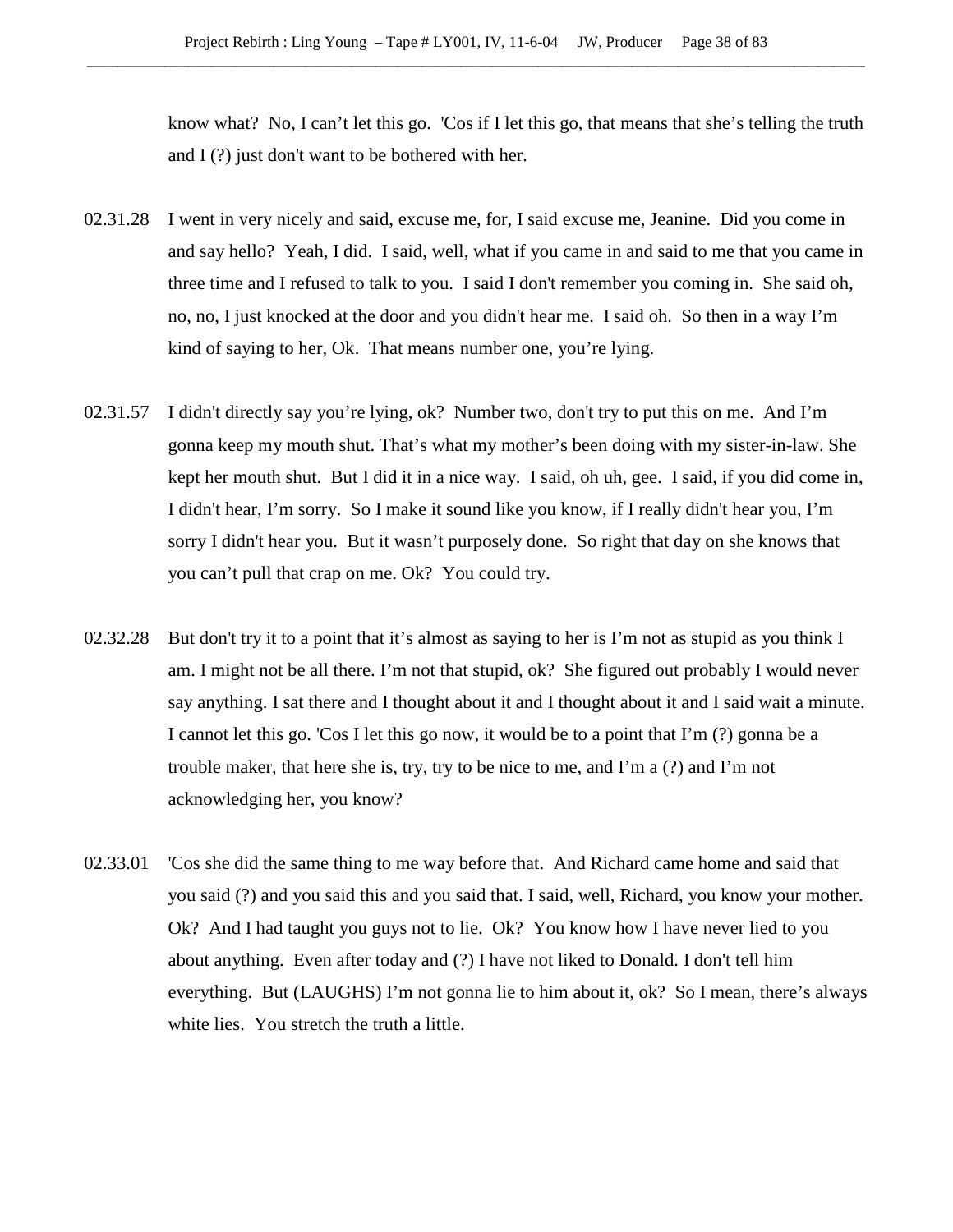know what? No, I can't let this go. 'Cos if I let this go, that means that she's telling the truth and  $I(?)$  just don't want to be bothered with her.

- 02.31.28 I went in very nicely and said, excuse me, for, I said excuse me, Jeanine. Did you come in and say hello? Yeah, I did. I said, well, what if you came in and said to me that you came in three time and I refused to talk to you. I said I don't remember you coming in. She said oh, no, no, I just knocked at the door and you didn't hear me. I said oh. So then in a way I'm kind of saying to her, Ok. That means number one, you're lying.
- 02.31.57 I didn't directly say you're lying, ok? Number two, don't try to put this on me. And I'm gonna keep my mouth shut. That's what my mother's been doing with my sister-in-law. She kept her mouth shut. But I did it in a nice way. I said, oh uh, gee. I said, if you did come in, I didn't hear, I'm sorry. So I make it sound like you know, if I really didn't hear you, I'm sorry I didn't hear you. But it wasn't purposely done. So right that day on she knows that you can't pull that crap on me. Ok? You could try.
- 02.32.28 But don't try it to a point that it's almost as saying to her is I'm not as stupid as you think I am. I might not be all there. I'm not that stupid, ok? She figured out probably I would never say anything. I sat there and I thought about it and I thought about it and I said wait a minute. I cannot let this go. 'Cos I let this go now, it would be to a point that I'm (?) gonna be a trouble maker, that here she is, try, try to be nice to me, and I'm a (?) and I'm not acknowledging her, you know?
- 02.33.01 'Cos she did the same thing to me way before that. And Richard came home and said that you said (?) and you said this and you said that. I said, well, Richard, you know your mother. Ok? And I had taught you guys not to lie. Ok? You know how I have never lied to you about anything. Even after today and (?) I have not liked to Donald. I don't tell him everything. But (LAUGHS) I'm not gonna lie to him about it, ok? So I mean, there's always white lies. You stretch the truth a little.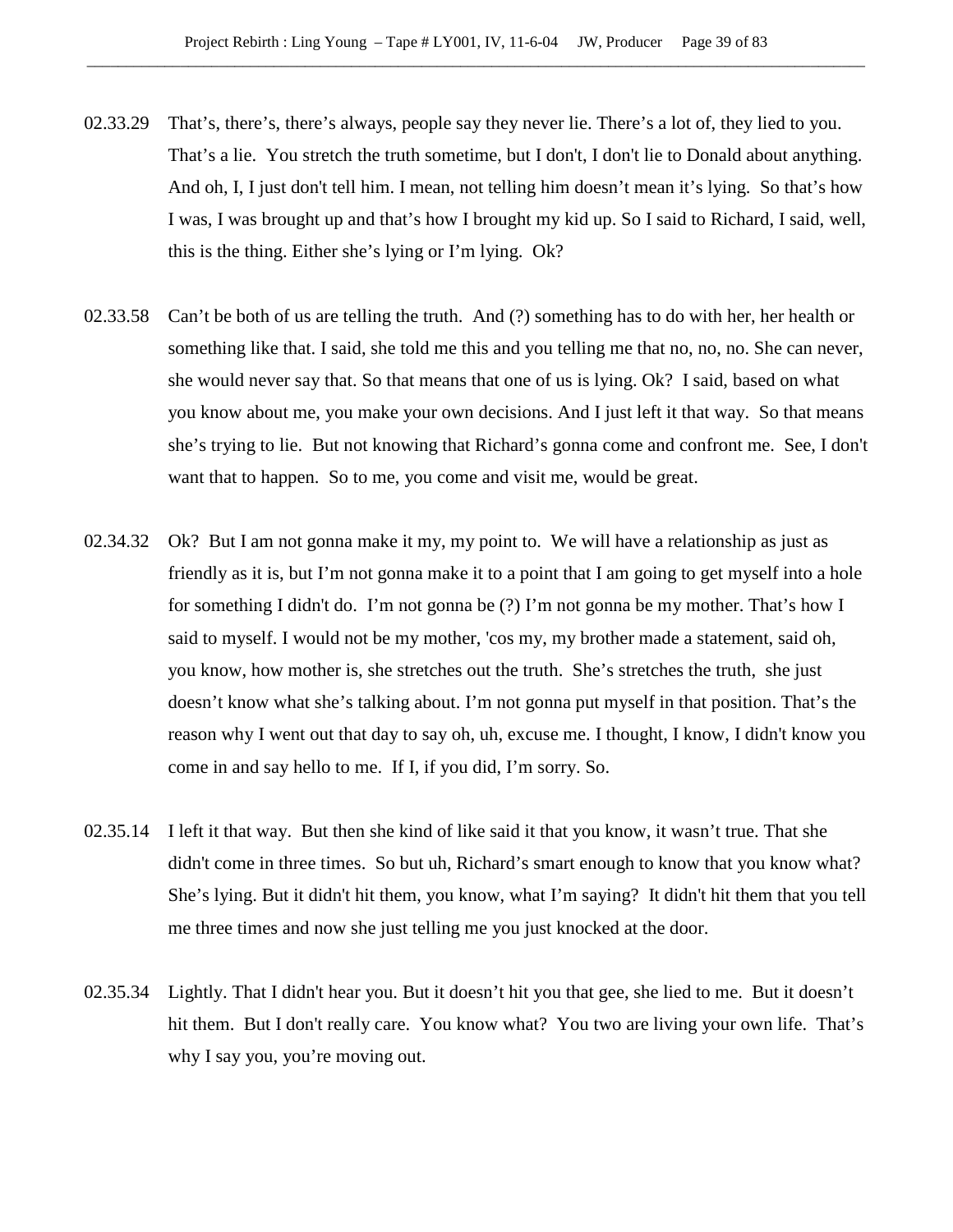- 02.33.29 That's, there's, there's always, people say they never lie. There's a lot of, they lied to you. That's a lie. You stretch the truth sometime, but I don't, I don't lie to Donald about anything. And oh, I, I just don't tell him. I mean, not telling him doesn't mean it's lying. So that's how I was, I was brought up and that's how I brought my kid up. So I said to Richard, I said, well, this is the thing. Either she's lying or I'm lying. Ok?
- 02.33.58 Can't be both of us are telling the truth. And (?) something has to do with her, her health or something like that. I said, she told me this and you telling me that no, no, no. She can never, she would never say that. So that means that one of us is lying. Ok? I said, based on what you know about me, you make your own decisions. And I just left it that way. So that means she's trying to lie. But not knowing that Richard's gonna come and confront me. See, I don't want that to happen. So to me, you come and visit me, would be great.
- 02.34.32 Ok? But I am not gonna make it my, my point to. We will have a relationship as just as friendly as it is, but I'm not gonna make it to a point that I am going to get myself into a hole for something I didn't do. I'm not gonna be (?) I'm not gonna be my mother. That's how I said to myself. I would not be my mother, 'cos my, my brother made a statement, said oh, you know, how mother is, she stretches out the truth. She's stretches the truth, she just doesn't know what she's talking about. I'm not gonna put myself in that position. That's the reason why I went out that day to say oh, uh, excuse me. I thought, I know, I didn't know you come in and say hello to me. If I, if you did, I'm sorry. So.
- 02.35.14 I left it that way. But then she kind of like said it that you know, it wasn't true. That she didn't come in three times. So but uh, Richard's smart enough to know that you know what? She's lying. But it didn't hit them, you know, what I'm saying? It didn't hit them that you tell me three times and now she just telling me you just knocked at the door.
- 02.35.34 Lightly. That I didn't hear you. But it doesn't hit you that gee, she lied to me. But it doesn't hit them. But I don't really care. You know what? You two are living your own life. That's why I say you, you're moving out.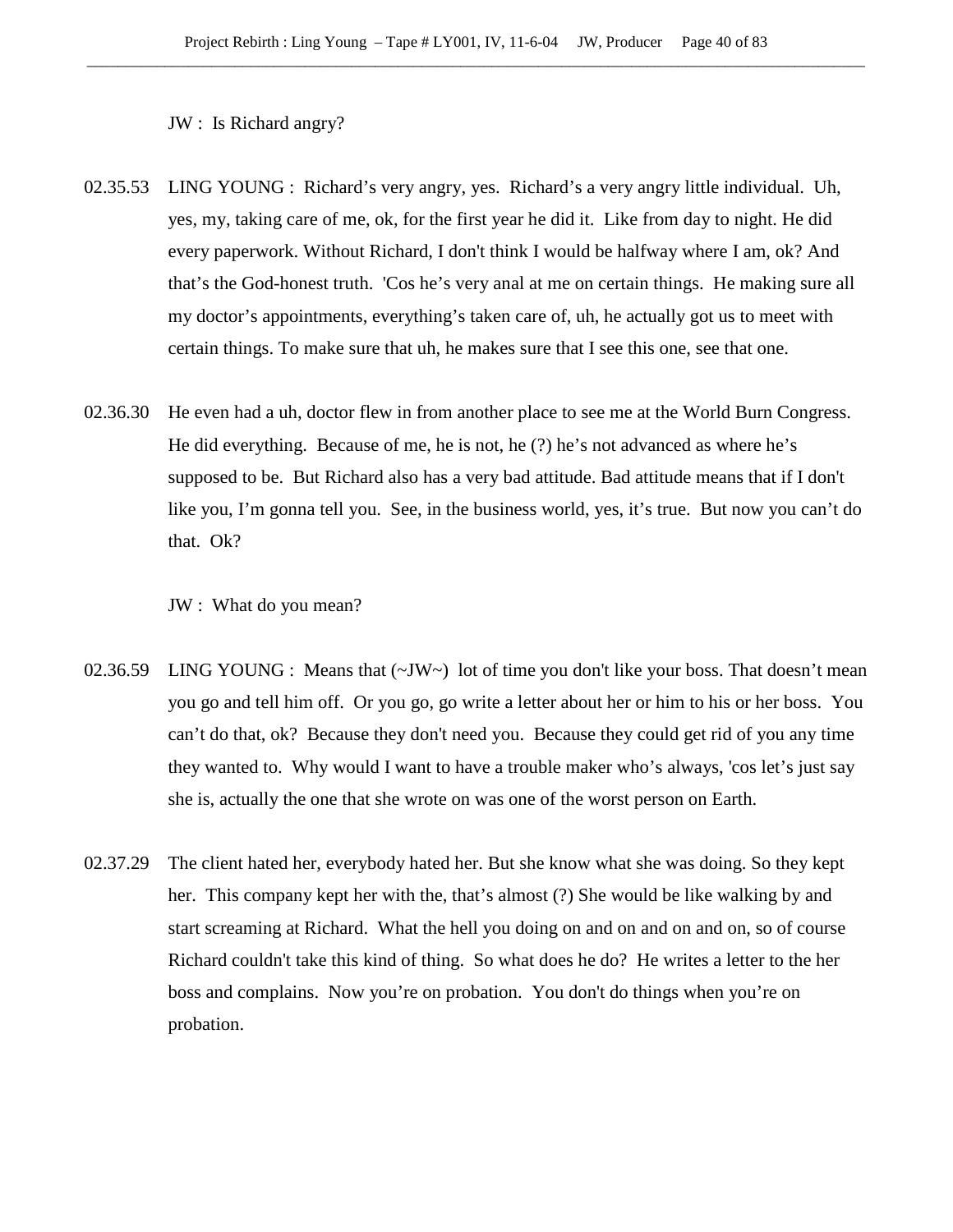## JW : Is Richard angry?

- 02.35.53 LING YOUNG : Richard's very angry, yes. Richard's a very angry little individual. Uh, yes, my, taking care of me, ok, for the first year he did it. Like from day to night. He did every paperwork. Without Richard, I don't think I would be halfway where I am, ok? And that's the God-honest truth. 'Cos he's very anal at me on certain things. He making sure all my doctor's appointments, everything's taken care of, uh, he actually got us to meet with certain things. To make sure that uh, he makes sure that I see this one, see that one.
- 02.36.30 He even had a uh, doctor flew in from another place to see me at the World Burn Congress. He did everything. Because of me, he is not, he (?) he's not advanced as where he's supposed to be. But Richard also has a very bad attitude. Bad attitude means that if I don't like you, I'm gonna tell you. See, in the business world, yes, it's true. But now you can't do that. Ok?

JW : What do you mean?

- 02.36.59 LING YOUNG : Means that  $(\sim JW\sim)$  lot of time you don't like your boss. That doesn't mean you go and tell him off. Or you go, go write a letter about her or him to his or her boss. You can't do that, ok? Because they don't need you. Because they could get rid of you any time they wanted to. Why would I want to have a trouble maker who's always, 'cos let's just say she is, actually the one that she wrote on was one of the worst person on Earth.
- 02.37.29 The client hated her, everybody hated her. But she know what she was doing. So they kept her. This company kept her with the, that's almost (?) She would be like walking by and start screaming at Richard. What the hell you doing on and on and on and on, so of course Richard couldn't take this kind of thing. So what does he do? He writes a letter to the her boss and complains. Now you're on probation. You don't do things when you're on probation.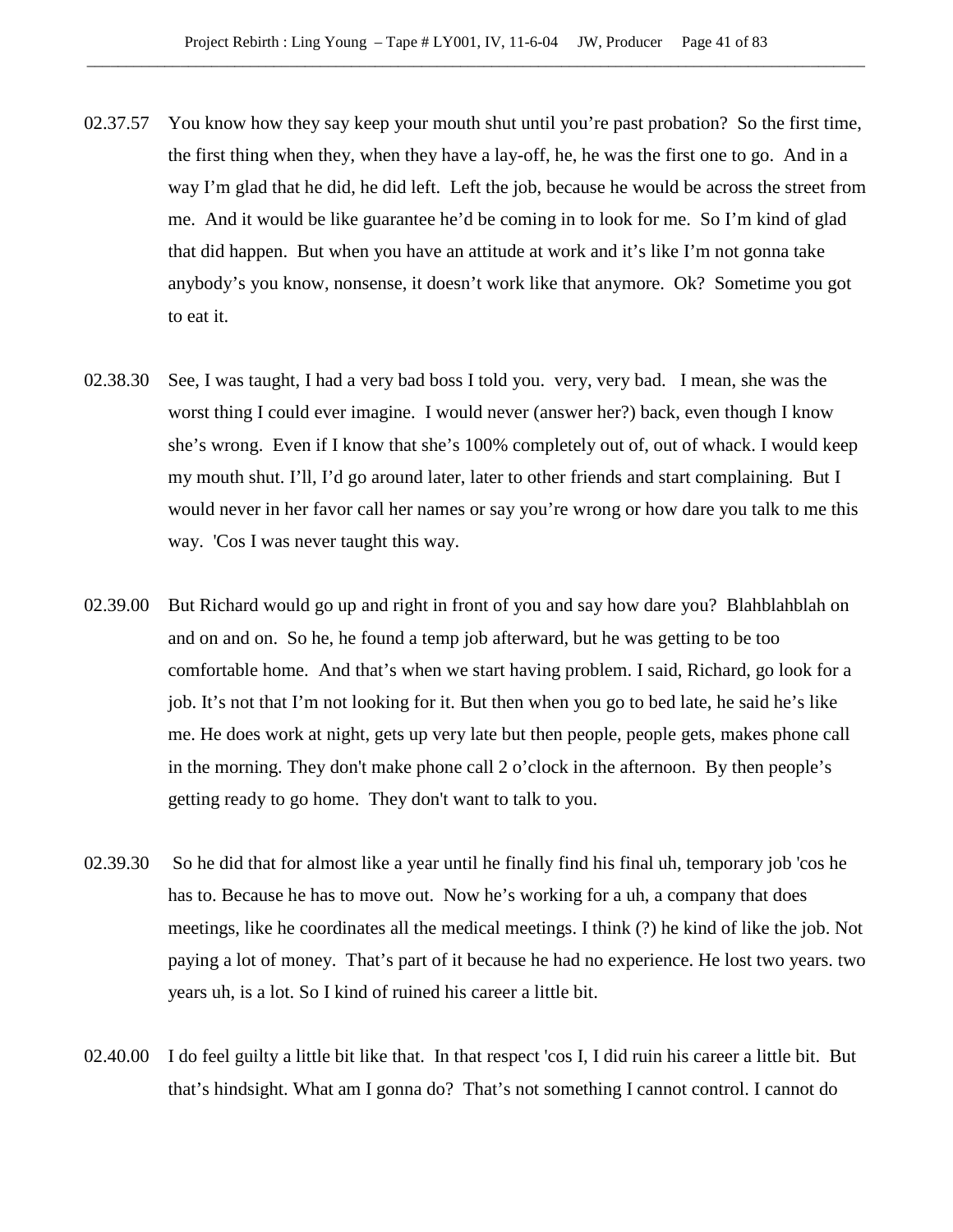- 02.37.57 You know how they say keep your mouth shut until you're past probation? So the first time, the first thing when they, when they have a lay-off, he, he was the first one to go. And in a way I'm glad that he did, he did left. Left the job, because he would be across the street from me. And it would be like guarantee he'd be coming in to look for me. So I'm kind of glad that did happen. But when you have an attitude at work and it's like I'm not gonna take anybody's you know, nonsense, it doesn't work like that anymore. Ok? Sometime you got to eat it.
- 02.38.30 See, I was taught, I had a very bad boss I told you. very, very bad. I mean, she was the worst thing I could ever imagine. I would never (answer her?) back, even though I know she's wrong. Even if I know that she's 100% completely out of, out of whack. I would keep my mouth shut. I'll, I'd go around later, later to other friends and start complaining. But I would never in her favor call her names or say you're wrong or how dare you talk to me this way. 'Cos I was never taught this way.
- 02.39.00 But Richard would go up and right in front of you and say how dare you? Blahblahblah on and on and on. So he, he found a temp job afterward, but he was getting to be too comfortable home. And that's when we start having problem. I said, Richard, go look for a job. It's not that I'm not looking for it. But then when you go to bed late, he said he's like me. He does work at night, gets up very late but then people, people gets, makes phone call in the morning. They don't make phone call 2 o'clock in the afternoon. By then people's getting ready to go home. They don't want to talk to you.
- 02.39.30 So he did that for almost like a year until he finally find his final uh, temporary job 'cos he has to. Because he has to move out. Now he's working for a uh, a company that does meetings, like he coordinates all the medical meetings. I think (?) he kind of like the job. Not paying a lot of money. That's part of it because he had no experience. He lost two years. two years uh, is a lot. So I kind of ruined his career a little bit.
- 02.40.00 I do feel guilty a little bit like that. In that respect 'cos I, I did ruin his career a little bit. But that's hindsight. What am I gonna do? That's not something I cannot control. I cannot do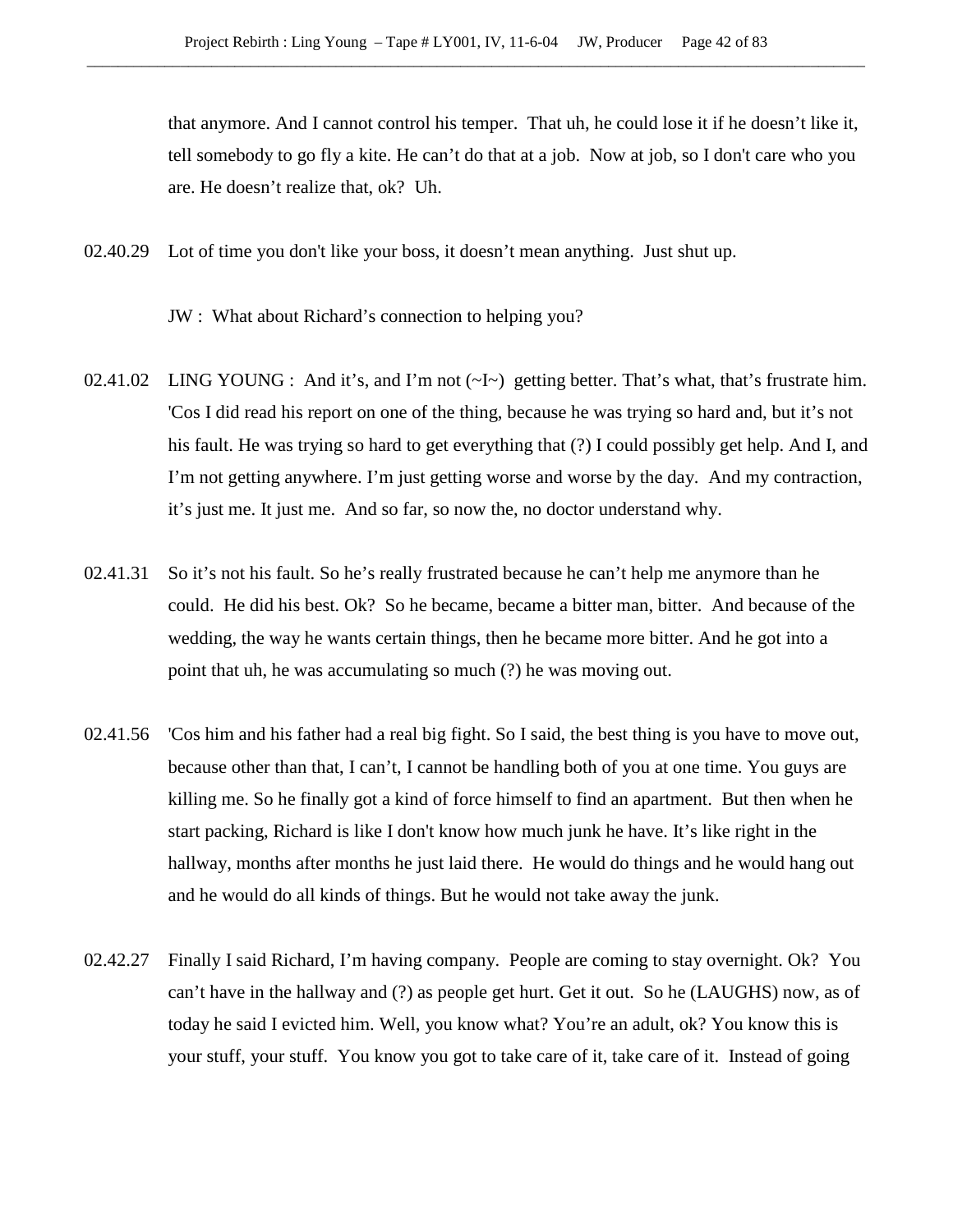that anymore. And I cannot control his temper. That uh, he could lose it if he doesn't like it, tell somebody to go fly a kite. He can't do that at a job. Now at job, so I don't care who you are. He doesn't realize that, ok? Uh.

02.40.29 Lot of time you don't like your boss, it doesn't mean anything. Just shut up.

JW : What about Richard's connection to helping you?

- 02.41.02 LING YOUNG : And it's, and I'm not  $(\sim I \sim)$  getting better. That's what, that's frustrate him. 'Cos I did read his report on one of the thing, because he was trying so hard and, but it's not his fault. He was trying so hard to get everything that (?) I could possibly get help. And I, and I'm not getting anywhere. I'm just getting worse and worse by the day. And my contraction, it's just me. It just me. And so far, so now the, no doctor understand why.
- 02.41.31 So it's not his fault. So he's really frustrated because he can't help me anymore than he could. He did his best. Ok? So he became, became a bitter man, bitter. And because of the wedding, the way he wants certain things, then he became more bitter. And he got into a point that uh, he was accumulating so much (?) he was moving out.
- 02.41.56 'Cos him and his father had a real big fight. So I said, the best thing is you have to move out, because other than that, I can't, I cannot be handling both of you at one time. You guys are killing me. So he finally got a kind of force himself to find an apartment. But then when he start packing, Richard is like I don't know how much junk he have. It's like right in the hallway, months after months he just laid there. He would do things and he would hang out and he would do all kinds of things. But he would not take away the junk.
- 02.42.27 Finally I said Richard, I'm having company. People are coming to stay overnight. Ok? You can't have in the hallway and (?) as people get hurt. Get it out. So he (LAUGHS) now, as of today he said I evicted him. Well, you know what? You're an adult, ok? You know this is your stuff, your stuff. You know you got to take care of it, take care of it. Instead of going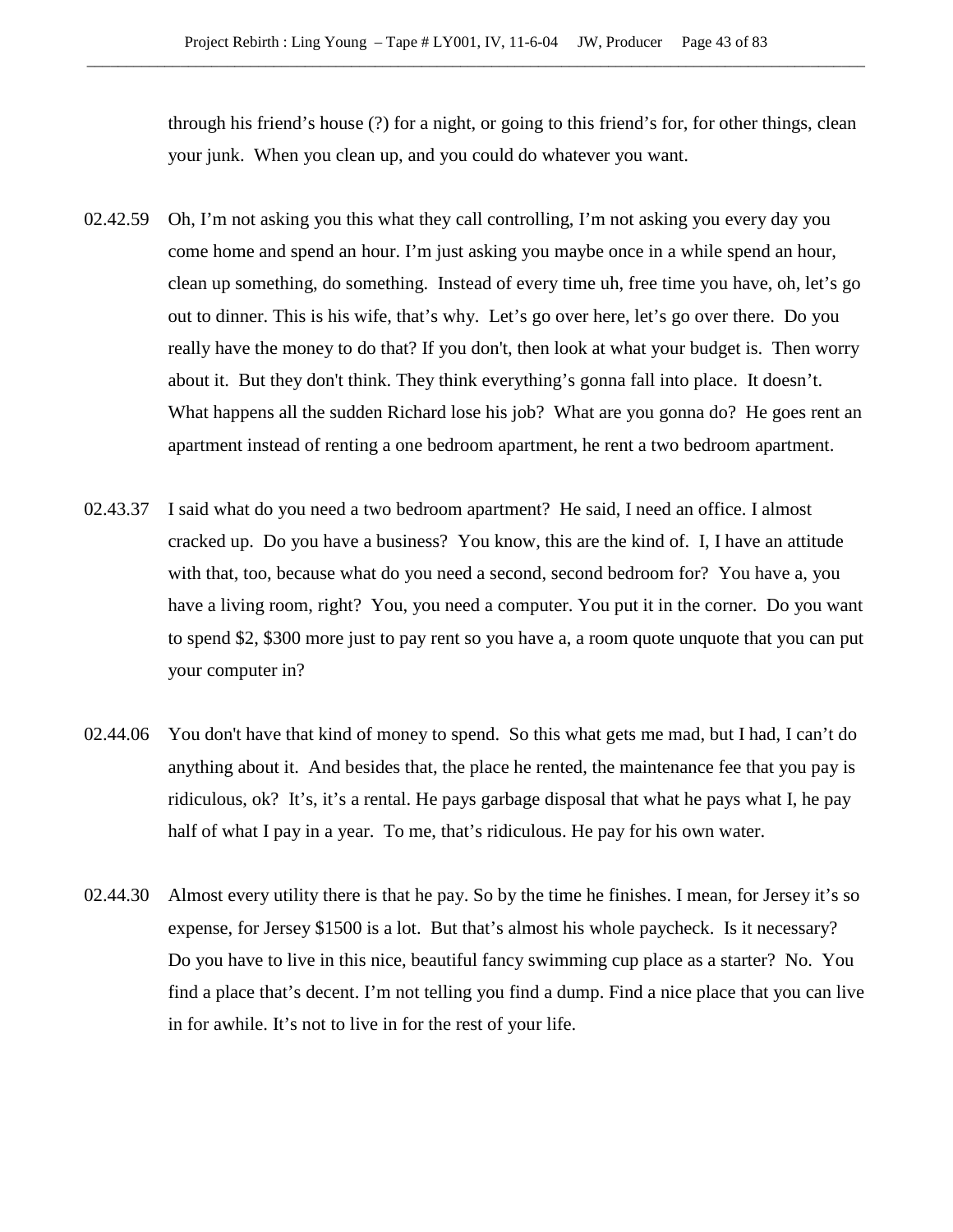through his friend's house (?) for a night, or going to this friend's for, for other things, clean your junk. When you clean up, and you could do whatever you want.

- 02.42.59 Oh, I'm not asking you this what they call controlling, I'm not asking you every day you come home and spend an hour. I'm just asking you maybe once in a while spend an hour, clean up something, do something. Instead of every time uh, free time you have, oh, let's go out to dinner. This is his wife, that's why. Let's go over here, let's go over there. Do you really have the money to do that? If you don't, then look at what your budget is. Then worry about it. But they don't think. They think everything's gonna fall into place. It doesn't. What happens all the sudden Richard lose his job? What are you gonna do? He goes rent an apartment instead of renting a one bedroom apartment, he rent a two bedroom apartment.
- 02.43.37 I said what do you need a two bedroom apartment? He said, I need an office. I almost cracked up. Do you have a business? You know, this are the kind of. I, I have an attitude with that, too, because what do you need a second, second bedroom for? You have a, you have a living room, right? You, you need a computer. You put it in the corner. Do you want to spend \$2, \$300 more just to pay rent so you have a, a room quote unquote that you can put your computer in?
- 02.44.06 You don't have that kind of money to spend. So this what gets me mad, but I had, I can't do anything about it. And besides that, the place he rented, the maintenance fee that you pay is ridiculous, ok? It's, it's a rental. He pays garbage disposal that what he pays what I, he pay half of what I pay in a year. To me, that's ridiculous. He pay for his own water.
- 02.44.30 Almost every utility there is that he pay. So by the time he finishes. I mean, for Jersey it's so expense, for Jersey \$1500 is a lot. But that's almost his whole paycheck. Is it necessary? Do you have to live in this nice, beautiful fancy swimming cup place as a starter? No. You find a place that's decent. I'm not telling you find a dump. Find a nice place that you can live in for awhile. It's not to live in for the rest of your life.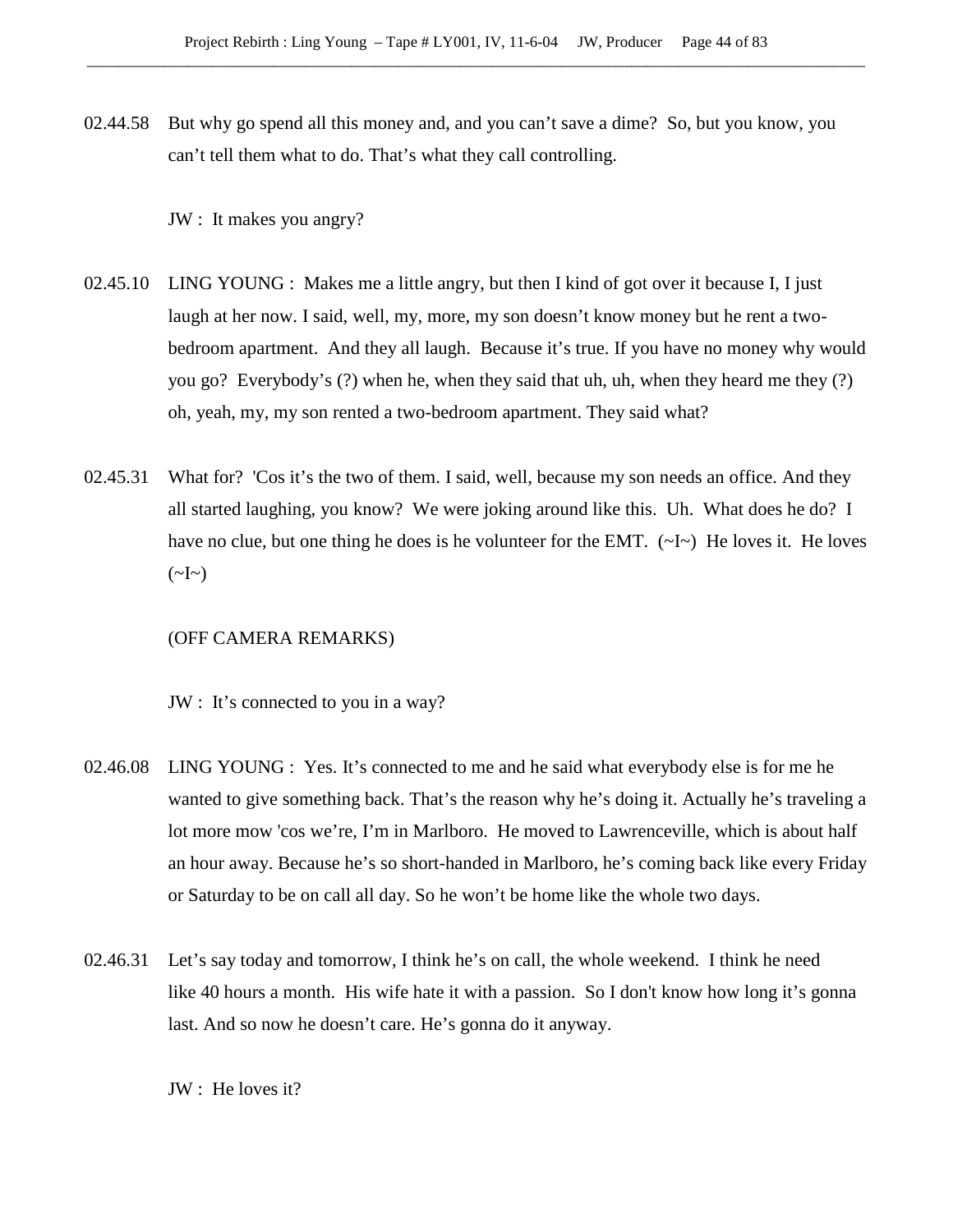02.44.58 But why go spend all this money and, and you can't save a dime? So, but you know, you can't tell them what to do. That's what they call controlling.

JW : It makes you angry?

- 02.45.10 LING YOUNG : Makes me a little angry, but then I kind of got over it because I, I just laugh at her now. I said, well, my, more, my son doesn't know money but he rent a twobedroom apartment. And they all laugh. Because it's true. If you have no money why would you go? Everybody's (?) when he, when they said that uh, uh, when they heard me they (?) oh, yeah, my, my son rented a two-bedroom apartment. They said what?
- 02.45.31 What for? 'Cos it's the two of them. I said, well, because my son needs an office. And they all started laughing, you know? We were joking around like this. Uh. What does he do? I have no clue, but one thing he does is he volunteer for the EMT.  $(\sim I \sim)$  He loves it. He loves  $(\sim]_{\sim})$

## (OFF CAMERA REMARKS)

JW : It's connected to you in a way?

- 02.46.08 LING YOUNG : Yes. It's connected to me and he said what everybody else is for me he wanted to give something back. That's the reason why he's doing it. Actually he's traveling a lot more mow 'cos we're, I'm in Marlboro. He moved to Lawrenceville, which is about half an hour away. Because he's so short-handed in Marlboro, he's coming back like every Friday or Saturday to be on call all day. So he won't be home like the whole two days.
- 02.46.31 Let's say today and tomorrow, I think he's on call, the whole weekend. I think he need like 40 hours a month. His wife hate it with a passion. So I don't know how long it's gonna last. And so now he doesn't care. He's gonna do it anyway.

JW : He loves it?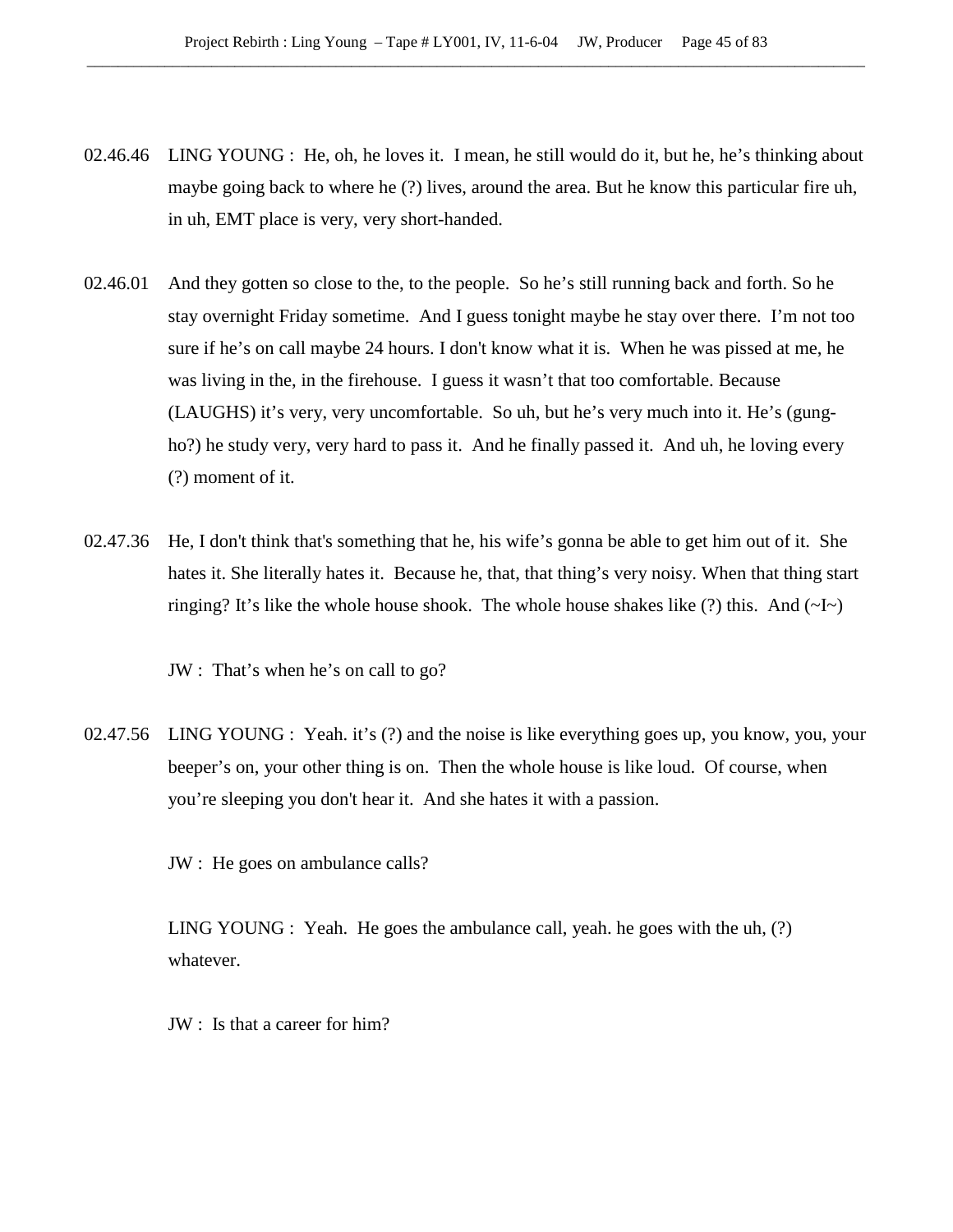- 02.46.46 LING YOUNG : He, oh, he loves it. I mean, he still would do it, but he, he's thinking about maybe going back to where he (?) lives, around the area. But he know this particular fire uh, in uh, EMT place is very, very short-handed.
- 02.46.01 And they gotten so close to the, to the people. So he's still running back and forth. So he stay overnight Friday sometime. And I guess tonight maybe he stay over there. I'm not too sure if he's on call maybe 24 hours. I don't know what it is. When he was pissed at me, he was living in the, in the firehouse. I guess it wasn't that too comfortable. Because (LAUGHS) it's very, very uncomfortable. So uh, but he's very much into it. He's (gungho?) he study very, very hard to pass it. And he finally passed it. And uh, he loving every (?) moment of it.
- 02.47.36 He, I don't think that's something that he, his wife's gonna be able to get him out of it. She hates it. She literally hates it. Because he, that, that thing's very noisy. When that thing start ringing? It's like the whole house shook. The whole house shakes like (?) this. And  $(\sim]$

JW : That's when he's on call to go?

02.47.56 LING YOUNG : Yeah. it's (?) and the noise is like everything goes up, you know, you, your beeper's on, your other thing is on. Then the whole house is like loud. Of course, when you're sleeping you don't hear it. And she hates it with a passion.

JW : He goes on ambulance calls?

LING YOUNG : Yeah. He goes the ambulance call, yeah. he goes with the uh, (?) whatever.

JW : Is that a career for him?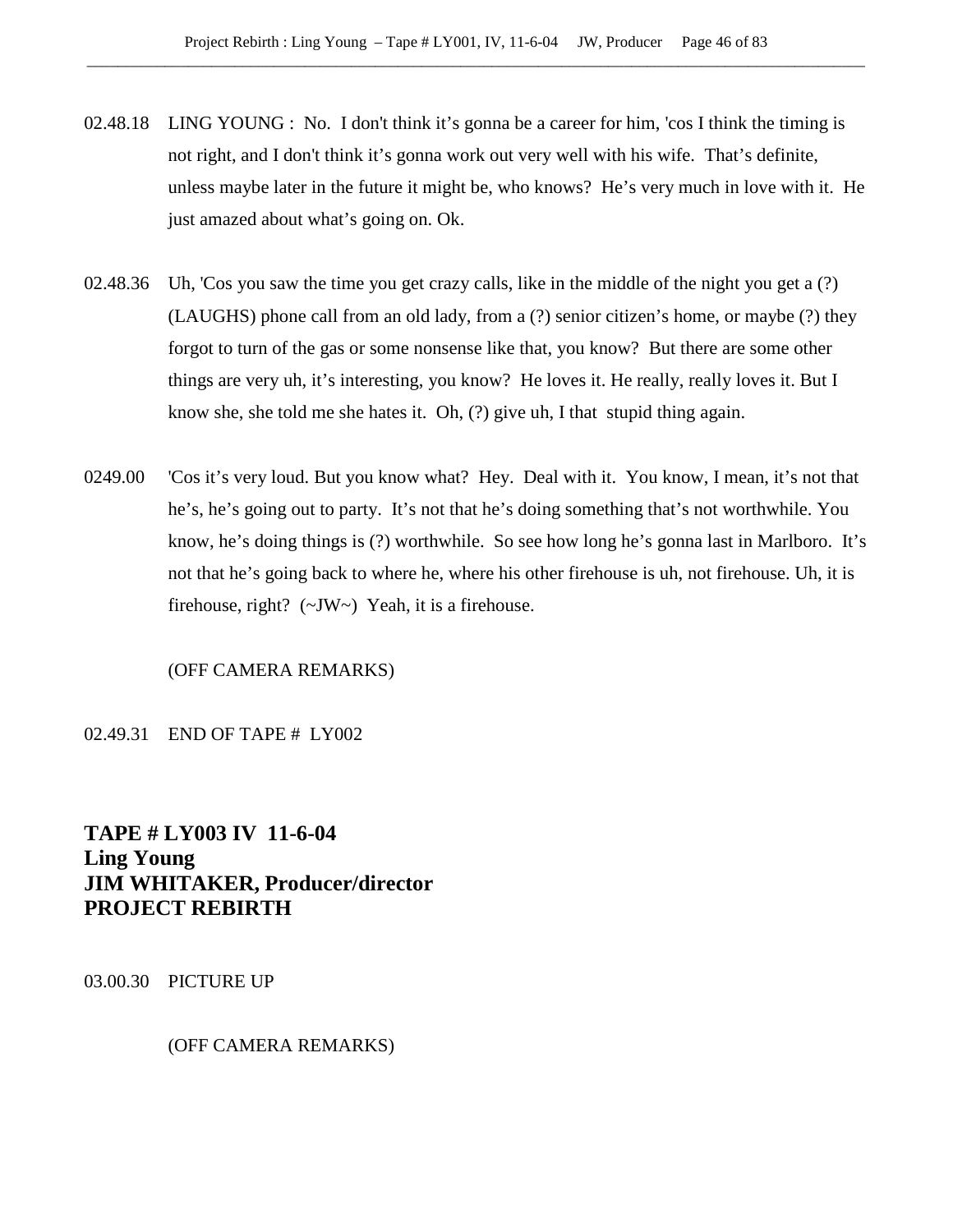- 02.48.18 LING YOUNG : No. I don't think it's gonna be a career for him, 'cos I think the timing is not right, and I don't think it's gonna work out very well with his wife. That's definite, unless maybe later in the future it might be, who knows? He's very much in love with it. He just amazed about what's going on. Ok.
- 02.48.36 Uh, 'Cos you saw the time you get crazy calls, like in the middle of the night you get a (?) (LAUGHS) phone call from an old lady, from a (?) senior citizen's home, or maybe (?) they forgot to turn of the gas or some nonsense like that, you know? But there are some other things are very uh, it's interesting, you know? He loves it. He really, really loves it. But I know she, she told me she hates it. Oh, (?) give uh, I that stupid thing again.
- 0249.00 'Cos it's very loud. But you know what? Hey. Deal with it. You know, I mean, it's not that he's, he's going out to party. It's not that he's doing something that's not worthwhile. You know, he's doing things is (?) worthwhile. So see how long he's gonna last in Marlboro. It's not that he's going back to where he, where his other firehouse is uh, not firehouse. Uh, it is firehouse, right? (~JW~) Yeah, it is a firehouse.

(OFF CAMERA REMARKS)

02.49.31 END OF TAPE # LY002

**TAPE # LY003 IV 11-6-04 Ling Young JIM WHITAKER, Producer/director PROJECT REBIRTH**

03.00.30 PICTURE UP

(OFF CAMERA REMARKS)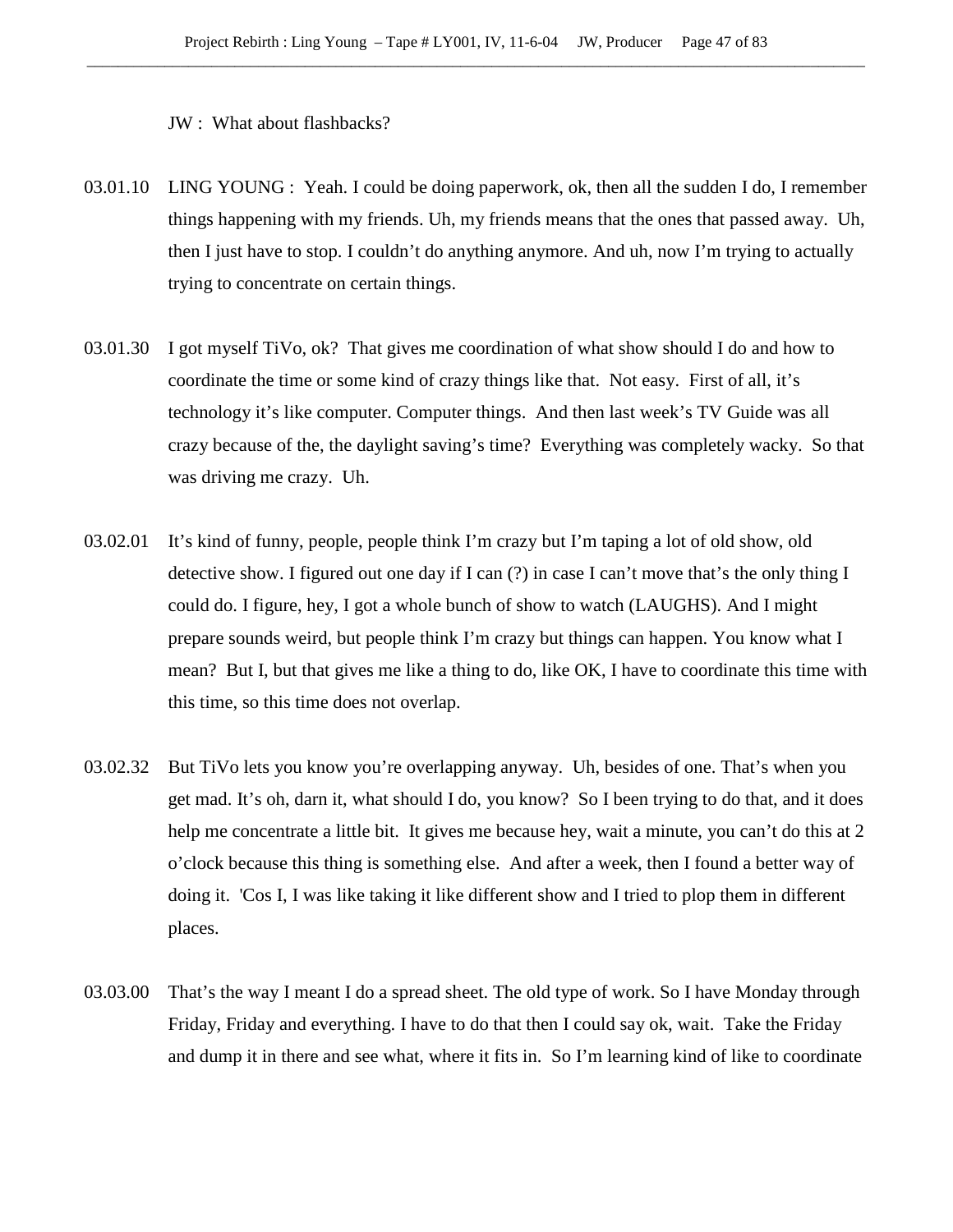JW : What about flashbacks?

- 03.01.10 LING YOUNG : Yeah. I could be doing paperwork, ok, then all the sudden I do, I remember things happening with my friends. Uh, my friends means that the ones that passed away. Uh, then I just have to stop. I couldn't do anything anymore. And uh, now I'm trying to actually trying to concentrate on certain things.
- 03.01.30 I got myself TiVo, ok? That gives me coordination of what show should I do and how to coordinate the time or some kind of crazy things like that. Not easy. First of all, it's technology it's like computer. Computer things. And then last week's TV Guide was all crazy because of the, the daylight saving's time? Everything was completely wacky. So that was driving me crazy. Uh.
- 03.02.01 It's kind of funny, people, people think I'm crazy but I'm taping a lot of old show, old detective show. I figured out one day if I can (?) in case I can't move that's the only thing I could do. I figure, hey, I got a whole bunch of show to watch (LAUGHS). And I might prepare sounds weird, but people think I'm crazy but things can happen. You know what I mean? But I, but that gives me like a thing to do, like OK, I have to coordinate this time with this time, so this time does not overlap.
- 03.02.32 But TiVo lets you know you're overlapping anyway. Uh, besides of one. That's when you get mad. It's oh, darn it, what should I do, you know? So I been trying to do that, and it does help me concentrate a little bit. It gives me because hey, wait a minute, you can't do this at 2 o'clock because this thing is something else. And after a week, then I found a better way of doing it. 'Cos I, I was like taking it like different show and I tried to plop them in different places.
- 03.03.00 That's the way I meant I do a spread sheet. The old type of work. So I have Monday through Friday, Friday and everything. I have to do that then I could say ok, wait. Take the Friday and dump it in there and see what, where it fits in. So I'm learning kind of like to coordinate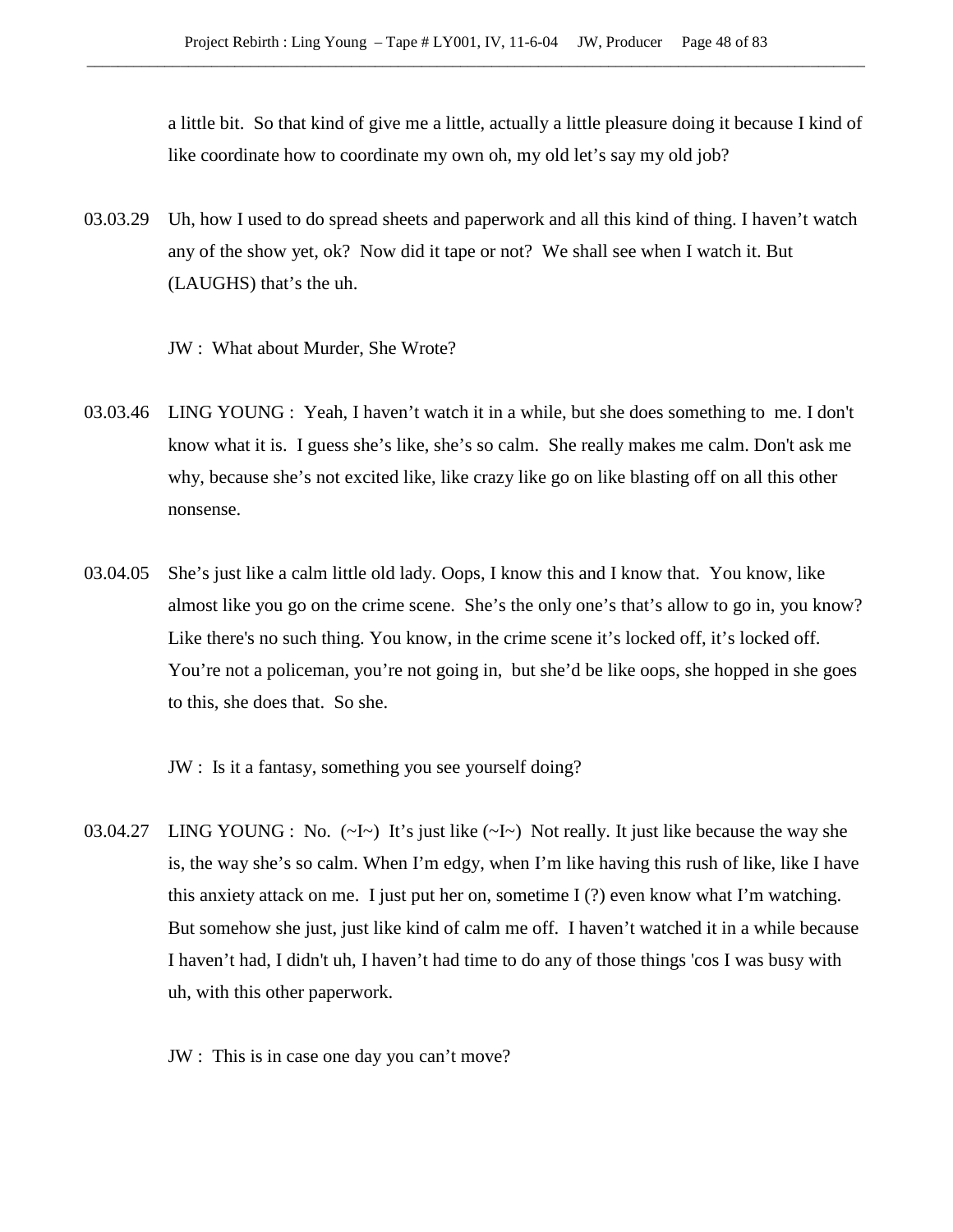a little bit. So that kind of give me a little, actually a little pleasure doing it because I kind of like coordinate how to coordinate my own oh, my old let's say my old job?

03.03.29 Uh, how I used to do spread sheets and paperwork and all this kind of thing. I haven't watch any of the show yet, ok? Now did it tape or not? We shall see when I watch it. But (LAUGHS) that's the uh.

JW : What about Murder, She Wrote?

- 03.03.46 LING YOUNG : Yeah, I haven't watch it in a while, but she does something to me. I don't know what it is. I guess she's like, she's so calm. She really makes me calm. Don't ask me why, because she's not excited like, like crazy like go on like blasting off on all this other nonsense.
- 03.04.05 She's just like a calm little old lady. Oops, I know this and I know that. You know, like almost like you go on the crime scene. She's the only one's that's allow to go in, you know? Like there's no such thing. You know, in the crime scene it's locked off, it's locked off. You're not a policeman, you're not going in, but she'd be like oops, she hopped in she goes to this, she does that. So she.

JW : Is it a fantasy, something you see yourself doing?

- 03.04.27 LING YOUNG : No.  $(\sim I \sim)$  It's just like  $(\sim I \sim)$  Not really. It just like because the way she is, the way she's so calm. When I'm edgy, when I'm like having this rush of like, like I have this anxiety attack on me. I just put her on, sometime I (?) even know what I'm watching. But somehow she just, just like kind of calm me off. I haven't watched it in a while because I haven't had, I didn't uh, I haven't had time to do any of those things 'cos I was busy with uh, with this other paperwork.
	- JW : This is in case one day you can't move?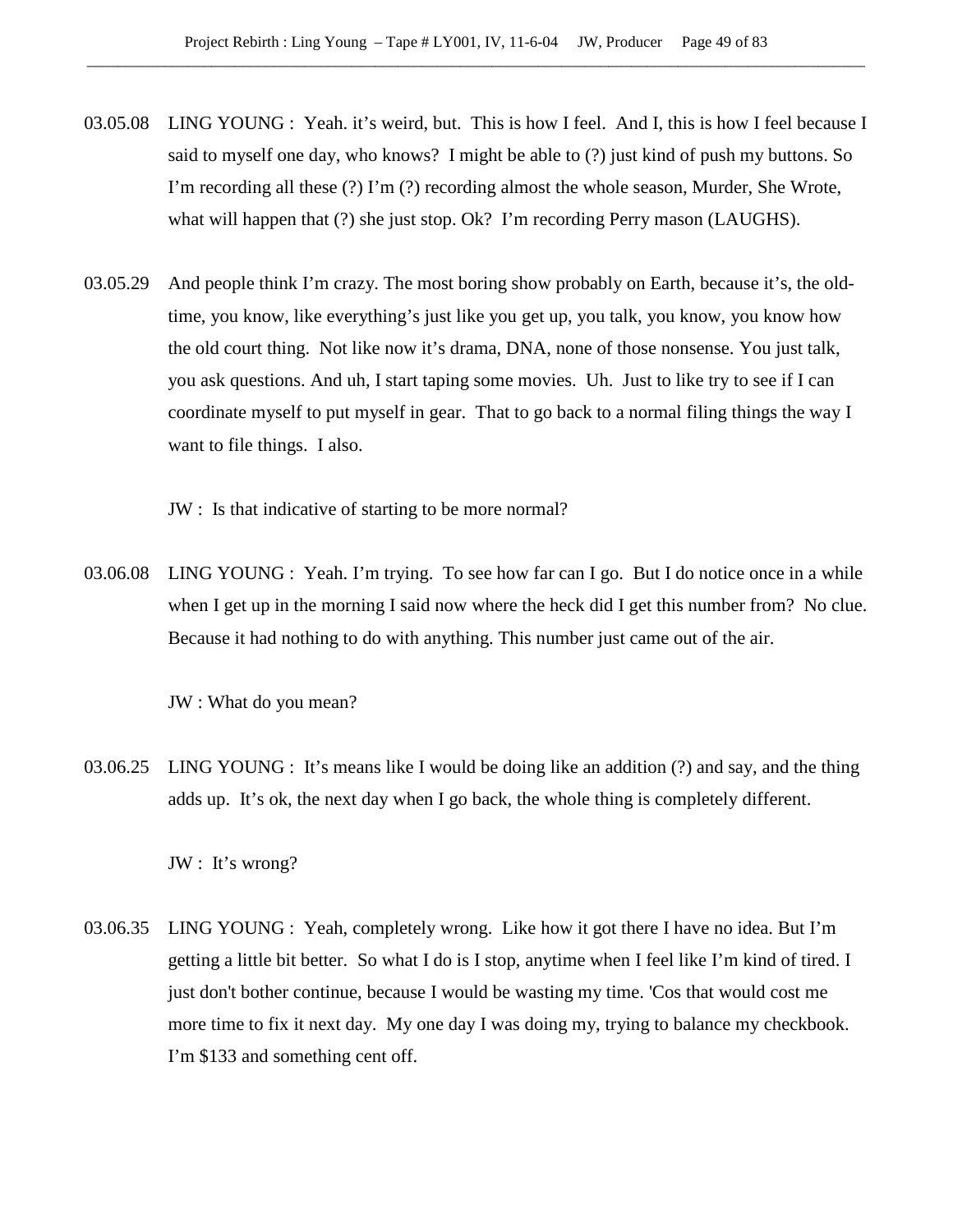- 03.05.08 LING YOUNG : Yeah. it's weird, but. This is how I feel. And I, this is how I feel because I said to myself one day, who knows? I might be able to (?) just kind of push my buttons. So I'm recording all these (?) I'm (?) recording almost the whole season, Murder, She Wrote, what will happen that (?) she just stop. Ok? I'm recording Perry mason (LAUGHS).
- 03.05.29 And people think I'm crazy. The most boring show probably on Earth, because it's, the oldtime, you know, like everything's just like you get up, you talk, you know, you know how the old court thing. Not like now it's drama, DNA, none of those nonsense. You just talk, you ask questions. And uh, I start taping some movies. Uh. Just to like try to see if I can coordinate myself to put myself in gear. That to go back to a normal filing things the way I want to file things. I also.

JW : Is that indicative of starting to be more normal?

03.06.08 LING YOUNG : Yeah. I'm trying. To see how far can I go. But I do notice once in a while when I get up in the morning I said now where the heck did I get this number from? No clue. Because it had nothing to do with anything. This number just came out of the air.

JW : What do you mean?

03.06.25 LING YOUNG : It's means like I would be doing like an addition (?) and say, and the thing adds up. It's ok, the next day when I go back, the whole thing is completely different.

JW : It's wrong?

03.06.35 LING YOUNG : Yeah, completely wrong. Like how it got there I have no idea. But I'm getting a little bit better. So what I do is I stop, anytime when I feel like I'm kind of tired. I just don't bother continue, because I would be wasting my time. 'Cos that would cost me more time to fix it next day. My one day I was doing my, trying to balance my checkbook. I'm \$133 and something cent off.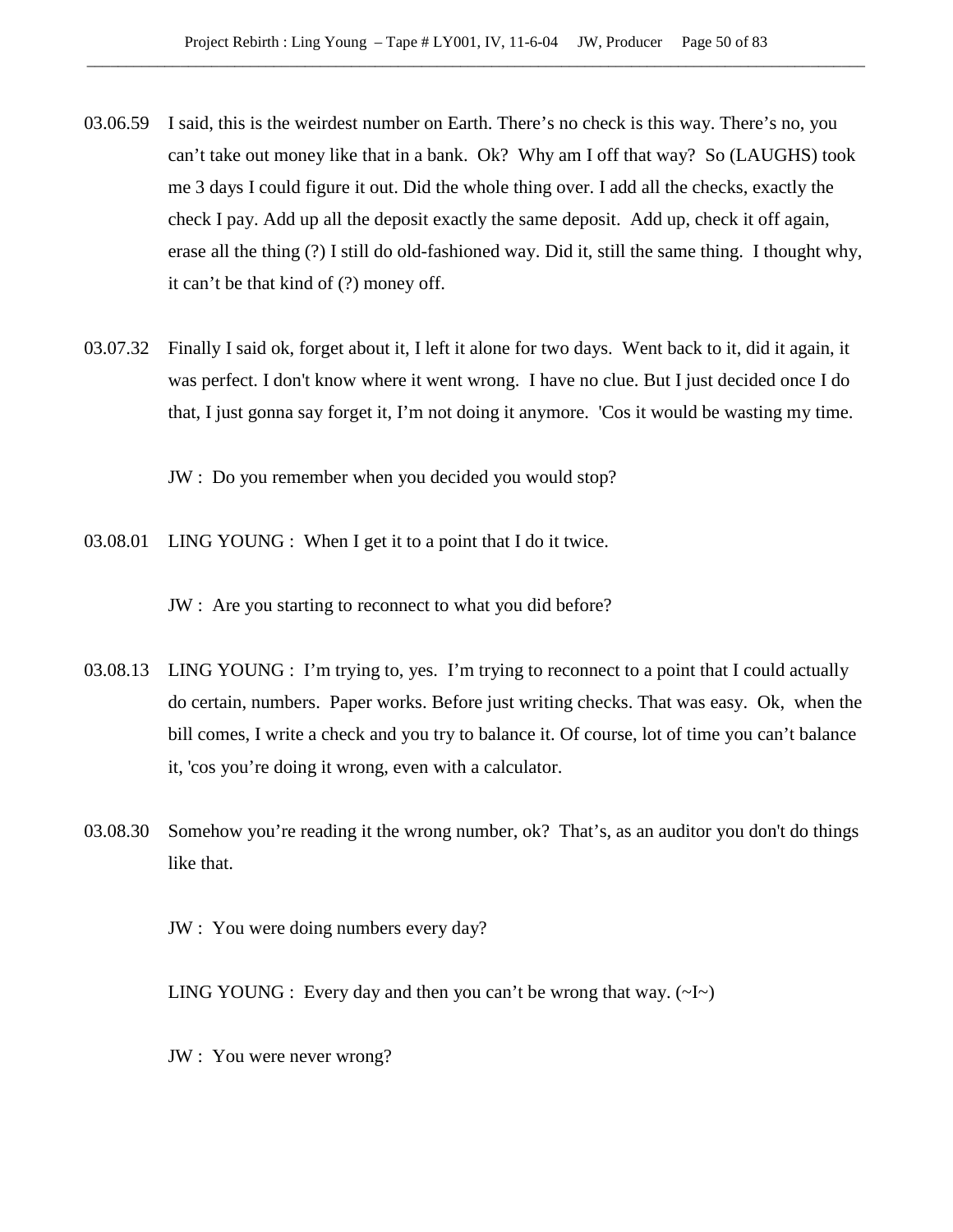- 03.06.59 I said, this is the weirdest number on Earth. There's no check is this way. There's no, you can't take out money like that in a bank. Ok? Why am I off that way? So (LAUGHS) took me 3 days I could figure it out. Did the whole thing over. I add all the checks, exactly the check I pay. Add up all the deposit exactly the same deposit. Add up, check it off again, erase all the thing (?) I still do old-fashioned way. Did it, still the same thing. I thought why, it can't be that kind of (?) money off.
- 03.07.32 Finally I said ok, forget about it, I left it alone for two days. Went back to it, did it again, it was perfect. I don't know where it went wrong. I have no clue. But I just decided once I do that, I just gonna say forget it, I'm not doing it anymore. 'Cos it would be wasting my time.

JW : Do you remember when you decided you would stop?

03.08.01 LING YOUNG : When I get it to a point that I do it twice.

JW : Are you starting to reconnect to what you did before?

- 03.08.13 LING YOUNG : I'm trying to, yes. I'm trying to reconnect to a point that I could actually do certain, numbers. Paper works. Before just writing checks. That was easy. Ok, when the bill comes, I write a check and you try to balance it. Of course, lot of time you can't balance it, 'cos you're doing it wrong, even with a calculator.
- 03.08.30 Somehow you're reading it the wrong number, ok? That's, as an auditor you don't do things like that.

JW : You were doing numbers every day?

LING YOUNG : Every day and then you can't be wrong that way.  $(\sim I \sim)$ 

JW : You were never wrong?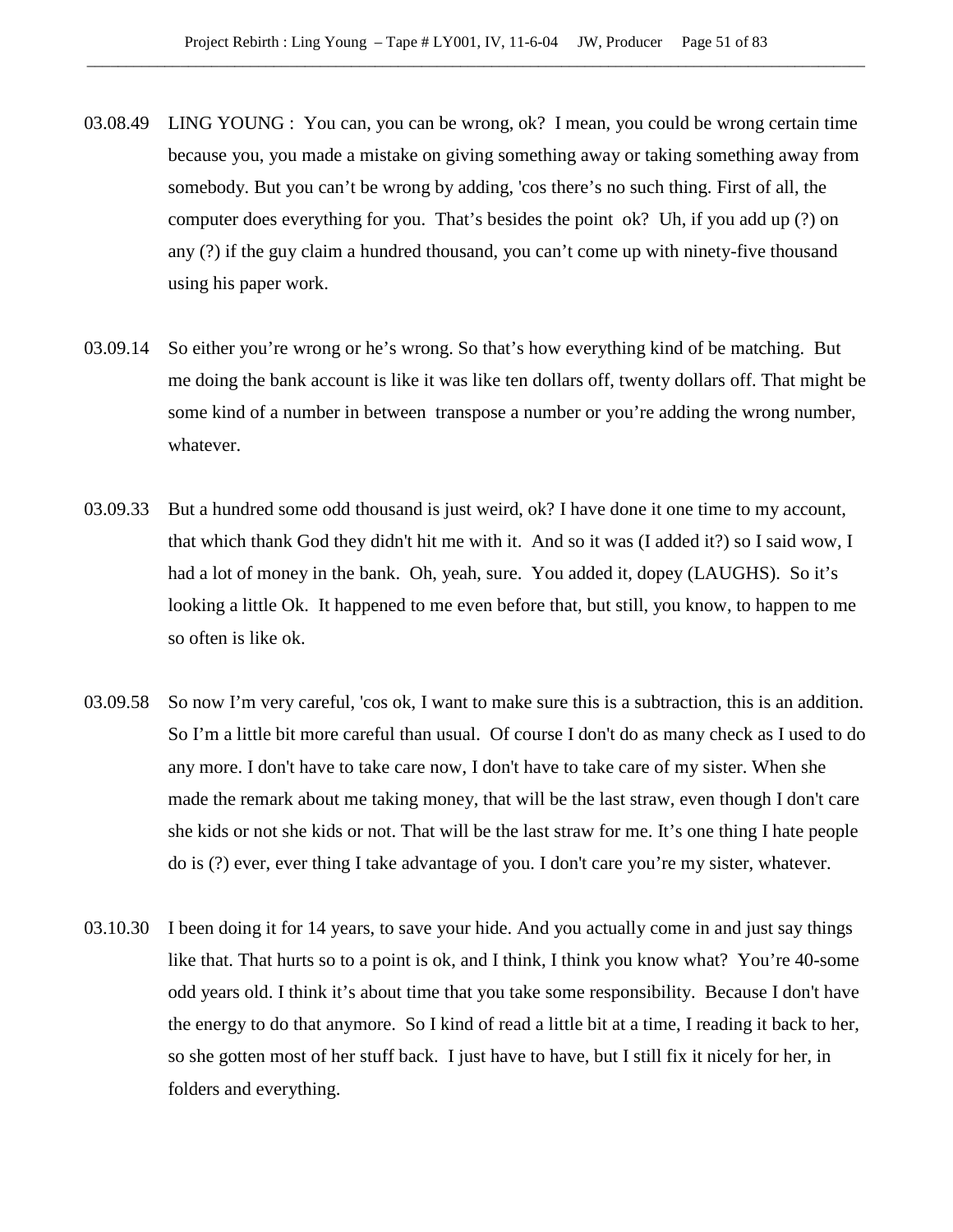- 03.08.49 LING YOUNG : You can, you can be wrong, ok? I mean, you could be wrong certain time because you, you made a mistake on giving something away or taking something away from somebody. But you can't be wrong by adding, 'cos there's no such thing. First of all, the computer does everything for you. That's besides the point ok? Uh, if you add up (?) on any (?) if the guy claim a hundred thousand, you can't come up with ninety-five thousand using his paper work.
- 03.09.14 So either you're wrong or he's wrong. So that's how everything kind of be matching. But me doing the bank account is like it was like ten dollars off, twenty dollars off. That might be some kind of a number in between transpose a number or you're adding the wrong number, whatever.
- 03.09.33 But a hundred some odd thousand is just weird, ok? I have done it one time to my account, that which thank God they didn't hit me with it. And so it was (I added it?) so I said wow, I had a lot of money in the bank. Oh, yeah, sure. You added it, dopey (LAUGHS). So it's looking a little Ok. It happened to me even before that, but still, you know, to happen to me so often is like ok.
- 03.09.58 So now I'm very careful, 'cos ok, I want to make sure this is a subtraction, this is an addition. So I'm a little bit more careful than usual. Of course I don't do as many check as I used to do any more. I don't have to take care now, I don't have to take care of my sister. When she made the remark about me taking money, that will be the last straw, even though I don't care she kids or not she kids or not. That will be the last straw for me. It's one thing I hate people do is (?) ever, ever thing I take advantage of you. I don't care you're my sister, whatever.
- 03.10.30 I been doing it for 14 years, to save your hide. And you actually come in and just say things like that. That hurts so to a point is ok, and I think, I think you know what? You're 40-some odd years old. I think it's about time that you take some responsibility. Because I don't have the energy to do that anymore. So I kind of read a little bit at a time, I reading it back to her, so she gotten most of her stuff back. I just have to have, but I still fix it nicely for her, in folders and everything.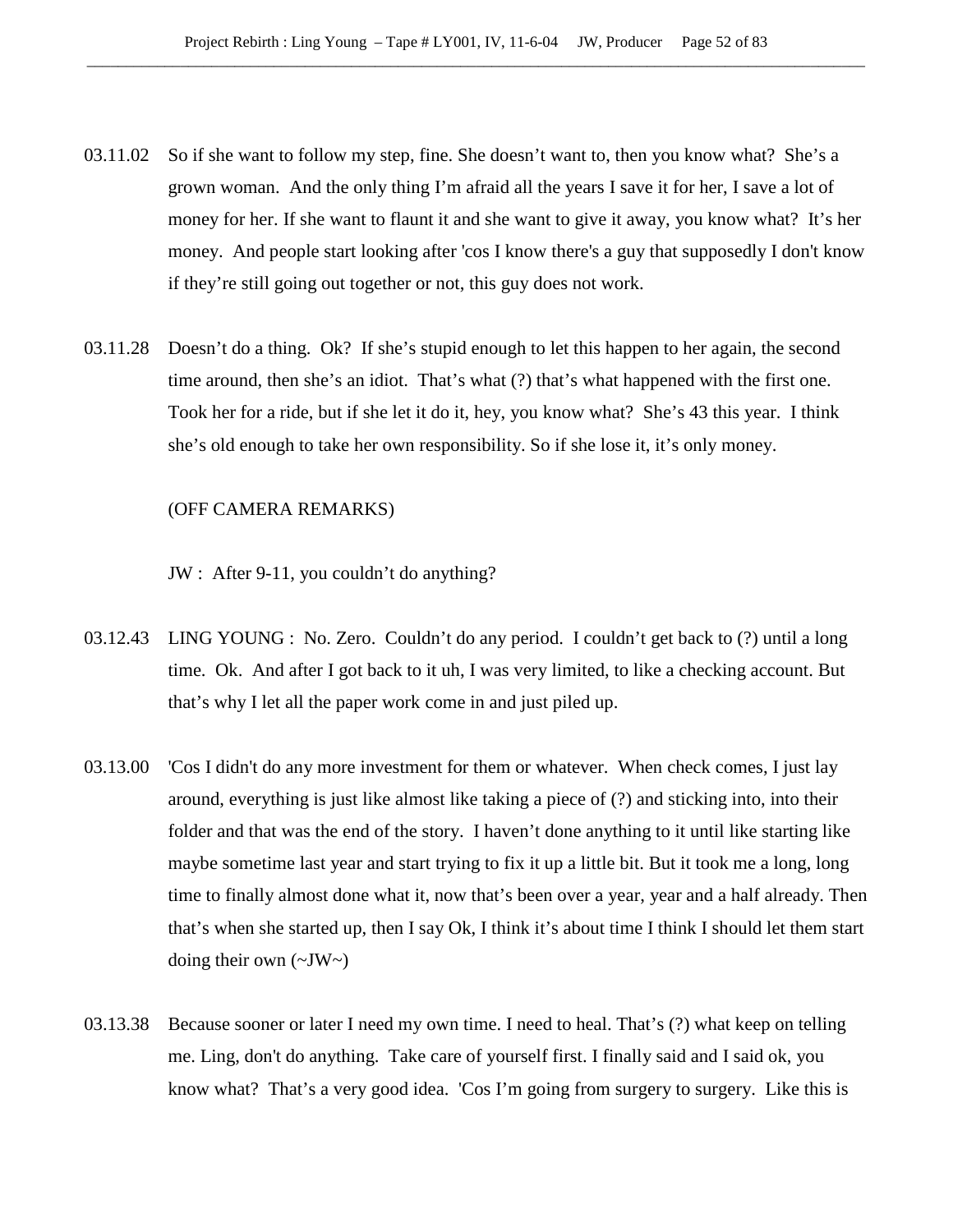- 03.11.02 So if she want to follow my step, fine. She doesn't want to, then you know what? She's a grown woman. And the only thing I'm afraid all the years I save it for her, I save a lot of money for her. If she want to flaunt it and she want to give it away, you know what? It's her money. And people start looking after 'cos I know there's a guy that supposedly I don't know if they're still going out together or not, this guy does not work.
- 03.11.28 Doesn't do a thing. Ok? If she's stupid enough to let this happen to her again, the second time around, then she's an idiot. That's what (?) that's what happened with the first one. Took her for a ride, but if she let it do it, hey, you know what? She's 43 this year. I think she's old enough to take her own responsibility. So if she lose it, it's only money.

#### (OFF CAMERA REMARKS)

JW : After 9-11, you couldn't do anything?

- 03.12.43 LING YOUNG : No. Zero. Couldn't do any period. I couldn't get back to (?) until a long time. Ok. And after I got back to it uh, I was very limited, to like a checking account. But that's why I let all the paper work come in and just piled up.
- 03.13.00 'Cos I didn't do any more investment for them or whatever. When check comes, I just lay around, everything is just like almost like taking a piece of (?) and sticking into, into their folder and that was the end of the story. I haven't done anything to it until like starting like maybe sometime last year and start trying to fix it up a little bit. But it took me a long, long time to finally almost done what it, now that's been over a year, year and a half already. Then that's when she started up, then I say Ok, I think it's about time I think I should let them start doing their own  $(\sim JW)$
- 03.13.38 Because sooner or later I need my own time. I need to heal. That's (?) what keep on telling me. Ling, don't do anything. Take care of yourself first. I finally said and I said ok, you know what? That's a very good idea. 'Cos I'm going from surgery to surgery. Like this is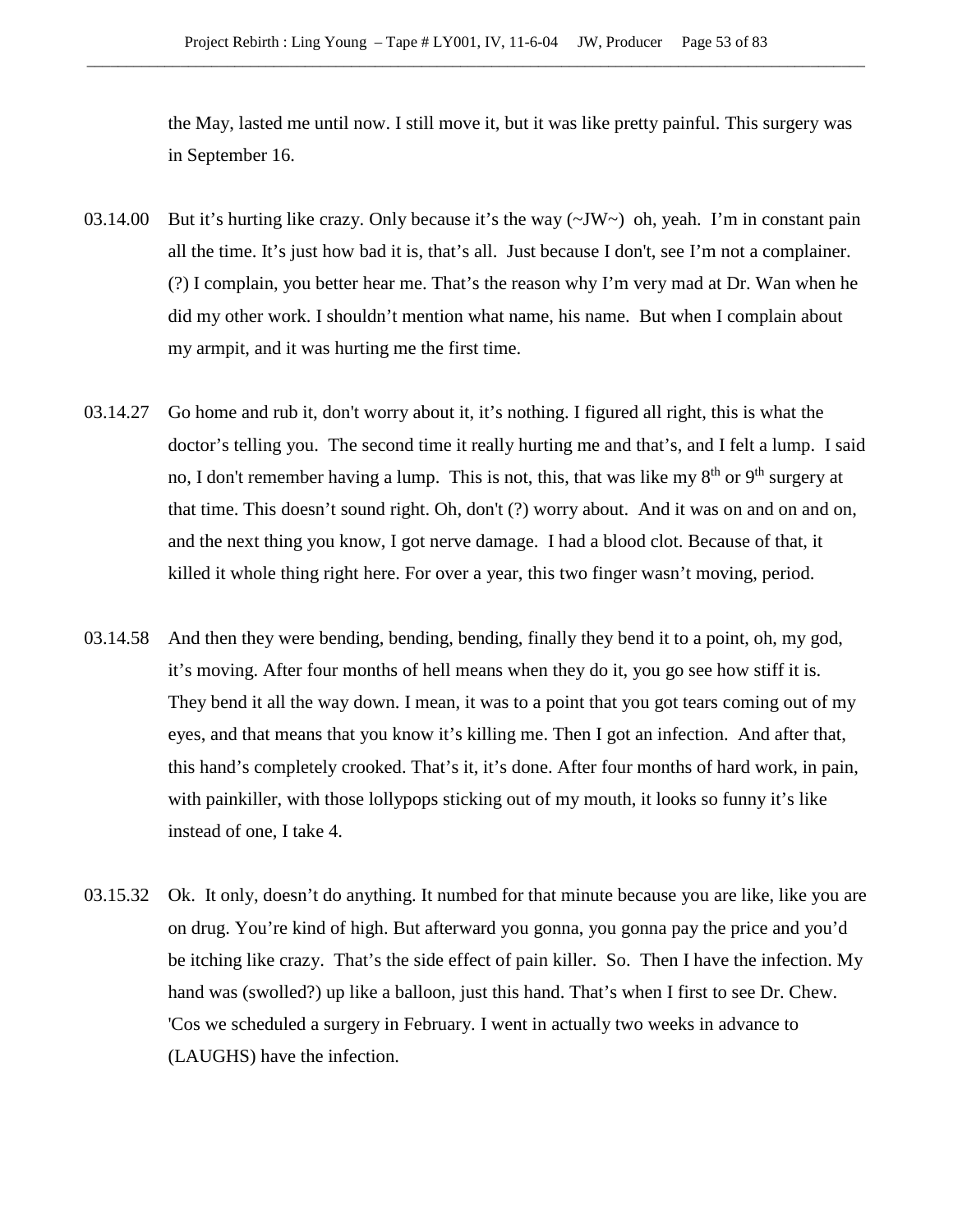the May, lasted me until now. I still move it, but it was like pretty painful. This surgery was in September 16.

- 03.14.00 But it's hurting like crazy. Only because it's the way (~JW~) oh, yeah. I'm in constant pain all the time. It's just how bad it is, that's all. Just because I don't, see I'm not a complainer. (?) I complain, you better hear me. That's the reason why I'm very mad at Dr. Wan when he did my other work. I shouldn't mention what name, his name. But when I complain about my armpit, and it was hurting me the first time.
- 03.14.27 Go home and rub it, don't worry about it, it's nothing. I figured all right, this is what the doctor's telling you. The second time it really hurting me and that's, and I felt a lump. I said no, I don't remember having a lump. This is not, this, that was like my  $8<sup>th</sup>$  or  $9<sup>th</sup>$  surgery at that time. This doesn't sound right. Oh, don't (?) worry about. And it was on and on and on, and the next thing you know, I got nerve damage. I had a blood clot. Because of that, it killed it whole thing right here. For over a year, this two finger wasn't moving, period.
- 03.14.58 And then they were bending, bending, bending, finally they bend it to a point, oh, my god, it's moving. After four months of hell means when they do it, you go see how stiff it is. They bend it all the way down. I mean, it was to a point that you got tears coming out of my eyes, and that means that you know it's killing me. Then I got an infection. And after that, this hand's completely crooked. That's it, it's done. After four months of hard work, in pain, with painkiller, with those lollypops sticking out of my mouth, it looks so funny it's like instead of one, I take 4.
- 03.15.32 Ok. It only, doesn't do anything. It numbed for that minute because you are like, like you are on drug. You're kind of high. But afterward you gonna, you gonna pay the price and you'd be itching like crazy. That's the side effect of pain killer. So. Then I have the infection. My hand was (swolled?) up like a balloon, just this hand. That's when I first to see Dr. Chew. 'Cos we scheduled a surgery in February. I went in actually two weeks in advance to (LAUGHS) have the infection.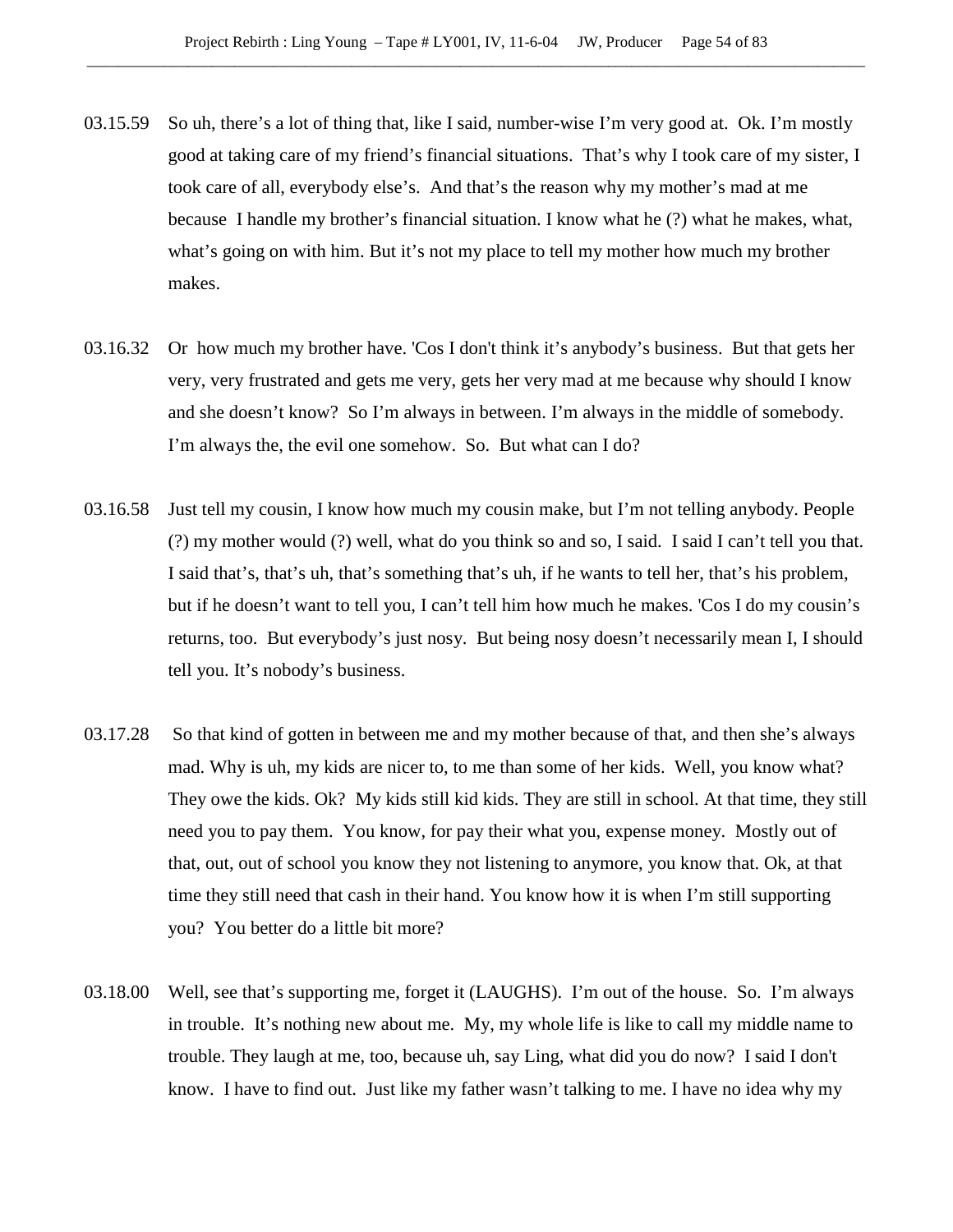- 03.15.59 So uh, there's a lot of thing that, like I said, number-wise I'm very good at. Ok. I'm mostly good at taking care of my friend's financial situations. That's why I took care of my sister, I took care of all, everybody else's. And that's the reason why my mother's mad at me because I handle my brother's financial situation. I know what he (?) what he makes, what, what's going on with him. But it's not my place to tell my mother how much my brother makes.
- 03.16.32 Or how much my brother have. 'Cos I don't think it's anybody's business. But that gets her very, very frustrated and gets me very, gets her very mad at me because why should I know and she doesn't know? So I'm always in between. I'm always in the middle of somebody. I'm always the, the evil one somehow. So. But what can I do?
- 03.16.58 Just tell my cousin, I know how much my cousin make, but I'm not telling anybody. People (?) my mother would (?) well, what do you think so and so, I said. I said I can't tell you that. I said that's, that's uh, that's something that's uh, if he wants to tell her, that's his problem, but if he doesn't want to tell you, I can't tell him how much he makes. 'Cos I do my cousin's returns, too. But everybody's just nosy. But being nosy doesn't necessarily mean I, I should tell you. It's nobody's business.
- 03.17.28 So that kind of gotten in between me and my mother because of that, and then she's always mad. Why is uh, my kids are nicer to, to me than some of her kids. Well, you know what? They owe the kids. Ok? My kids still kid kids. They are still in school. At that time, they still need you to pay them. You know, for pay their what you, expense money. Mostly out of that, out, out of school you know they not listening to anymore, you know that. Ok, at that time they still need that cash in their hand. You know how it is when I'm still supporting you? You better do a little bit more?
- 03.18.00 Well, see that's supporting me, forget it (LAUGHS). I'm out of the house. So. I'm always in trouble. It's nothing new about me. My, my whole life is like to call my middle name to trouble. They laugh at me, too, because uh, say Ling, what did you do now? I said I don't know. I have to find out. Just like my father wasn't talking to me. I have no idea why my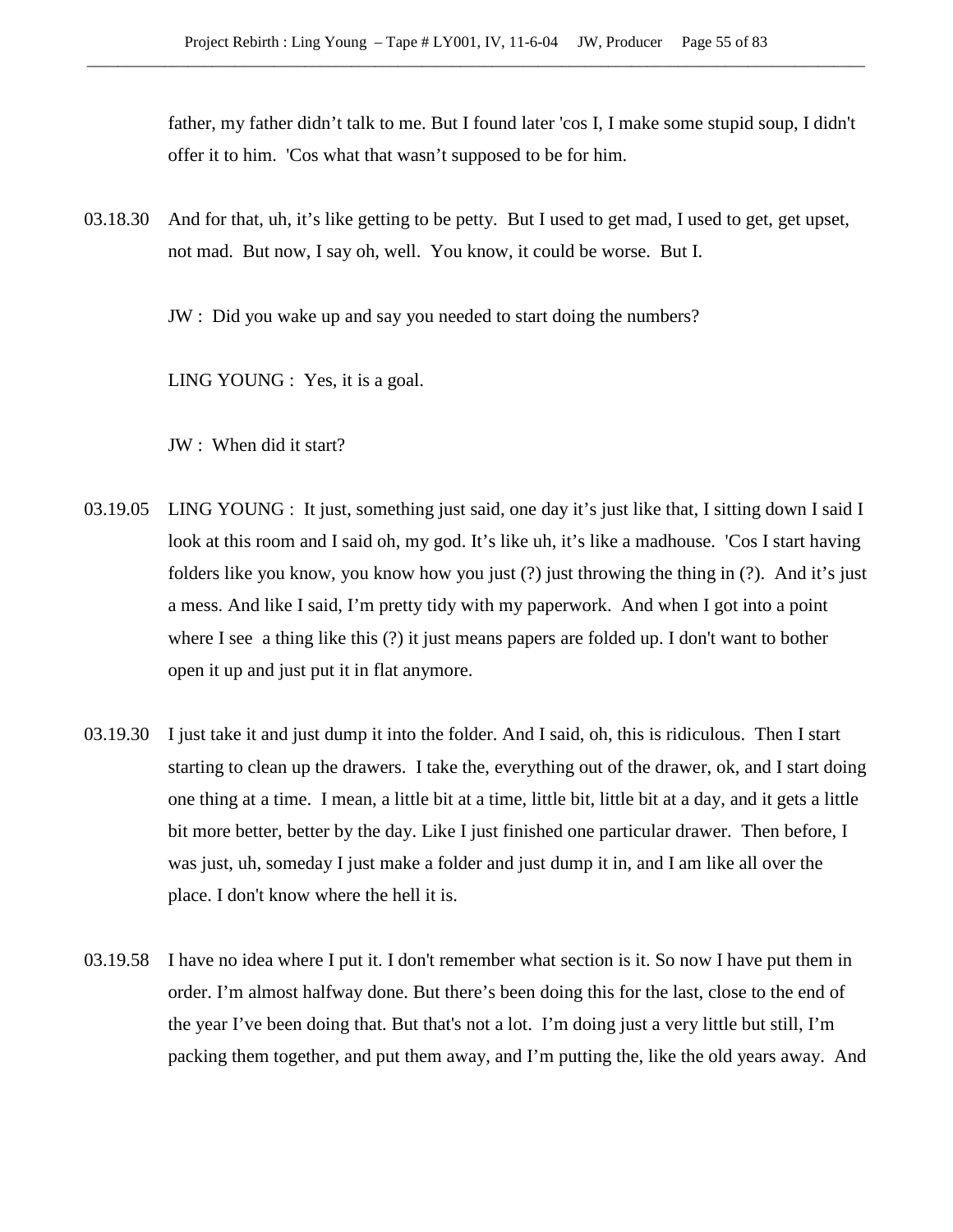father, my father didn't talk to me. But I found later 'cos I, I make some stupid soup, I didn't offer it to him. 'Cos what that wasn't supposed to be for him.

03.18.30 And for that, uh, it's like getting to be petty. But I used to get mad, I used to get, get upset, not mad. But now, I say oh, well. You know, it could be worse. But I.

JW : Did you wake up and say you needed to start doing the numbers?

LING YOUNG : Yes, it is a goal.

JW : When did it start?

- 03.19.05 LING YOUNG : It just, something just said, one day it's just like that, I sitting down I said I look at this room and I said oh, my god. It's like uh, it's like a madhouse. 'Cos I start having folders like you know, you know how you just (?) just throwing the thing in (?). And it's just a mess. And like I said, I'm pretty tidy with my paperwork. And when I got into a point where I see a thing like this (?) it just means papers are folded up. I don't want to bother open it up and just put it in flat anymore.
- 03.19.30 I just take it and just dump it into the folder. And I said, oh, this is ridiculous. Then I start starting to clean up the drawers. I take the, everything out of the drawer, ok, and I start doing one thing at a time. I mean, a little bit at a time, little bit, little bit at a day, and it gets a little bit more better, better by the day. Like I just finished one particular drawer. Then before, I was just, uh, someday I just make a folder and just dump it in, and I am like all over the place. I don't know where the hell it is.
- 03.19.58 I have no idea where I put it. I don't remember what section is it. So now I have put them in order. I'm almost halfway done. But there's been doing this for the last, close to the end of the year I've been doing that. But that's not a lot. I'm doing just a very little but still, I'm packing them together, and put them away, and I'm putting the, like the old years away. And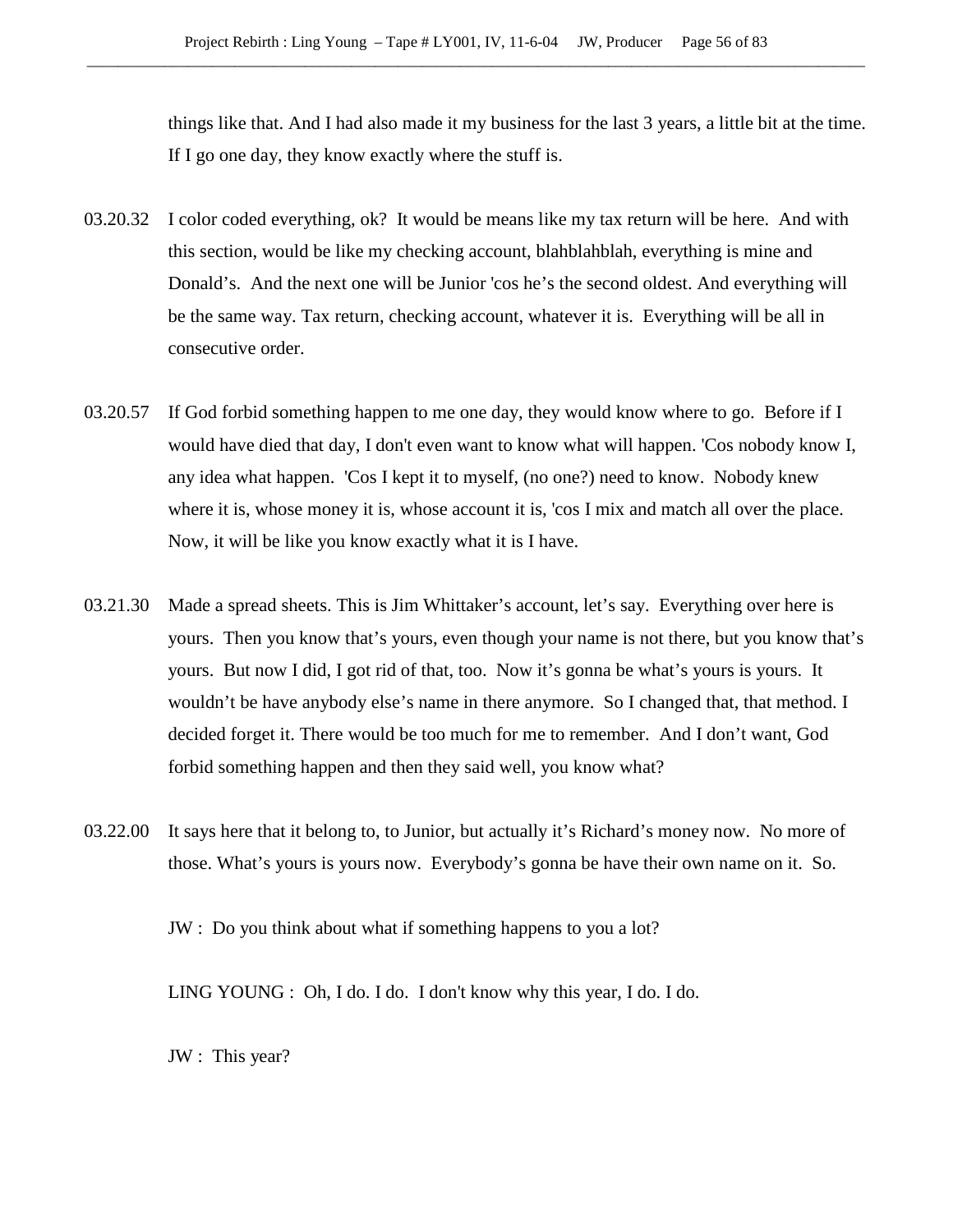things like that. And I had also made it my business for the last 3 years, a little bit at the time. If I go one day, they know exactly where the stuff is.

- 03.20.32 I color coded everything, ok? It would be means like my tax return will be here. And with this section, would be like my checking account, blahblahblah, everything is mine and Donald's. And the next one will be Junior 'cos he's the second oldest. And everything will be the same way. Tax return, checking account, whatever it is. Everything will be all in consecutive order.
- 03.20.57 If God forbid something happen to me one day, they would know where to go. Before if I would have died that day, I don't even want to know what will happen. 'Cos nobody know I, any idea what happen. 'Cos I kept it to myself, (no one?) need to know. Nobody knew where it is, whose money it is, whose account it is, 'cos I mix and match all over the place. Now, it will be like you know exactly what it is I have.
- 03.21.30 Made a spread sheets. This is Jim Whittaker's account, let's say. Everything over here is yours. Then you know that's yours, even though your name is not there, but you know that's yours. But now I did, I got rid of that, too. Now it's gonna be what's yours is yours. It wouldn't be have anybody else's name in there anymore. So I changed that, that method. I decided forget it. There would be too much for me to remember. And I don't want, God forbid something happen and then they said well, you know what?
- 03.22.00 It says here that it belong to, to Junior, but actually it's Richard's money now. No more of those. What's yours is yours now. Everybody's gonna be have their own name on it. So.

JW : Do you think about what if something happens to you a lot?

LING YOUNG : Oh, I do. I do. I don't know why this year, I do. I do.

JW : This year?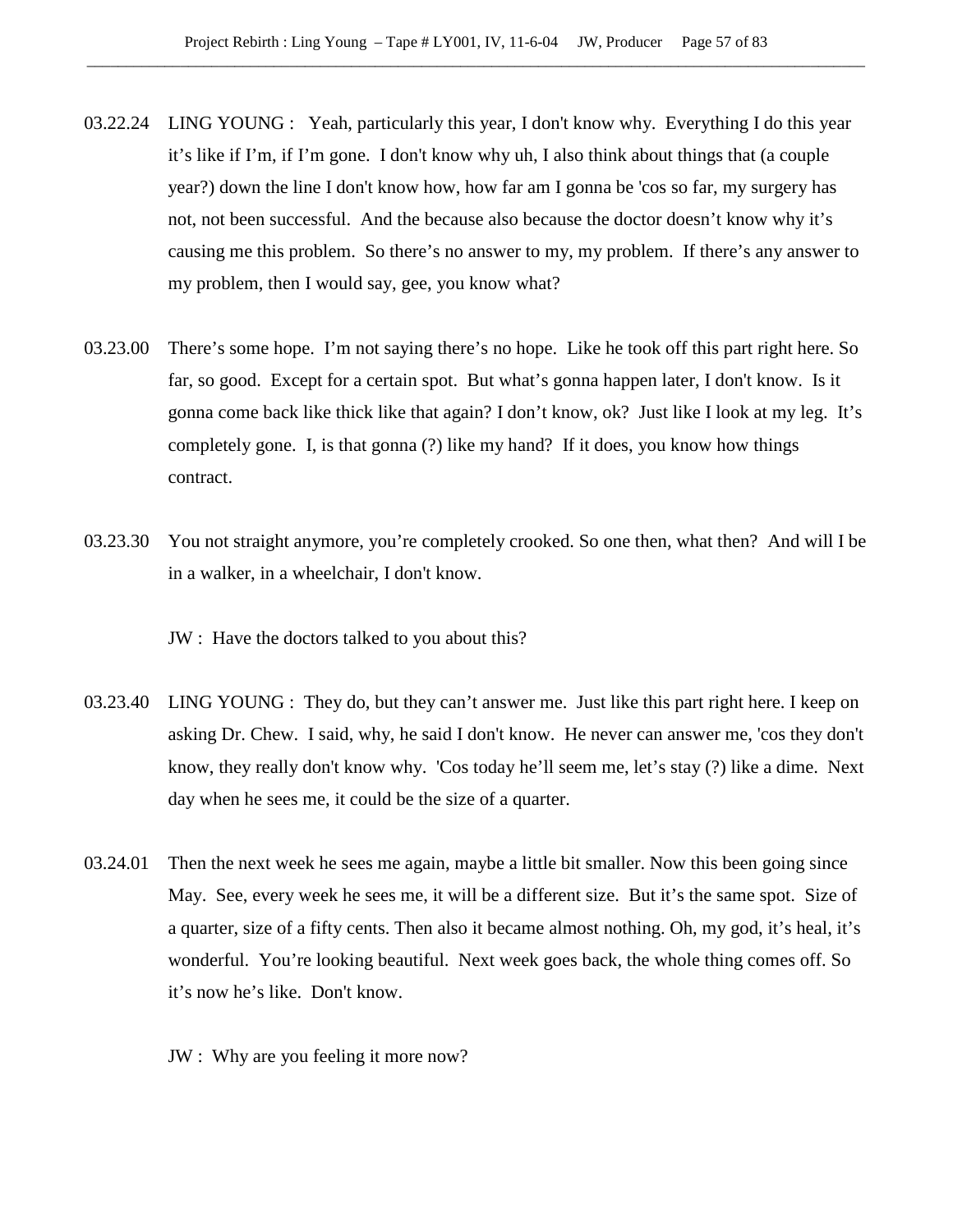- 03.22.24 LING YOUNG : Yeah, particularly this year, I don't know why. Everything I do this year it's like if I'm, if I'm gone. I don't know why uh, I also think about things that (a couple year?) down the line I don't know how, how far am I gonna be 'cos so far, my surgery has not, not been successful. And the because also because the doctor doesn't know why it's causing me this problem. So there's no answer to my, my problem. If there's any answer to my problem, then I would say, gee, you know what?
- 03.23.00 There's some hope. I'm not saying there's no hope. Like he took off this part right here. So far, so good. Except for a certain spot. But what's gonna happen later, I don't know. Is it gonna come back like thick like that again? I don't know, ok? Just like I look at my leg. It's completely gone. I, is that gonna (?) like my hand? If it does, you know how things contract.
- 03.23.30 You not straight anymore, you're completely crooked. So one then, what then? And will I be in a walker, in a wheelchair, I don't know.

JW : Have the doctors talked to you about this?

- 03.23.40 LING YOUNG : They do, but they can't answer me. Just like this part right here. I keep on asking Dr. Chew. I said, why, he said I don't know. He never can answer me, 'cos they don't know, they really don't know why. 'Cos today he'll seem me, let's stay (?) like a dime. Next day when he sees me, it could be the size of a quarter.
- 03.24.01 Then the next week he sees me again, maybe a little bit smaller. Now this been going since May. See, every week he sees me, it will be a different size. But it's the same spot. Size of a quarter, size of a fifty cents. Then also it became almost nothing. Oh, my god, it's heal, it's wonderful. You're looking beautiful. Next week goes back, the whole thing comes off. So it's now he's like. Don't know.
	- JW : Why are you feeling it more now?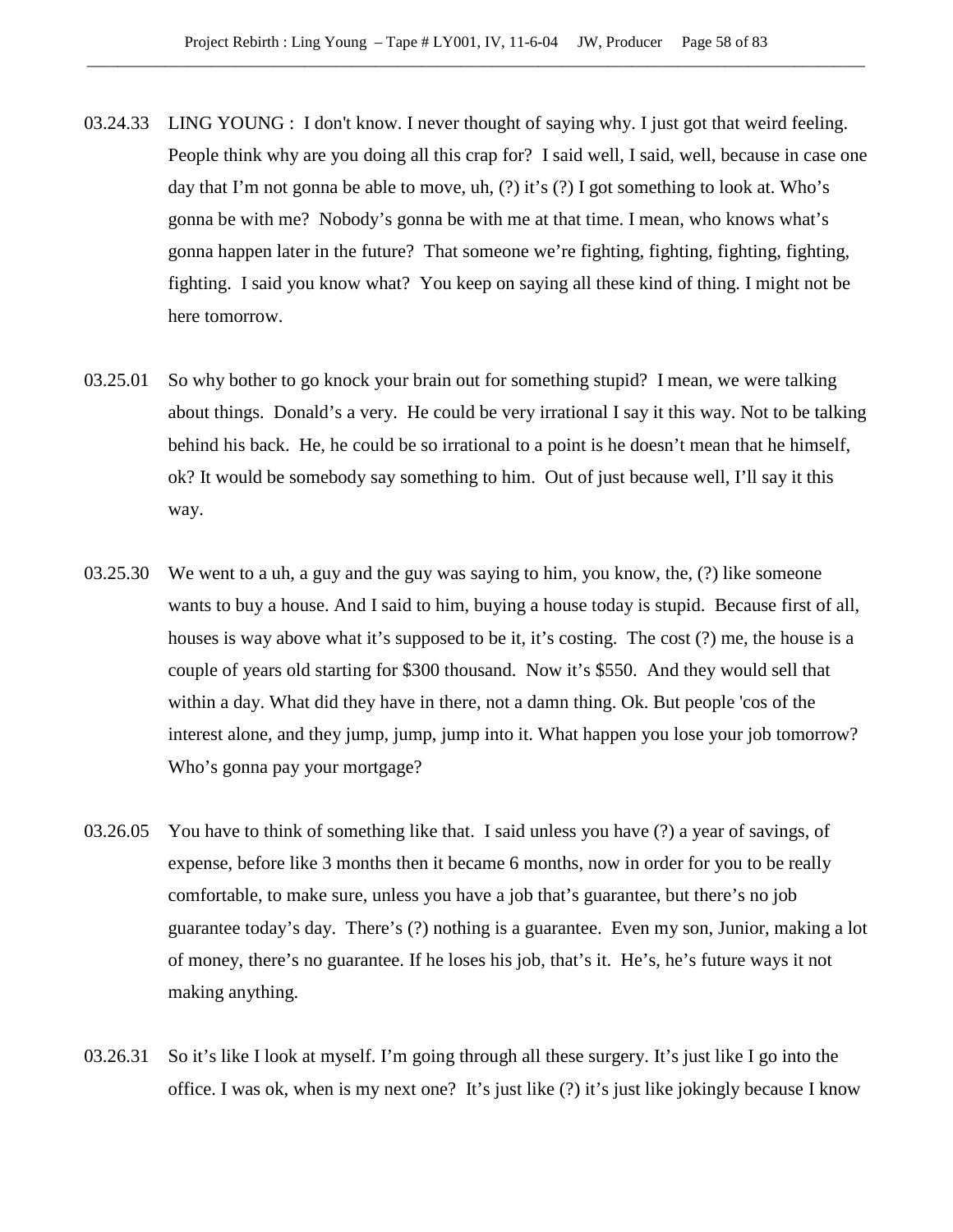- 03.24.33 LING YOUNG : I don't know. I never thought of saying why. I just got that weird feeling. People think why are you doing all this crap for? I said well, I said, well, because in case one day that I'm not gonna be able to move, uh, (?) it's (?) I got something to look at. Who's gonna be with me? Nobody's gonna be with me at that time. I mean, who knows what's gonna happen later in the future? That someone we're fighting, fighting, fighting, fighting, fighting. I said you know what? You keep on saying all these kind of thing. I might not be here tomorrow.
- 03.25.01 So why bother to go knock your brain out for something stupid? I mean, we were talking about things. Donald's a very. He could be very irrational I say it this way. Not to be talking behind his back. He, he could be so irrational to a point is he doesn't mean that he himself, ok? It would be somebody say something to him. Out of just because well, I'll say it this way.
- 03.25.30 We went to a uh, a guy and the guy was saying to him, you know, the, (?) like someone wants to buy a house. And I said to him, buying a house today is stupid. Because first of all, houses is way above what it's supposed to be it, it's costing. The cost (?) me, the house is a couple of years old starting for \$300 thousand. Now it's \$550. And they would sell that within a day. What did they have in there, not a damn thing. Ok. But people 'cos of the interest alone, and they jump, jump, jump into it. What happen you lose your job tomorrow? Who's gonna pay your mortgage?
- 03.26.05 You have to think of something like that. I said unless you have (?) a year of savings, of expense, before like 3 months then it became 6 months, now in order for you to be really comfortable, to make sure, unless you have a job that's guarantee, but there's no job guarantee today's day. There's (?) nothing is a guarantee. Even my son, Junior, making a lot of money, there's no guarantee. If he loses his job, that's it. He's, he's future ways it not making anything.
- 03.26.31 So it's like I look at myself. I'm going through all these surgery. It's just like I go into the office. I was ok, when is my next one? It's just like (?) it's just like jokingly because I know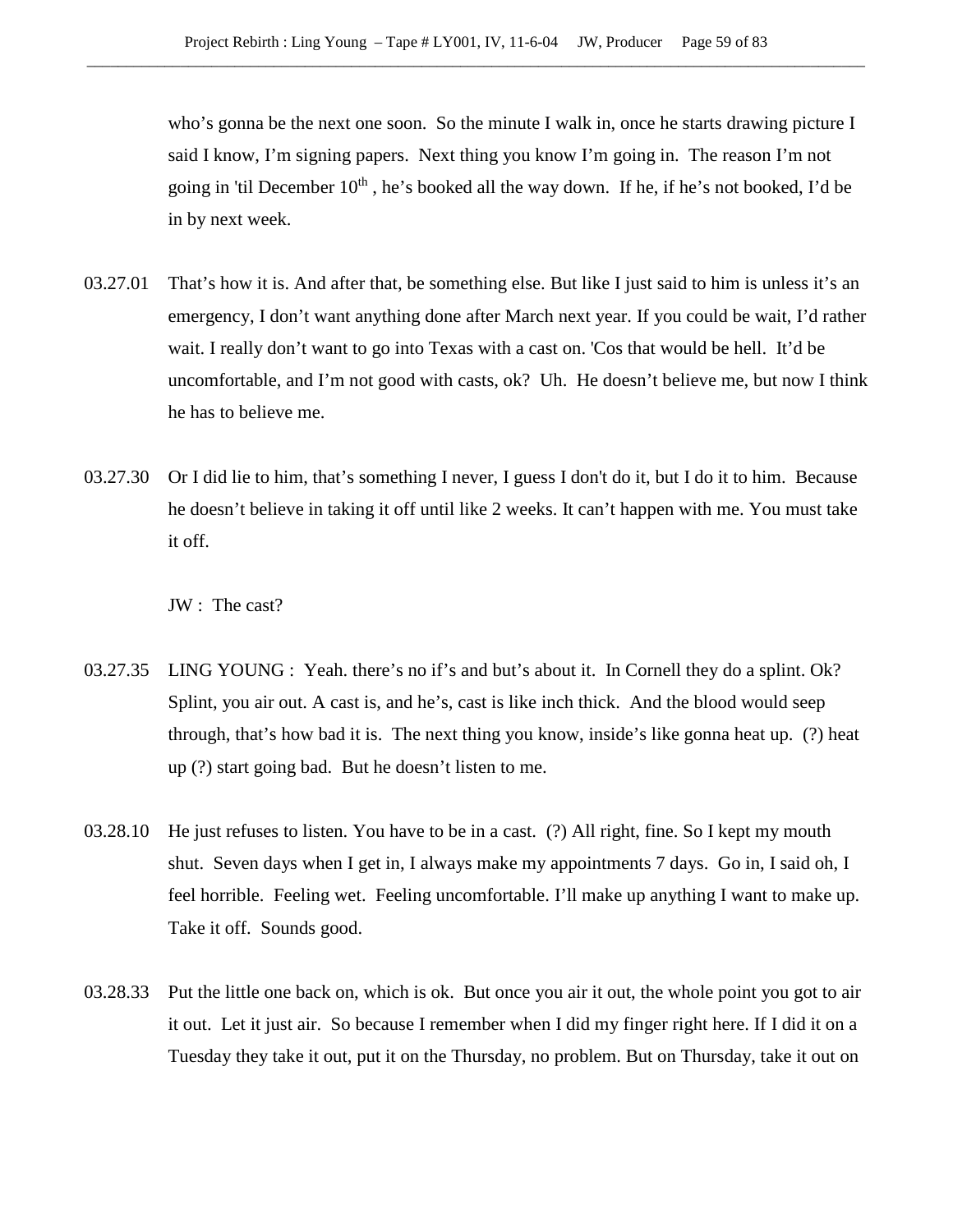who's gonna be the next one soon. So the minute I walk in, once he starts drawing picture I said I know, I'm signing papers. Next thing you know I'm going in. The reason I'm not going in 'til December  $10<sup>th</sup>$ , he's booked all the way down. If he, if he's not booked, I'd be in by next week.

- 03.27.01 That's how it is. And after that, be something else. But like I just said to him is unless it's an emergency, I don't want anything done after March next year. If you could be wait, I'd rather wait. I really don't want to go into Texas with a cast on. 'Cos that would be hell. It'd be uncomfortable, and I'm not good with casts, ok? Uh. He doesn't believe me, but now I think he has to believe me.
- 03.27.30 Or I did lie to him, that's something I never, I guess I don't do it, but I do it to him. Because he doesn't believe in taking it off until like 2 weeks. It can't happen with me. You must take it off.

JW : The cast?

- 03.27.35 LING YOUNG : Yeah. there's no if's and but's about it. In Cornell they do a splint. Ok? Splint, you air out. A cast is, and he's, cast is like inch thick. And the blood would seep through, that's how bad it is. The next thing you know, inside's like gonna heat up. (?) heat up (?) start going bad. But he doesn't listen to me.
- 03.28.10 He just refuses to listen. You have to be in a cast. (?) All right, fine. So I kept my mouth shut. Seven days when I get in, I always make my appointments 7 days. Go in, I said oh, I feel horrible. Feeling wet. Feeling uncomfortable. I'll make up anything I want to make up. Take it off. Sounds good.
- 03.28.33 Put the little one back on, which is ok. But once you air it out, the whole point you got to air it out. Let it just air. So because I remember when I did my finger right here. If I did it on a Tuesday they take it out, put it on the Thursday, no problem. But on Thursday, take it out on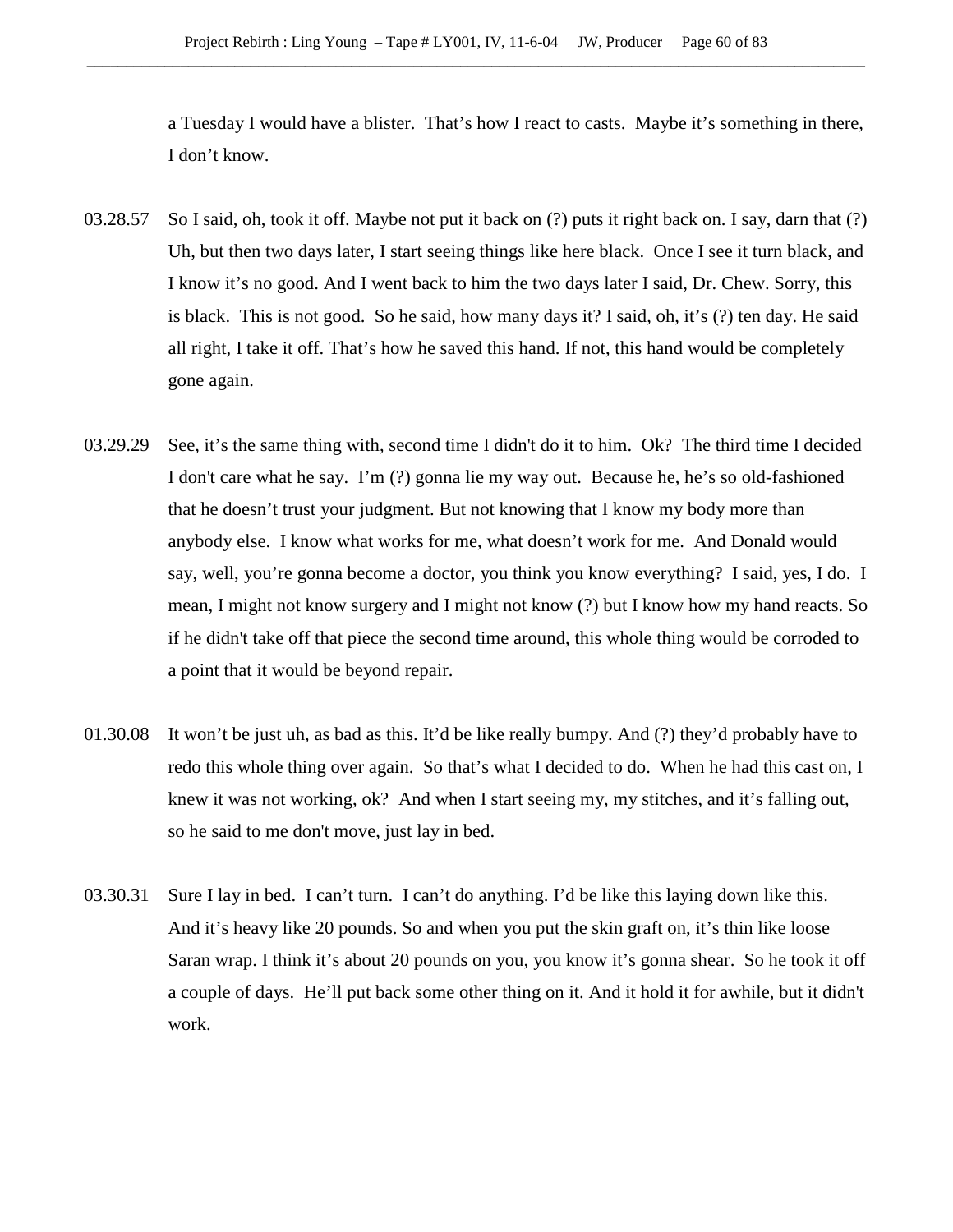a Tuesday I would have a blister. That's how I react to casts. Maybe it's something in there, I don't know.

- 03.28.57 So I said, oh, took it off. Maybe not put it back on (?) puts it right back on. I say, darn that (?) Uh, but then two days later, I start seeing things like here black. Once I see it turn black, and I know it's no good. And I went back to him the two days later I said, Dr. Chew. Sorry, this is black. This is not good. So he said, how many days it? I said, oh, it's (?) ten day. He said all right, I take it off. That's how he saved this hand. If not, this hand would be completely gone again.
- 03.29.29 See, it's the same thing with, second time I didn't do it to him. Ok? The third time I decided I don't care what he say. I'm (?) gonna lie my way out. Because he, he's so old-fashioned that he doesn't trust your judgment. But not knowing that I know my body more than anybody else. I know what works for me, what doesn't work for me. And Donald would say, well, you're gonna become a doctor, you think you know everything? I said, yes, I do. I mean, I might not know surgery and I might not know (?) but I know how my hand reacts. So if he didn't take off that piece the second time around, this whole thing would be corroded to a point that it would be beyond repair.
- 01.30.08 It won't be just uh, as bad as this. It'd be like really bumpy. And (?) they'd probably have to redo this whole thing over again. So that's what I decided to do. When he had this cast on, I knew it was not working, ok? And when I start seeing my, my stitches, and it's falling out, so he said to me don't move, just lay in bed.
- 03.30.31 Sure I lay in bed. I can't turn. I can't do anything. I'd be like this laying down like this. And it's heavy like 20 pounds. So and when you put the skin graft on, it's thin like loose Saran wrap. I think it's about 20 pounds on you, you know it's gonna shear. So he took it off a couple of days. He'll put back some other thing on it. And it hold it for awhile, but it didn't work.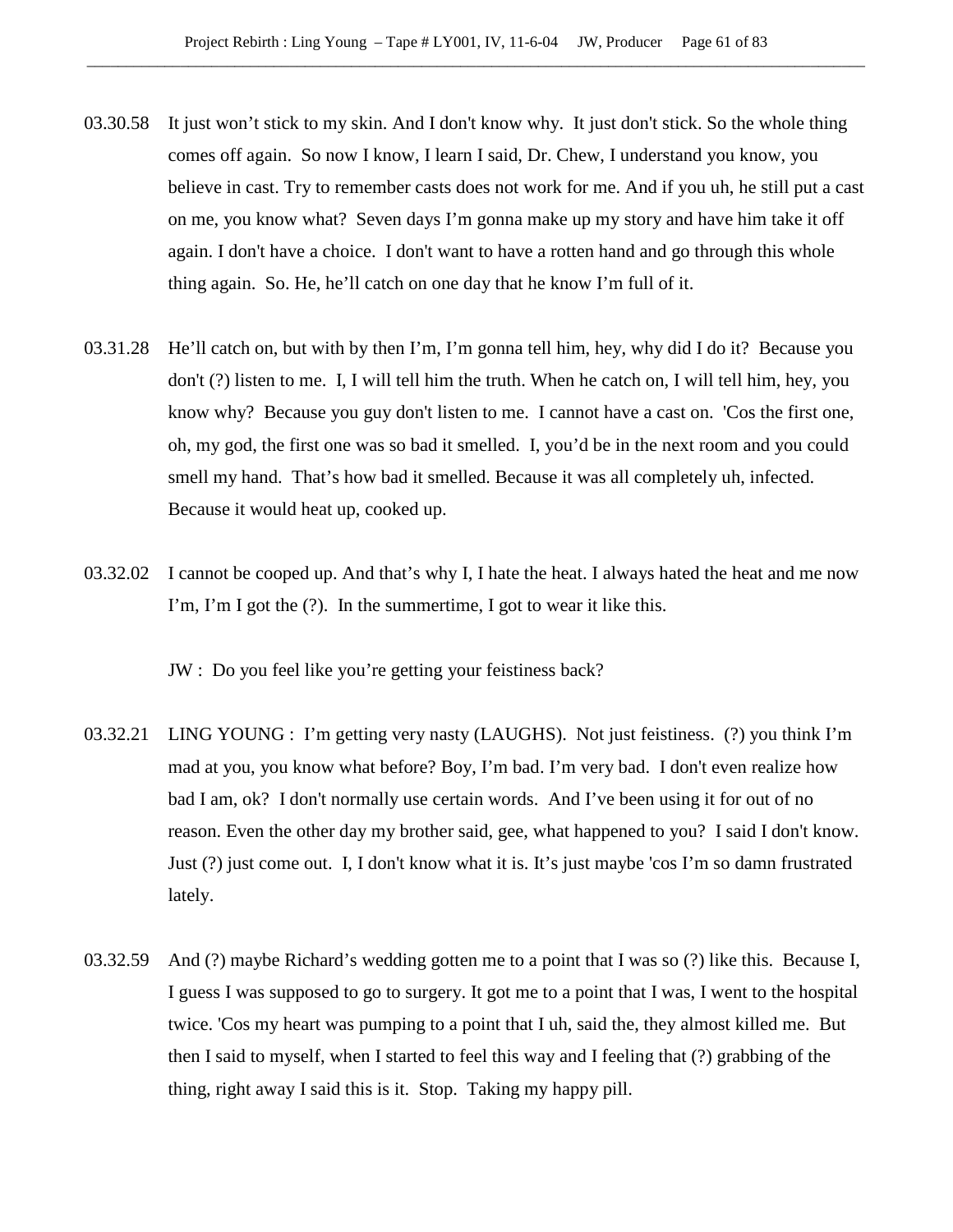- 03.30.58 It just won't stick to my skin. And I don't know why. It just don't stick. So the whole thing comes off again. So now I know, I learn I said, Dr. Chew, I understand you know, you believe in cast. Try to remember casts does not work for me. And if you uh, he still put a cast on me, you know what? Seven days I'm gonna make up my story and have him take it off again. I don't have a choice. I don't want to have a rotten hand and go through this whole thing again. So. He, he'll catch on one day that he know I'm full of it.
- 03.31.28 He'll catch on, but with by then I'm, I'm gonna tell him, hey, why did I do it? Because you don't (?) listen to me. I, I will tell him the truth. When he catch on, I will tell him, hey, you know why? Because you guy don't listen to me. I cannot have a cast on. 'Cos the first one, oh, my god, the first one was so bad it smelled. I, you'd be in the next room and you could smell my hand. That's how bad it smelled. Because it was all completely uh, infected. Because it would heat up, cooked up.
- 03.32.02 I cannot be cooped up. And that's why I, I hate the heat. I always hated the heat and me now I'm, I'm I got the (?). In the summertime, I got to wear it like this.

JW : Do you feel like you're getting your feistiness back?

- 03.32.21 LING YOUNG : I'm getting very nasty (LAUGHS). Not just feistiness. (?) you think I'm mad at you, you know what before? Boy, I'm bad. I'm very bad. I don't even realize how bad I am, ok? I don't normally use certain words. And I've been using it for out of no reason. Even the other day my brother said, gee, what happened to you? I said I don't know. Just (?) just come out. I, I don't know what it is. It's just maybe 'cos I'm so damn frustrated lately.
- 03.32.59 And (?) maybe Richard's wedding gotten me to a point that I was so (?) like this. Because I, I guess I was supposed to go to surgery. It got me to a point that I was, I went to the hospital twice. 'Cos my heart was pumping to a point that I uh, said the, they almost killed me. But then I said to myself, when I started to feel this way and I feeling that (?) grabbing of the thing, right away I said this is it. Stop. Taking my happy pill.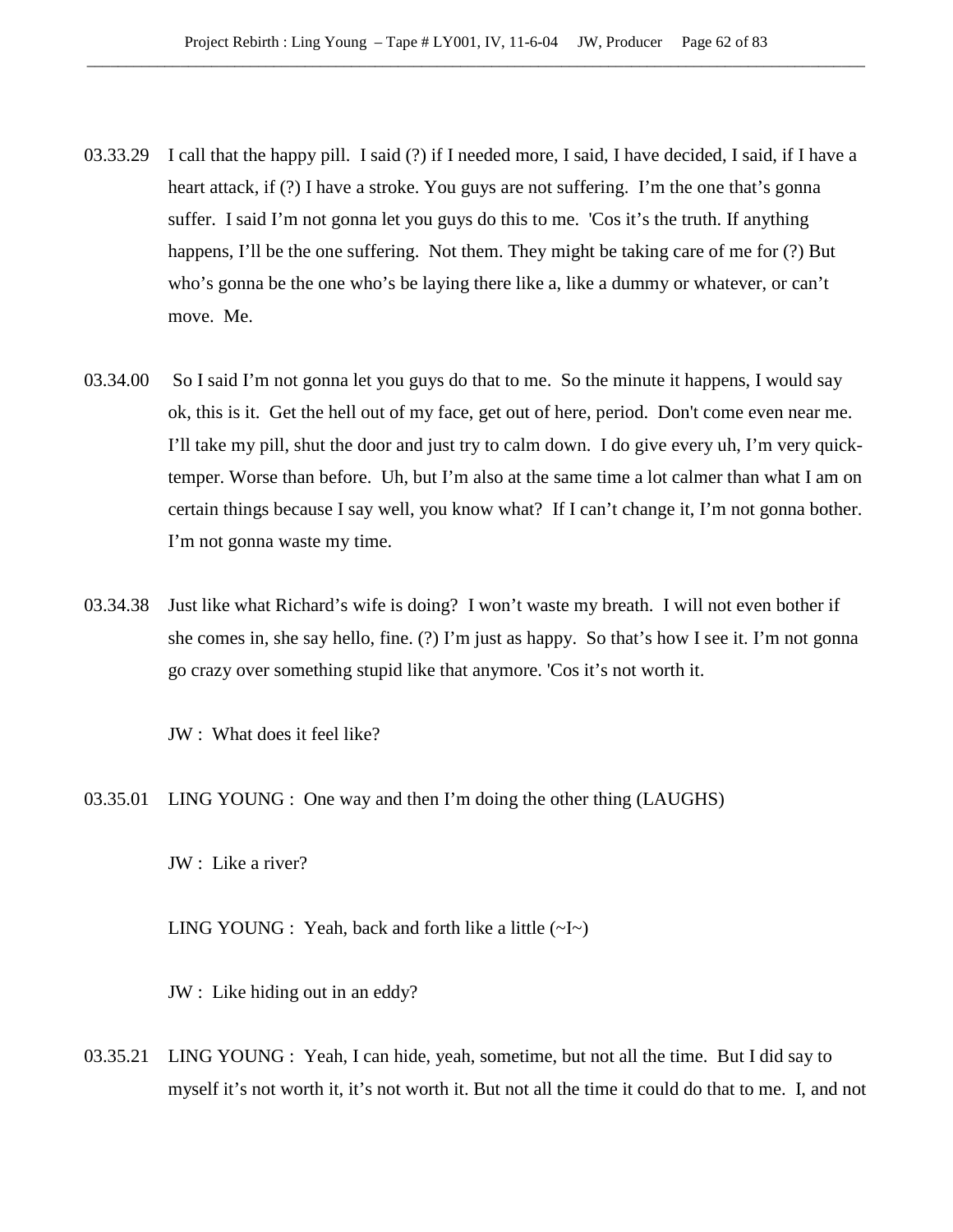- 03.33.29 I call that the happy pill. I said (?) if I needed more, I said, I have decided, I said, if I have a heart attack, if (?) I have a stroke. You guys are not suffering. I'm the one that's gonna suffer. I said I'm not gonna let you guys do this to me. 'Cos it's the truth. If anything happens, I'll be the one suffering. Not them. They might be taking care of me for (?) But who's gonna be the one who's be laying there like a, like a dummy or whatever, or can't move. Me.
- 03.34.00 So I said I'm not gonna let you guys do that to me. So the minute it happens, I would say ok, this is it. Get the hell out of my face, get out of here, period. Don't come even near me. I'll take my pill, shut the door and just try to calm down. I do give every uh, I'm very quicktemper. Worse than before. Uh, but I'm also at the same time a lot calmer than what I am on certain things because I say well, you know what? If I can't change it, I'm not gonna bother. I'm not gonna waste my time.
- 03.34.38 Just like what Richard's wife is doing? I won't waste my breath. I will not even bother if she comes in, she say hello, fine. (?) I'm just as happy. So that's how I see it. I'm not gonna go crazy over something stupid like that anymore. 'Cos it's not worth it.

JW : What does it feel like?

03.35.01 LING YOUNG : One way and then I'm doing the other thing (LAUGHS)

JW : Like a river?

LING YOUNG : Yeah, back and forth like a little  $(\sim I \sim)$ 

JW : Like hiding out in an eddy?

03.35.21 LING YOUNG : Yeah, I can hide, yeah, sometime, but not all the time. But I did say to myself it's not worth it, it's not worth it. But not all the time it could do that to me. I, and not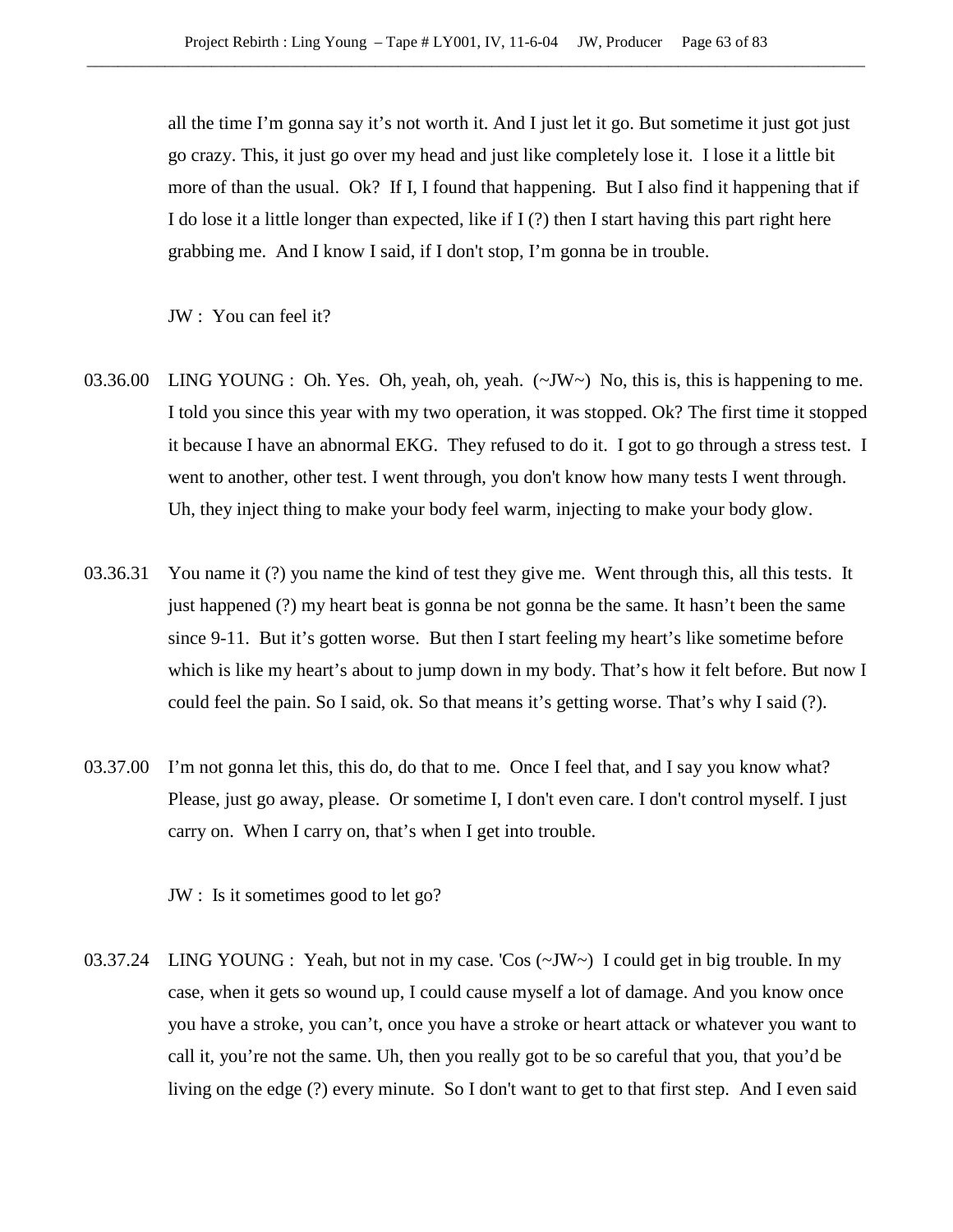all the time I'm gonna say it's not worth it. And I just let it go. But sometime it just got just go crazy. This, it just go over my head and just like completely lose it. I lose it a little bit more of than the usual. Ok? If I, I found that happening. But I also find it happening that if I do lose it a little longer than expected, like if I (?) then I start having this part right here grabbing me. And I know I said, if I don't stop, I'm gonna be in trouble.

JW : You can feel it?

- 03.36.00 LING YOUNG : Oh. Yes. Oh, yeah, oh, yeah.  $(\sim JW \sim)$  No, this is, this is happening to me. I told you since this year with my two operation, it was stopped. Ok? The first time it stopped it because I have an abnormal EKG. They refused to do it. I got to go through a stress test. I went to another, other test. I went through, you don't know how many tests I went through. Uh, they inject thing to make your body feel warm, injecting to make your body glow.
- 03.36.31 You name it (?) you name the kind of test they give me. Went through this, all this tests. It just happened (?) my heart beat is gonna be not gonna be the same. It hasn't been the same since 9-11. But it's gotten worse. But then I start feeling my heart's like sometime before which is like my heart's about to jump down in my body. That's how it felt before. But now I could feel the pain. So I said, ok. So that means it's getting worse. That's why I said (?).
- 03.37.00 I'm not gonna let this, this do, do that to me. Once I feel that, and I say you know what? Please, just go away, please. Or sometime I, I don't even care. I don't control myself. I just carry on. When I carry on, that's when I get into trouble.

JW : Is it sometimes good to let go?

03.37.24 LING YOUNG : Yeah, but not in my case. 'Cos (~JW~) I could get in big trouble. In my case, when it gets so wound up, I could cause myself a lot of damage. And you know once you have a stroke, you can't, once you have a stroke or heart attack or whatever you want to call it, you're not the same. Uh, then you really got to be so careful that you, that you'd be living on the edge (?) every minute. So I don't want to get to that first step. And I even said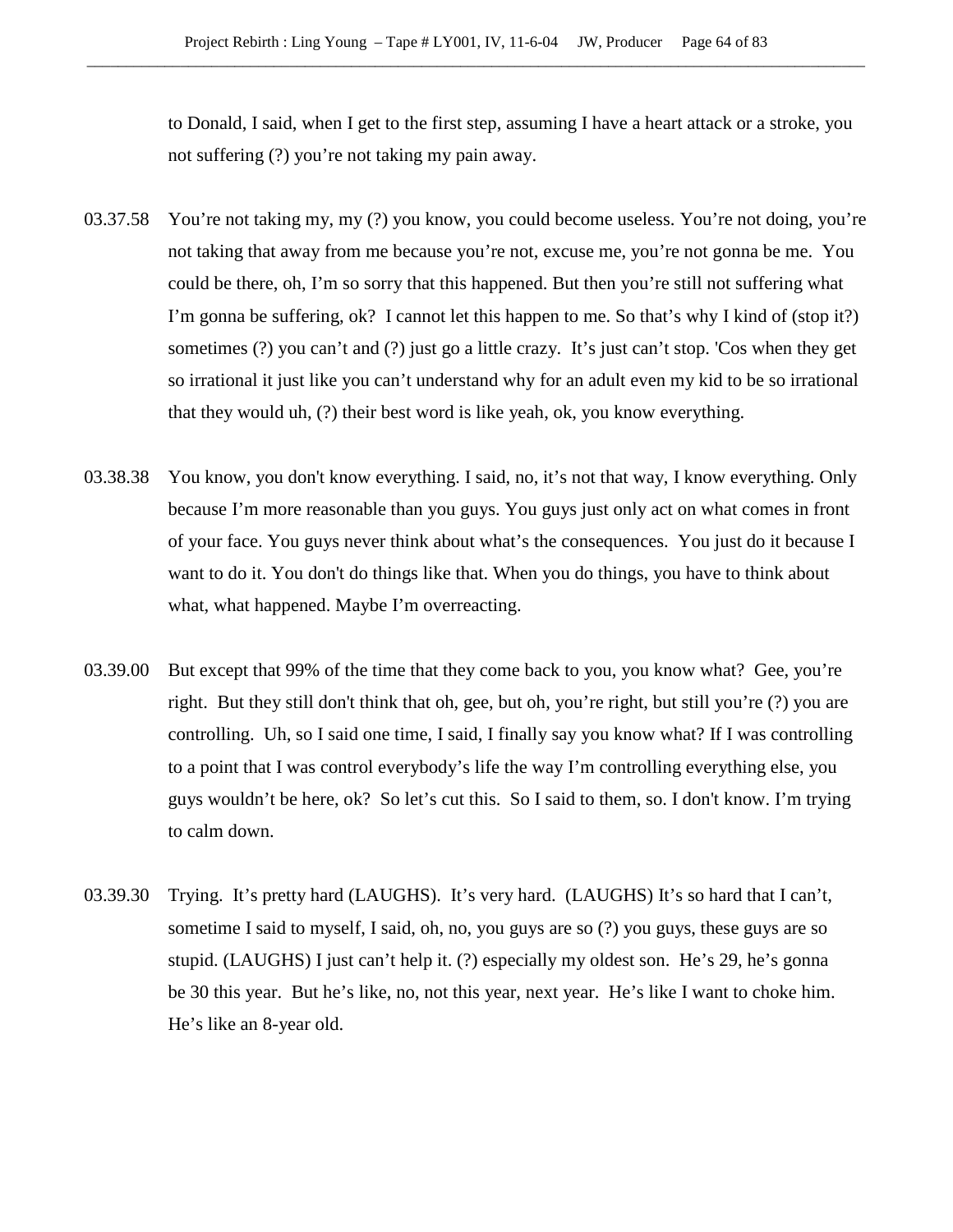to Donald, I said, when I get to the first step, assuming I have a heart attack or a stroke, you not suffering (?) you're not taking my pain away.

- 03.37.58 You're not taking my, my (?) you know, you could become useless. You're not doing, you're not taking that away from me because you're not, excuse me, you're not gonna be me. You could be there, oh, I'm so sorry that this happened. But then you're still not suffering what I'm gonna be suffering, ok? I cannot let this happen to me. So that's why I kind of (stop it?) sometimes (?) you can't and (?) just go a little crazy. It's just can't stop. 'Cos when they get so irrational it just like you can't understand why for an adult even my kid to be so irrational that they would uh, (?) their best word is like yeah, ok, you know everything.
- 03.38.38 You know, you don't know everything. I said, no, it's not that way, I know everything. Only because I'm more reasonable than you guys. You guys just only act on what comes in front of your face. You guys never think about what's the consequences. You just do it because I want to do it. You don't do things like that. When you do things, you have to think about what, what happened. Maybe I'm overreacting.
- 03.39.00 But except that 99% of the time that they come back to you, you know what? Gee, you're right. But they still don't think that oh, gee, but oh, you're right, but still you're (?) you are controlling. Uh, so I said one time, I said, I finally say you know what? If I was controlling to a point that I was control everybody's life the way I'm controlling everything else, you guys wouldn't be here, ok? So let's cut this. So I said to them, so. I don't know. I'm trying to calm down.
- 03.39.30 Trying. It's pretty hard (LAUGHS). It's very hard. (LAUGHS) It's so hard that I can't, sometime I said to myself, I said, oh, no, you guys are so (?) you guys, these guys are so stupid. (LAUGHS) I just can't help it. (?) especially my oldest son. He's 29, he's gonna be 30 this year. But he's like, no, not this year, next year. He's like I want to choke him. He's like an 8-year old.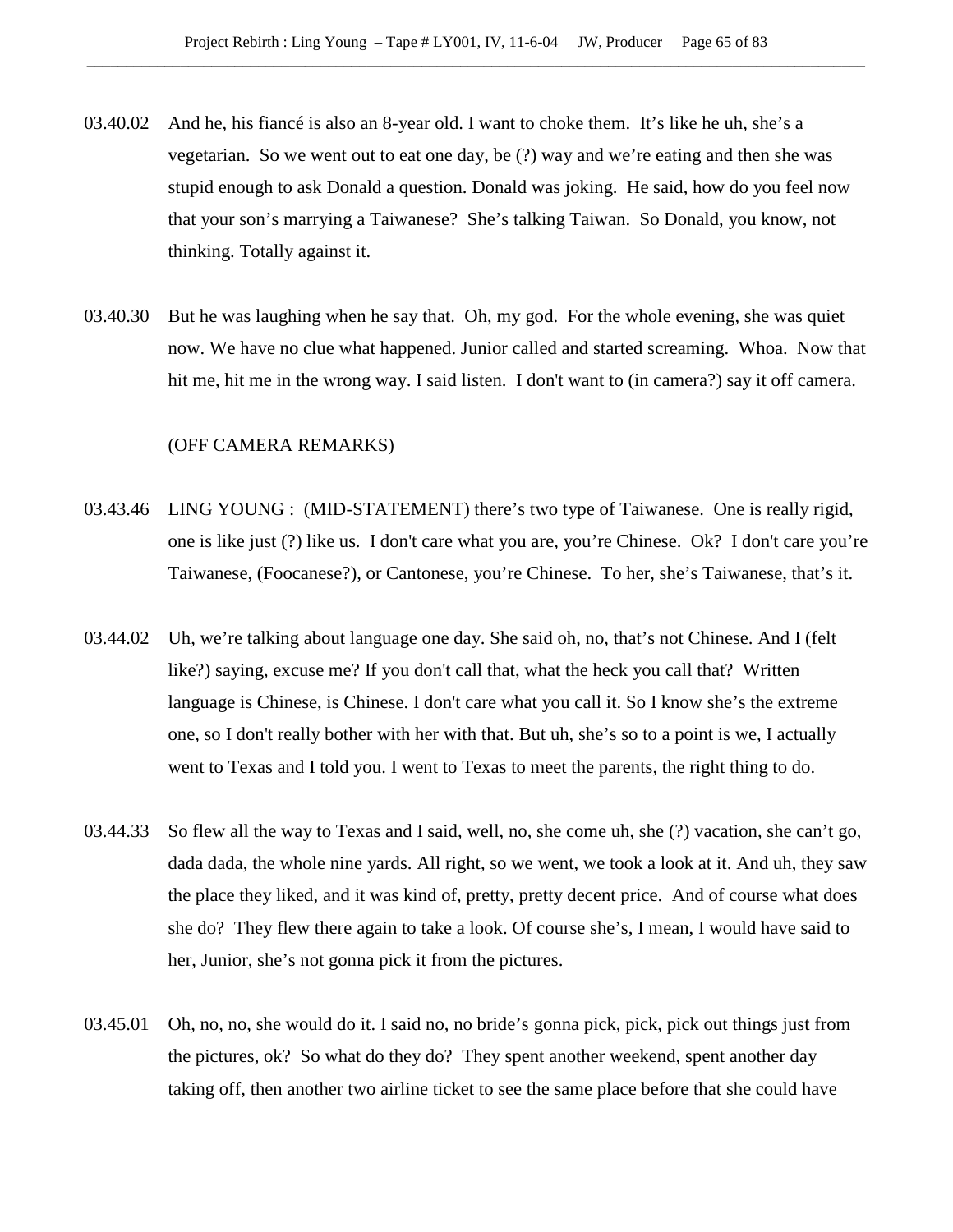- 03.40.02 And he, his fiancé is also an 8-year old. I want to choke them. It's like he uh, she's a vegetarian. So we went out to eat one day, be (?) way and we're eating and then she was stupid enough to ask Donald a question. Donald was joking. He said, how do you feel now that your son's marrying a Taiwanese? She's talking Taiwan. So Donald, you know, not thinking. Totally against it.
- 03.40.30 But he was laughing when he say that. Oh, my god. For the whole evening, she was quiet now. We have no clue what happened. Junior called and started screaming. Whoa. Now that hit me, hit me in the wrong way. I said listen. I don't want to (in camera?) say it off camera.

## (OFF CAMERA REMARKS)

- 03.43.46 LING YOUNG : (MID-STATEMENT) there's two type of Taiwanese. One is really rigid, one is like just (?) like us. I don't care what you are, you're Chinese. Ok? I don't care you're Taiwanese, (Foocanese?), or Cantonese, you're Chinese. To her, she's Taiwanese, that's it.
- 03.44.02 Uh, we're talking about language one day. She said oh, no, that's not Chinese. And I (felt like?) saying, excuse me? If you don't call that, what the heck you call that? Written language is Chinese, is Chinese. I don't care what you call it. So I know she's the extreme one, so I don't really bother with her with that. But uh, she's so to a point is we, I actually went to Texas and I told you. I went to Texas to meet the parents, the right thing to do.
- 03.44.33 So flew all the way to Texas and I said, well, no, she come uh, she (?) vacation, she can't go, dada dada, the whole nine yards. All right, so we went, we took a look at it. And uh, they saw the place they liked, and it was kind of, pretty, pretty decent price. And of course what does she do? They flew there again to take a look. Of course she's, I mean, I would have said to her, Junior, she's not gonna pick it from the pictures.
- 03.45.01 Oh, no, no, she would do it. I said no, no bride's gonna pick, pick, pick out things just from the pictures, ok? So what do they do? They spent another weekend, spent another day taking off, then another two airline ticket to see the same place before that she could have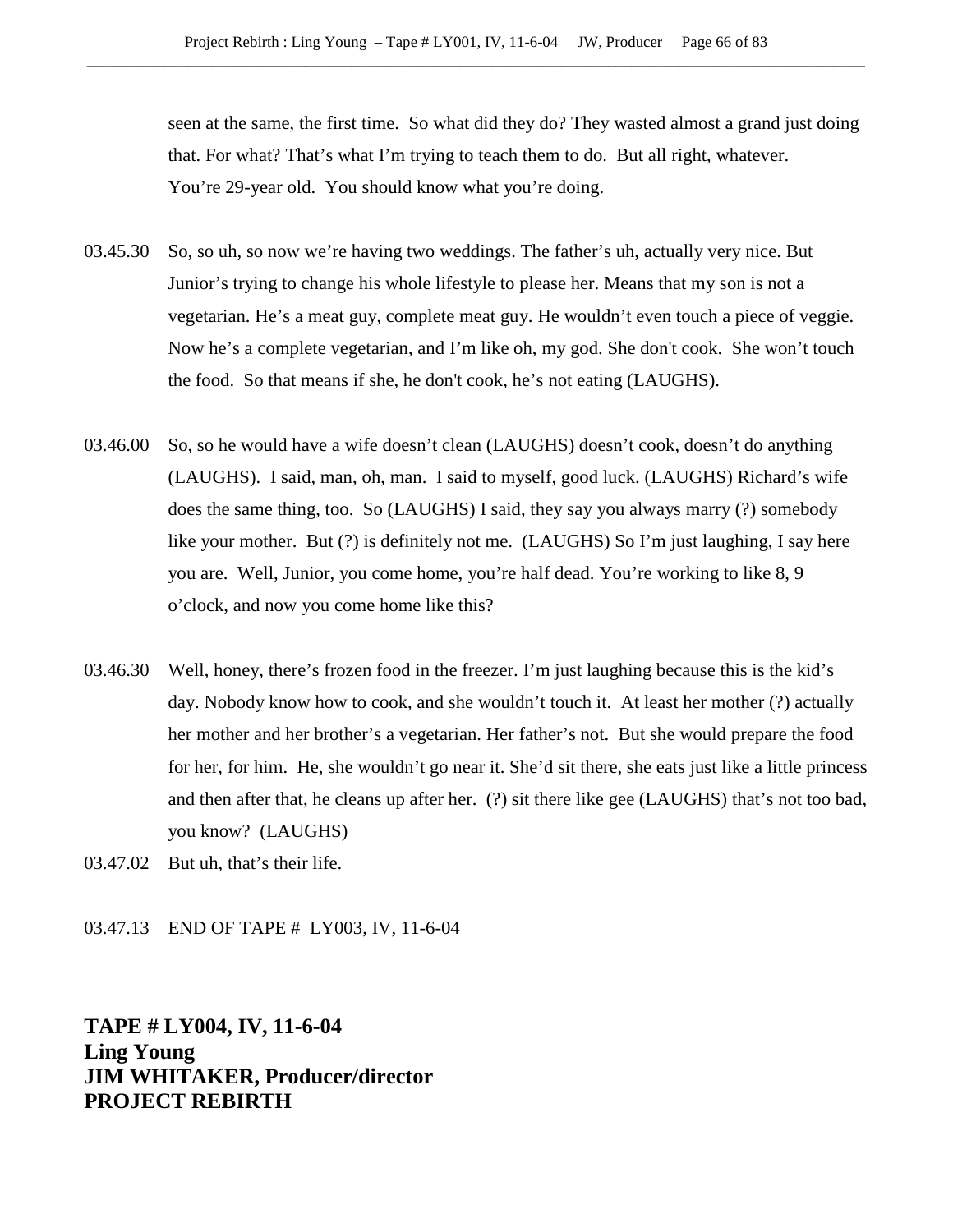seen at the same, the first time. So what did they do? They wasted almost a grand just doing that. For what? That's what I'm trying to teach them to do. But all right, whatever. You're 29-year old. You should know what you're doing.

- 03.45.30 So, so uh, so now we're having two weddings. The father's uh, actually very nice. But Junior's trying to change his whole lifestyle to please her. Means that my son is not a vegetarian. He's a meat guy, complete meat guy. He wouldn't even touch a piece of veggie. Now he's a complete vegetarian, and I'm like oh, my god. She don't cook. She won't touch the food. So that means if she, he don't cook, he's not eating (LAUGHS).
- 03.46.00 So, so he would have a wife doesn't clean (LAUGHS) doesn't cook, doesn't do anything (LAUGHS). I said, man, oh, man. I said to myself, good luck. (LAUGHS) Richard's wife does the same thing, too. So (LAUGHS) I said, they say you always marry (?) somebody like your mother. But (?) is definitely not me. (LAUGHS) So I'm just laughing, I say here you are. Well, Junior, you come home, you're half dead. You're working to like 8, 9 o'clock, and now you come home like this?
- 03.46.30 Well, honey, there's frozen food in the freezer. I'm just laughing because this is the kid's day. Nobody know how to cook, and she wouldn't touch it. At least her mother (?) actually her mother and her brother's a vegetarian. Her father's not. But she would prepare the food for her, for him. He, she wouldn't go near it. She'd sit there, she eats just like a little princess and then after that, he cleans up after her. (?) sit there like gee (LAUGHS) that's not too bad, you know? (LAUGHS)
- 03.47.02 But uh, that's their life.

03.47.13 END OF TAPE # LY003, IV, 11-6-04

**TAPE # LY004, IV, 11-6-04 Ling Young JIM WHITAKER, Producer/director PROJECT REBIRTH**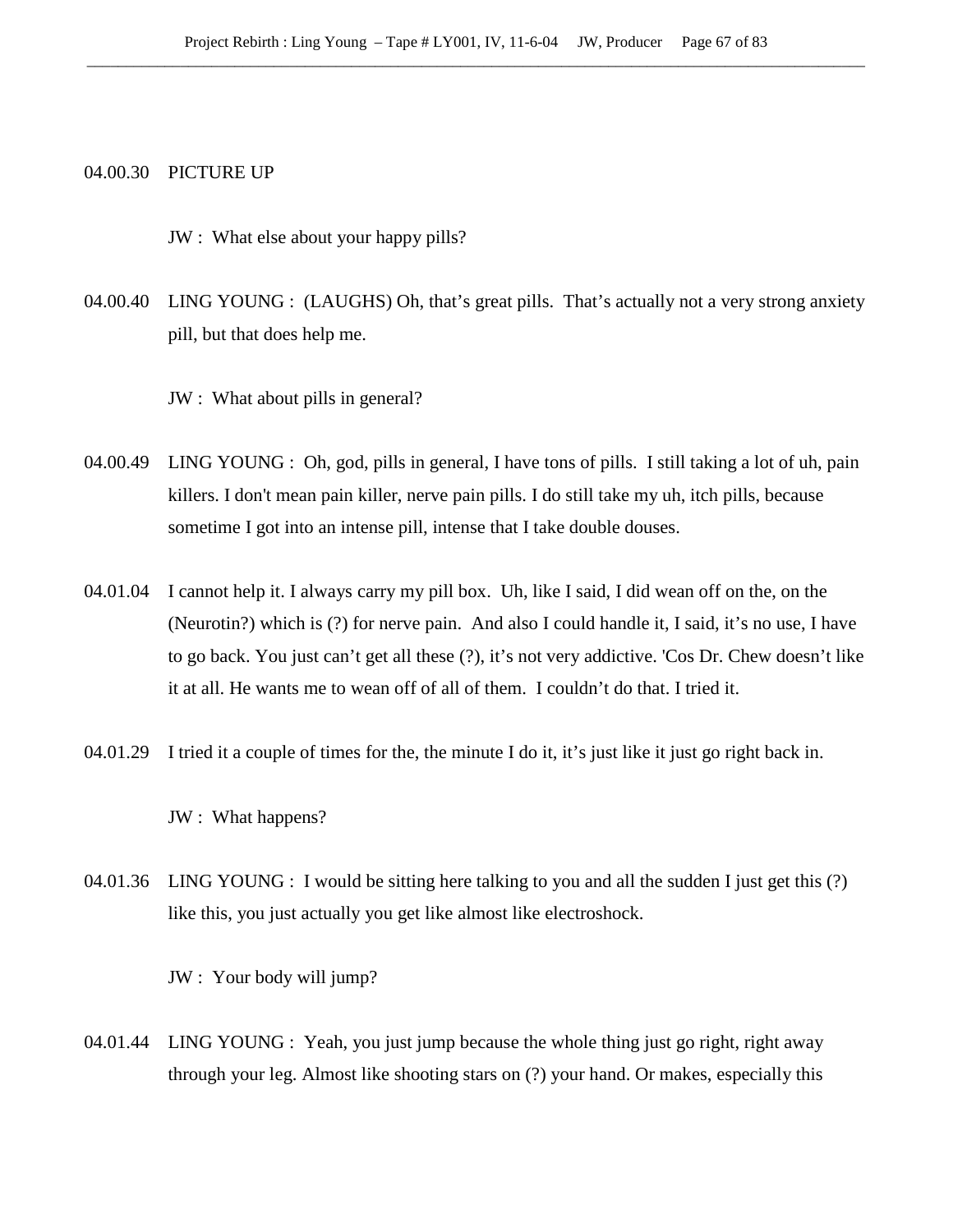# 04.00.30 PICTURE UP

JW : What else about your happy pills?

- 04.00.40 LING YOUNG : (LAUGHS) Oh, that's great pills. That's actually not a very strong anxiety pill, but that does help me.
	- JW : What about pills in general?
- 04.00.49 LING YOUNG : Oh, god, pills in general, I have tons of pills. I still taking a lot of uh, pain killers. I don't mean pain killer, nerve pain pills. I do still take my uh, itch pills, because sometime I got into an intense pill, intense that I take double douses.
- 04.01.04 I cannot help it. I always carry my pill box. Uh, like I said, I did wean off on the, on the (Neurotin?) which is (?) for nerve pain. And also I could handle it, I said, it's no use, I have to go back. You just can't get all these (?), it's not very addictive. 'Cos Dr. Chew doesn't like it at all. He wants me to wean off of all of them. I couldn't do that. I tried it.
- 04.01.29 I tried it a couple of times for the, the minute I do it, it's just like it just go right back in.

JW : What happens?

04.01.36 LING YOUNG : I would be sitting here talking to you and all the sudden I just get this  $(?)$ like this, you just actually you get like almost like electroshock.

JW : Your body will jump?

04.01.44 LING YOUNG : Yeah, you just jump because the whole thing just go right, right away through your leg. Almost like shooting stars on (?) your hand. Or makes, especially this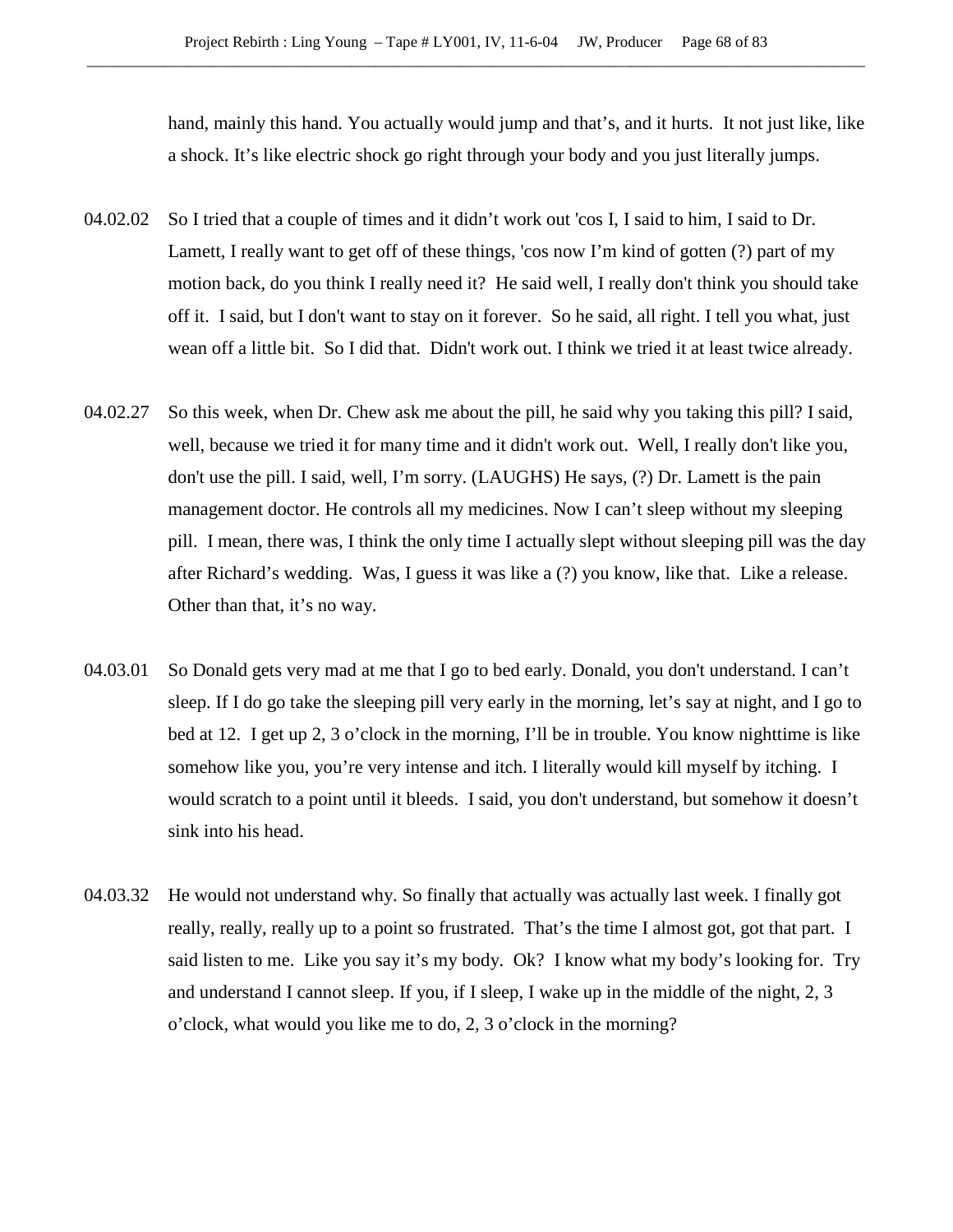hand, mainly this hand. You actually would jump and that's, and it hurts. It not just like, like a shock. It's like electric shock go right through your body and you just literally jumps.

- 04.02.02 So I tried that a couple of times and it didn't work out 'cos I, I said to him, I said to Dr. Lamett, I really want to get off of these things, 'cos now I'm kind of gotten (?) part of my motion back, do you think I really need it? He said well, I really don't think you should take off it. I said, but I don't want to stay on it forever. So he said, all right. I tell you what, just wean off a little bit. So I did that. Didn't work out. I think we tried it at least twice already.
- 04.02.27 So this week, when Dr. Chew ask me about the pill, he said why you taking this pill? I said, well, because we tried it for many time and it didn't work out. Well, I really don't like you, don't use the pill. I said, well, I'm sorry. (LAUGHS) He says, (?) Dr. Lamett is the pain management doctor. He controls all my medicines. Now I can't sleep without my sleeping pill. I mean, there was, I think the only time I actually slept without sleeping pill was the day after Richard's wedding. Was, I guess it was like a (?) you know, like that. Like a release. Other than that, it's no way.
- 04.03.01 So Donald gets very mad at me that I go to bed early. Donald, you don't understand. I can't sleep. If I do go take the sleeping pill very early in the morning, let's say at night, and I go to bed at 12. I get up 2, 3 o'clock in the morning, I'll be in trouble. You know nighttime is like somehow like you, you're very intense and itch. I literally would kill myself by itching. I would scratch to a point until it bleeds. I said, you don't understand, but somehow it doesn't sink into his head.
- 04.03.32 He would not understand why. So finally that actually was actually last week. I finally got really, really, really up to a point so frustrated. That's the time I almost got, got that part. I said listen to me. Like you say it's my body. Ok? I know what my body's looking for. Try and understand I cannot sleep. If you, if I sleep, I wake up in the middle of the night, 2, 3 o'clock, what would you like me to do, 2, 3 o'clock in the morning?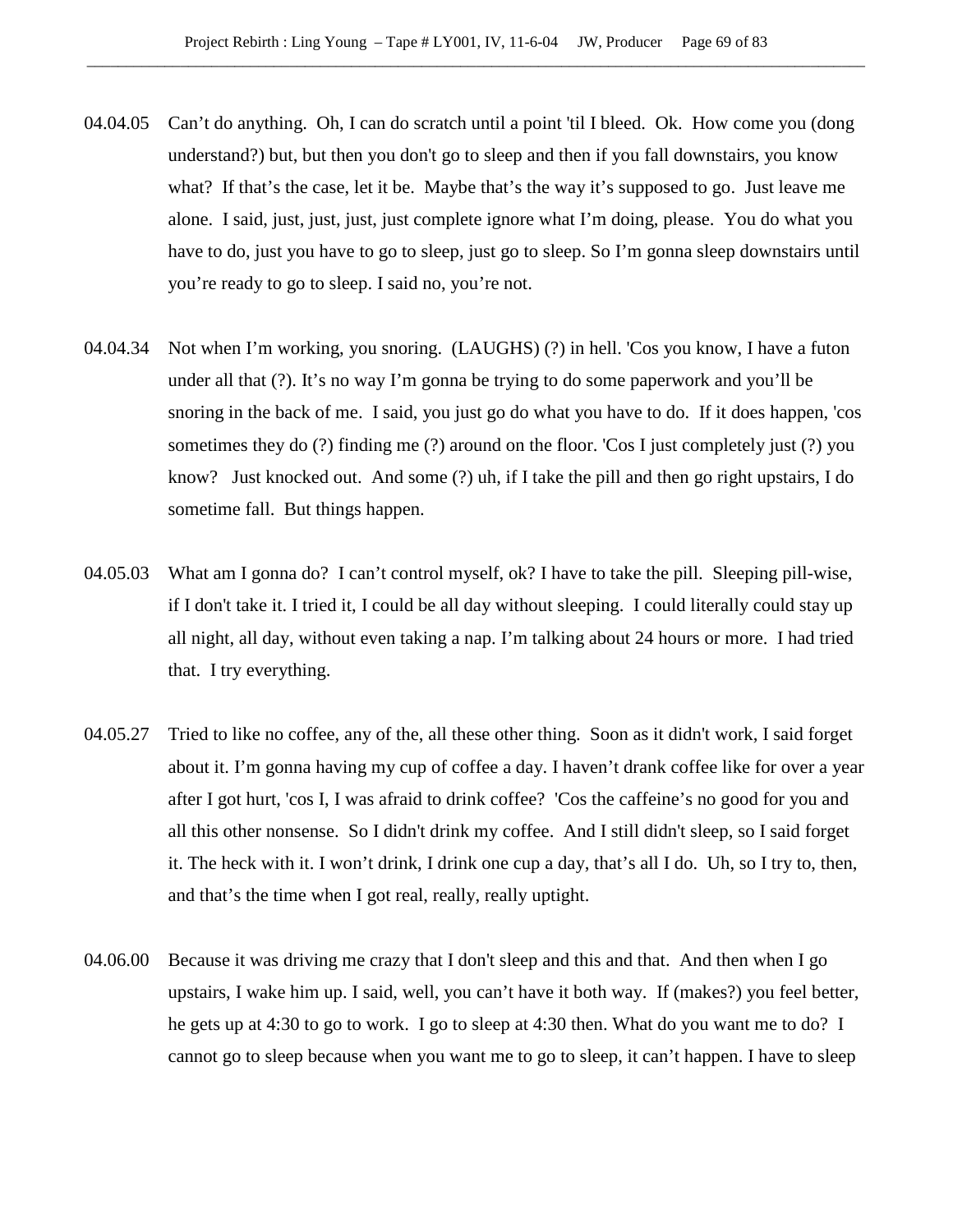- 04.04.05 Can't do anything. Oh, I can do scratch until a point 'til I bleed. Ok. How come you (dong understand?) but, but then you don't go to sleep and then if you fall downstairs, you know what? If that's the case, let it be. Maybe that's the way it's supposed to go. Just leave me alone. I said, just, just, just, just complete ignore what I'm doing, please. You do what you have to do, just you have to go to sleep, just go to sleep. So I'm gonna sleep downstairs until you're ready to go to sleep. I said no, you're not.
- 04.04.34 Not when I'm working, you snoring. (LAUGHS) (?) in hell. 'Cos you know, I have a futon under all that (?). It's no way I'm gonna be trying to do some paperwork and you'll be snoring in the back of me. I said, you just go do what you have to do. If it does happen, 'cos sometimes they do (?) finding me (?) around on the floor. 'Cos I just completely just (?) you know? Just knocked out. And some (?) uh, if I take the pill and then go right upstairs, I do sometime fall. But things happen.
- 04.05.03 What am I gonna do? I can't control myself, ok? I have to take the pill. Sleeping pill-wise, if I don't take it. I tried it, I could be all day without sleeping. I could literally could stay up all night, all day, without even taking a nap. I'm talking about 24 hours or more. I had tried that. I try everything.
- 04.05.27 Tried to like no coffee, any of the, all these other thing. Soon as it didn't work, I said forget about it. I'm gonna having my cup of coffee a day. I haven't drank coffee like for over a year after I got hurt, 'cos I, I was afraid to drink coffee? 'Cos the caffeine's no good for you and all this other nonsense. So I didn't drink my coffee. And I still didn't sleep, so I said forget it. The heck with it. I won't drink, I drink one cup a day, that's all I do. Uh, so I try to, then, and that's the time when I got real, really, really uptight.
- 04.06.00 Because it was driving me crazy that I don't sleep and this and that. And then when I go upstairs, I wake him up. I said, well, you can't have it both way. If (makes?) you feel better, he gets up at 4:30 to go to work. I go to sleep at 4:30 then. What do you want me to do? I cannot go to sleep because when you want me to go to sleep, it can't happen. I have to sleep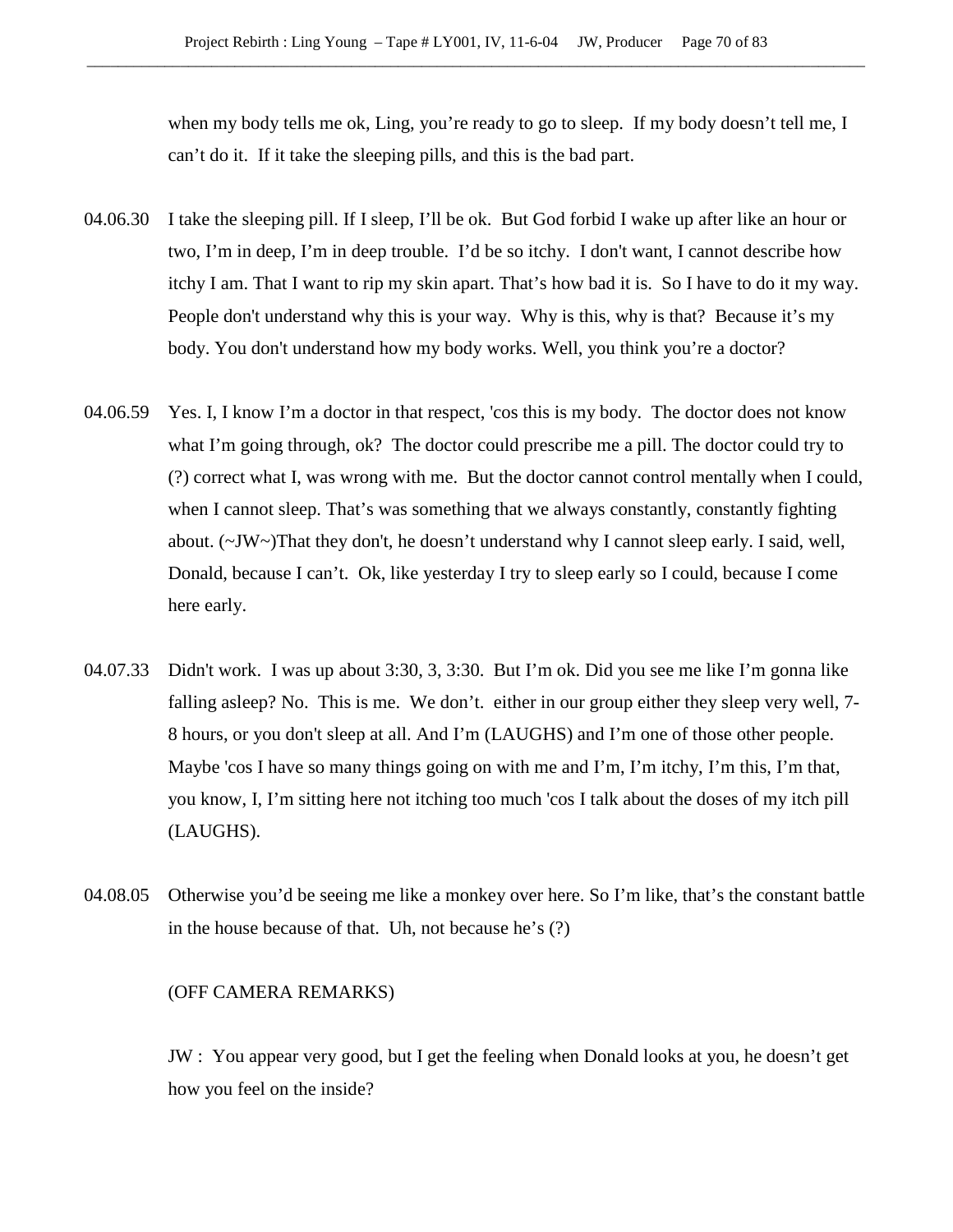when my body tells me ok, Ling, you're ready to go to sleep. If my body doesn't tell me, I can't do it. If it take the sleeping pills, and this is the bad part.

- 04.06.30 I take the sleeping pill. If I sleep, I'll be ok. But God forbid I wake up after like an hour or two, I'm in deep, I'm in deep trouble. I'd be so itchy. I don't want, I cannot describe how itchy I am. That I want to rip my skin apart. That's how bad it is. So I have to do it my way. People don't understand why this is your way. Why is this, why is that? Because it's my body. You don't understand how my body works. Well, you think you're a doctor?
- 04.06.59 Yes. I, I know I'm a doctor in that respect, 'cos this is my body. The doctor does not know what I'm going through, ok? The doctor could prescribe me a pill. The doctor could try to (?) correct what I, was wrong with me. But the doctor cannot control mentally when I could, when I cannot sleep. That's was something that we always constantly, constantly fighting about. (~JW~)That they don't, he doesn't understand why I cannot sleep early. I said, well, Donald, because I can't. Ok, like yesterday I try to sleep early so I could, because I come here early.
- 04.07.33 Didn't work. I was up about 3:30, 3, 3:30. But I'm ok. Did you see me like I'm gonna like falling asleep? No. This is me. We don't. either in our group either they sleep very well, 7- 8 hours, or you don't sleep at all. And I'm (LAUGHS) and I'm one of those other people. Maybe 'cos I have so many things going on with me and I'm, I'm itchy, I'm this, I'm that, you know, I, I'm sitting here not itching too much 'cos I talk about the doses of my itch pill (LAUGHS).
- 04.08.05 Otherwise you'd be seeing me like a monkey over here. So I'm like, that's the constant battle in the house because of that. Uh, not because he's (?)

#### (OFF CAMERA REMARKS)

JW : You appear very good, but I get the feeling when Donald looks at you, he doesn't get how you feel on the inside?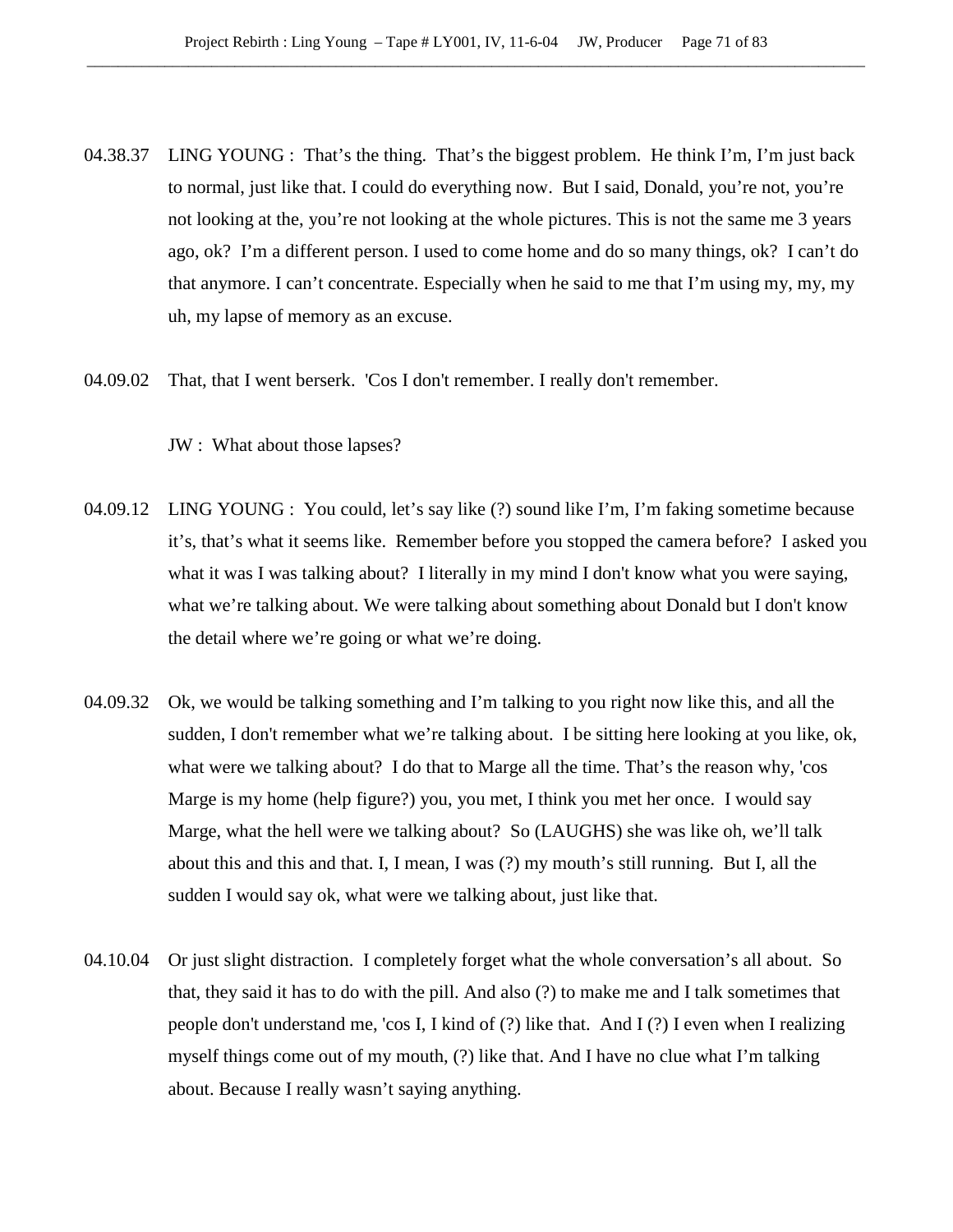- 04.38.37 LING YOUNG : That's the thing. That's the biggest problem. He think I'm, I'm just back to normal, just like that. I could do everything now. But I said, Donald, you're not, you're not looking at the, you're not looking at the whole pictures. This is not the same me 3 years ago, ok? I'm a different person. I used to come home and do so many things, ok? I can't do that anymore. I can't concentrate. Especially when he said to me that I'm using my, my, my uh, my lapse of memory as an excuse.
- 04.09.02 That, that I went berserk. 'Cos I don't remember. I really don't remember.

JW : What about those lapses?

- 04.09.12 LING YOUNG : You could, let's say like (?) sound like I'm, I'm faking sometime because it's, that's what it seems like. Remember before you stopped the camera before? I asked you what it was I was talking about? I literally in my mind I don't know what you were saying, what we're talking about. We were talking about something about Donald but I don't know the detail where we're going or what we're doing.
- 04.09.32 Ok, we would be talking something and I'm talking to you right now like this, and all the sudden, I don't remember what we're talking about. I be sitting here looking at you like, ok, what were we talking about? I do that to Marge all the time. That's the reason why, 'cos Marge is my home (help figure?) you, you met, I think you met her once. I would say Marge, what the hell were we talking about? So (LAUGHS) she was like oh, we'll talk about this and this and that. I, I mean, I was (?) my mouth's still running. But I, all the sudden I would say ok, what were we talking about, just like that.
- 04.10.04 Or just slight distraction. I completely forget what the whole conversation's all about. So that, they said it has to do with the pill. And also (?) to make me and I talk sometimes that people don't understand me, 'cos I, I kind of (?) like that. And I (?) I even when I realizing myself things come out of my mouth, (?) like that. And I have no clue what I'm talking about. Because I really wasn't saying anything.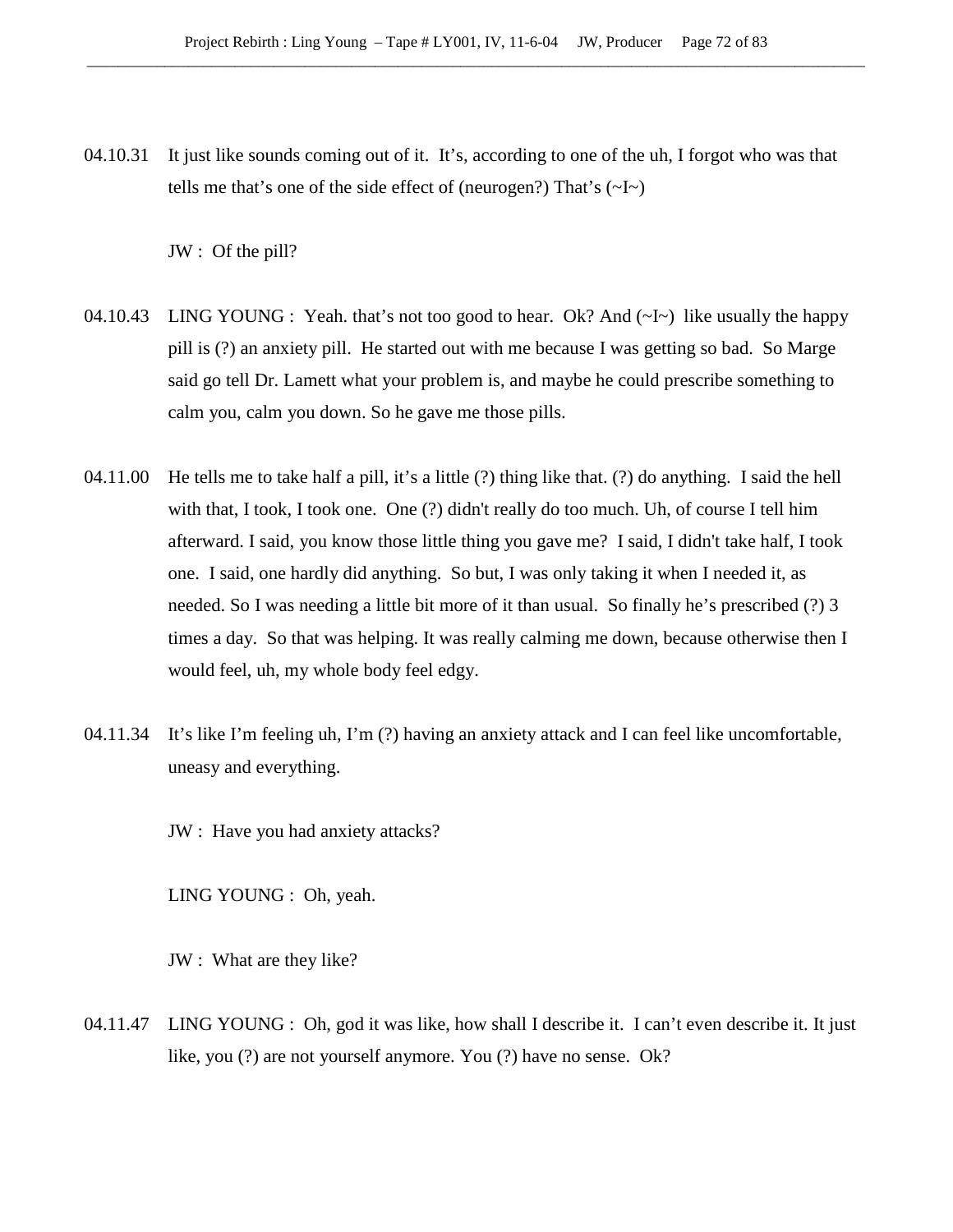04.10.31 It just like sounds coming out of it. It's, according to one of the uh, I forgot who was that tells me that's one of the side effect of (neurogen?) That's  $(\sim I \sim)$ 

JW : Of the pill?

- 04.10.43 LING YOUNG : Yeah. that's not too good to hear. Ok? And  $(\sim I \sim)$  like usually the happy pill is (?) an anxiety pill. He started out with me because I was getting so bad. So Marge said go tell Dr. Lamett what your problem is, and maybe he could prescribe something to calm you, calm you down. So he gave me those pills.
- 04.11.00 He tells me to take half a pill, it's a little (?) thing like that. (?) do anything. I said the hell with that, I took, I took one. One (?) didn't really do too much. Uh, of course I tell him afterward. I said, you know those little thing you gave me? I said, I didn't take half, I took one. I said, one hardly did anything. So but, I was only taking it when I needed it, as needed. So I was needing a little bit more of it than usual. So finally he's prescribed (?) 3 times a day. So that was helping. It was really calming me down, because otherwise then I would feel, uh, my whole body feel edgy.
- 04.11.34 It's like I'm feeling uh, I'm (?) having an anxiety attack and I can feel like uncomfortable, uneasy and everything.

JW : Have you had anxiety attacks?

LING YOUNG : Oh, yeah.

JW : What are they like?

04.11.47 LING YOUNG : Oh, god it was like, how shall I describe it. I can't even describe it. It just like, you (?) are not yourself anymore. You (?) have no sense. Ok?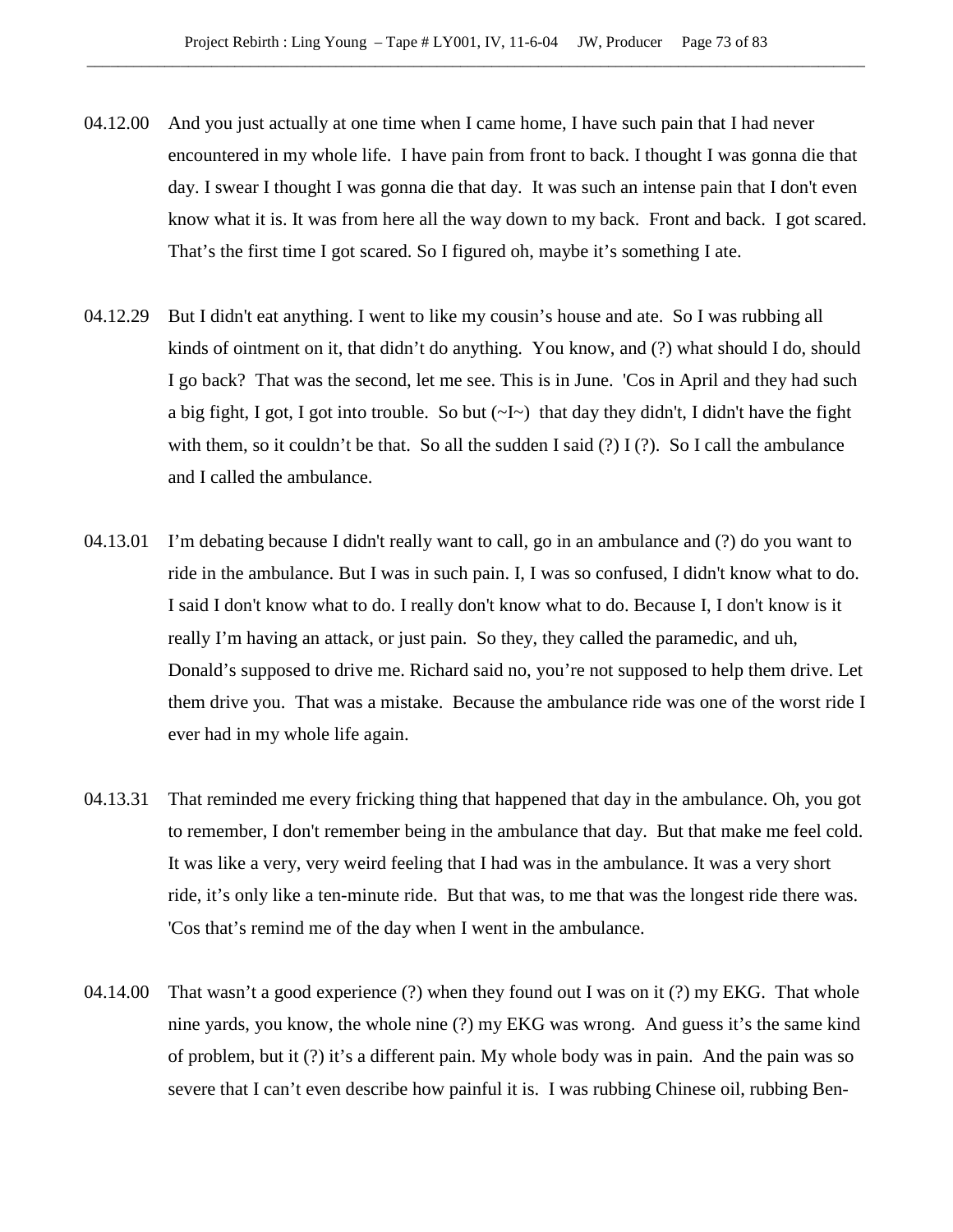- 04.12.00 And you just actually at one time when I came home, I have such pain that I had never encountered in my whole life. I have pain from front to back. I thought I was gonna die that day. I swear I thought I was gonna die that day. It was such an intense pain that I don't even know what it is. It was from here all the way down to my back. Front and back. I got scared. That's the first time I got scared. So I figured oh, maybe it's something I ate.
- 04.12.29 But I didn't eat anything. I went to like my cousin's house and ate. So I was rubbing all kinds of ointment on it, that didn't do anything. You know, and (?) what should I do, should I go back? That was the second, let me see. This is in June. 'Cos in April and they had such a big fight, I got, I got into trouble. So but  $(\sim I \sim)$  that day they didn't, I didn't have the fight with them, so it couldn't be that. So all the sudden I said  $(?)$  I  $(?)$ . So I call the ambulance and I called the ambulance.
- 04.13.01 I'm debating because I didn't really want to call, go in an ambulance and (?) do you want to ride in the ambulance. But I was in such pain. I, I was so confused, I didn't know what to do. I said I don't know what to do. I really don't know what to do. Because I, I don't know is it really I'm having an attack, or just pain. So they, they called the paramedic, and uh, Donald's supposed to drive me. Richard said no, you're not supposed to help them drive. Let them drive you. That was a mistake. Because the ambulance ride was one of the worst ride I ever had in my whole life again.
- 04.13.31 That reminded me every fricking thing that happened that day in the ambulance. Oh, you got to remember, I don't remember being in the ambulance that day. But that make me feel cold. It was like a very, very weird feeling that I had was in the ambulance. It was a very short ride, it's only like a ten-minute ride. But that was, to me that was the longest ride there was. 'Cos that's remind me of the day when I went in the ambulance.
- 04.14.00 That wasn't a good experience (?) when they found out I was on it (?) my EKG. That whole nine yards, you know, the whole nine (?) my EKG was wrong. And guess it's the same kind of problem, but it (?) it's a different pain. My whole body was in pain. And the pain was so severe that I can't even describe how painful it is. I was rubbing Chinese oil, rubbing Ben-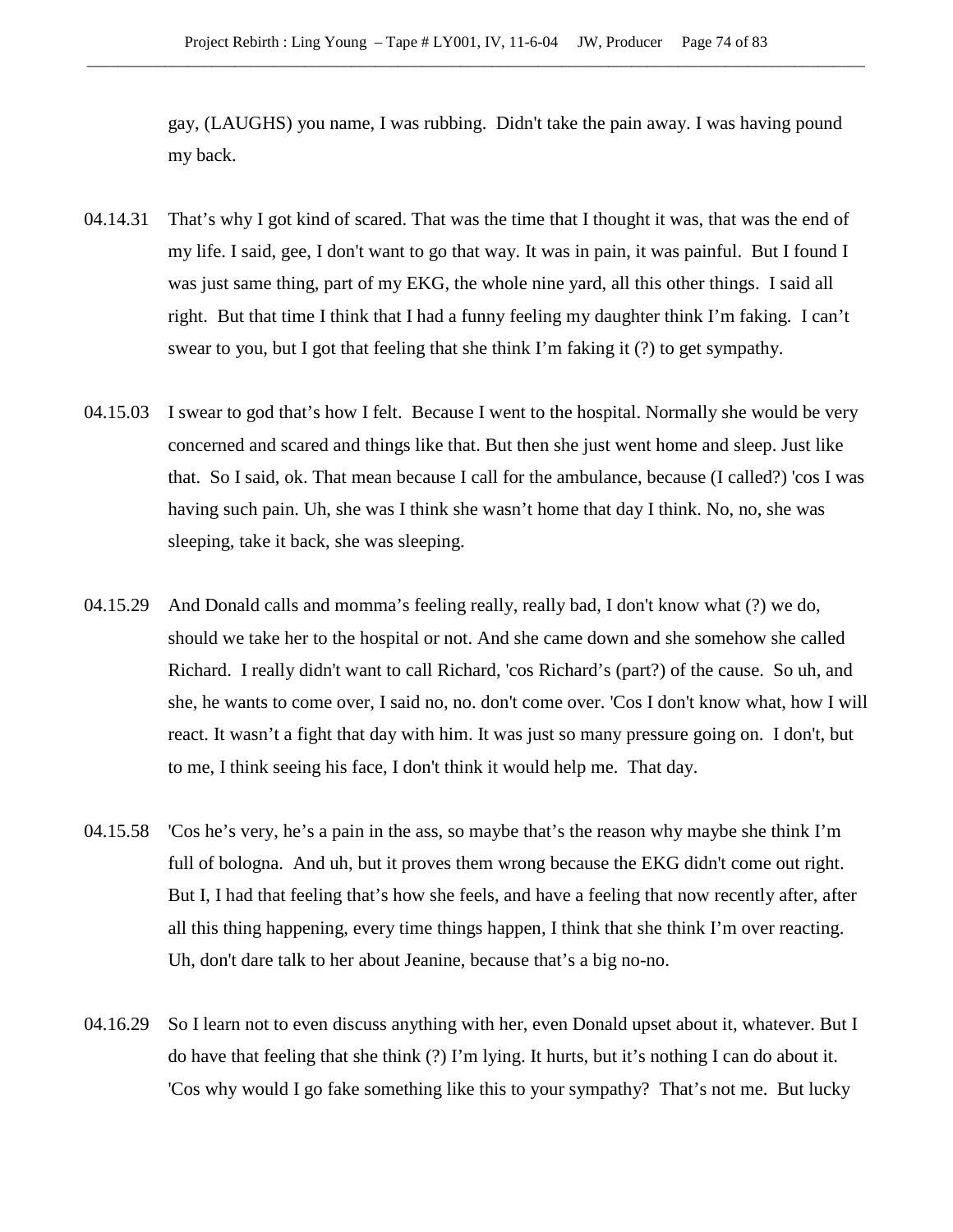gay, (LAUGHS) you name, I was rubbing. Didn't take the pain away. I was having pound my back.

- 04.14.31 That's why I got kind of scared. That was the time that I thought it was, that was the end of my life. I said, gee, I don't want to go that way. It was in pain, it was painful. But I found I was just same thing, part of my EKG, the whole nine yard, all this other things. I said all right. But that time I think that I had a funny feeling my daughter think I'm faking. I can't swear to you, but I got that feeling that she think I'm faking it (?) to get sympathy.
- 04.15.03 I swear to god that's how I felt. Because I went to the hospital. Normally she would be very concerned and scared and things like that. But then she just went home and sleep. Just like that. So I said, ok. That mean because I call for the ambulance, because (I called?) 'cos I was having such pain. Uh, she was I think she wasn't home that day I think. No, no, she was sleeping, take it back, she was sleeping.
- 04.15.29 And Donald calls and momma's feeling really, really bad, I don't know what (?) we do, should we take her to the hospital or not. And she came down and she somehow she called Richard. I really didn't want to call Richard, 'cos Richard's (part?) of the cause. So uh, and she, he wants to come over, I said no, no. don't come over. 'Cos I don't know what, how I will react. It wasn't a fight that day with him. It was just so many pressure going on. I don't, but to me, I think seeing his face, I don't think it would help me. That day.
- 04.15.58 'Cos he's very, he's a pain in the ass, so maybe that's the reason why maybe she think I'm full of bologna. And uh, but it proves them wrong because the EKG didn't come out right. But I, I had that feeling that's how she feels, and have a feeling that now recently after, after all this thing happening, every time things happen, I think that she think I'm over reacting. Uh, don't dare talk to her about Jeanine, because that's a big no-no.
- 04.16.29 So I learn not to even discuss anything with her, even Donald upset about it, whatever. But I do have that feeling that she think (?) I'm lying. It hurts, but it's nothing I can do about it. 'Cos why would I go fake something like this to your sympathy? That's not me. But lucky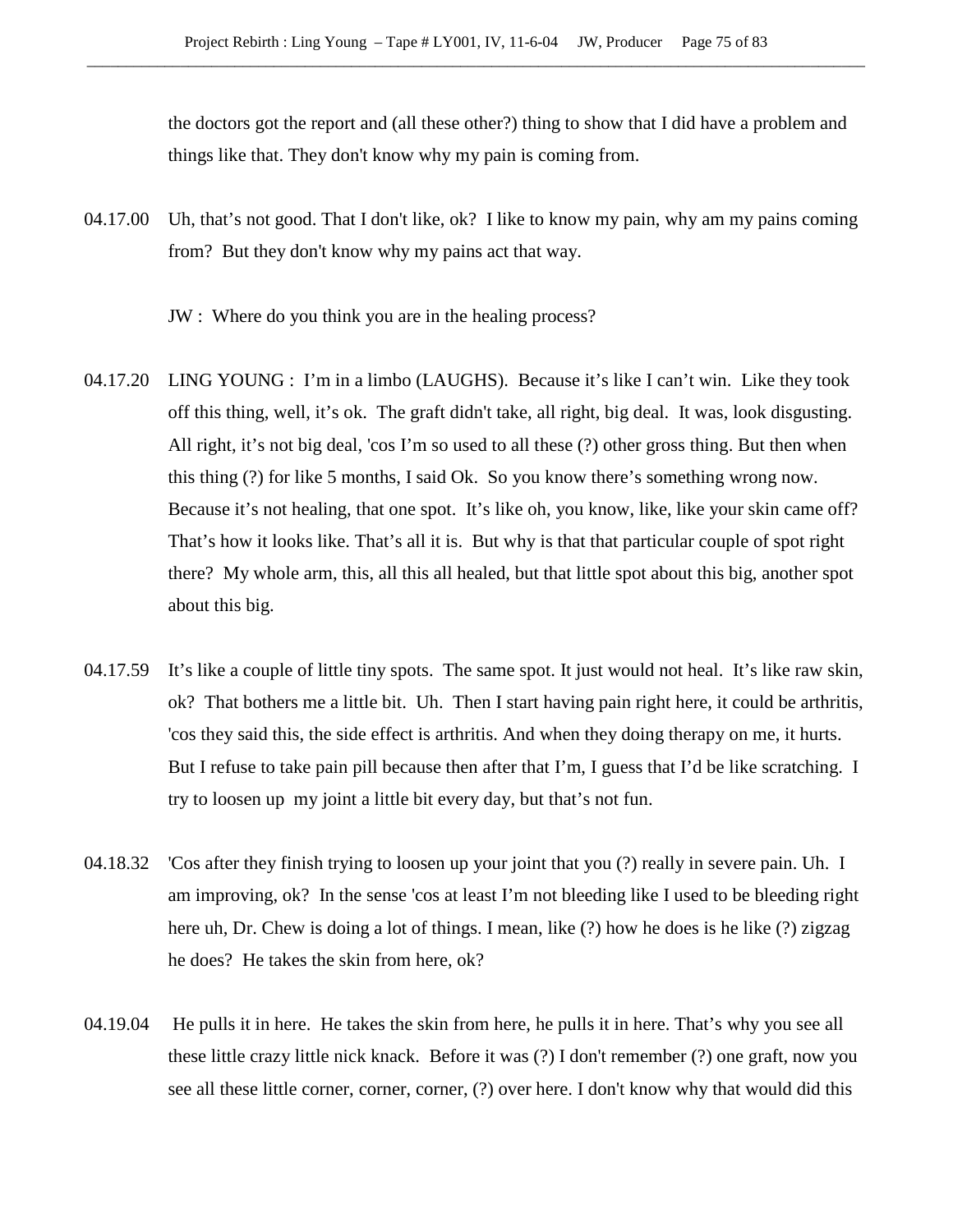the doctors got the report and (all these other?) thing to show that I did have a problem and things like that. They don't know why my pain is coming from.

04.17.00 Uh, that's not good. That I don't like, ok? I like to know my pain, why am my pains coming from? But they don't know why my pains act that way.

JW : Where do you think you are in the healing process?

- 04.17.20 LING YOUNG : I'm in a limbo (LAUGHS). Because it's like I can't win. Like they took off this thing, well, it's ok. The graft didn't take, all right, big deal. It was, look disgusting. All right, it's not big deal, 'cos I'm so used to all these (?) other gross thing. But then when this thing (?) for like 5 months, I said Ok. So you know there's something wrong now. Because it's not healing, that one spot. It's like oh, you know, like, like your skin came off? That's how it looks like. That's all it is. But why is that that particular couple of spot right there? My whole arm, this, all this all healed, but that little spot about this big, another spot about this big.
- 04.17.59 It's like a couple of little tiny spots. The same spot. It just would not heal. It's like raw skin, ok? That bothers me a little bit. Uh. Then I start having pain right here, it could be arthritis, 'cos they said this, the side effect is arthritis. And when they doing therapy on me, it hurts. But I refuse to take pain pill because then after that I'm, I guess that I'd be like scratching. I try to loosen up my joint a little bit every day, but that's not fun.
- 04.18.32 'Cos after they finish trying to loosen up your joint that you (?) really in severe pain. Uh. I am improving, ok? In the sense 'cos at least I'm not bleeding like I used to be bleeding right here uh, Dr. Chew is doing a lot of things. I mean, like (?) how he does is he like (?) zigzag he does? He takes the skin from here, ok?
- 04.19.04 He pulls it in here. He takes the skin from here, he pulls it in here. That's why you see all these little crazy little nick knack. Before it was (?) I don't remember (?) one graft, now you see all these little corner, corner, corner, (?) over here. I don't know why that would did this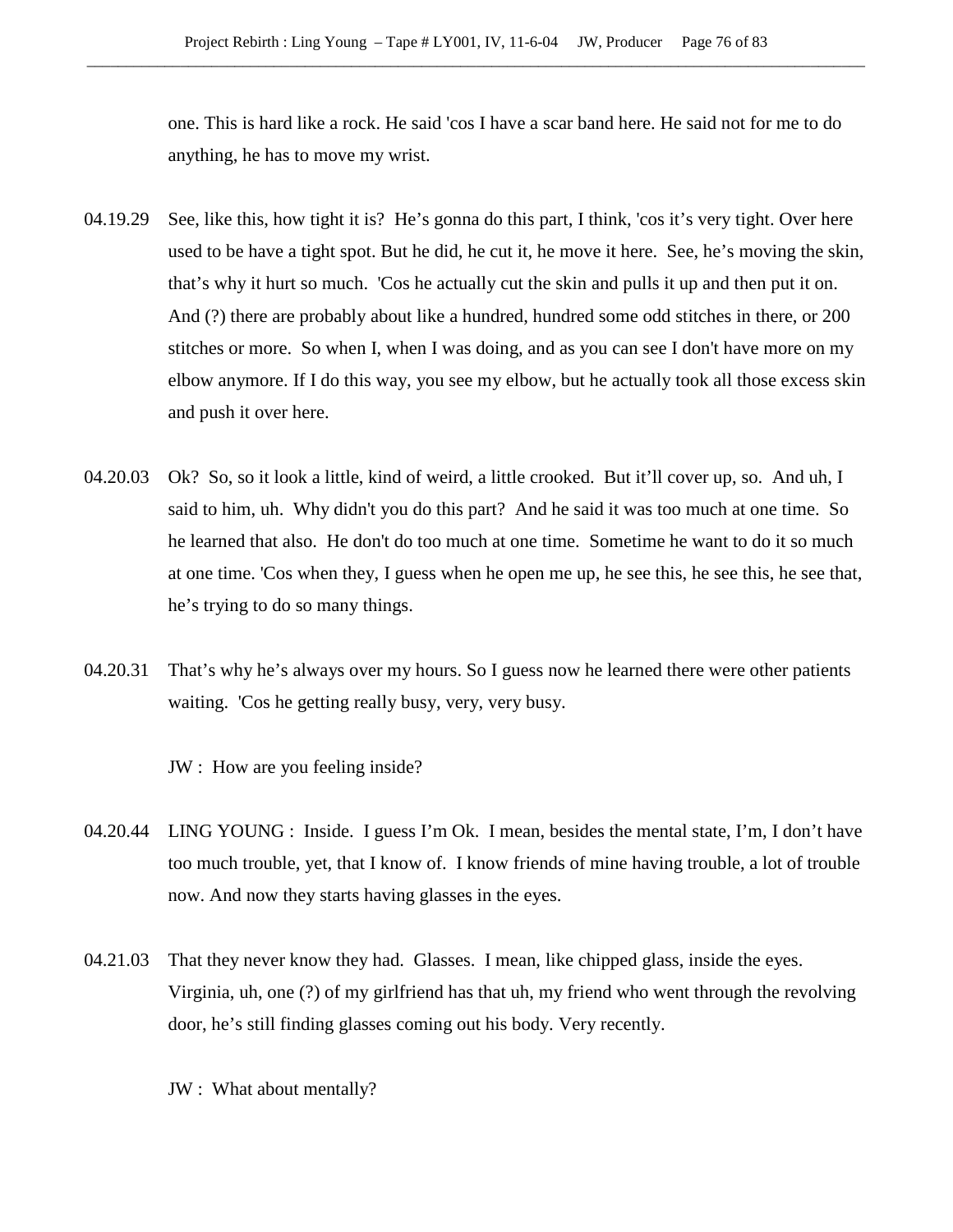one. This is hard like a rock. He said 'cos I have a scar band here. He said not for me to do anything, he has to move my wrist.

- 04.19.29 See, like this, how tight it is? He's gonna do this part, I think, 'cos it's very tight. Over here used to be have a tight spot. But he did, he cut it, he move it here. See, he's moving the skin, that's why it hurt so much. 'Cos he actually cut the skin and pulls it up and then put it on. And (?) there are probably about like a hundred, hundred some odd stitches in there, or 200 stitches or more. So when I, when I was doing, and as you can see I don't have more on my elbow anymore. If I do this way, you see my elbow, but he actually took all those excess skin and push it over here.
- 04.20.03 Ok? So, so it look a little, kind of weird, a little crooked. But it'll cover up, so. And uh, I said to him, uh. Why didn't you do this part? And he said it was too much at one time. So he learned that also. He don't do too much at one time. Sometime he want to do it so much at one time. 'Cos when they, I guess when he open me up, he see this, he see this, he see that, he's trying to do so many things.
- 04.20.31 That's why he's always over my hours. So I guess now he learned there were other patients waiting. 'Cos he getting really busy, very, very busy.

JW : How are you feeling inside?

- 04.20.44 LING YOUNG : Inside. I guess I'm Ok. I mean, besides the mental state, I'm, I don't have too much trouble, yet, that I know of. I know friends of mine having trouble, a lot of trouble now. And now they starts having glasses in the eyes.
- 04.21.03 That they never know they had. Glasses. I mean, like chipped glass, inside the eyes. Virginia, uh, one (?) of my girlfriend has that uh, my friend who went through the revolving door, he's still finding glasses coming out his body. Very recently.

JW : What about mentally?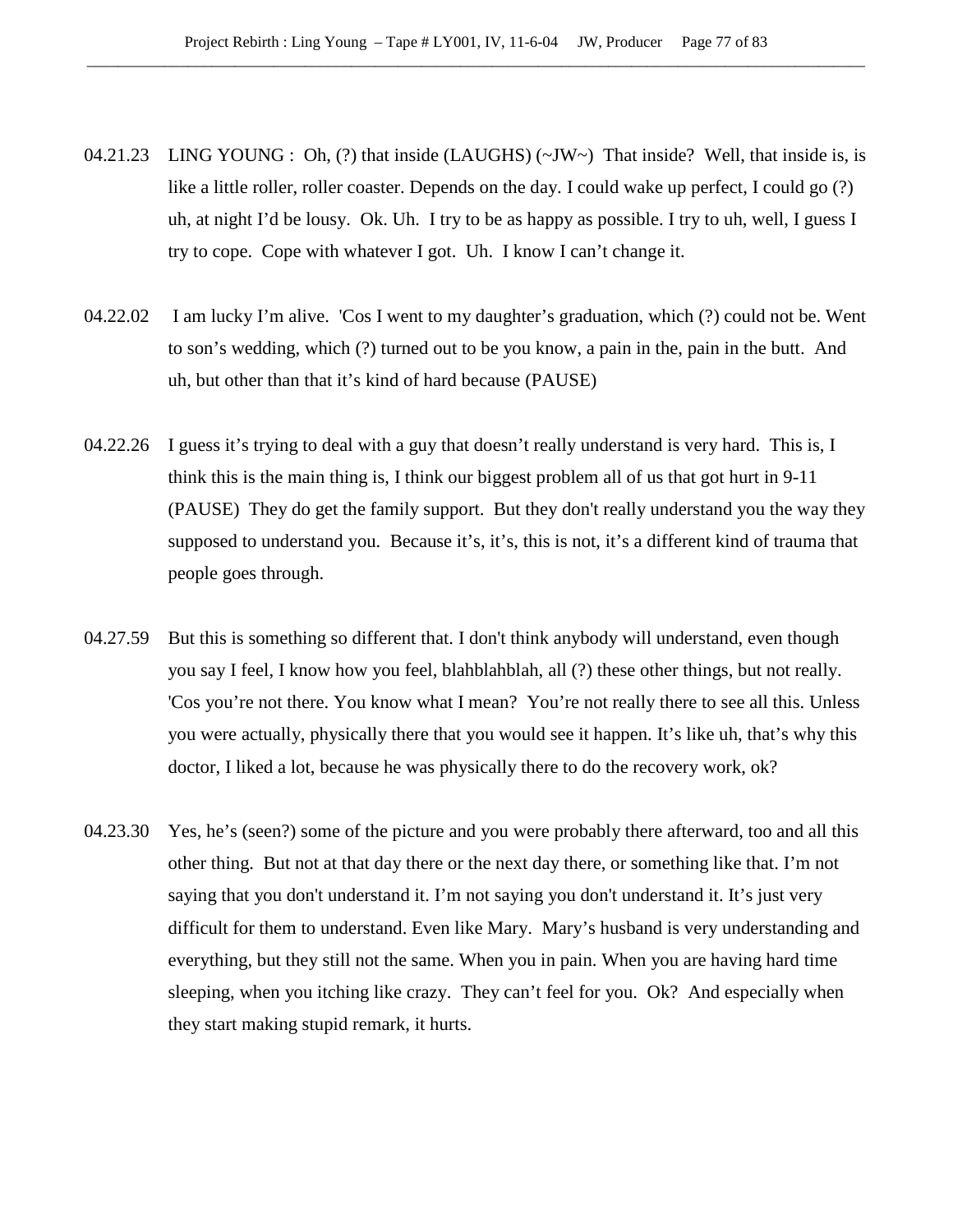- 04.21.23 LING YOUNG : Oh, (?) that inside (LAUGHS)  $(\sim JW \sim)$  That inside? Well, that inside is, is like a little roller, roller coaster. Depends on the day. I could wake up perfect, I could go (?) uh, at night I'd be lousy. Ok. Uh. I try to be as happy as possible. I try to uh, well, I guess I try to cope. Cope with whatever I got. Uh. I know I can't change it.
- 04.22.02 I am lucky I'm alive. 'Cos I went to my daughter's graduation, which (?) could not be. Went to son's wedding, which (?) turned out to be you know, a pain in the, pain in the butt. And uh, but other than that it's kind of hard because (PAUSE)
- 04.22.26 I guess it's trying to deal with a guy that doesn't really understand is very hard. This is, I think this is the main thing is, I think our biggest problem all of us that got hurt in 9-11 (PAUSE) They do get the family support. But they don't really understand you the way they supposed to understand you. Because it's, it's, this is not, it's a different kind of trauma that people goes through.
- 04.27.59 But this is something so different that. I don't think anybody will understand, even though you say I feel, I know how you feel, blahblahblah, all (?) these other things, but not really. 'Cos you're not there. You know what I mean? You're not really there to see all this. Unless you were actually, physically there that you would see it happen. It's like uh, that's why this doctor, I liked a lot, because he was physically there to do the recovery work, ok?
- 04.23.30 Yes, he's (seen?) some of the picture and you were probably there afterward, too and all this other thing. But not at that day there or the next day there, or something like that. I'm not saying that you don't understand it. I'm not saying you don't understand it. It's just very difficult for them to understand. Even like Mary. Mary's husband is very understanding and everything, but they still not the same. When you in pain. When you are having hard time sleeping, when you itching like crazy. They can't feel for you. Ok? And especially when they start making stupid remark, it hurts.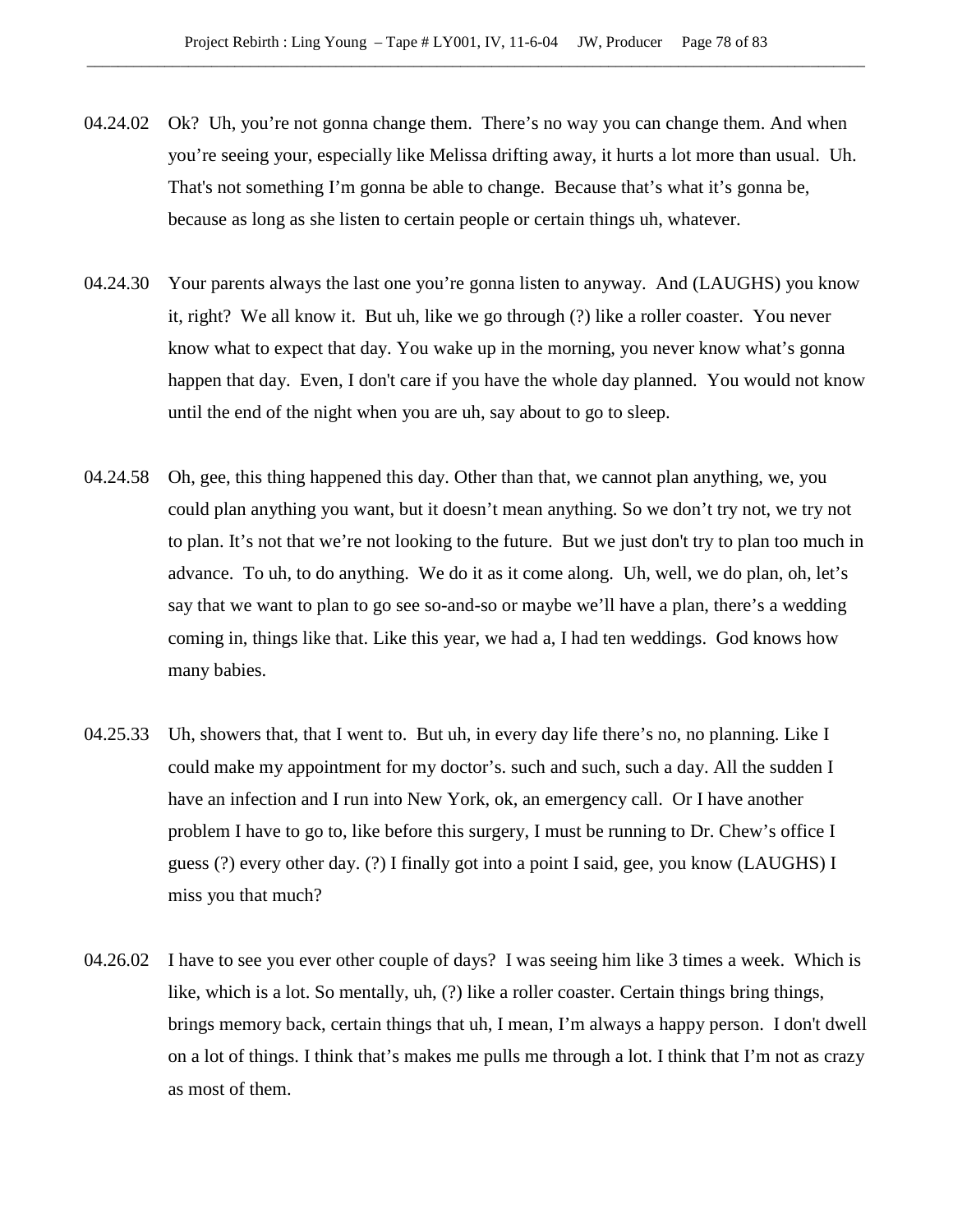- 04.24.02 Ok? Uh, you're not gonna change them. There's no way you can change them. And when you're seeing your, especially like Melissa drifting away, it hurts a lot more than usual. Uh. That's not something I'm gonna be able to change. Because that's what it's gonna be, because as long as she listen to certain people or certain things uh, whatever.
- 04.24.30 Your parents always the last one you're gonna listen to anyway. And (LAUGHS) you know it, right? We all know it. But uh, like we go through (?) like a roller coaster. You never know what to expect that day. You wake up in the morning, you never know what's gonna happen that day. Even, I don't care if you have the whole day planned. You would not know until the end of the night when you are uh, say about to go to sleep.
- 04.24.58 Oh, gee, this thing happened this day. Other than that, we cannot plan anything, we, you could plan anything you want, but it doesn't mean anything. So we don't try not, we try not to plan. It's not that we're not looking to the future. But we just don't try to plan too much in advance. To uh, to do anything. We do it as it come along. Uh, well, we do plan, oh, let's say that we want to plan to go see so-and-so or maybe we'll have a plan, there's a wedding coming in, things like that. Like this year, we had a, I had ten weddings. God knows how many babies.
- 04.25.33 Uh, showers that, that I went to. But uh, in every day life there's no, no planning. Like I could make my appointment for my doctor's. such and such, such a day. All the sudden I have an infection and I run into New York, ok, an emergency call. Or I have another problem I have to go to, like before this surgery, I must be running to Dr. Chew's office I guess (?) every other day. (?) I finally got into a point I said, gee, you know (LAUGHS) I miss you that much?
- 04.26.02 I have to see you ever other couple of days? I was seeing him like 3 times a week. Which is like, which is a lot. So mentally, uh, (?) like a roller coaster. Certain things bring things, brings memory back, certain things that uh, I mean, I'm always a happy person. I don't dwell on a lot of things. I think that's makes me pulls me through a lot. I think that I'm not as crazy as most of them.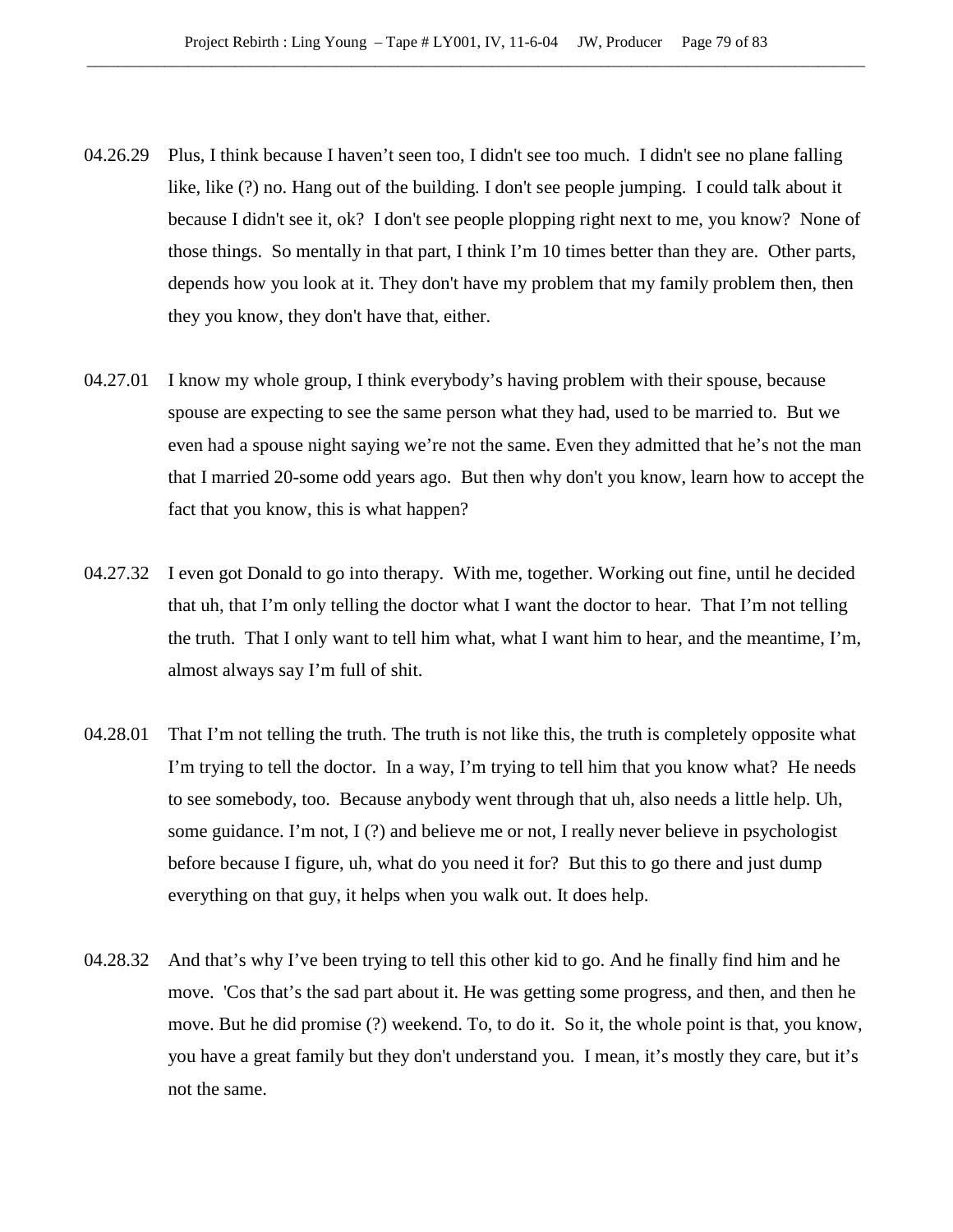- 04.26.29 Plus, I think because I haven't seen too, I didn't see too much. I didn't see no plane falling like, like (?) no. Hang out of the building. I don't see people jumping. I could talk about it because I didn't see it, ok? I don't see people plopping right next to me, you know? None of those things. So mentally in that part, I think I'm 10 times better than they are. Other parts, depends how you look at it. They don't have my problem that my family problem then, then they you know, they don't have that, either.
- 04.27.01 I know my whole group, I think everybody's having problem with their spouse, because spouse are expecting to see the same person what they had, used to be married to. But we even had a spouse night saying we're not the same. Even they admitted that he's not the man that I married 20-some odd years ago. But then why don't you know, learn how to accept the fact that you know, this is what happen?
- 04.27.32 I even got Donald to go into therapy. With me, together. Working out fine, until he decided that uh, that I'm only telling the doctor what I want the doctor to hear. That I'm not telling the truth. That I only want to tell him what, what I want him to hear, and the meantime, I'm, almost always say I'm full of shit.
- 04.28.01 That I'm not telling the truth. The truth is not like this, the truth is completely opposite what I'm trying to tell the doctor. In a way, I'm trying to tell him that you know what? He needs to see somebody, too. Because anybody went through that uh, also needs a little help. Uh, some guidance. I'm not, I (?) and believe me or not, I really never believe in psychologist before because I figure, uh, what do you need it for? But this to go there and just dump everything on that guy, it helps when you walk out. It does help.
- 04.28.32 And that's why I've been trying to tell this other kid to go. And he finally find him and he move. 'Cos that's the sad part about it. He was getting some progress, and then, and then he move. But he did promise (?) weekend. To, to do it. So it, the whole point is that, you know, you have a great family but they don't understand you. I mean, it's mostly they care, but it's not the same.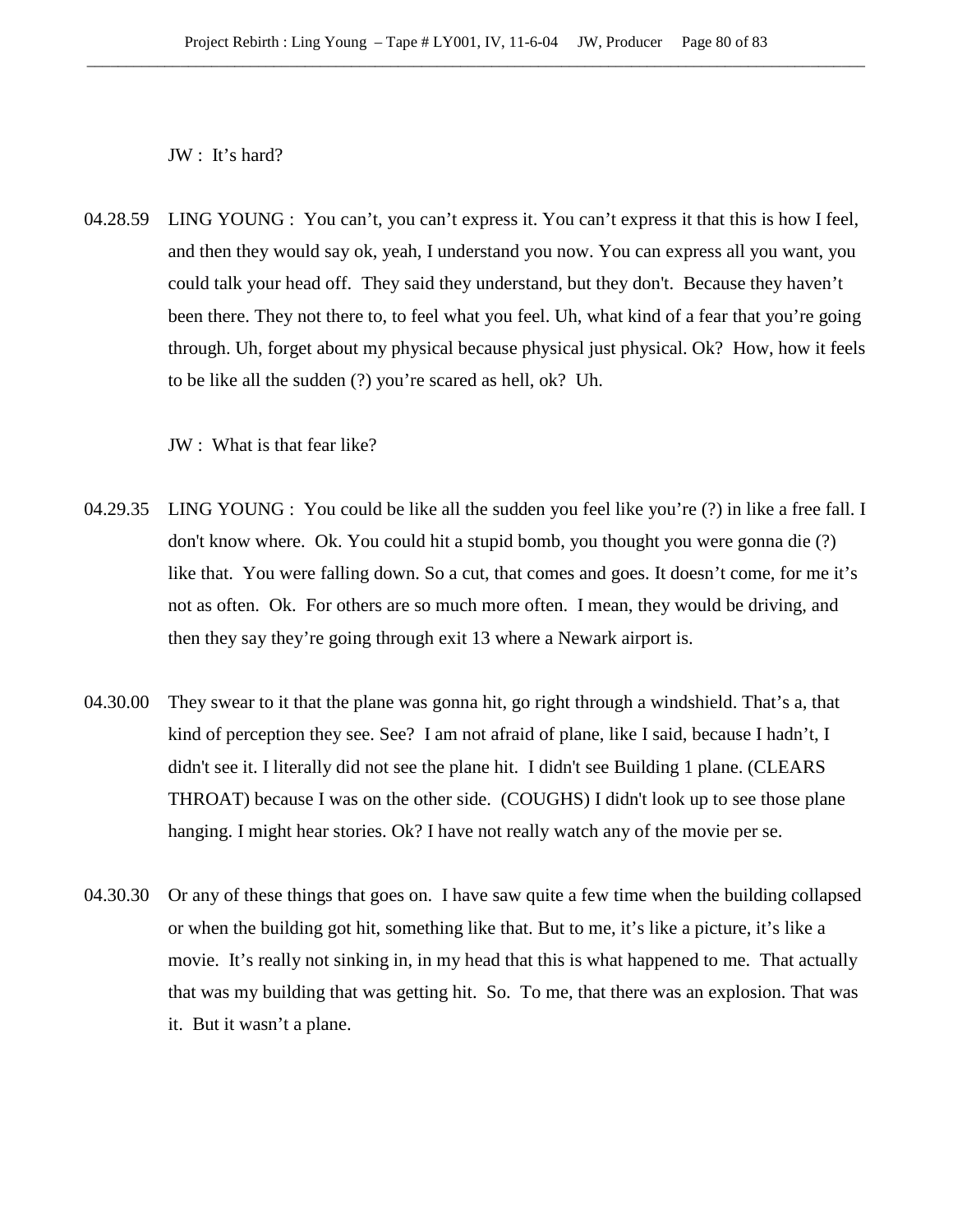JW : It's hard?

04.28.59 LING YOUNG : You can't, you can't express it. You can't express it that this is how I feel, and then they would say ok, yeah, I understand you now. You can express all you want, you could talk your head off. They said they understand, but they don't. Because they haven't been there. They not there to, to feel what you feel. Uh, what kind of a fear that you're going through. Uh, forget about my physical because physical just physical. Ok? How, how it feels to be like all the sudden (?) you're scared as hell, ok? Uh.

JW : What is that fear like?

- 04.29.35 LING YOUNG : You could be like all the sudden you feel like you're (?) in like a free fall. I don't know where. Ok. You could hit a stupid bomb, you thought you were gonna die (?) like that. You were falling down. So a cut, that comes and goes. It doesn't come, for me it's not as often. Ok. For others are so much more often. I mean, they would be driving, and then they say they're going through exit 13 where a Newark airport is.
- 04.30.00 They swear to it that the plane was gonna hit, go right through a windshield. That's a, that kind of perception they see. See? I am not afraid of plane, like I said, because I hadn't, I didn't see it. I literally did not see the plane hit. I didn't see Building 1 plane. (CLEARS THROAT) because I was on the other side. (COUGHS) I didn't look up to see those plane hanging. I might hear stories. Ok? I have not really watch any of the movie per se.
- 04.30.30 Or any of these things that goes on. I have saw quite a few time when the building collapsed or when the building got hit, something like that. But to me, it's like a picture, it's like a movie. It's really not sinking in, in my head that this is what happened to me. That actually that was my building that was getting hit. So. To me, that there was an explosion. That was it. But it wasn't a plane.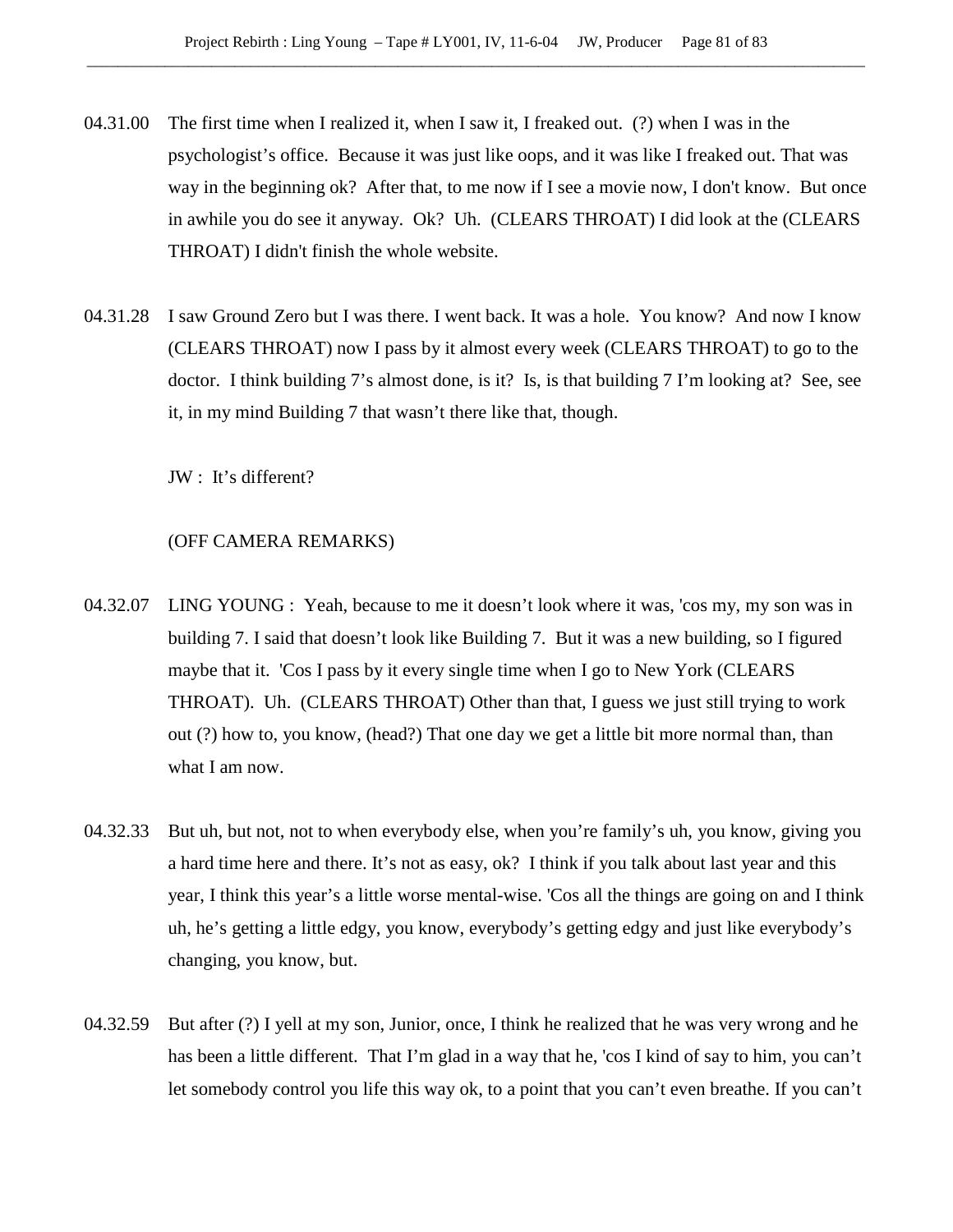- 04.31.00 The first time when I realized it, when I saw it, I freaked out. (?) when I was in the psychologist's office. Because it was just like oops, and it was like I freaked out. That was way in the beginning ok? After that, to me now if I see a movie now, I don't know. But once in awhile you do see it anyway. Ok? Uh. (CLEARS THROAT) I did look at the (CLEARS THROAT) I didn't finish the whole website.
- 04.31.28 I saw Ground Zero but I was there. I went back. It was a hole. You know? And now I know (CLEARS THROAT) now I pass by it almost every week (CLEARS THROAT) to go to the doctor. I think building 7's almost done, is it? Is, is that building 7 I'm looking at? See, see it, in my mind Building 7 that wasn't there like that, though.

JW : It's different?

## (OFF CAMERA REMARKS)

- 04.32.07 LING YOUNG : Yeah, because to me it doesn't look where it was, 'cos my, my son was in building 7. I said that doesn't look like Building 7. But it was a new building, so I figured maybe that it. 'Cos I pass by it every single time when I go to New York (CLEARS THROAT). Uh. (CLEARS THROAT) Other than that, I guess we just still trying to work out (?) how to, you know, (head?) That one day we get a little bit more normal than, than what I am now.
- 04.32.33 But uh, but not, not to when everybody else, when you're family's uh, you know, giving you a hard time here and there. It's not as easy, ok? I think if you talk about last year and this year, I think this year's a little worse mental-wise. 'Cos all the things are going on and I think uh, he's getting a little edgy, you know, everybody's getting edgy and just like everybody's changing, you know, but.
- 04.32.59 But after (?) I yell at my son, Junior, once, I think he realized that he was very wrong and he has been a little different. That I'm glad in a way that he, 'cos I kind of say to him, you can't let somebody control you life this way ok, to a point that you can't even breathe. If you can't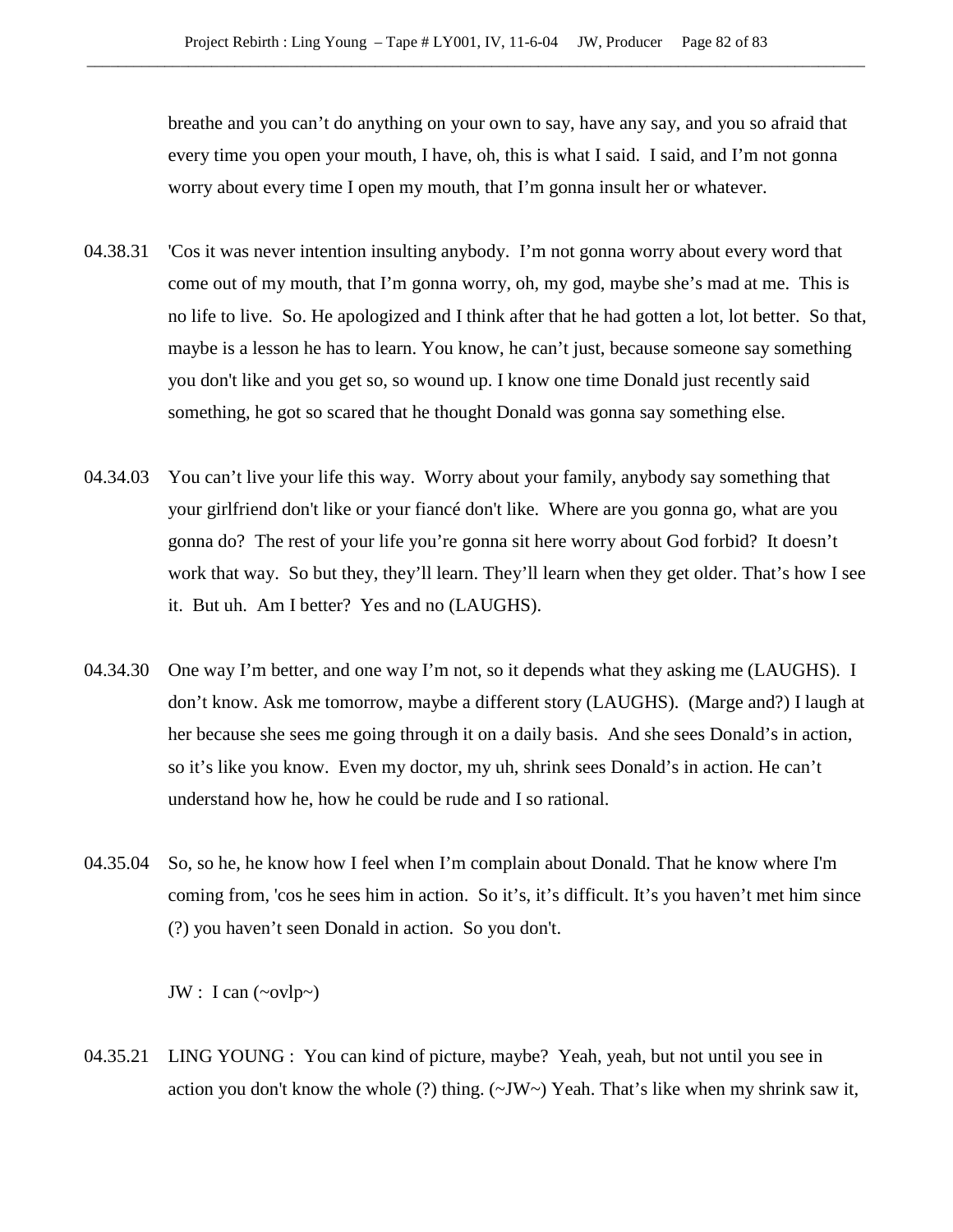breathe and you can't do anything on your own to say, have any say, and you so afraid that every time you open your mouth, I have, oh, this is what I said. I said, and I'm not gonna worry about every time I open my mouth, that I'm gonna insult her or whatever.

- 04.38.31 'Cos it was never intention insulting anybody. I'm not gonna worry about every word that come out of my mouth, that I'm gonna worry, oh, my god, maybe she's mad at me. This is no life to live. So. He apologized and I think after that he had gotten a lot, lot better. So that, maybe is a lesson he has to learn. You know, he can't just, because someone say something you don't like and you get so, so wound up. I know one time Donald just recently said something, he got so scared that he thought Donald was gonna say something else.
- 04.34.03 You can't live your life this way. Worry about your family, anybody say something that your girlfriend don't like or your fiancé don't like. Where are you gonna go, what are you gonna do? The rest of your life you're gonna sit here worry about God forbid? It doesn't work that way. So but they, they'll learn. They'll learn when they get older. That's how I see it. But uh. Am I better? Yes and no (LAUGHS).
- 04.34.30 One way I'm better, and one way I'm not, so it depends what they asking me (LAUGHS). I don't know. Ask me tomorrow, maybe a different story (LAUGHS). (Marge and?) I laugh at her because she sees me going through it on a daily basis. And she sees Donald's in action, so it's like you know. Even my doctor, my uh, shrink sees Donald's in action. He can't understand how he, how he could be rude and I so rational.
- 04.35.04 So, so he, he know how I feel when I'm complain about Donald. That he know where I'm coming from, 'cos he sees him in action. So it's, it's difficult. It's you haven't met him since (?) you haven't seen Donald in action. So you don't.

JW : I can  $(\sim$ ovlp $\sim$ )

04.35.21 LING YOUNG : You can kind of picture, maybe? Yeah, yeah, but not until you see in action you don't know the whole  $(?)$  thing.  $(~JW~)$  Yeah. That's like when my shrink saw it,